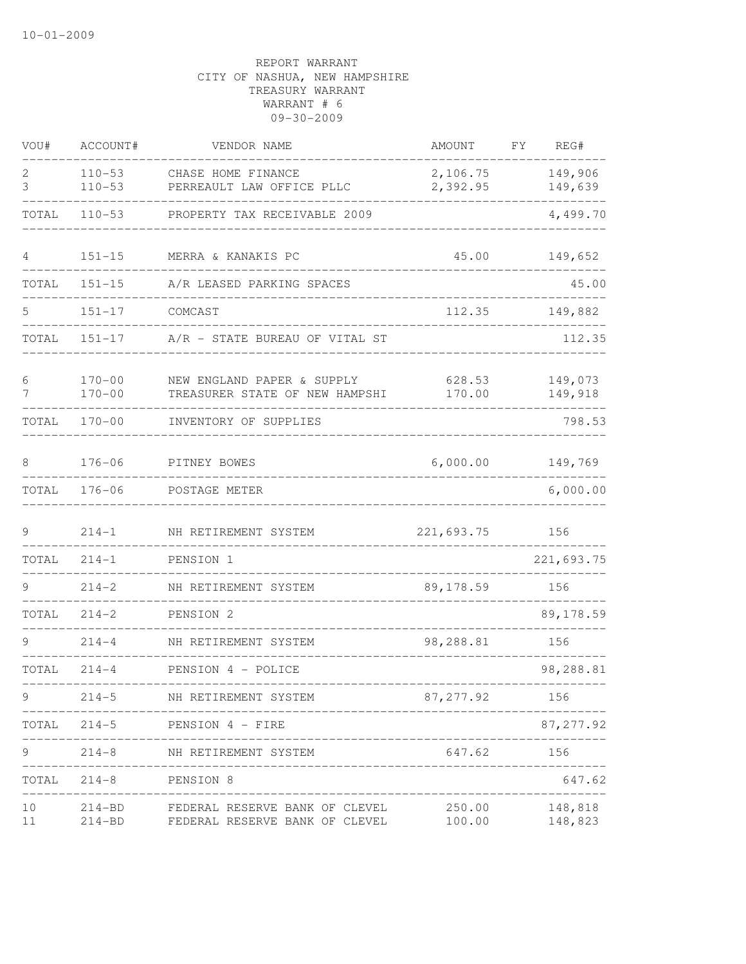| VOU#     | ACCOUNT#                 | VENDOR NAME                                                      | AMOUNT               | FY. | REG#               |
|----------|--------------------------|------------------------------------------------------------------|----------------------|-----|--------------------|
| 2<br>3   | $110 - 53$<br>$110 - 53$ | CHASE HOME FINANCE<br>PERREAULT LAW OFFICE PLLC                  | 2,106.75<br>2,392.95 |     | 149,906<br>149,639 |
| TOTAL    | $110 - 53$               | PROPERTY TAX RECEIVABLE 2009                                     |                      |     | 4,499.70           |
| 4        | $151 - 15$               | MERRA & KANAKIS PC                                               | 45.00                |     | 149,652            |
| TOTAL    | $151 - 15$               | A/R LEASED PARKING SPACES                                        |                      |     | 45.00              |
| 5        | $151 - 17$               | COMCAST                                                          | 112.35               |     | 149,882            |
| TOTAL    | $151 - 17$               | A/R - STATE BUREAU OF VITAL ST                                   |                      |     | 112.35             |
| 6<br>7   | $170 - 00$<br>$170 - 00$ | NEW ENGLAND PAPER & SUPPLY<br>TREASURER STATE OF NEW HAMPSHI     | 628.53<br>170.00     |     | 149,073<br>149,918 |
| TOTAL    | $170 - 00$               | INVENTORY OF SUPPLIES                                            |                      |     | 798.53             |
| 8        | $176 - 06$               | PITNEY BOWES                                                     | 6,000.00             |     | 149,769            |
| TOTAL    | $176 - 06$               | POSTAGE METER                                                    |                      |     | 6,000.00           |
| 9        | $214 - 1$                | NH RETIREMENT SYSTEM                                             | 221,693.75           |     | 156                |
| TOTAL    | $214 - 1$                | PENSION 1                                                        |                      |     | 221,693.75         |
| 9        | $214 - 2$                | NH RETIREMENT SYSTEM                                             | 89, 178.59           |     | 156                |
| TOTAL    | $214 - 2$                | PENSION 2                                                        |                      |     | 89, 178.59         |
|          | $214 - 4$                | NH RETIREMENT SYSTEM                                             | 98,288.81            |     | 156                |
| TOTAL    | $214 - 4$                | PENSION 4 - POLICE                                               |                      |     | 98,288.81          |
| 9        | $214 - 5$                | NH RETIREMENT SYSTEM                                             | 87, 277.92           |     | 156                |
| TOTAL    | $214 - 5$                | PENSION 4 - FIRE                                                 |                      |     | 87, 277.92         |
| 9        | $214 - 8$                | _________________<br>NH RETIREMENT SYSTEM                        | 647.62               |     | 156                |
| TOTAL    | $214 - 8$                | PENSION 8                                                        |                      |     | 647.62             |
| 10<br>11 | $214 - BD$<br>$214 - BD$ | FEDERAL RESERVE BANK OF CLEVEL<br>FEDERAL RESERVE BANK OF CLEVEL | 250.00<br>100.00     |     | 148,818<br>148,823 |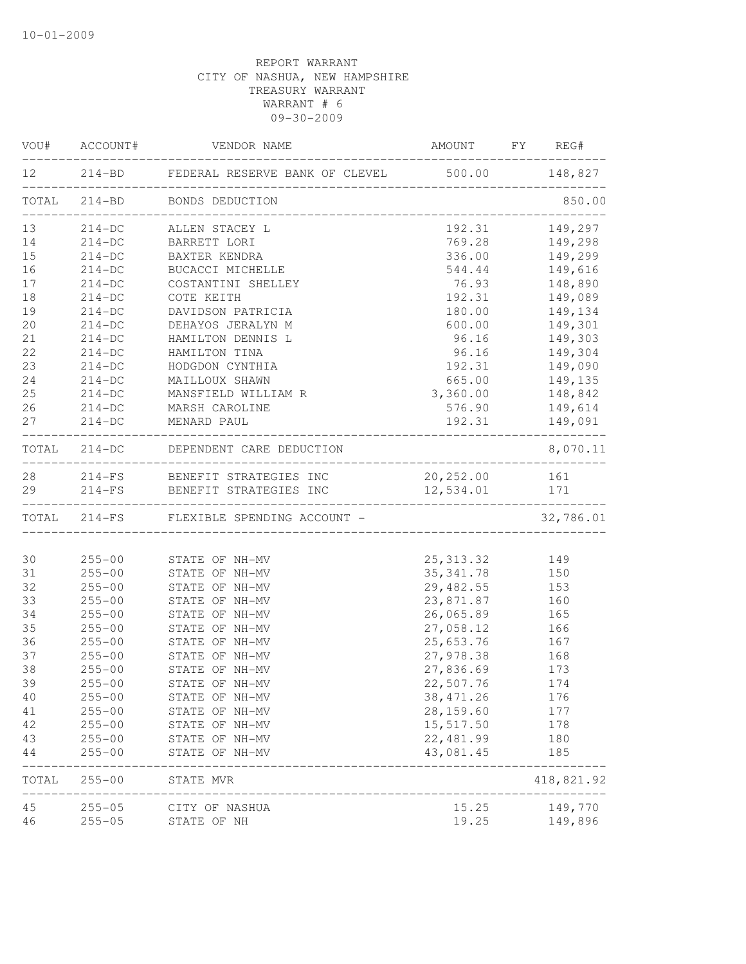|          |                          | VOU# ACCOUNT# VENDOR NAME                               | AMOUNT FY REG#         |                |
|----------|--------------------------|---------------------------------------------------------|------------------------|----------------|
|          |                          | 12 214-BD FEDERAL RESERVE BANK OF CLEVEL 500.00 148,827 |                        |                |
|          |                          | TOTAL 214-BD BONDS DEDUCTION                            |                        | 850.00         |
| 13       |                          | 214-DC ALLEN STACEY L                                   |                        | 192.31 149,297 |
| 14       |                          | 214-DC BARRETT LORI                                     | 769.28                 | 149,298        |
| 15       | $214 - DC$               | BAXTER KENDRA                                           | 336.00                 | 149,299        |
| 16       | $214-DC$                 | BUCACCI MICHELLE                                        | 544.44                 | 149,616        |
| 17       | $214-DC$                 | COSTANTINI SHELLEY                                      | 76.93                  | 148,890        |
| 18       | $214 - DC$               | COTE KEITH                                              |                        | 192.31 149,089 |
| 19       | $214 - DC$               | DAVIDSON PATRICIA                                       |                        | 180.00 149,134 |
| 20       | $214-DC$                 | DEHAYOS JERALYN M                                       | 600.00                 | 149,301        |
| 21       | $214-DC$                 | HAMILTON DENNIS L                                       | 96.16                  | 149,303        |
| 22       | $214-DC$                 | HAMILTON TINA                                           | 96.16                  | 149,304        |
| 23       | $214-DC$                 | HODGDON CYNTHIA                                         | 192.31                 | 149,090        |
| 24       | $214-DC$                 | MAILLOUX SHAWN<br>MANSFIELD WILLIAM R                   | 665.00                 | 149,135        |
| 25       | $214-DC$                 |                                                         | 3,360.00               | 148,842        |
| 26       | $214-DC$                 | MARSH CAROLINE                                          | 576.90                 | 149,614        |
| 27       |                          | 214-DC MENARD PAUL                                      |                        | 192.31 149,091 |
|          |                          | TOTAL 214-DC DEPENDENT CARE DEDUCTION                   |                        | 8,070.11       |
|          |                          | 28 214-FS BENEFIT STRATEGIES INC                        | 20, 252.00 161         |                |
| 29       |                          | 214-FS BENEFIT STRATEGIES INC                           | 12,534.01 171          |                |
|          |                          | TOTAL 214-FS FLEXIBLE SPENDING ACCOUNT -                |                        | 32,786.01      |
|          |                          |                                                         |                        |                |
| 30       |                          | 255-00 STATE OF NH-MV                                   | 25, 313.32 149         |                |
| 31       | $255 - 00$               | STATE OF NH-MV                                          | 35, 341.78 150         |                |
| 32<br>33 | $255 - 00$               | STATE OF NH-MV                                          | 29,482.55 153          |                |
| 34       | $255 - 00$<br>$255 - 00$ | STATE OF NH-MV<br>STATE OF NH-MV                        | 23,871.87<br>26,065.89 | 160            |
| 35       | $255 - 00$               | STATE OF NH-MV                                          | 27,058.12              | 165<br>166     |
| 36       | $255 - 00$               | STATE OF NH-MV                                          | 25,653.76              | 167            |
| 37       | $255 - 00$               | STATE OF NH-MV                                          | 27,978.38 168          |                |
| 38       | $255 - 00$               | STATE OF NH-MV                                          | 27,836.69 173          |                |
| 39       | $255 - 00$               | STATE OF NH-MV                                          | 22,507.76              | 174            |
| 40       | $255 - 00$               | STATE OF NH-MV                                          | 38, 471.26             | 176            |
| 41       | $255 - 00$               | STATE OF NH-MV                                          | 28, 159.60             | 177            |
| 42       | $255 - 00$               | STATE OF NH-MV                                          | 15,517.50              | 178            |
| 43       | $255 - 00$               | STATE OF NH-MV                                          | 22, 481.99             | 180            |
| 44       | $255 - 00$               | STATE OF NH-MV                                          | 43,081.45              | 185            |
| TOTAL    | $255 - 00$               | STATE MVR                                               |                        | 418,821.92     |
| 45       | $255 - 05$               | __________________________<br>CITY OF NASHUA            | 15.25                  | 149,770        |
| 46       | $255 - 05$               | STATE OF NH                                             | 19.25                  | 149,896        |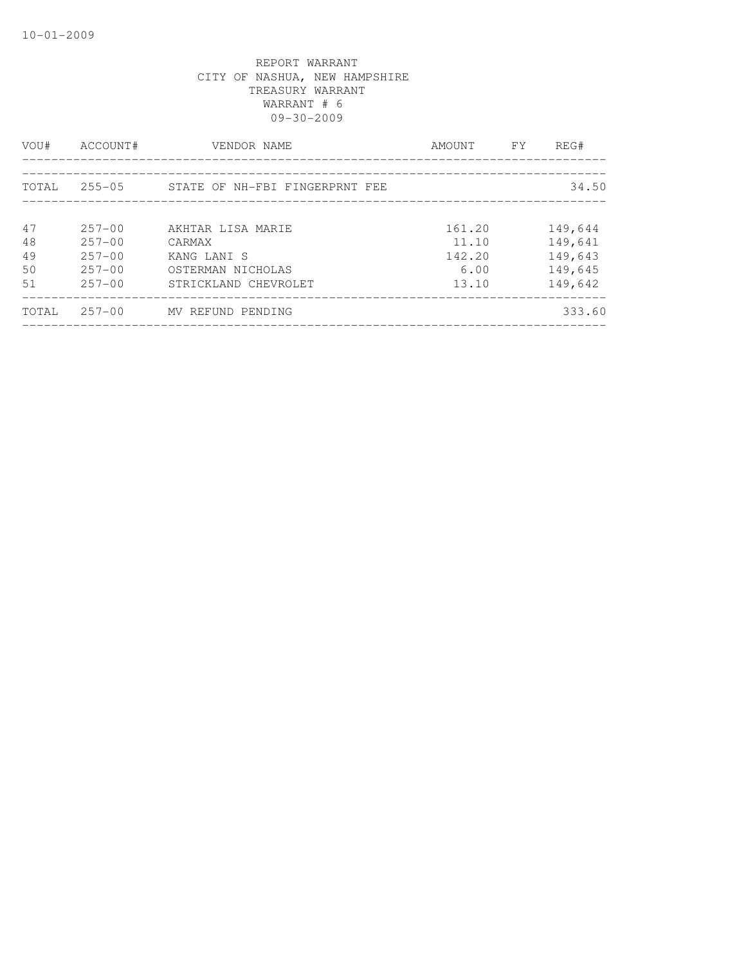| VOU#                       | ACCOUNT#                                                           | VENDOR NAME                                                                             | AMOUNT                                     | FY. | REG#                                                |
|----------------------------|--------------------------------------------------------------------|-----------------------------------------------------------------------------------------|--------------------------------------------|-----|-----------------------------------------------------|
| TOTAL                      |                                                                    | 255-05 STATE OF NH-FBI FINGERPRNT FEE                                                   |                                            |     | 34.50                                               |
| 47<br>48<br>49<br>50<br>51 | $257 - 00$<br>$257 - 00$<br>$257 - 00$<br>$257 - 00$<br>$257 - 00$ | AKHTAR LISA MARIE<br>CARMAX<br>KANG LANI S<br>OSTERMAN NICHOLAS<br>STRICKLAND CHEVROLET | 161.20<br>11.10<br>142.20<br>6.00<br>13.10 |     | 149,644<br>149,641<br>149,643<br>149,645<br>149,642 |
| TOTAL                      | $257 - 00$                                                         | MV REFUND PENDING                                                                       |                                            |     | 333.60                                              |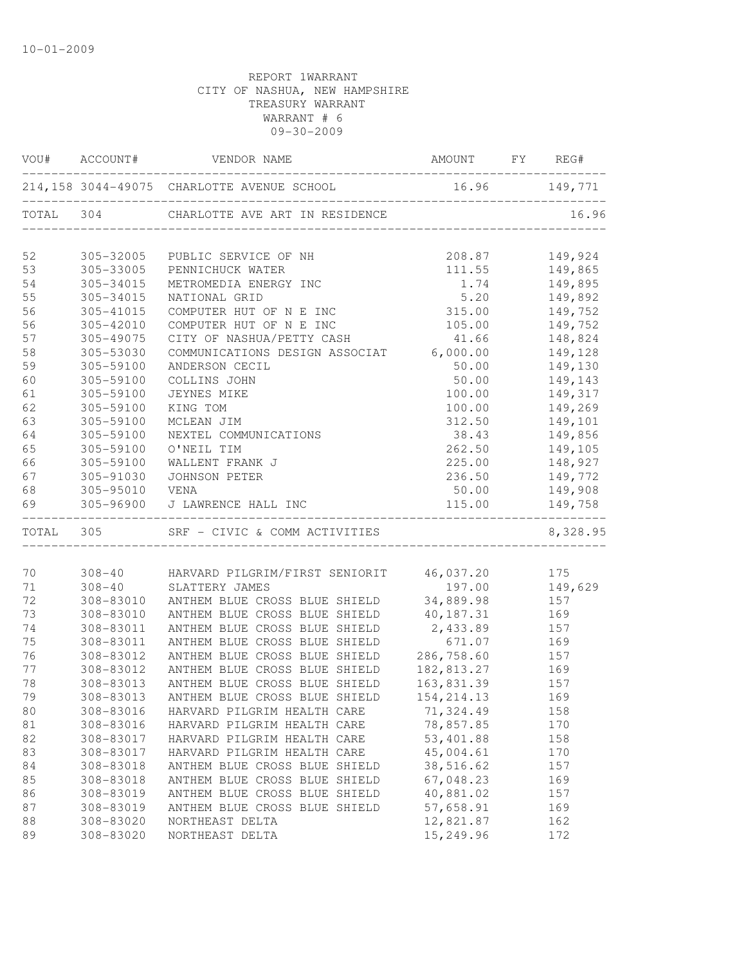|    |                | VOU# ACCOUNT# VENDOR NAME                                | AMOUNT FY REG#     |                                  |
|----|----------------|----------------------------------------------------------|--------------------|----------------------------------|
|    |                | 214,158 3044-49075 CHARLOTTE AVENUE SCHOOL 16.96 149,771 |                    |                                  |
|    |                | TOTAL 304 CHARLOTTE AVE ART IN RESIDENCE                 |                    | 16.96                            |
| 52 | 305-32005      | PUBLIC SERVICE OF NH                                     |                    |                                  |
| 53 | 305-33005      | PENNICHUCK WATER                                         |                    | 208.87 149,924<br>111.55 149,865 |
| 54 | 305-34015      | METROMEDIA ENERGY INC                                    | 1.74               | 149,895                          |
| 55 | 305-34015      | NATIONAL GRID                                            | 5.20               | 149,892                          |
| 56 | 305-41015      | COMPUTER HUT OF N E INC                                  | 315.00             | 149,752                          |
| 56 | 305-42010      | COMPUTER HUT OF N E INC                                  | 105.00 149,752     |                                  |
| 57 | 305-49075      | CITY OF NASHUA/PETTY CASH                                |                    | 41.66 148,824                    |
| 58 | 305-53030      | COMMUNICATIONS DESIGN ASSOCIAT 6,000.00 149,128          |                    |                                  |
| 59 | 305-59100      | ANDERSON CECIL                                           | 50.00              | 149,130                          |
| 60 | 305-59100      | COLLINS JOHN                                             | 50.00              | 149,143                          |
| 61 | 305-59100      | JEYNES MIKE                                              | 100.00             | 149,317                          |
| 62 | 305-59100      | KING TOM                                                 | 100.00             | 149,269                          |
| 63 | 305-59100      | MCLEAN JIM                                               | 312.50             | 149,101                          |
| 64 | 305-59100      | NEXTEL COMMUNICATIONS                                    | 38.43              | 149,856                          |
| 65 | 305-59100      | O'NEIL TIM                                               |                    | 262.50 149,105                   |
| 66 | 305-59100      | WALLENT FRANK J                                          |                    | 225.00 148,927                   |
| 67 | 305-91030      | JOHNSON PETER                                            | 236.50             | 149,772                          |
| 68 | 305-95010 VENA |                                                          | 50.00              | 149,908                          |
| 69 |                | 305-96900 J LAWRENCE HALL INC                            | 115.00             | 149,758                          |
|    |                | TOTAL 305 SRF - CIVIC & COMM ACTIVITIES                  |                    | 8,328.95                         |
|    |                |                                                          |                    |                                  |
| 70 |                | 308-40 HARVARD PILGRIM/FIRST SENIORIT 46,037.20 175      |                    |                                  |
| 71 |                | 308-40 SLATTERY JAMES                                    |                    | 197.00 149,629                   |
| 72 |                | 308-83010 ANTHEM BLUE CROSS BLUE SHIELD 34,889.98 157    |                    |                                  |
| 73 | 308-83010      | ANTHEM BLUE CROSS BLUE SHIELD                            | 40,187.31          | 169<br>157<br>169                |
| 74 | 308-83011      | ANTHEM BLUE CROSS BLUE SHIELD                            | 2,433.89<br>671.07 |                                  |
| 75 | 308-83011      | ANTHEM BLUE CROSS BLUE SHIELD                            | 286, 758.60 157    |                                  |
| 76 | 308-83012      | ANTHEM BLUE CROSS BLUE SHIELD                            |                    |                                  |
| 77 | 308-83012      | ANTHEM BLUE CROSS BLUE SHIELD                            | 182,813.27 169     |                                  |
| 78 | 308-83013      | ANTHEM BLUE CROSS BLUE SHIELD                            | 163,831.39 157     |                                  |
| 79 |                | 308-83013 ANTHEM BLUE CROSS BLUE SHIELD                  | 154, 214. 13       | 169                              |
| 80 | 308-83016      | HARVARD PILGRIM HEALTH CARE                              | 71,324.49          | 158                              |
| 81 | 308-83016      | HARVARD PILGRIM HEALTH CARE                              | 78,857.85          | 170                              |
| 82 | 308-83017      | HARVARD PILGRIM HEALTH CARE                              | 53,401.88          | 158                              |
| 83 | 308-83017      | HARVARD PILGRIM HEALTH CARE                              | 45,004.61          | 170                              |
| 84 | 308-83018      | ANTHEM BLUE CROSS BLUE SHIELD                            | 38,516.62          | 157                              |
| 85 | 308-83018      | ANTHEM BLUE CROSS BLUE SHIELD                            | 67,048.23          | 169                              |
| 86 | 308-83019      | ANTHEM BLUE CROSS BLUE SHIELD                            | 40,881.02          | 157                              |
| 87 | 308-83019      | ANTHEM BLUE CROSS BLUE SHIELD                            | 57,658.91          | 169                              |
| 88 | 308-83020      | NORTHEAST DELTA                                          | 12,821.87          | 162                              |
| 89 | 308-83020      | NORTHEAST DELTA                                          | 15,249.96          | 172                              |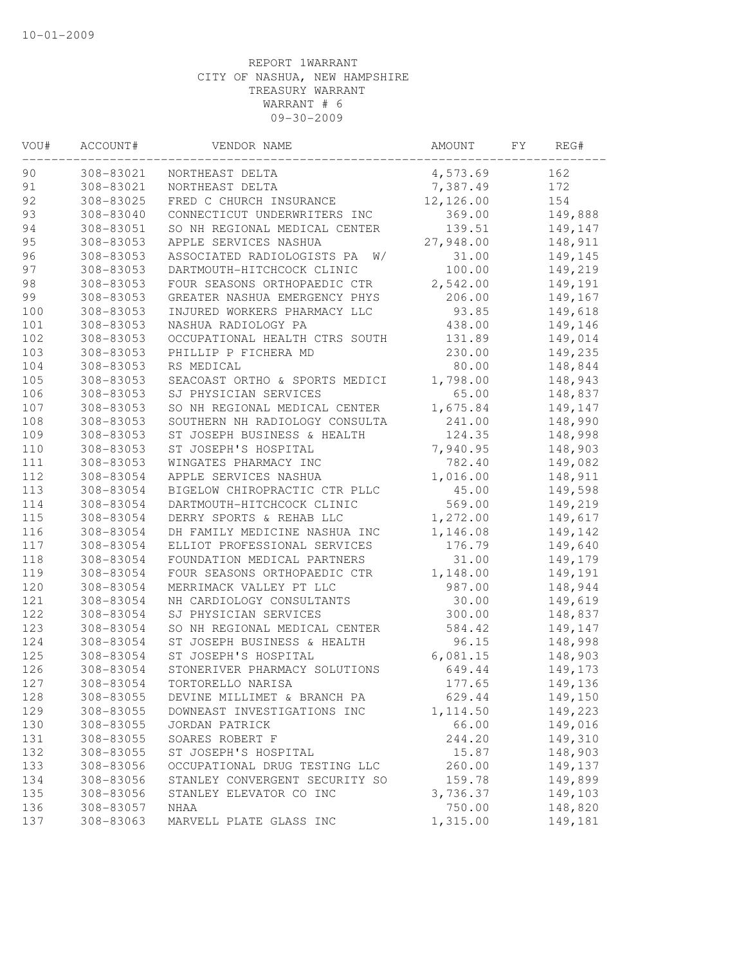| VOU# | ACCOUNT#               | VENDOR NAME                                        | AMOUNT          | FΥ | REG#    |
|------|------------------------|----------------------------------------------------|-----------------|----|---------|
| 90   | 308-83021              | NORTHEAST DELTA                                    | 4,573.69        |    | 162     |
| 91   | 308-83021              | NORTHEAST DELTA                                    | 7,387.49        |    | 172     |
| 92   | 308-83025              | FRED C CHURCH INSURANCE                            | 12,126.00       |    | 154     |
| 93   | 308-83040              | CONNECTICUT UNDERWRITERS INC                       | 369.00          |    | 149,888 |
| 94   | 308-83051              | SO NH REGIONAL MEDICAL CENTER                      | 139.51          |    | 149,147 |
| 95   | 308-83053              | APPLE SERVICES NASHUA                              | 27,948.00       |    | 148,911 |
| 96   | 308-83053              | ASSOCIATED RADIOLOGISTS PA<br>W/                   | 31.00           |    | 149,145 |
| 97   | 308-83053              | DARTMOUTH-HITCHCOCK CLINIC                         | 100.00          |    | 149,219 |
| 98   | 308-83053              | FOUR SEASONS ORTHOPAEDIC CTR                       | 2,542.00        |    | 149,191 |
| 99   | 308-83053              | GREATER NASHUA EMERGENCY PHYS                      | 206.00          |    | 149,167 |
| 100  | 308-83053              | INJURED WORKERS PHARMACY LLC                       | 93.85           |    | 149,618 |
| 101  | 308-83053              | NASHUA RADIOLOGY PA                                | 438.00          |    | 149,146 |
| 102  | 308-83053              | OCCUPATIONAL HEALTH CTRS SOUTH                     | 131.89          |    | 149,014 |
| 103  | 308-83053              | PHILLIP P FICHERA MD                               | 230.00          |    | 149,235 |
| 104  | 308-83053              | RS MEDICAL                                         | 80.00           |    | 148,844 |
| 105  | 308-83053              | SEACOAST ORTHO & SPORTS MEDICI                     | 1,798.00        |    | 148,943 |
| 106  | 308-83053              | SJ PHYSICIAN SERVICES                              | 65.00           |    | 148,837 |
| 107  | 308-83053              | SO NH REGIONAL MEDICAL CENTER                      | 1,675.84        |    | 149,147 |
| 108  | 308-83053              | SOUTHERN NH RADIOLOGY CONSULTA                     | 241.00          |    | 148,990 |
| 109  | 308-83053              | ST JOSEPH BUSINESS & HEALTH                        | 124.35          |    | 148,998 |
| 110  | 308-83053              | ST JOSEPH'S HOSPITAL                               | 7,940.95        |    | 148,903 |
| 111  | 308-83053              | WINGATES PHARMACY INC                              | 782.40          |    | 149,082 |
| 112  | 308-83054              | APPLE SERVICES NASHUA                              | 1,016.00        |    | 148,911 |
| 113  | 308-83054              | BIGELOW CHIROPRACTIC CTR PLLC                      | 45.00           |    | 149,598 |
| 114  | 308-83054              | DARTMOUTH-HITCHCOCK CLINIC                         | 569.00          |    | 149,219 |
| 115  | 308-83054              | DERRY SPORTS & REHAB LLC                           | 1,272.00        |    | 149,617 |
| 116  | 308-83054              | DH FAMILY MEDICINE NASHUA INC                      | 1,146.08        |    | 149,142 |
| 117  | 308-83054              | ELLIOT PROFESSIONAL SERVICES                       | 176.79          |    | 149,640 |
| 118  | 308-83054              | FOUNDATION MEDICAL PARTNERS                        | 31.00           |    | 149,179 |
| 119  | 308-83054              | FOUR SEASONS ORTHOPAEDIC CTR                       | 1,148.00        |    | 149,191 |
| 120  | 308-83054              | MERRIMACK VALLEY PT LLC                            | 987.00          |    | 148,944 |
| 121  |                        |                                                    |                 |    |         |
| 122  | 308-83054<br>308-83054 | NH CARDIOLOGY CONSULTANTS<br>SJ PHYSICIAN SERVICES | 30.00<br>300.00 |    | 149,619 |
|      |                        |                                                    |                 |    | 148,837 |
| 123  | 308-83054              | SO NH REGIONAL MEDICAL CENTER                      | 584.42          |    | 149,147 |
| 124  | 308-83054              | ST JOSEPH BUSINESS & HEALTH                        | 96.15           |    | 148,998 |
| 125  | 308-83054              | ST JOSEPH'S HOSPITAL                               | 6,081.15        |    | 148,903 |
| 126  | 308-83054              | STONERIVER PHARMACY SOLUTIONS                      | 649.44          |    | 149,173 |
| 127  | 308-83054              | TORTORELLO NARISA                                  | 177.65          |    | 149,136 |
| 128  | 308-83055              | DEVINE MILLIMET & BRANCH PA                        | 629.44          |    | 149,150 |
| 129  | 308-83055              | DOWNEAST INVESTIGATIONS INC                        | 1, 114.50       |    | 149,223 |
| 130  | 308-83055              | JORDAN PATRICK                                     | 66.00           |    | 149,016 |
| 131  | 308-83055              | SOARES ROBERT F                                    | 244.20          |    | 149,310 |
| 132  | 308-83055              | ST JOSEPH'S HOSPITAL                               | 15.87           |    | 148,903 |
| 133  | 308-83056              | OCCUPATIONAL DRUG TESTING LLC                      | 260.00          |    | 149,137 |
| 134  | 308-83056              | STANLEY CONVERGENT SECURITY SO                     | 159.78          |    | 149,899 |
| 135  | 308-83056              | STANLEY ELEVATOR CO INC                            | 3,736.37        |    | 149,103 |
| 136  | 308-83057              | NHAA                                               | 750.00          |    | 148,820 |
| 137  | 308-83063              | MARVELL PLATE GLASS INC                            | 1,315.00        |    | 149,181 |
|      |                        |                                                    |                 |    |         |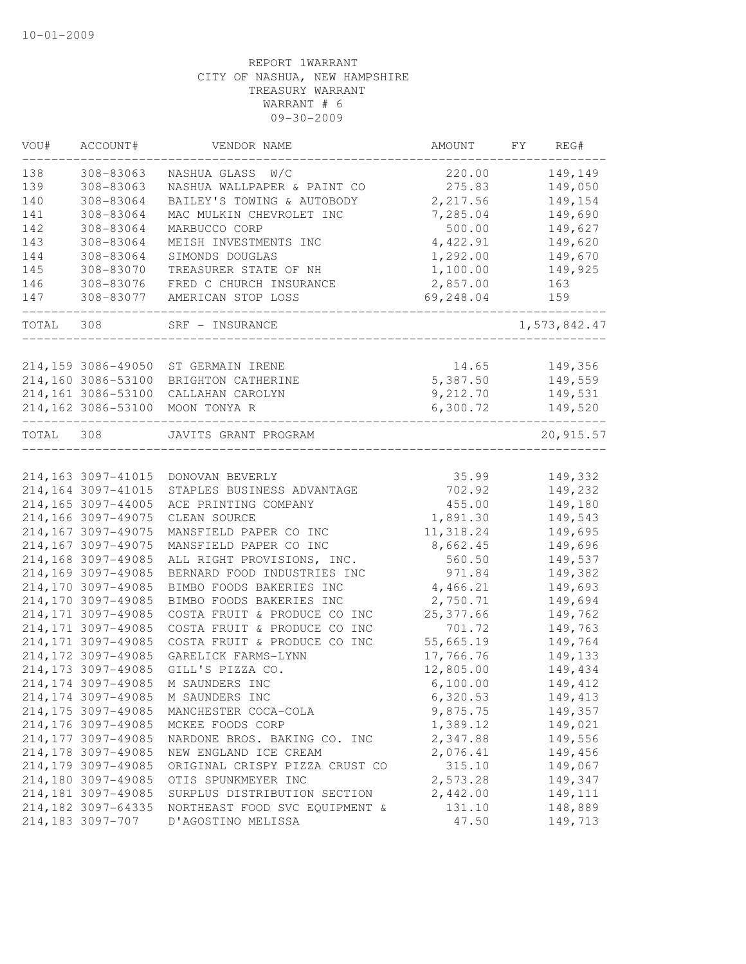| VOU#  | ACCOUNT#            | VENDOR NAME                    | <b>AMOUNT</b> | FY | REG#         |
|-------|---------------------|--------------------------------|---------------|----|--------------|
| 138   | 308-83063           | NASHUA GLASS W/C               | 220.00        |    | 149,149      |
| 139   | 308-83063           | NASHUA WALLPAPER & PAINT CO    | 275.83        |    | 149,050      |
| 140   | 308-83064           | BAILEY'S TOWING & AUTOBODY     | 2,217.56      |    | 149,154      |
| 141   | 308-83064           | MAC MULKIN CHEVROLET INC       | 7,285.04      |    | 149,690      |
| 142   | 308-83064           | MARBUCCO CORP                  | 500.00        |    | 149,627      |
| 143   | 308-83064           | MEISH INVESTMENTS INC          | 4,422.91      |    | 149,620      |
| 144   | 308-83064           | SIMONDS DOUGLAS                | 1,292.00      |    | 149,670      |
| 145   | 308-83070           | TREASURER STATE OF NH          | 1,100.00      |    | 149,925      |
| 146   | 308-83076           | FRED C CHURCH INSURANCE        | 2,857.00      |    | 163          |
| 147   | 308-83077           | AMERICAN STOP LOSS             | 69,248.04     |    | 159          |
| TOTAL | 308                 | SRF - INSURANCE                |               |    | 1,573,842.47 |
|       | 214,159 3086-49050  | ST GERMAIN IRENE               | 14.65         |    | 149,356      |
|       | 214,160 3086-53100  | BRIGHTON CATHERINE             | 5,387.50      |    | 149,559      |
|       | 214,161 3086-53100  | CALLAHAN CAROLYN               | 9,212.70      |    | 149,531      |
|       | 214,162 3086-53100  | MOON TONYA R                   | 6,300.72      |    | 149,520      |
|       |                     |                                |               |    |              |
| TOTAL | 308                 | JAVITS GRANT PROGRAM           |               |    | 20,915.57    |
|       | 214, 163 3097-41015 | DONOVAN BEVERLY                | 35.99         |    | 149,332      |
|       | 214,164 3097-41015  | STAPLES BUSINESS ADVANTAGE     | 702.92        |    | 149,232      |
|       | 214,165 3097-44005  | ACE PRINTING COMPANY           | 455.00        |    | 149,180      |
|       | 214,166 3097-49075  | CLEAN SOURCE                   | 1,891.30      |    | 149,543      |
|       | 214,167 3097-49075  | MANSFIELD PAPER CO INC         | 11,318.24     |    | 149,695      |
|       | 214,167 3097-49075  | MANSFIELD PAPER CO INC         | 8,662.45      |    | 149,696      |
|       | 214,168 3097-49085  | ALL RIGHT PROVISIONS, INC.     | 560.50        |    | 149,537      |
|       | 214,169 3097-49085  | BERNARD FOOD INDUSTRIES INC    | 971.84        |    | 149,382      |
|       | 214,170 3097-49085  | BIMBO FOODS BAKERIES INC       | 4,466.21      |    | 149,693      |
|       | 214,170 3097-49085  | BIMBO FOODS BAKERIES INC       | 2,750.71      |    | 149,694      |
|       | 214, 171 3097-49085 | COSTA FRUIT & PRODUCE CO INC   | 25,377.66     |    | 149,762      |
|       | 214, 171 3097-49085 | COSTA FRUIT & PRODUCE CO INC   | 701.72        |    | 149,763      |
|       | 214, 171 3097-49085 | COSTA FRUIT & PRODUCE CO INC   | 55,665.19     |    | 149,764      |
|       | 214, 172 3097-49085 | GARELICK FARMS-LYNN            | 17,766.76     |    | 149,133      |
|       | 214,173 3097-49085  | GILL'S PIZZA CO.               | 12,805.00     |    | 149,434      |
|       | 214,174 3097-49085  | M SAUNDERS INC                 | 6,100.00      |    | 149, 412     |
|       | 214, 174 3097-49085 | M SAUNDERS INC                 | 6,320.53      |    | 149, 413     |
|       | 214, 175 3097-49085 |                                | 9,875.75      |    |              |
|       |                     | MANCHESTER COCA-COLA           |               |    | 149,357      |
|       | 214,176 3097-49085  | MCKEE FOODS CORP               | 1,389.12      |    | 149,021      |
|       | 214, 177 3097-49085 | NARDONE BROS. BAKING CO. INC   | 2,347.88      |    | 149,556      |
|       | 214,178 3097-49085  | NEW ENGLAND ICE CREAM          | 2,076.41      |    | 149,456      |
|       | 214,179 3097-49085  | ORIGINAL CRISPY PIZZA CRUST CO | 315.10        |    | 149,067      |
|       | 214,180 3097-49085  | OTIS SPUNKMEYER INC            | 2,573.28      |    | 149,347      |
|       | 214,181 3097-49085  | SURPLUS DISTRIBUTION SECTION   | 2,442.00      |    | 149,111      |
|       | 214,182 3097-64335  | NORTHEAST FOOD SVC EQUIPMENT & | 131.10        |    | 148,889      |
|       | 214,183 3097-707    | D'AGOSTINO MELISSA             | 47.50         |    | 149,713      |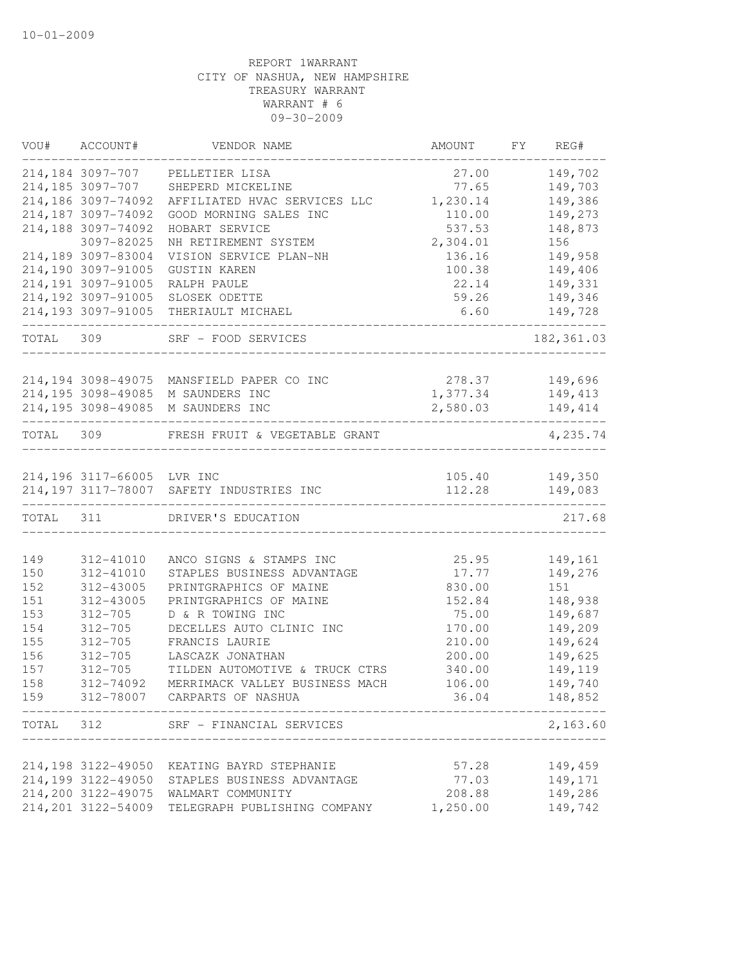| VOU#       | ACCOUNT#                   | VENDOR NAME                                           | AMOUNT          | FY | REG#               |
|------------|----------------------------|-------------------------------------------------------|-----------------|----|--------------------|
|            | 214,184 3097-707           | PELLETIER LISA                                        | 27.00           |    | 149,702            |
|            | 214,185 3097-707           | SHEPERD MICKELINE                                     | 77.65           |    | 149,703            |
|            | 214,186 3097-74092         | AFFILIATED HVAC SERVICES LLC                          | 1,230.14        |    | 149,386            |
|            | 214,187 3097-74092         | GOOD MORNING SALES INC                                | 110.00          |    | 149,273            |
|            | 214,188 3097-74092         | HOBART SERVICE                                        | 537.53          |    | 148,873            |
|            | 3097-82025                 | NH RETIREMENT SYSTEM                                  | 2,304.01        |    | 156                |
|            | 214,189 3097-83004         | VISION SERVICE PLAN-NH                                | 136.16          |    | 149,958            |
|            | 214,190 3097-91005         | <b>GUSTIN KAREN</b>                                   | 100.38          |    | 149,406            |
|            | 214,191 3097-91005         | RALPH PAULE                                           | 22.14           |    | 149,331            |
|            | 214,192 3097-91005         | SLOSEK ODETTE                                         | 59.26           |    | 149,346            |
|            | 214,193 3097-91005         | THERIAULT MICHAEL                                     | 6.60            |    | 149,728            |
| TOTAL      | 309                        | SRF - FOOD SERVICES                                   |                 |    | 182, 361.03        |
|            | 214,194 3098-49075         | MANSFIELD PAPER CO INC                                | 278.37          |    | 149,696            |
|            | 214,195 3098-49085         | M SAUNDERS INC                                        | 1,377.34        |    | 149, 413           |
|            |                            | 214,195 3098-49085 M SAUNDERS INC                     | 2,580.03        |    |                    |
|            | __________________________ |                                                       |                 |    | 149, 414           |
| TOTAL 309  |                            | FRESH FRUIT & VEGETABLE GRANT                         |                 |    | 4,235.74           |
|            | 214,196 3117-66005 LVR INC |                                                       | 105.40          |    | 149,350            |
|            |                            | 214,197 3117-78007 SAFETY INDUSTRIES INC              | 112.28          |    | 149,083            |
| TOTAL 311  |                            | DRIVER'S EDUCATION                                    |                 |    | 217.68             |
|            |                            |                                                       |                 |    |                    |
| 149        | 312-41010<br>312-41010     | ANCO SIGNS & STAMPS INC<br>STAPLES BUSINESS ADVANTAGE | 25.95           |    | 149,161<br>149,276 |
| 150<br>152 | 312-43005                  | PRINTGRAPHICS OF MAINE                                | 17.77<br>830.00 |    | 151                |
| 151        | 312-43005                  | PRINTGRAPHICS OF MAINE                                | 152.84          |    | 148,938            |
| 153        | $312 - 705$                | D & R TOWING INC                                      | 75.00           |    | 149,687            |
| 154        | $312 - 705$                | DECELLES AUTO CLINIC INC                              | 170.00          |    | 149,209            |
| 155        | $312 - 705$                | FRANCIS LAURIE                                        | 210.00          |    | 149,624            |
| 156        | $312 - 705$                | LASCAZK JONATHAN                                      | 200.00          |    | 149,625            |
| 157        | $312 - 705$                | TILDEN AUTOMOTIVE & TRUCK CTRS                        | 340.00          |    | 149,119            |
| 158        | 312-74092                  | MERRIMACK VALLEY BUSINESS MACH                        | 106.00          |    | 149,740            |
| 159        |                            | 312-78007 CARPARTS OF NASHUA                          | 36.04           |    | 148,852            |
| TOTAL      | 312                        | SRF - FINANCIAL SERVICES                              |                 |    | 2,163.60           |
|            |                            |                                                       |                 |    |                    |
|            | 214,198 3122-49050         | KEATING BAYRD STEPHANIE                               | 57.28           |    | 149,459            |
|            | 214,199 3122-49050         | STAPLES BUSINESS ADVANTAGE                            | 77.03           |    | 149,171            |
|            | 214,200 3122-49075         | WALMART COMMUNITY                                     | 208.88          |    | 149,286            |
|            | 214, 201 3122-54009        | TELEGRAPH PUBLISHING COMPANY                          | 1,250.00        |    | 149,742            |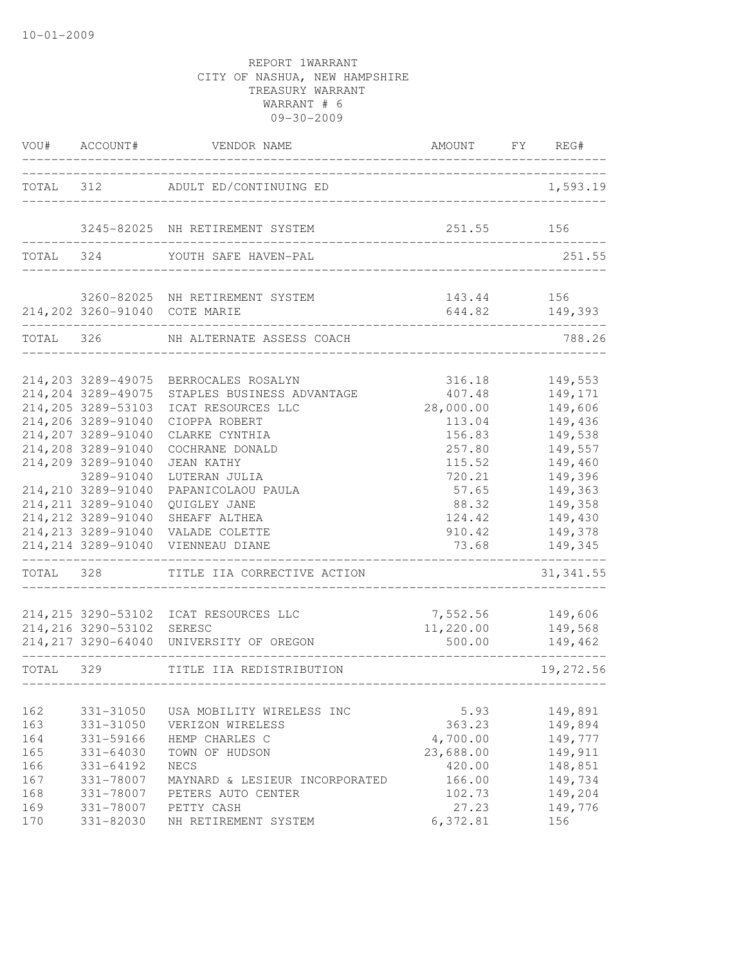| VOU#                            | ACCOUNT#                                                                                                                   | VENDOR NAME                                                                                                                   | AMOUNT                                                 | FY<br>REG#                                                     |
|---------------------------------|----------------------------------------------------------------------------------------------------------------------------|-------------------------------------------------------------------------------------------------------------------------------|--------------------------------------------------------|----------------------------------------------------------------|
|                                 |                                                                                                                            | TOTAL 312 ADULT ED/CONTINUING ED                                                                                              | ----------------------------                           | 1,593.19                                                       |
|                                 |                                                                                                                            | 3245-82025 NH RETIREMENT SYSTEM                                                                                               | 251.55                                                 | 156                                                            |
| TOTAL 324                       |                                                                                                                            | YOUTH SAFE HAVEN-PAL                                                                                                          |                                                        | 251.55                                                         |
|                                 |                                                                                                                            | 3260-82025 NH RETIREMENT SYSTEM<br>214,202 3260-91040 COTE MARIE                                                              | 143.44                                                 | 156<br>644.82 149,393                                          |
| TOTAL 326                       |                                                                                                                            | NH ALTERNATE ASSESS COACH                                                                                                     |                                                        | 788.26                                                         |
|                                 | 214,204 3289-49075<br>214,205 3289-53103<br>214,206 3289-91040<br>214,207 3289-91040                                       | 214, 203 3289-49075 BERROCALES ROSALYN<br>STAPLES BUSINESS ADVANTAGE<br>ICAT RESOURCES LLC<br>CIOPPA ROBERT<br>CLARKE CYNTHIA | 316.18<br>407.48<br>28,000.00<br>113.04<br>156.83      | 149,553<br>149,171<br>149,606<br>149,436<br>149,538            |
|                                 | 214,208 3289-91040<br>214,209 3289-91040<br>3289-91040<br>214,210 3289-91040<br>214, 211 3289-91040<br>214, 212 3289-91040 | COCHRANE DONALD<br>JEAN KATHY<br>LUTERAN JULIA<br>PAPANICOLAOU PAULA<br>QUIGLEY JANE<br>SHEAFF ALTHEA                         | 257.80<br>115.52<br>720.21<br>57.65<br>88.32<br>124.42 | 149,557<br>149,460<br>149,396<br>149,363<br>149,358<br>149,430 |
|                                 | 214, 213 3289-91040                                                                                                        | VALADE COLETTE<br>214, 214 3289-91040 VIENNEAU DIANE                                                                          | 910.42<br>73.68                                        | 149,378<br>149,345                                             |
| TOTAL 328                       |                                                                                                                            | TITLE IIA CORRECTIVE ACTION                                                                                                   |                                                        | 31, 341.55                                                     |
|                                 | 214,216 3290-53102 SERESC                                                                                                  | 214, 215 3290-53102 ICAT RESOURCES LLC<br>214, 217 3290-64040 UNIVERSITY OF OREGON                                            | 7,552.56<br>11,220.00<br>500.00                        | 149,606<br>149,568<br>149,462                                  |
| TOTAL 329                       |                                                                                                                            | TITLE IIA REDISTRIBUTION                                                                                                      |                                                        | 19,272.56                                                      |
| 162<br>163<br>164<br>165<br>166 | 331-31050<br>331-31050<br>331-59166<br>331-64030<br>331-64192                                                              | USA MOBILITY WIRELESS INC<br>VERIZON WIRELESS<br>HEMP CHARLES C<br>TOWN OF HUDSON<br><b>NECS</b>                              | 5.93<br>363.23<br>4,700.00<br>23,688.00<br>420.00      | 149,891<br>149,894<br>149,777<br>149,911<br>148,851            |
| 167<br>168<br>169<br>170        | 331-78007<br>331-78007<br>331-78007<br>331-82030                                                                           | MAYNARD & LESIEUR INCORPORATED<br>PETERS AUTO CENTER<br>PETTY CASH<br>NH RETIREMENT SYSTEM                                    | 166.00<br>102.73<br>27.23<br>6,372.81                  | 149,734<br>149,204<br>149,776<br>156                           |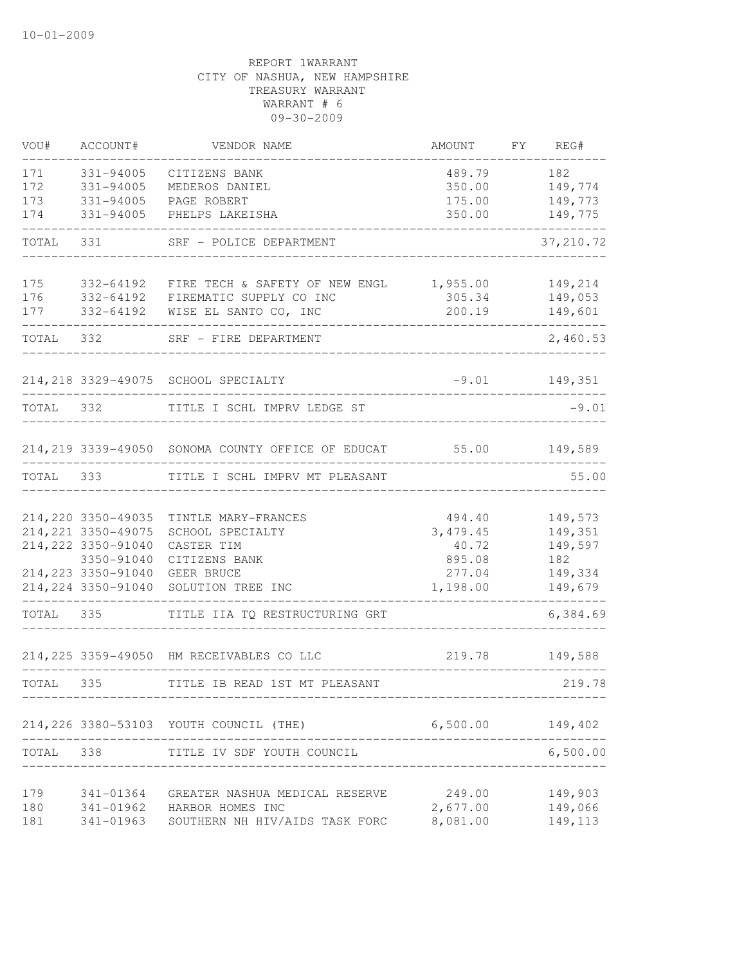| VOU#      | ACCOUNT#            | VENDOR NAME                                              | AMOUNT    | FY REG#         |
|-----------|---------------------|----------------------------------------------------------|-----------|-----------------|
| 171       | 331-94005           | CITIZENS BANK                                            | 489.79    | 182             |
| 172       | 331-94005           | MEDEROS DANIEL                                           | 350.00    | 149,774         |
| 173       | 331-94005           | PAGE ROBERT                                              | 175.00    | 149,773         |
| 174       | 331-94005           | PHELPS LAKEISHA                                          | 350.00    | 149,775         |
| TOTAL     | 331                 | SRF - POLICE DEPARTMENT                                  |           | 37, 210.72      |
| 175       | 332-64192           | FIRE TECH & SAFETY OF NEW ENGL                           | 1,955.00  | 149,214         |
| 176       |                     | 332-64192 FIREMATIC SUPPLY CO INC                        | 305.34    | 149,053         |
| 177       | 332-64192           | WISE EL SANTO CO, INC                                    | 200.19    | 149,601         |
|           | TOTAL 332           | SRF - FIRE DEPARTMENT                                    |           | 2,460.53        |
|           |                     | 214, 218 3329-49075 SCHOOL SPECIALTY                     |           | $-9.01$ 149,351 |
| TOTAL 332 |                     | TITLE I SCHL IMPRV LEDGE ST                              |           | $-9.01$         |
|           |                     | 214, 219 3339-49050 SONOMA COUNTY OFFICE OF EDUCAT 55.00 |           | 149,589         |
| TOTAL     | 333                 | TITLE I SCHL IMPRV MT PLEASANT                           |           | 55.00           |
|           |                     |                                                          |           |                 |
|           | 214, 220 3350-49035 | TINTLE MARY-FRANCES                                      | 494.40    | 149,573         |
|           | 214, 221 3350-49075 | SCHOOL SPECIALTY                                         | 3, 479.45 | 149,351         |
|           | 214, 222 3350-91040 | CASTER TIM                                               | 40.72     | 149,597         |
|           | 3350-91040          | CITIZENS BANK                                            | 895.08    | 182             |
|           | 214, 223 3350-91040 | GEER BRUCE                                               | 277.04    | 149,334         |
|           | 214, 224 3350-91040 | SOLUTION TREE INC                                        | 1,198.00  | 149,679         |
| TOTAL     | 335                 | TITLE IIA TQ RESTRUCTURING GRT                           |           | 6,384.69        |
|           |                     | 214, 225 3359-49050 HM RECEIVABLES CO LLC                | 219.78    | 149,588         |
| TOTAL 335 |                     | TITLE IB READ 1ST MT PLEASANT                            |           | 219.78          |
|           |                     | 214, 226 3380-53103 YOUTH COUNCIL (THE)                  | 6,500.00  | 149,402         |
| TOTAL 338 |                     | TITLE IV SDF YOUTH COUNCIL                               |           | 6,500.00        |
|           |                     |                                                          |           |                 |
| 179       | 341-01364           | GREATER NASHUA MEDICAL RESERVE                           | 249.00    | 149,903         |
| 180       | 341-01962           | HARBOR HOMES INC                                         | 2,677.00  | 149,066         |
| 181       | 341-01963           | SOUTHERN NH HIV/AIDS TASK FORC                           | 8,081.00  | 149,113         |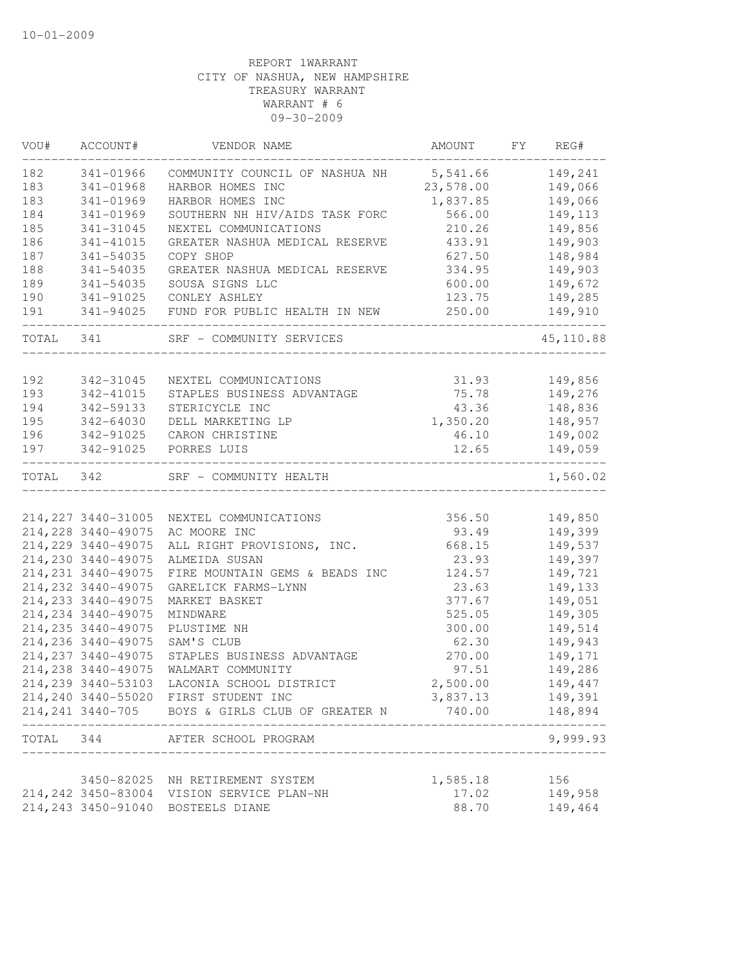| VOU#      | ACCOUNT#                                   | VENDOR NAME                                      | AMOUNT           | FY REG#            |
|-----------|--------------------------------------------|--------------------------------------------------|------------------|--------------------|
| 182       | 341-01966                                  | COMMUNITY COUNCIL OF NASHUA NH 5,541.66          |                  | 149,241            |
| 183       | $341 - 01968$                              | HARBOR HOMES INC                                 | 23,578.00        | 149,066            |
| 183       | 341-01969                                  | HARBOR HOMES INC                                 | 1,837.85         | 149,066            |
| 184       | 341-01969                                  | SOUTHERN NH HIV/AIDS TASK FORC                   | 566.00           | 149,113            |
| 185       | 341-31045                                  | NEXTEL COMMUNICATIONS                            | 210.26           | 149,856            |
| 186       | 341-41015                                  | GREATER NASHUA MEDICAL RESERVE                   | 433.91           | 149,903            |
| 187       | 341-54035                                  | COPY SHOP                                        | 627.50           | 148,984            |
| 188       | 341-54035                                  | GREATER NASHUA MEDICAL RESERVE                   | 334.95           | 149,903            |
| 189       | 341-54035                                  | SOUSA SIGNS LLC                                  | 600.00           | 149,672            |
| 190       | 341-91025                                  | CONLEY ASHLEY                                    | 123.75           | 149,285            |
| 191       | 341-94025                                  | FUND FOR PUBLIC HEALTH IN NEW                    | 250.00           | 149,910            |
| TOTAL 341 |                                            | SRF - COMMUNITY SERVICES                         |                  | 45, 110.88         |
|           |                                            |                                                  |                  |                    |
| 192       | 342-31045                                  | NEXTEL COMMUNICATIONS                            | 31.93            | 149,856            |
| 193       | 342-41015                                  | STAPLES BUSINESS ADVANTAGE                       | 75.78            | 149,276            |
| 194       | 342-59133                                  | STERICYCLE INC                                   | 43.36            | 148,836            |
| 195       | 342-64030                                  | DELL MARKETING LP                                | 1,350.20         | 148,957            |
| 196       | 342-91025                                  | CARON CHRISTINE                                  | 46.10            | 149,002            |
| 197       | 342-91025                                  | PORRES LUIS                                      | 12.65            | 149,059            |
| TOTAL 342 |                                            | SRF - COMMUNITY HEALTH                           |                  | 1,560.02           |
|           | 214, 227 3440-31005                        | NEXTEL COMMUNICATIONS                            | 356.50           | 149,850            |
|           | 214, 228 3440-49075                        | AC MOORE INC                                     | 93.49            | 149,399            |
|           | 214, 229 3440-49075                        | ALL RIGHT PROVISIONS, INC.                       | 668.15           | 149,537            |
|           | 214,230 3440-49075                         | ALMEIDA SUSAN                                    | 23.93            | 149,397            |
|           | 214, 231 3440-49075                        |                                                  |                  |                    |
|           | 214, 232 3440-49075                        | FIRE MOUNTAIN GEMS & BEADS INC                   | 124.57<br>23.63  | 149,721            |
|           |                                            | GARELICK FARMS-LYNN                              |                  | 149,133            |
|           | 214, 233 3440-49075<br>214, 234 3440-49075 | MARKET BASKET<br>MINDWARE                        | 377.67<br>525.05 | 149,051<br>149,305 |
|           | 214, 235 3440-49075                        | PLUSTIME NH                                      | 300.00           | 149,514            |
|           | 214, 236 3440-49075                        | SAM'S CLUB                                       | 62.30            |                    |
|           |                                            |                                                  |                  | 149,943            |
|           | 214, 237 3440-49075                        | STAPLES BUSINESS ADVANTAGE                       | 270.00           | 149,171            |
|           | 214, 238 3440-49075                        | WALMART COMMUNITY                                | 97.51            | 149,286            |
|           | 214,239 3440-53103                         | LACONIA SCHOOL DISTRICT                          | 2,500.00         | 149,447            |
|           |                                            | 214,240 3440-55020 FIRST STUDENT INC             | 3,837.13         | 149,391            |
|           |                                            | 214, 241 3440-705 BOYS & GIRLS CLUB OF GREATER N | 740.00           | 148,894            |
| TOTAL 344 |                                            | AFTER SCHOOL PROGRAM                             |                  | 9,999.93           |
|           |                                            | 3450-82025 NH RETIREMENT SYSTEM                  | 1,585.18         | 156                |
|           |                                            | 214, 242 3450-83004 VISION SERVICE PLAN-NH       | 17.02            | 149,958            |
|           |                                            | 214, 243 3450-91040 BOSTEELS DIANE               | 88.70            | 149,464            |
|           |                                            |                                                  |                  |                    |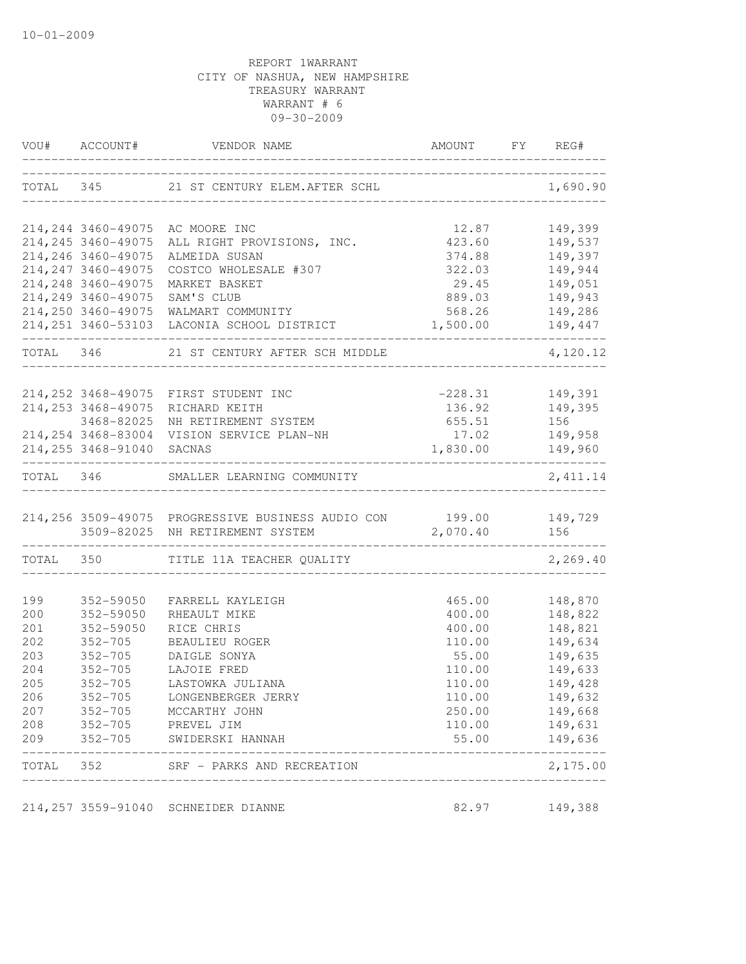|       | VOU# ACCOUNT#             | VENDOR NAME                                                      | AMOUNT<br>_________________________ | FY REG#   |
|-------|---------------------------|------------------------------------------------------------------|-------------------------------------|-----------|
|       |                           | TOTAL 345 21 ST CENTURY ELEM. AFTER SCHL                         |                                     | 1,690.90  |
|       |                           | 214, 244 3460-49075 AC MOORE INC                                 | 12.87                               | 149,399   |
|       |                           | 214,245 3460-49075 ALL RIGHT PROVISIONS, INC.                    | 423.60                              | 149,537   |
|       | 214, 246 3460-49075       | ALMEIDA SUSAN                                                    | 374.88                              | 149,397   |
|       | 214, 247 3460-49075       | COSTCO WHOLESALE #307                                            | 322.03                              | 149,944   |
|       | 214, 248 3460-49075       | MARKET BASKET                                                    | 29.45                               | 149,051   |
|       | 214, 249 3460-49075       | SAM'S CLUB                                                       | 889.03                              | 149,943   |
|       |                           | 214, 250 3460-49075 WALMART COMMUNITY                            | 568.26                              | 149,286   |
|       |                           | 214, 251 3460-53103 LACONIA SCHOOL DISTRICT                      | 1,500.00                            | 149,447   |
|       |                           | TOTAL 346 21 ST CENTURY AFTER SCH MIDDLE                         |                                     | 4,120.12  |
|       |                           | 214, 252 3468-49075 FIRST STUDENT INC                            | $-228.31$                           | 149,391   |
|       | 214, 253 3468-49075       | RICHARD KEITH                                                    | 136.92                              | 149,395   |
|       | 3468-82025                | NH RETIREMENT SYSTEM                                             | 655.51                              | 156 1     |
|       |                           | 214, 254 3468-83004 VISION SERVICE PLAN-NH                       | 17.02                               | 149,958   |
|       | 214,255 3468-91040 SACNAS |                                                                  | 1,830.00 149,960                    |           |
|       |                           | TOTAL 346 SMALLER LEARNING COMMUNITY                             |                                     | 2, 411.14 |
|       |                           | 214,256 3509-49075 PROGRESSIVE BUSINESS AUDIO CON 199.00 149,729 |                                     |           |
|       |                           | 3509-82025 NH RETIREMENT SYSTEM                                  | 2,070.40                            | 156       |
|       | -----------------         | TOTAL 350 TITLE 11A TEACHER QUALITY                              |                                     | 2,269.40  |
| 199   | 352-59050                 | FARRELL KAYLEIGH                                                 | 465.00                              | 148,870   |
| 200   | 352-59050                 | RHEAULT MIKE                                                     | 400.00                              | 148,822   |
| 201   | 352-59050                 | RICE CHRIS                                                       | 400.00                              | 148,821   |
| 202   | $352 - 705$               | BEAULIEU ROGER                                                   | 110.00                              | 149,634   |
| 203   |                           | 352-705 DAIGLE SONYA                                             | 55.00                               | 149,635   |
| 204   |                           | 352-705 LAJOIE FRED                                              | 110.00                              | 149,633   |
| 205   | $352 - 705$               | LASTOWKA JULIANA                                                 | 110.00                              | 149,428   |
| 206   | $352 - 705$               | LONGENBERGER JERRY                                               | 110.00                              | 149,632   |
| 207   | $352 - 705$               | MCCARTHY JOHN                                                    | 250.00                              | 149,668   |
| 208   | $352 - 705$               | PREVEL JIM                                                       | 110.00                              | 149,631   |
| 209   | $352 - 705$               | SWIDERSKI HANNAH                                                 | 55.00                               | 149,636   |
| TOTAL | 352                       | SRF - PARKS AND RECREATION                                       |                                     | 2,175.00  |
|       |                           | 214, 257 3559-91040 SCHNEIDER DIANNE                             | 82.97                               | 149,388   |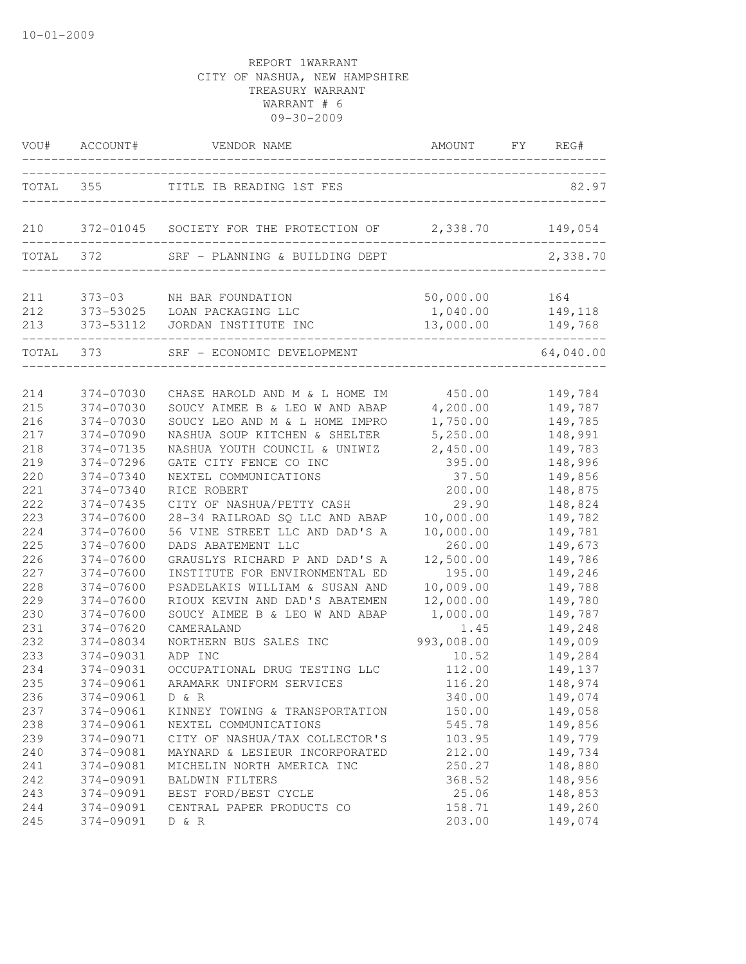|            | VOU# ACCOUNT#                     | VENDOR NAME                                              | AMOUNT FY REG#                  |                    |
|------------|-----------------------------------|----------------------------------------------------------|---------------------------------|--------------------|
|            | TOTAL 355                         | TITLE IB READING 1ST FES                                 |                                 | 82.97              |
| 210        |                                   | 372-01045 SOCIETY FOR THE PROTECTION OF 2,338.70 149,054 |                                 |                    |
|            | TOTAL 372                         | SRF - PLANNING & BUILDING DEPT                           |                                 | 2,338.70           |
| 211        | $373 - 03$                        | NH BAR FOUNDATION                                        | 50,000.00                       | 164                |
| 212<br>213 | 373-53112                         | 373-53025 LOAN PACKAGING LLC<br>JORDAN INSTITUTE INC     | 1,040.00<br>13,000.00           | 149,118<br>149,768 |
|            | ____________________<br>TOTAL 373 | SRF - ECONOMIC DEVELOPMENT                               | . _ _ _ _ _ _ _ _ _ _ _ _ _ _ _ | 64,040.00          |
| 214        | 374-07030                         | CHASE HAROLD AND M & L HOME IM                           | 450.00                          | 149,784            |
| 215        | 374-07030                         | SOUCY AIMEE B & LEO W AND ABAP                           | 4,200.00                        | 149,787            |
| 216        | 374-07030                         | SOUCY LEO AND M & L HOME IMPRO                           | 1,750.00                        | 149,785            |
| 217        | 374-07090                         | NASHUA SOUP KITCHEN & SHELTER                            | 5,250.00                        | 148,991            |
| 218        | 374-07135                         | NASHUA YOUTH COUNCIL & UNIWIZ                            | 2,450.00                        | 149,783            |
| 219        | 374-07296                         | GATE CITY FENCE CO INC                                   | 395.00                          | 148,996            |
| 220        | 374-07340                         | NEXTEL COMMUNICATIONS                                    | 37.50                           | 149,856            |
| 221        | 374-07340                         | RICE ROBERT                                              | 200.00                          | 148,875            |
| 222        | 374-07435                         | CITY OF NASHUA/PETTY CASH                                | 29.90                           | 148,824            |
| 223        | 374-07600                         | 28-34 RAILROAD SQ LLC AND ABAP                           | 10,000.00                       | 149,782            |
| 224        | 374-07600                         | 56 VINE STREET LLC AND DAD'S A                           | 10,000.00                       | 149,781            |
| 225        | 374-07600                         | DADS ABATEMENT LLC                                       | 260.00                          | 149,673            |
| 226        | 374-07600                         | GRAUSLYS RICHARD P AND DAD'S A                           | 12,500.00                       | 149,786            |
| 227        | 374-07600                         | INSTITUTE FOR ENVIRONMENTAL ED                           | 195.00                          | 149,246            |
| 228        | 374-07600                         | PSADELAKIS WILLIAM & SUSAN AND                           | 10,009.00                       | 149,788            |
| 229        | 374-07600                         | RIOUX KEVIN AND DAD'S ABATEMEN                           | 12,000.00                       | 149,780            |
| 230        | 374-07600                         | SOUCY AIMEE B & LEO W AND ABAP                           | 1,000.00                        | 149,787            |
| 231        | 374-07620                         | CAMERALAND                                               | 1.45                            | 149,248            |
| 232        | 374-08034                         | NORTHERN BUS SALES INC                                   | 993,008.00                      | 149,009            |
| 233        | 374-09031                         | ADP INC                                                  | 10.52                           | 149,284            |
| 234        | 374-09031                         | OCCUPATIONAL DRUG TESTING LLC                            | 112.00                          | 149,137            |
| 235        | 374-09061                         | ARAMARK UNIFORM SERVICES                                 | 116.20                          | 148,974            |
| 236        | 374-09061                         | D & R                                                    | 340.00                          | 149,074            |
| 237        | 374-09061                         | KINNEY TOWING & TRANSPORTATION                           | 150.00                          | 149,058            |
| 238        | 374-09061                         | NEXTEL COMMUNICATIONS                                    | 545.78                          | 149,856            |
| 239        | 374-09071                         | CITY OF NASHUA/TAX COLLECTOR'S                           | 103.95                          | 149,779            |
| 240        | 374-09081                         | MAYNARD & LESIEUR INCORPORATED                           | 212.00                          | 149,734            |
| 241        | 374-09081                         | MICHELIN NORTH AMERICA INC                               | 250.27                          | 148,880            |
| 242        | 374-09091                         | BALDWIN FILTERS                                          | 368.52                          | 148,956            |
| 243        | 374-09091                         | BEST FORD/BEST CYCLE                                     | 25.06                           | 148,853            |
| 244        | 374-09091                         | CENTRAL PAPER PRODUCTS CO                                | 158.71                          | 149,260            |
| 245        | 374-09091                         | D & R                                                    | 203.00                          | 149,074            |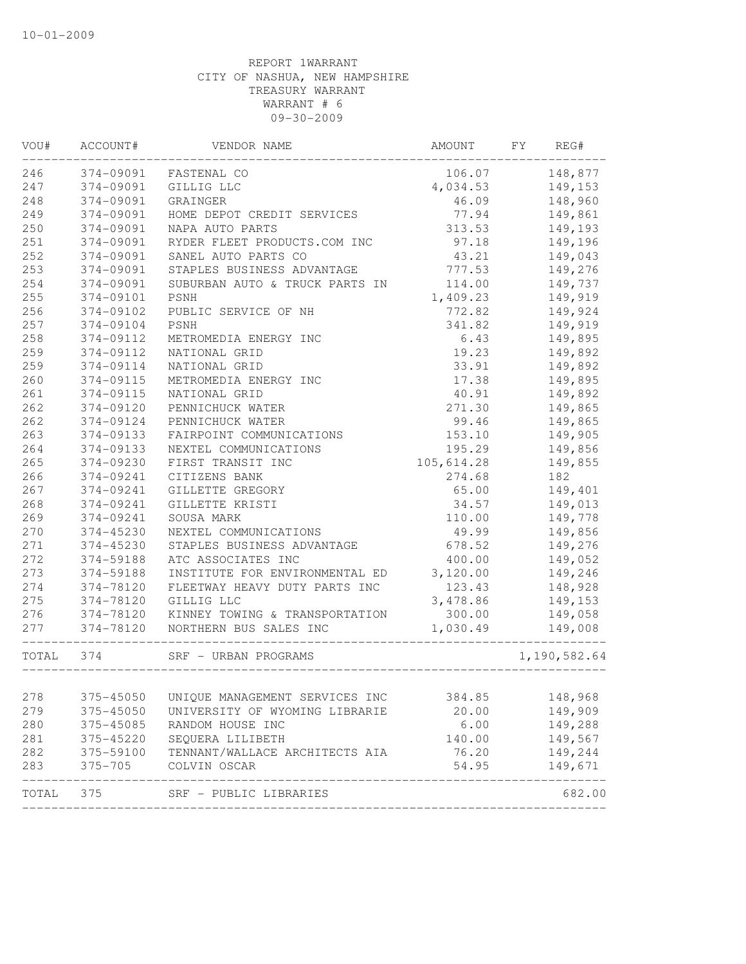| VOU#      | ACCOUNT#    | VENDOR NAME                    | AMOUNT     | FY | REG#         |
|-----------|-------------|--------------------------------|------------|----|--------------|
| 246       | 374-09091   | FASTENAL CO                    | 106.07     |    | 148,877      |
| 247       | 374-09091   | GILLIG LLC                     | 4,034.53   |    | 149,153      |
| 248       | 374-09091   | GRAINGER                       | 46.09      |    | 148,960      |
| 249       | 374-09091   | HOME DEPOT CREDIT SERVICES     | 77.94      |    | 149,861      |
| 250       | 374-09091   | NAPA AUTO PARTS                | 313.53     |    | 149,193      |
| 251       | 374-09091   | RYDER FLEET PRODUCTS.COM INC   | 97.18      |    | 149,196      |
| 252       | 374-09091   | SANEL AUTO PARTS CO            | 43.21      |    | 149,043      |
| 253       | 374-09091   | STAPLES BUSINESS ADVANTAGE     | 777.53     |    | 149,276      |
| 254       | 374-09091   | SUBURBAN AUTO & TRUCK PARTS IN | 114.00     |    | 149,737      |
| 255       | 374-09101   | PSNH                           | 1,409.23   |    | 149,919      |
| 256       | 374-09102   | PUBLIC SERVICE OF NH           | 772.82     |    | 149,924      |
| 257       | 374-09104   | PSNH                           | 341.82     |    | 149,919      |
| 258       | 374-09112   | METROMEDIA ENERGY INC          | 6.43       |    | 149,895      |
| 259       | 374-09112   | NATIONAL GRID                  | 19.23      |    | 149,892      |
| 259       | 374-09114   | NATIONAL GRID                  | 33.91      |    | 149,892      |
| 260       | 374-09115   | METROMEDIA ENERGY INC          | 17.38      |    | 149,895      |
| 261       | 374-09115   | NATIONAL GRID                  | 40.91      |    | 149,892      |
| 262       | 374-09120   | PENNICHUCK WATER               | 271.30     |    | 149,865      |
| 262       | 374-09124   | PENNICHUCK WATER               | 99.46      |    | 149,865      |
| 263       | 374-09133   | FAIRPOINT COMMUNICATIONS       | 153.10     |    | 149,905      |
| 264       | 374-09133   | NEXTEL COMMUNICATIONS          | 195.29     |    | 149,856      |
| 265       | 374-09230   | FIRST TRANSIT INC              | 105,614.28 |    | 149,855      |
| 266       | 374-09241   | CITIZENS BANK                  | 274.68     |    | 182          |
| 267       | 374-09241   | GILLETTE GREGORY               | 65.00      |    | 149,401      |
| 268       | 374-09241   | GILLETTE KRISTI                | 34.57      |    | 149,013      |
| 269       | 374-09241   | SOUSA MARK                     | 110.00     |    | 149,778      |
| 270       | 374-45230   | NEXTEL COMMUNICATIONS          | 49.99      |    | 149,856      |
| 271       | 374-45230   | STAPLES BUSINESS ADVANTAGE     | 678.52     |    | 149,276      |
| 272       | 374-59188   | ATC ASSOCIATES INC             | 400.00     |    | 149,052      |
| 273       | 374-59188   | INSTITUTE FOR ENVIRONMENTAL ED | 3,120.00   |    | 149,246      |
| 274       | 374-78120   | FLEETWAY HEAVY DUTY PARTS INC  | 123.43     |    | 148,928      |
| 275       | 374-78120   | GILLIG LLC                     | 3,478.86   |    | 149,153      |
| 276       | 374-78120   | KINNEY TOWING & TRANSPORTATION | 300.00     |    | 149,058      |
| 277       | 374-78120   | NORTHERN BUS SALES INC         | 1,030.49   |    | 149,008      |
| TOTAL 374 |             | SRF - URBAN PROGRAMS           |            |    | 1,190,582.64 |
| 278       | 375-45050   | UNIQUE MANAGEMENT SERVICES INC | 384.85     |    | 148,968      |
| 279       | 375-45050   | UNIVERSITY OF WYOMING LIBRARIE | 20.00      |    | 149,909      |
| 280       | 375-45085   | RANDOM HOUSE INC               | 6.00       |    | 149,288      |
| 281       | 375-45220   | SEQUERA LILIBETH               | 140.00     |    | 149,567      |
| 282       | 375-59100   | TENNANT/WALLACE ARCHITECTS AIA | 76.20      |    | 149,244      |
| 283       | $375 - 705$ | COLVIN OSCAR                   | 54.95      |    | 149,671      |
|           |             |                                |            |    |              |
| TOTAL     | 375         | SRF - PUBLIC LIBRARIES         |            |    | 682.00       |
|           |             |                                |            |    |              |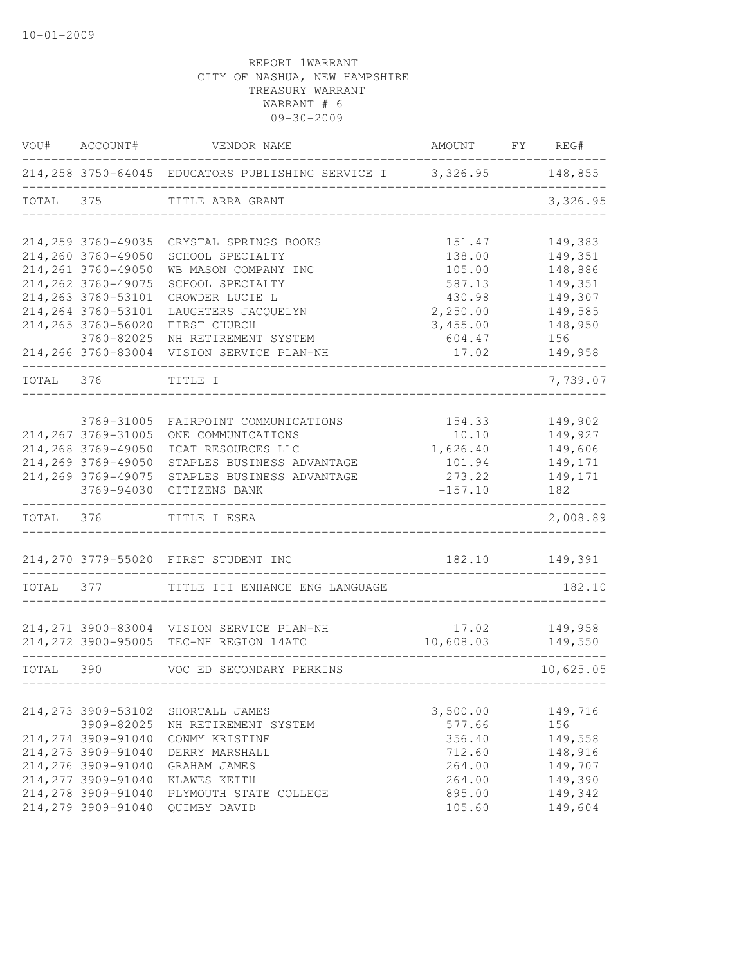| VOU#      | ACCOUNT#            | VENDOR NAME                                                        | AMOUNT    | FY REG#   |
|-----------|---------------------|--------------------------------------------------------------------|-----------|-----------|
|           |                     | 214,258 3750-64045 EDUCATORS PUBLISHING SERVICE I 3,326.95 148,855 |           |           |
| TOTAL     | 375                 | TITLE ARRA GRANT                                                   |           | 3,326.95  |
|           | 214,259 3760-49035  | CRYSTAL SPRINGS BOOKS                                              | 151.47    | 149,383   |
|           | 214,260 3760-49050  | SCHOOL SPECIALTY                                                   | 138.00    | 149,351   |
|           | 214,261 3760-49050  | WB MASON COMPANY INC                                               | 105.00    | 148,886   |
|           | 214, 262 3760-49075 | SCHOOL SPECIALTY                                                   | 587.13    | 149,351   |
|           | 214,263 3760-53101  | CROWDER LUCIE L                                                    | 430.98    | 149,307   |
|           | 214,264 3760-53101  | LAUGHTERS JACQUELYN                                                | 2,250.00  | 149,585   |
|           | 214,265 3760-56020  | FIRST CHURCH                                                       | 3,455.00  | 148,950   |
|           | 3760-82025          | NH RETIREMENT SYSTEM                                               | 604.47    | 156       |
|           | 214,266 3760-83004  | VISION SERVICE PLAN-NH                                             | 17.02     | 149,958   |
| TOTAL     | 376                 | TITLE I                                                            |           | 7,739.07  |
|           |                     |                                                                    |           |           |
|           | 3769-31005          | FAIRPOINT COMMUNICATIONS                                           | 154.33    | 149,902   |
|           | 214,267 3769-31005  | ONE COMMUNICATIONS                                                 | 10.10     | 149,927   |
|           | 214,268 3769-49050  | ICAT RESOURCES LLC                                                 | 1,626.40  | 149,606   |
|           | 214,269 3769-49050  | STAPLES BUSINESS ADVANTAGE                                         | 101.94    | 149,171   |
|           | 214,269 3769-49075  | STAPLES BUSINESS ADVANTAGE                                         | 273.22    | 149,171   |
|           | 3769-94030          | CITIZENS BANK                                                      | $-157.10$ | 182       |
| TOTAL 376 |                     | TITLE I ESEA                                                       |           | 2,008.89  |
|           |                     |                                                                    |           |           |
|           |                     | 214,270 3779-55020 FIRST STUDENT INC                               | 182.10    | 149,391   |
| TOTAL     | 377                 | TITLE III ENHANCE ENG LANGUAGE                                     |           | 182.10    |
|           |                     |                                                                    |           |           |
|           |                     | 214, 271 3900-83004 VISION SERVICE PLAN-NH                         | 17.02     | 149,958   |
|           |                     | 214, 272 3900-95005 TEC-NH REGION 14ATC                            | 10,608.03 | 149,550   |
| TOTAL 390 |                     | VOC ED SECONDARY PERKINS                                           |           | 10,625.05 |
|           |                     |                                                                    |           |           |
|           | 214, 273 3909-53102 | SHORTALL JAMES                                                     | 3,500.00  | 149,716   |
|           | 3909-82025          | NH RETIREMENT SYSTEM                                               | 577.66    | 156       |
|           | 214, 274 3909-91040 | CONMY KRISTINE                                                     | 356.40    | 149,558   |
|           | 214, 275 3909-91040 | DERRY MARSHALL                                                     | 712.60    | 148,916   |
|           | 214,276 3909-91040  | GRAHAM JAMES                                                       | 264.00    | 149,707   |
|           | 214, 277 3909-91040 | KLAWES KEITH                                                       | 264.00    | 149,390   |
|           | 214,278 3909-91040  | PLYMOUTH STATE COLLEGE                                             | 895.00    | 149,342   |
|           | 214,279 3909-91040  | QUIMBY DAVID                                                       | 105.60    | 149,604   |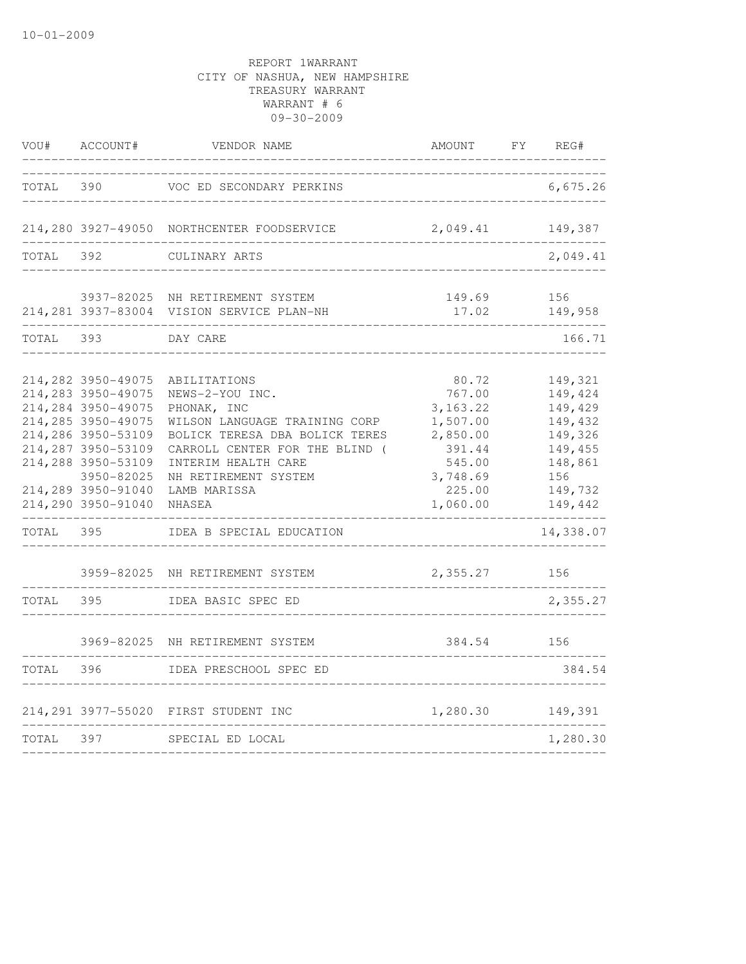| VOU#  | ACCOUNT#                                                                                                                                                                                                                              | VENDOR NAME                                                                                                                                                                                                                                                                      | AMOUNT                                                                                                                 | FY<br>REG#                                                                                                                 |
|-------|---------------------------------------------------------------------------------------------------------------------------------------------------------------------------------------------------------------------------------------|----------------------------------------------------------------------------------------------------------------------------------------------------------------------------------------------------------------------------------------------------------------------------------|------------------------------------------------------------------------------------------------------------------------|----------------------------------------------------------------------------------------------------------------------------|
| TOTAL | 390                                                                                                                                                                                                                                   | VOC ED SECONDARY PERKINS                                                                                                                                                                                                                                                         |                                                                                                                        | 6,675.26                                                                                                                   |
|       |                                                                                                                                                                                                                                       | 214,280 3927-49050 NORTHCENTER FOODSERVICE                                                                                                                                                                                                                                       | 2,049.41                                                                                                               | 149,387                                                                                                                    |
| TOTAL | 392                                                                                                                                                                                                                                   | CULINARY ARTS                                                                                                                                                                                                                                                                    |                                                                                                                        | 2,049.41                                                                                                                   |
|       |                                                                                                                                                                                                                                       | 3937-82025 NH RETIREMENT SYSTEM<br>214,281 3937-83004 VISION SERVICE PLAN-NH                                                                                                                                                                                                     | 149.69<br>17.02                                                                                                        | 156<br>149,958                                                                                                             |
| TOTAL | 393                                                                                                                                                                                                                                   | DAY CARE                                                                                                                                                                                                                                                                         |                                                                                                                        | 166.71                                                                                                                     |
| TOTAL | 214,282 3950-49075<br>214,283 3950-49075<br>214,284 3950-49075<br>214,285 3950-49075<br>214,286 3950-53109<br>214,287 3950-53109<br>214,288 3950-53109<br>3950-82025<br>214,289 3950-91040<br>214,290 3950-91040<br>395<br>3959-82025 | ABILITATIONS<br>NEWS-2-YOU INC.<br>PHONAK, INC<br>WILSON LANGUAGE TRAINING CORP<br>BOLICK TERESA DBA BOLICK TERES<br>CARROLL CENTER FOR THE BLIND (<br>INTERIM HEALTH CARE<br>NH RETIREMENT SYSTEM<br>LAMB MARISSA<br>NHASEA<br>IDEA B SPECIAL EDUCATION<br>NH RETIREMENT SYSTEM | 80.72<br>767.00<br>3, 163.22<br>1,507.00<br>2,850.00<br>391.44<br>545.00<br>3,748.69<br>225.00<br>1,060.00<br>2,355.27 | 149,321<br>149,424<br>149,429<br>149,432<br>149,326<br>149,455<br>148,861<br>156<br>149,732<br>149,442<br>14,338.07<br>156 |
| TOTAL | 395                                                                                                                                                                                                                                   | IDEA BASIC SPEC ED                                                                                                                                                                                                                                                               |                                                                                                                        | 2,355.27                                                                                                                   |
| TOTAL | 3969-82025<br>396                                                                                                                                                                                                                     | NH RETIREMENT SYSTEM<br>IDEA PRESCHOOL SPEC ED                                                                                                                                                                                                                                   | 384.54                                                                                                                 | 156<br>384.54                                                                                                              |
|       |                                                                                                                                                                                                                                       |                                                                                                                                                                                                                                                                                  |                                                                                                                        |                                                                                                                            |
| TOTAL | 214,291 3977-55020<br>397                                                                                                                                                                                                             | FIRST STUDENT INC<br>SPECIAL ED LOCAL                                                                                                                                                                                                                                            | 1,280.30                                                                                                               | 149,391<br>1,280.30                                                                                                        |
|       |                                                                                                                                                                                                                                       |                                                                                                                                                                                                                                                                                  |                                                                                                                        |                                                                                                                            |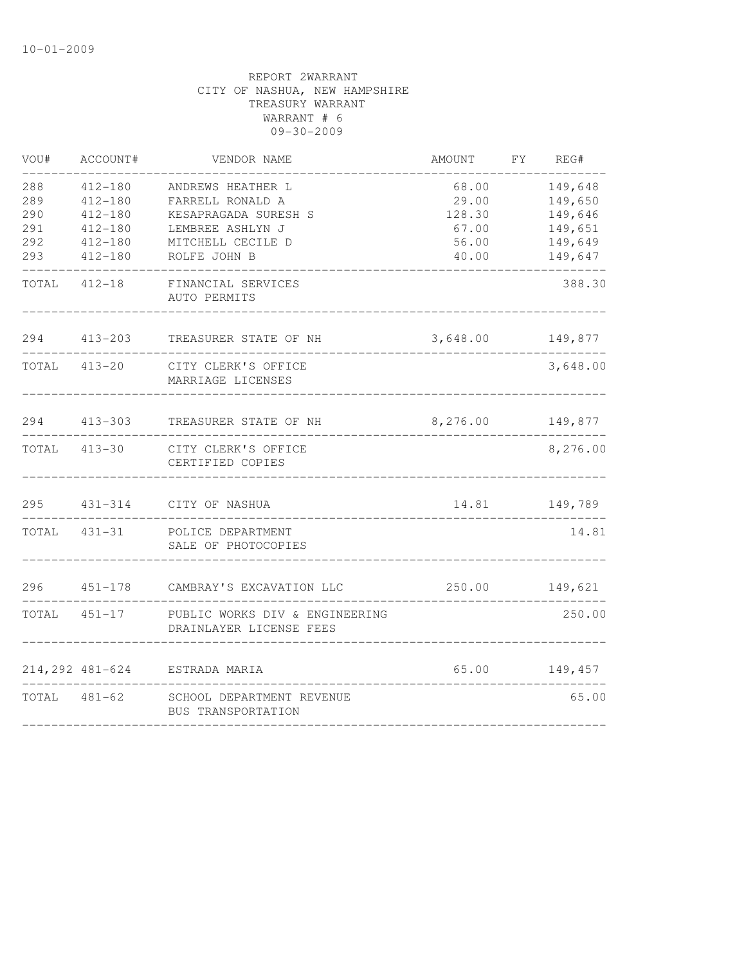| VOU#         | ACCOUNT#                   | VENDOR NAME                                                            | AMOUNT           | FY | REG#               |
|--------------|----------------------------|------------------------------------------------------------------------|------------------|----|--------------------|
| 288          | $412 - 180$                | ANDREWS HEATHER L                                                      | 68.00            |    | 149,648            |
| 289          | $412 - 180$                | FARRELL RONALD A                                                       | 29.00            |    | 149,650            |
| 290          | $412 - 180$                | KESAPRAGADA SURESH S                                                   | 128.30           |    | 149,646            |
| 291<br>292   | $412 - 180$<br>$412 - 180$ | LEMBREE ASHLYN J<br>MITCHELL CECILE D                                  | 67.00<br>56.00   |    | 149,651<br>149,649 |
| 293          | $412 - 180$                | ROLFE JOHN B                                                           | 40.00            |    | 149,647            |
| TOTAL 412-18 |                            | FINANCIAL SERVICES<br>AUTO PERMITS                                     |                  |    | 388.30             |
| 294          | 413-203                    | TREASURER STATE OF NH                                                  | 3,648.00         |    | 149,877            |
|              | TOTAL 413-20               | CITY CLERK'S OFFICE<br>MARRIAGE LICENSES                               |                  |    | 3,648.00           |
|              |                            | 294 413-303 TREASURER STATE OF NH                                      | 8,276.00 149,877 |    |                    |
|              |                            | TOTAL 413-30 CITY CLERK'S OFFICE<br>CERTIFIED COPIES                   |                  |    | 8,276.00           |
| 295          |                            | 431-314 CITY OF NASHUA                                                 | 14.81            |    | 149,789            |
|              | TOTAL 431-31               | POLICE DEPARTMENT<br>SALE OF PHOTOCOPIES                               |                  |    | 14.81              |
| 296          |                            | 451-178 CAMBRAY'S EXCAVATION LLC                                       | 250.00 149,621   |    |                    |
|              |                            | TOTAL 451-17 PUBLIC WORKS DIV & ENGINEERING<br>DRAINLAYER LICENSE FEES |                  |    | 250.00             |
|              |                            | 214,292 481-624 ESTRADA MARIA                                          | 65.00            |    | 149,457            |
|              | TOTAL 481-62               | SCHOOL DEPARTMENT REVENUE<br>BUS TRANSPORTATION                        |                  |    | 65.00              |
|              |                            |                                                                        |                  |    |                    |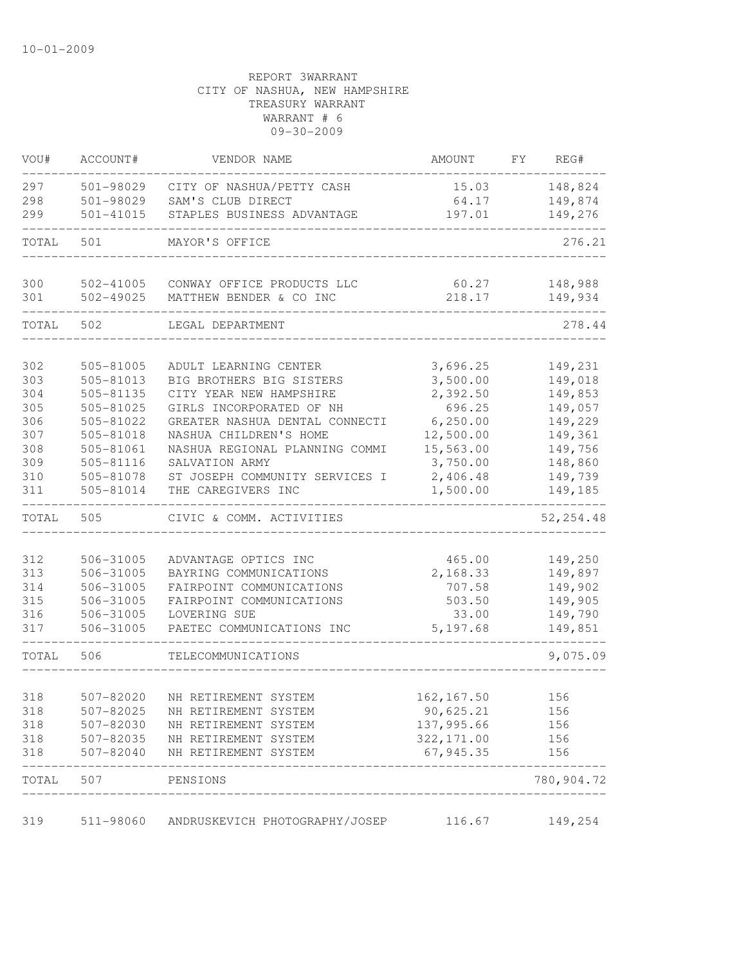| VOU#  | ACCOUNT#  | VENDOR NAME                    | AMOUNT      | FY | REG#       |
|-------|-----------|--------------------------------|-------------|----|------------|
| 297   | 501-98029 | CITY OF NASHUA/PETTY CASH      | 15.03       |    | 148,824    |
| 298   | 501-98029 | SAM'S CLUB DIRECT              | 64.17       |    | 149,874    |
| 299   | 501-41015 | STAPLES BUSINESS ADVANTAGE     | 197.01      |    | 149,276    |
| TOTAL | 501       | MAYOR'S OFFICE                 |             |    | 276.21     |
| 300   | 502-41005 | CONWAY OFFICE PRODUCTS LLC     | 60.27       |    | 148,988    |
| 301   | 502-49025 | MATTHEW BENDER & CO INC        | 218.17      |    | 149,934    |
| TOTAL | 502       | LEGAL DEPARTMENT               |             |    | 278.44     |
| 302   | 505-81005 | ADULT LEARNING CENTER          | 3,696.25    |    | 149,231    |
| 303   | 505-81013 | BIG BROTHERS BIG SISTERS       | 3,500.00    |    | 149,018    |
| 304   | 505-81135 | CITY YEAR NEW HAMPSHIRE        | 2,392.50    |    | 149,853    |
| 305   | 505-81025 | GIRLS INCORPORATED OF NH       | 696.25      |    | 149,057    |
| 306   | 505-81022 | GREATER NASHUA DENTAL CONNECTI | 6, 250.00   |    | 149,229    |
| 307   | 505-81018 | NASHUA CHILDREN'S HOME         | 12,500.00   |    | 149,361    |
| 308   | 505-81061 | NASHUA REGIONAL PLANNING COMMI | 15,563.00   |    | 149,756    |
| 309   | 505-81116 | SALVATION ARMY                 | 3,750.00    |    | 148,860    |
| 310   | 505-81078 | ST JOSEPH COMMUNITY SERVICES I | 2,406.48    |    | 149,739    |
| 311   | 505-81014 | THE CAREGIVERS INC             | 1,500.00    |    | 149,185    |
| TOTAL | 505       | CIVIC & COMM. ACTIVITIES       |             |    | 52, 254.48 |
|       |           |                                |             |    |            |
| 312   | 506-31005 | ADVANTAGE OPTICS INC           | 465.00      |    | 149,250    |
| 313   | 506-31005 | BAYRING COMMUNICATIONS         | 2,168.33    |    | 149,897    |
| 314   | 506-31005 | FAIRPOINT COMMUNICATIONS       | 707.58      |    | 149,902    |
| 315   | 506-31005 | FAIRPOINT COMMUNICATIONS       | 503.50      |    | 149,905    |
| 316   | 506-31005 | LOVERING SUE                   | 33.00       |    | 149,790    |
| 317   | 506-31005 | PAETEC COMMUNICATIONS INC      | 5,197.68    |    | 149,851    |
| TOTAL | 506       | TELECOMMUNICATIONS             |             |    | 9,075.09   |
| 318   | 507-82020 | NH RETIREMENT SYSTEM           | 162,167.50  |    | 156        |
| 318   | 507-82025 | NH RETIREMENT SYSTEM           | 90,625.21   |    | 156        |
| 318   | 507-82030 | NH RETIREMENT SYSTEM           | 137,995.66  |    | 156        |
| 318   | 507-82035 | NH RETIREMENT SYSTEM           | 322, 171.00 |    | 156        |
| 318   | 507-82040 | NH RETIREMENT SYSTEM           | 67,945.35   |    | 156        |
| TOTAL | 507       | PENSIONS                       |             |    | 780,904.72 |
| 319   | 511-98060 | ANDRUSKEVICH PHOTOGRAPHY/JOSEP | 116.67      |    | 149,254    |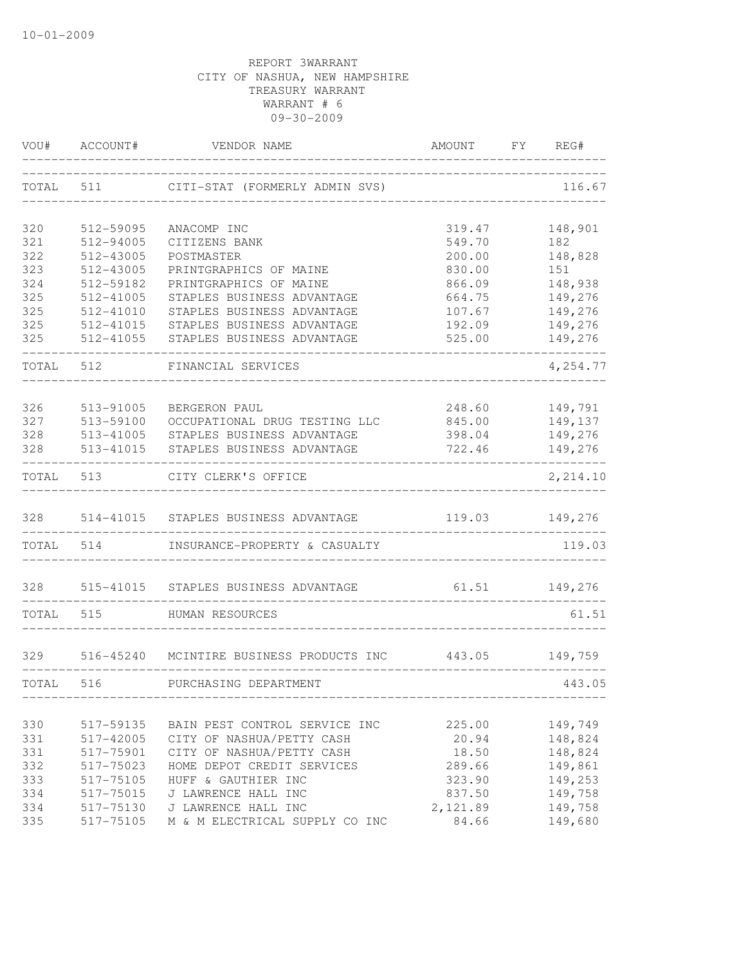| VOU#       | ACCOUNT#               | VENDOR NAME                                    | AMOUNT           | FY. | REG#               |
|------------|------------------------|------------------------------------------------|------------------|-----|--------------------|
| TOTAL      | 511                    | CITI-STAT (FORMERLY ADMIN SVS)                 |                  |     | 116.67             |
| 320        | 512-59095              | ANACOMP INC                                    | 319.47           |     | 148,901            |
| 321        | 512-94005              | CITIZENS BANK                                  | 549.70           |     | 182                |
| 322        | 512-43005              | POSTMASTER                                     | 200.00           |     | 148,828            |
| 323        | 512-43005              | PRINTGRAPHICS OF MAINE                         | 830.00           |     | 151                |
| 324        | 512-59182              | PRINTGRAPHICS OF MAINE                         | 866.09           |     | 148,938            |
| 325        | 512-41005              | STAPLES BUSINESS ADVANTAGE                     | 664.75           |     | 149,276            |
| 325        | 512-41010              | STAPLES BUSINESS ADVANTAGE                     | 107.67           |     | 149,276            |
| 325        | 512-41015              | STAPLES BUSINESS ADVANTAGE                     | 192.09           |     | 149,276            |
| 325        | 512-41055              | STAPLES BUSINESS ADVANTAGE                     | 525.00           |     | 149,276            |
| TOTAL      | 512                    | FINANCIAL SERVICES                             |                  |     | 4,254.77           |
|            |                        |                                                |                  |     |                    |
| 326<br>327 | 513-91005              | BERGERON PAUL<br>OCCUPATIONAL DRUG TESTING LLC | 248.60           |     | 149,791<br>149,137 |
| 328        | 513-59100<br>513-41005 | STAPLES BUSINESS ADVANTAGE                     | 845.00<br>398.04 |     | 149,276            |
| 328        | 513-41015              | STAPLES BUSINESS ADVANTAGE                     | 722.46           |     | 149,276            |
| TOTAL      | 513                    | CITY CLERK'S OFFICE                            |                  |     | 2,214.10           |
| 328        | 514-41015              | STAPLES BUSINESS ADVANTAGE                     | 119.03           |     | 149,276            |
| TOTAL      | 514                    | INSURANCE-PROPERTY & CASUALTY                  |                  |     | 119.03             |
| 328        | 515-41015              | STAPLES BUSINESS ADVANTAGE                     | 61.51            |     | 149,276            |
| TOTAL      | 515                    | HUMAN RESOURCES                                |                  |     | 61.51              |
| 329        |                        | 516-45240 MCINTIRE BUSINESS PRODUCTS INC       | 443.05           |     | 149,759            |
| TOTAL      | 516                    | PURCHASING DEPARTMENT                          |                  |     | 443.05             |
|            |                        |                                                |                  |     |                    |
| 330        | 517-59135              | BAIN PEST CONTROL SERVICE INC                  | 225.00           |     | 149,749            |
| 331        | 517-42005              | CITY OF NASHUA/PETTY CASH                      | 20.94            |     | 148,824            |
| 331        | 517-75901              | CITY OF NASHUA/PETTY CASH                      | 18.50            |     | 148,824            |
| 332        | 517-75023              | HOME DEPOT CREDIT SERVICES                     | 289.66           |     | 149,861            |
| 333        | 517-75105              | HUFF & GAUTHIER INC                            | 323.90           |     | 149,253            |
| 334        | 517-75015              | J LAWRENCE HALL INC                            | 837.50           |     | 149,758            |
| 334        | 517-75130              | J LAWRENCE HALL INC                            | 2,121.89         |     | 149,758            |
| 335        | 517-75105              | M & M ELECTRICAL SUPPLY CO INC                 | 84.66            |     | 149,680            |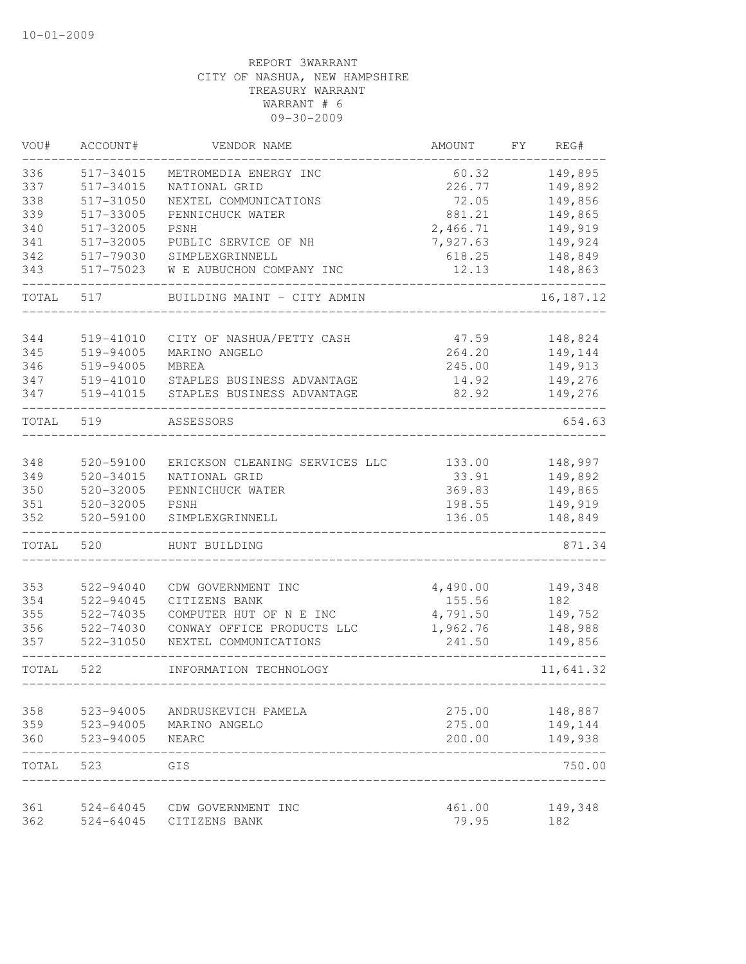| VOU#       | ACCOUNT#               | VENDOR NAME                    | <b>AMOUNT</b>    | FY | REG#                  |
|------------|------------------------|--------------------------------|------------------|----|-----------------------|
| 336        | 517-34015              | METROMEDIA ENERGY INC          | 60.32            |    | 149,895               |
| 337        | 517-34015              | NATIONAL GRID                  | 226.77           |    | 149,892               |
| 338        | 517-31050              | NEXTEL COMMUNICATIONS          | 72.05            |    | 149,856               |
| 339        | 517-33005              | PENNICHUCK WATER               | 881.21           |    | 149,865               |
| 340        | 517-32005              | <b>PSNH</b>                    | 2,466.71         |    | 149,919               |
| 341        | 517-32005              | PUBLIC SERVICE OF NH           | 7,927.63         |    | 149,924               |
| 342        | 517-79030              | SIMPLEXGRINNELL                | 618.25           |    | 148,849               |
| 343        | 517-75023              | W E AUBUCHON COMPANY INC       | 12.13            |    | 148,863               |
| TOTAL      | 517                    | BUILDING MAINT - CITY ADMIN    |                  |    | 16, 187. 12           |
| 344        | 519-41010              | CITY OF NASHUA/PETTY CASH      | 47.59            |    | 148,824               |
| 345        | 519-94005              | MARINO ANGELO                  | 264.20           |    | 149,144               |
| 346        | 519-94005              | MBREA                          | 245.00           |    | 149,913               |
| 347        | 519-41010              | STAPLES BUSINESS ADVANTAGE     | 14.92            |    | 149,276               |
| 347        | 519-41015              | STAPLES BUSINESS ADVANTAGE     | 82.92            |    | 149,276               |
| TOTAL      | 519                    | ASSESSORS                      |                  |    | 654.63                |
|            |                        |                                |                  |    |                       |
| 348        | 520-59100              | ERICKSON CLEANING SERVICES LLC | 133.00           |    | 148,997               |
| 349        | 520-34015              | NATIONAL GRID                  | 33.91            |    | 149,892               |
| 350        | 520-32005              | PENNICHUCK WATER               | 369.83           |    | 149,865               |
| 351<br>352 | 520-32005<br>520-59100 | PSNH<br>SIMPLEXGRINNELL        | 198.55<br>136.05 |    | 149,919<br>148,849    |
|            |                        |                                |                  |    |                       |
| TOTAL      | 520                    | HUNT BUILDING                  |                  |    | 871.34                |
| 353        | 522-94040              | CDW GOVERNMENT INC             | 4,490.00         |    | 149,348               |
| 354        | 522-94045              | CITIZENS BANK                  | 155.56           |    | 182                   |
| 355        | 522-74035              | COMPUTER HUT OF N E INC        | 4,791.50         |    | 149,752               |
| 356        | 522-74030              | CONWAY OFFICE PRODUCTS LLC     | 1,962.76         |    | 148,988               |
| 357        | 522-31050              | NEXTEL COMMUNICATIONS          | 241.50           |    | 149,856               |
| TOTAL      | 522                    | INFORMATION TECHNOLOGY         |                  |    | 11,641.32<br>$------$ |
|            |                        |                                |                  |    |                       |
| 358        | 523-94005              | ANDRUSKEVICH PAMELA            | 275.00           |    | 148,887               |
| 359<br>360 | 523-94005<br>523-94005 | MARINO ANGELO<br>NEARC         | 275.00<br>200.00 |    | 149,144<br>149,938    |
|            |                        |                                |                  |    |                       |
| TOTAL      | 523                    | GIS                            |                  |    | 750.00                |
| 361        | 524-64045              | CDW GOVERNMENT INC             | 461.00           |    | 149,348               |
| 362        | 524-64045              | CITIZENS BANK                  | 79.95            |    | 182                   |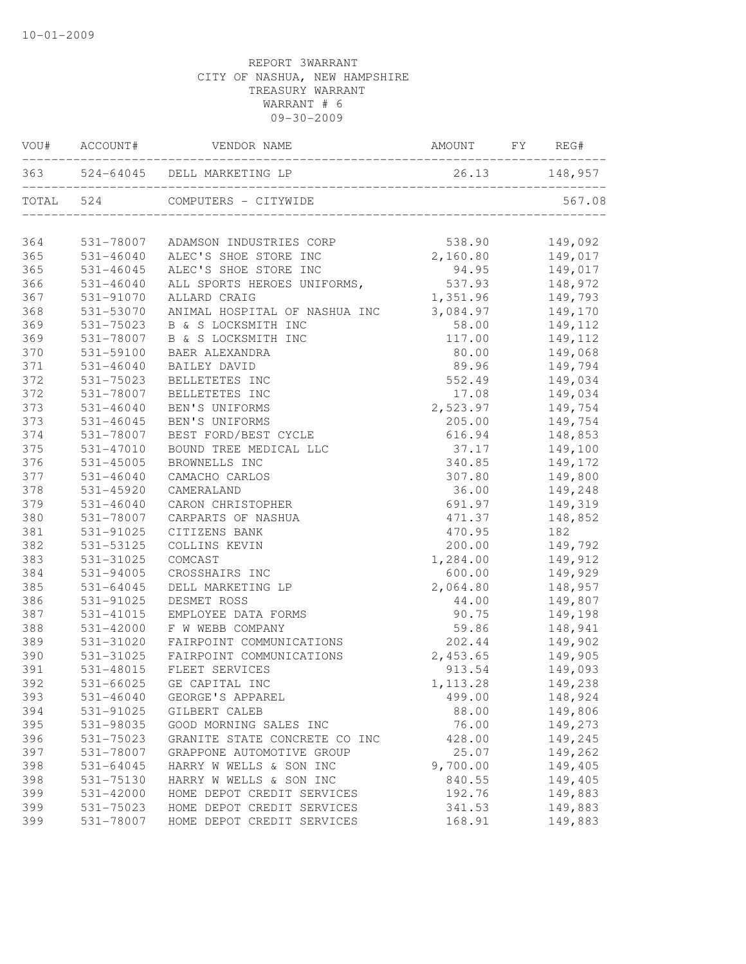|           | VOU# ACCOUNT# | VENDOR NAME                       | AMOUNT           | FY | REG#    |
|-----------|---------------|-----------------------------------|------------------|----|---------|
|           |               | 363 524-64045 DELL MARKETING LP   | 26.13 148,957    |    |         |
| TOTAL 524 |               | COMPUTERS - CITYWIDE              |                  |    | 567.08  |
| 364       |               | 531-78007 ADAMSON INDUSTRIES CORP | 538.90           |    | 149,092 |
| 365       |               | 531-46040 ALEC'S SHOE STORE INC   | 2,160.80         |    | 149,017 |
| 365       | $531 - 46045$ | ALEC'S SHOE STORE INC             | 94.95            |    | 149,017 |
| 366       | $531 - 46040$ | ALL SPORTS HEROES UNIFORMS,       | 537.93           |    | 148,972 |
| 367       | 531-91070     | ALLARD CRAIG                      | 1,351.96 149,793 |    |         |
| 368       | 531-53070     | ANIMAL HOSPITAL OF NASHUA INC     | 3,084.97 149,170 |    |         |
| 369       | 531-75023     | B & S LOCKSMITH INC               | 58.00            |    | 149,112 |
| 369       | 531-78007     | B & S LOCKSMITH INC               | 117.00           |    | 149,112 |
| 370       | 531-59100     | BAER ALEXANDRA                    | 80.00            |    | 149,068 |
| 371       | $531 - 46040$ | BAILEY DAVID                      | 89.96            |    | 149,794 |
| 372       | $531 - 75023$ | BELLETETES INC                    | 552.49           |    | 149,034 |
| 372       | 531-78007     | BELLETETES INC                    | 17.08            |    | 149,034 |
| 373       | 531-46040     | BEN'S UNIFORMS                    | 2,523.97         |    | 149,754 |
| 373       | 531-46045     | BEN'S UNIFORMS                    | 205.00           |    | 149,754 |
| 374       | 531-78007     | BEST FORD/BEST CYCLE              | 616.94           |    | 148,853 |
| 375       | 531-47010     | BOUND TREE MEDICAL LLC            | 37.17            |    | 149,100 |
| 376       | 531-45005     | BROWNELLS INC                     | 340.85           |    | 149,172 |
| 377       | 531-46040     | CAMACHO CARLOS                    | 307.80           |    | 149,800 |
| 378       | 531-45920     | CAMERALAND                        | 36.00            |    | 149,248 |
| 379       | $531 - 46040$ | CARON CHRISTOPHER                 | 691.97           |    | 149,319 |
| 380       | 531-78007     | CARPARTS OF NASHUA                | 471.37           |    | 148,852 |
| 381       | 531-91025     | CITIZENS BANK                     | 470.95           |    | 182     |
| 382       | 531-53125     | COLLINS KEVIN                     | 200.00           |    | 149,792 |
| 383       | 531-31025     | COMCAST                           | 1,284.00 149,912 |    |         |
| 384       | $531 - 94005$ | CROSSHAIRS INC                    | 600.00           |    | 149,929 |
| 385       | 531-64045     | DELL MARKETING LP                 | 2,064.80         |    | 148,957 |
| 386       | 531-91025     | DESMET ROSS                       | 44.00            |    | 149,807 |
| 387       | 531-41015     | EMPLOYEE DATA FORMS               | 90.75            |    | 149,198 |
| 388       | 531-42000     | F W WEBB COMPANY                  | 59.86            |    | 148,941 |
| 389       | 531-31020     | FAIRPOINT COMMUNICATIONS          | 202.44           |    | 149,902 |
| 390       | 531-31025     | FAIRPOINT COMMUNICATIONS          | 2,453.65         |    | 149,905 |
| 391       | 531-48015     | FLEET SERVICES                    | 913.54           |    | 149,093 |
| 392       | 531-66025     | GE CAPITAL INC                    | 1, 113.28        |    | 149,238 |
| 393       | $531 - 46040$ | GEORGE'S APPAREL                  | 499.00           |    | 148,924 |
| 394       | 531-91025     | GILBERT CALEB                     | 88.00            |    | 149,806 |
| 395       | 531-98035     | GOOD MORNING SALES INC            | 76.00            |    | 149,273 |
| 396       | 531-75023     | GRANITE STATE CONCRETE CO INC     | 428.00           |    | 149,245 |
| 397       | 531-78007     | GRAPPONE AUTOMOTIVE GROUP         | 25.07            |    | 149,262 |
| 398       | 531-64045     | HARRY W WELLS & SON INC           | 9,700.00         |    | 149,405 |
| 398       | 531-75130     | HARRY W WELLS & SON INC           | 840.55           |    | 149,405 |
| 399       | 531-42000     | HOME DEPOT CREDIT SERVICES        | 192.76           |    | 149,883 |
| 399       | 531-75023     | HOME DEPOT CREDIT SERVICES        | 341.53           |    | 149,883 |
| 399       | 531-78007     | HOME DEPOT CREDIT SERVICES        | 168.91           |    | 149,883 |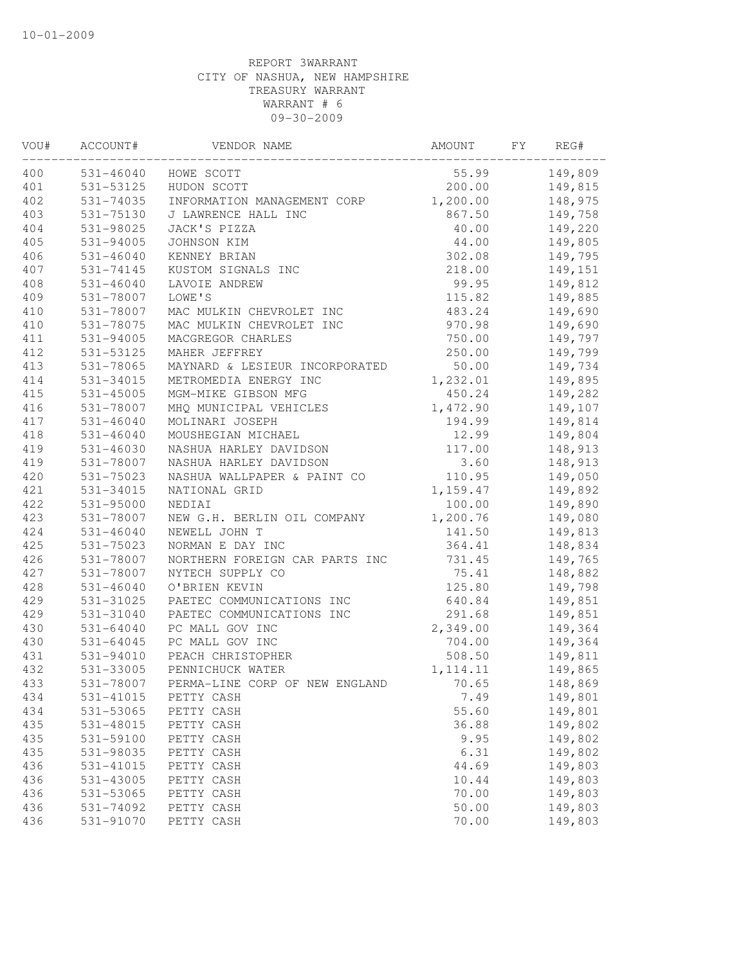| VOU# | ACCOUNT#      | VENDOR NAME                    | AMOUNT    | FY | REG#    |
|------|---------------|--------------------------------|-----------|----|---------|
| 400  | 531-46040     | HOWE SCOTT                     | 55.99     |    | 149,809 |
| 401  | 531-53125     | HUDON SCOTT                    | 200.00    |    | 149,815 |
| 402  | 531-74035     | INFORMATION MANAGEMENT CORP    | 1,200.00  |    | 148,975 |
| 403  | 531-75130     | J LAWRENCE HALL INC            | 867.50    |    | 149,758 |
| 404  | 531-98025     | JACK'S PIZZA                   | 40.00     |    | 149,220 |
| 405  | 531-94005     | JOHNSON KIM                    | 44.00     |    | 149,805 |
| 406  | 531-46040     | KENNEY BRIAN                   | 302.08    |    | 149,795 |
| 407  | 531-74145     | KUSTOM SIGNALS INC             | 218.00    |    | 149,151 |
| 408  | 531-46040     | LAVOIE ANDREW                  | 99.95     |    | 149,812 |
| 409  | 531-78007     | LOWE'S                         | 115.82    |    | 149,885 |
| 410  | 531-78007     | MAC MULKIN CHEVROLET INC       | 483.24    |    | 149,690 |
| 410  | 531-78075     | MAC MULKIN CHEVROLET INC       | 970.98    |    | 149,690 |
| 411  | 531-94005     | MACGREGOR CHARLES              | 750.00    |    | 149,797 |
| 412  | 531-53125     | MAHER JEFFREY                  | 250.00    |    | 149,799 |
| 413  | 531-78065     | MAYNARD & LESIEUR INCORPORATED | 50.00     |    | 149,734 |
| 414  | 531-34015     | METROMEDIA ENERGY INC          | 1,232.01  |    | 149,895 |
| 415  | 531-45005     | MGM-MIKE GIBSON MFG            | 450.24    |    | 149,282 |
| 416  | 531-78007     | MHQ MUNICIPAL VEHICLES         | 1,472.90  |    | 149,107 |
| 417  | $531 - 46040$ | MOLINARI JOSEPH                | 194.99    |    | 149,814 |
| 418  | 531-46040     | MOUSHEGIAN MICHAEL             | 12.99     |    | 149,804 |
| 419  | 531-46030     | NASHUA HARLEY DAVIDSON         | 117.00    |    | 148,913 |
| 419  | 531-78007     | NASHUA HARLEY DAVIDSON         | 3.60      |    | 148,913 |
| 420  | 531-75023     | NASHUA WALLPAPER & PAINT CO    | 110.95    |    | 149,050 |
| 421  | 531-34015     | NATIONAL GRID                  | 1,159.47  |    | 149,892 |
| 422  | 531-95000     | NEDIAI                         | 100.00    |    | 149,890 |
| 423  | 531-78007     | NEW G.H. BERLIN OIL COMPANY    | 1,200.76  |    | 149,080 |
| 424  | 531-46040     | NEWELL JOHN T                  | 141.50    |    | 149,813 |
| 425  | 531-75023     | NORMAN E DAY INC               | 364.41    |    | 148,834 |
| 426  | 531-78007     | NORTHERN FOREIGN CAR PARTS INC | 731.45    |    | 149,765 |
| 427  | 531-78007     | NYTECH SUPPLY CO               | 75.41     |    | 148,882 |
| 428  | 531-46040     | O'BRIEN KEVIN                  | 125.80    |    | 149,798 |
| 429  | 531-31025     | PAETEC COMMUNICATIONS INC      | 640.84    |    | 149,851 |
| 429  | 531-31040     | PAETEC COMMUNICATIONS INC      | 291.68    |    | 149,851 |
| 430  | 531-64040     | PC MALL GOV INC                | 2,349.00  |    | 149,364 |
| 430  | 531-64045     | PC MALL GOV INC                | 704.00    |    | 149,364 |
| 431  | 531-94010     | PEACH CHRISTOPHER              | 508.50    |    | 149,811 |
| 432  | 531-33005     | PENNICHUCK WATER               | 1, 114.11 |    | 149,865 |
| 433  | 531-78007     | PERMA-LINE CORP OF NEW ENGLAND | 70.65     |    | 148,869 |
| 434  | 531-41015     | PETTY CASH                     | 7.49      |    | 149,801 |
| 434  | 531-53065     | PETTY CASH                     | 55.60     |    | 149,801 |
| 435  | 531-48015     | PETTY CASH                     | 36.88     |    | 149,802 |
| 435  | 531-59100     | PETTY CASH                     | 9.95      |    | 149,802 |
| 435  | 531-98035     | PETTY CASH                     | 6.31      |    | 149,802 |
| 436  | 531-41015     | PETTY CASH                     | 44.69     |    | 149,803 |
| 436  | 531-43005     | PETTY CASH                     | 10.44     |    | 149,803 |
| 436  | 531-53065     | PETTY CASH                     | 70.00     |    | 149,803 |
| 436  | 531-74092     | PETTY CASH                     | 50.00     |    | 149,803 |
| 436  | 531-91070     | PETTY CASH                     | 70.00     |    | 149,803 |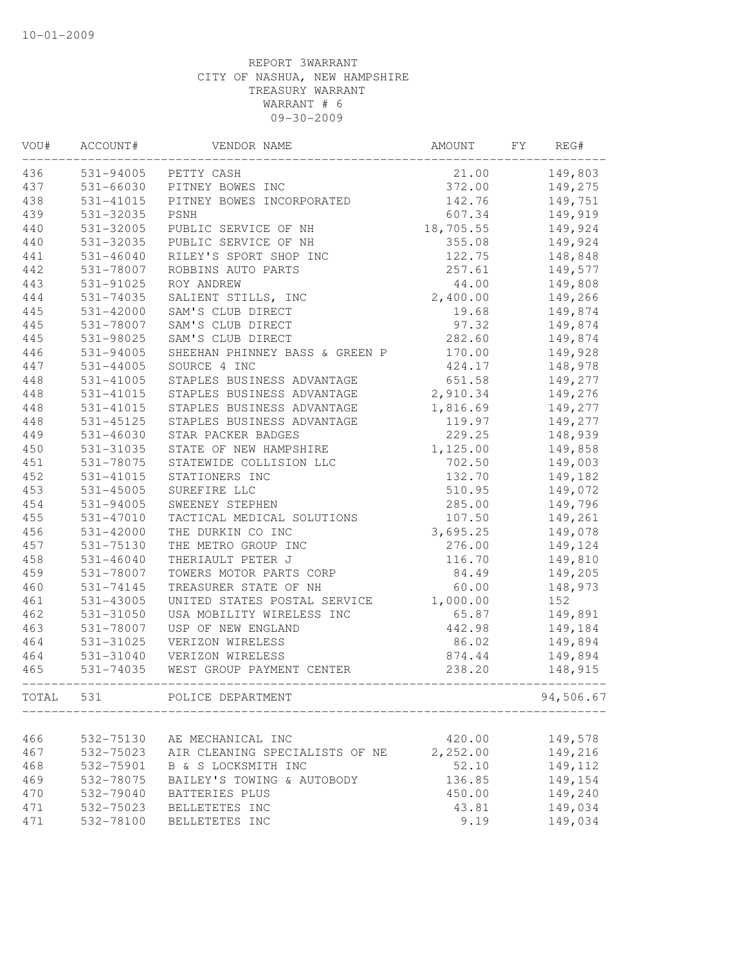| VOU#       | ACCOUNT#               | VENDOR NAME                                  | AMOUNT           | FY | REG#               |
|------------|------------------------|----------------------------------------------|------------------|----|--------------------|
| 436        |                        | 531-94005 PETTY CASH                         | 21.00            |    | 149,803            |
| 437        | 531-66030              | PITNEY BOWES INC                             | 372.00           |    | 149,275            |
| 438        | 531-41015              | PITNEY BOWES INCORPORATED                    | 142.76           |    | 149,751            |
| 439        | 531-32035              | PSNH                                         | 607.34           |    | 149,919            |
| 440        | 531-32005              | PUBLIC SERVICE OF NH                         | 18,705.55        |    | 149,924            |
| 440        | 531-32035              | PUBLIC SERVICE OF NH                         | 355.08           |    | 149,924            |
| 441        | 531-46040              | RILEY'S SPORT SHOP INC                       | 122.75           |    | 148,848            |
| 442        | 531-78007              | ROBBINS AUTO PARTS                           | 257.61           |    | 149,577            |
| 443        | 531-91025              | ROY ANDREW                                   | 44.00            |    | 149,808            |
| 444        | 531-74035              | SALIENT STILLS, INC                          | 2,400.00         |    | 149,266            |
| 445        | 531-42000              | SAM'S CLUB DIRECT                            | 19.68            |    | 149,874            |
| 445        | 531-78007              | SAM'S CLUB DIRECT                            | 97.32            |    | 149,874            |
| 445        | 531-98025              | SAM'S CLUB DIRECT                            | 282.60           |    | 149,874            |
| 446        | 531-94005              | SHEEHAN PHINNEY BASS & GREEN P               | 170.00           |    | 149,928            |
| 447        | $531 - 44005$          | SOURCE 4 INC                                 | 424.17           |    | 148,978            |
| 448        | 531-41005              | STAPLES BUSINESS ADVANTAGE                   | 651.58           |    | 149,277            |
| 448        | 531-41015              | STAPLES BUSINESS ADVANTAGE                   | 2,910.34         |    | 149,276            |
| 448        | 531-41015              | STAPLES BUSINESS ADVANTAGE                   | 1,816.69         |    | 149,277            |
| 448        | $531 - 45125$          | STAPLES BUSINESS ADVANTAGE                   | 119.97           |    | 149,277            |
| 449        | 531-46030              | STAR PACKER BADGES                           | 229.25           |    | 148,939            |
| 450        | 531-31035              | STATE OF NEW HAMPSHIRE                       | 1,125.00         |    | 149,858            |
| 451        | 531-78075              | STATEWIDE COLLISION LLC                      | 702.50           |    | 149,003            |
| 452        | 531-41015              | STATIONERS INC                               | 132.70           |    | 149,182            |
| 453        | $531 - 45005$          | SUREFIRE LLC                                 | 510.95           |    | 149,072            |
| 454        | 531-94005              | SWEENEY STEPHEN                              | 285.00           |    | 149,796            |
| 455        | 531-47010              | TACTICAL MEDICAL SOLUTIONS                   | 107.50           |    | 149,261            |
| 456        | 531-42000              | THE DURKIN CO INC                            | 3,695.25         |    | 149,078            |
| 457        | $531 - 75130$          | THE METRO GROUP INC                          | 276.00           |    | 149,124            |
| 458        | $531 - 46040$          | THERIAULT PETER J                            | 116.70           |    | 149,810            |
| 459        | 531-78007              | TOWERS MOTOR PARTS CORP                      | 84.49            |    | 149,205            |
| 460        | 531-74145              | TREASURER STATE OF NH                        | 60.00            |    | 148,973            |
| 461        | 531-43005              | UNITED STATES POSTAL SERVICE                 | 1,000.00         |    | 152                |
| 462        | 531-31050              | USA MOBILITY WIRELESS INC                    | 65.87            |    | 149,891            |
| 463        | 531-78007              | USP OF NEW ENGLAND                           | 442.98           |    | 149,184            |
| 464        | 531-31025              | VERIZON WIRELESS                             | 86.02            |    | 149,894            |
| 464        | 531-31040              | VERIZON WIRELESS                             | 874.44           |    | 149,894            |
| 465        | 531-74035              | WEST GROUP PAYMENT CENTER                    | 238.20           |    | 148,915            |
| TOTAL      | 531                    | POLICE DEPARTMENT                            |                  |    | 94,506.67          |
| 466        | 532-75130              | AE MECHANICAL INC                            | 420.00           |    | 149,578            |
| 467        | 532-75023              | AIR CLEANING SPECIALISTS OF NE               | 2,252.00         |    | 149,216            |
| 468        | 532-75901              | B & S LOCKSMITH INC                          | 52.10            |    | 149,112            |
|            |                        |                                              |                  |    |                    |
| 469<br>470 | 532-78075<br>532-79040 | BAILEY'S TOWING & AUTOBODY<br>BATTERIES PLUS | 136.85<br>450.00 |    | 149,154<br>149,240 |
| 471        | 532-75023              | BELLETETES INC                               | 43.81            |    | 149,034            |
| 471        | 532-78100              | BELLETETES INC                               | 9.19             |    | 149,034            |
|            |                        |                                              |                  |    |                    |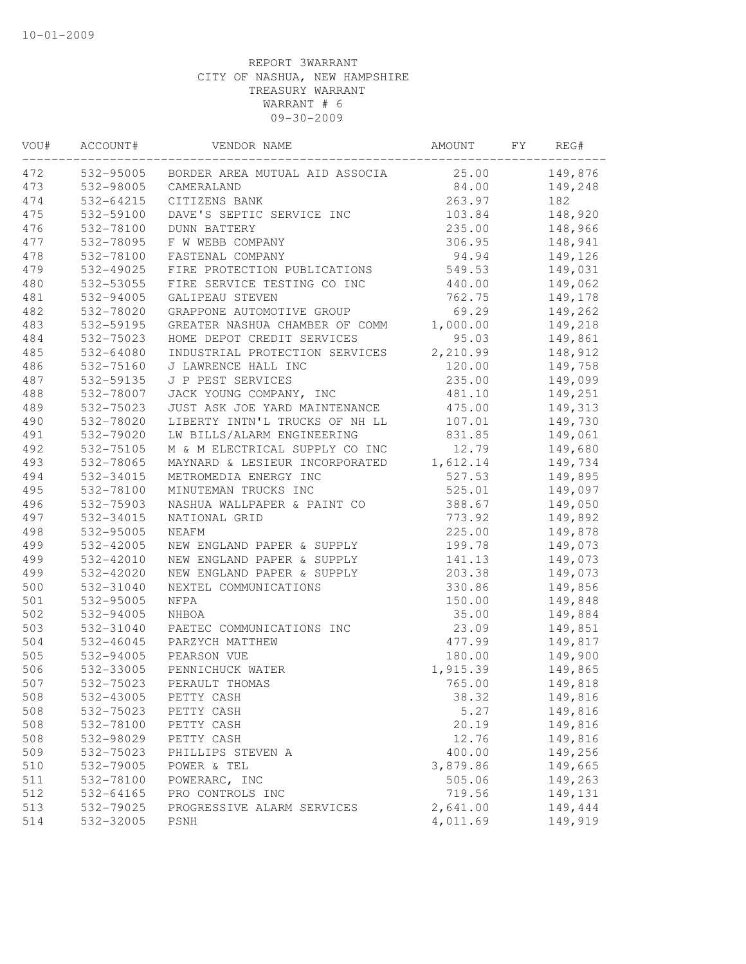| VOU# | ACCOUNT#  | VENDOR NAME                             | AMOUNT   | FY | REG#    |
|------|-----------|-----------------------------------------|----------|----|---------|
| 472  | 532-95005 | BORDER AREA MUTUAL AID ASSOCIA 25.00    |          |    | 149,876 |
| 473  | 532-98005 | CAMERALAND                              | 84.00    |    | 149,248 |
| 474  | 532-64215 | CITIZENS BANK                           | 263.97   |    | 182     |
| 475  | 532-59100 | DAVE'S SEPTIC SERVICE INC               | 103.84   |    | 148,920 |
| 476  | 532-78100 | DUNN BATTERY                            | 235.00   |    | 148,966 |
| 477  | 532-78095 | F W WEBB COMPANY                        | 306.95   |    | 148,941 |
| 478  | 532-78100 | FASTENAL COMPANY                        | 94.94    |    | 149,126 |
| 479  | 532-49025 | FIRE PROTECTION PUBLICATIONS            | 549.53   |    | 149,031 |
| 480  | 532-53055 | FIRE SERVICE TESTING CO INC             | 440.00   |    | 149,062 |
| 481  | 532-94005 | GALIPEAU STEVEN                         | 762.75   |    | 149,178 |
| 482  | 532-78020 | GRAPPONE AUTOMOTIVE GROUP               | 69.29    |    | 149,262 |
| 483  | 532-59195 | GREATER NASHUA CHAMBER OF COMM          | 1,000.00 |    | 149,218 |
| 484  | 532-75023 | HOME DEPOT CREDIT SERVICES              | 95.03    |    | 149,861 |
| 485  | 532-64080 | INDUSTRIAL PROTECTION SERVICES          | 2,210.99 |    | 148,912 |
| 486  | 532-75160 | J LAWRENCE HALL INC                     | 120.00   |    | 149,758 |
| 487  | 532-59135 | J P PEST SERVICES                       | 235.00   |    | 149,099 |
| 488  | 532-78007 | JACK YOUNG COMPANY, INC                 | 481.10   |    | 149,251 |
| 489  | 532-75023 | JUST ASK JOE YARD MAINTENANCE           | 475.00   |    | 149,313 |
| 490  | 532-78020 | LIBERTY INTN'L TRUCKS OF NH LL          | 107.01   |    | 149,730 |
| 491  | 532-79020 | LW BILLS/ALARM ENGINEERING              | 831.85   |    | 149,061 |
| 492  | 532-75105 | M & M ELECTRICAL SUPPLY CO INC          | 12.79    |    | 149,680 |
| 493  | 532-78065 | MAYNARD & LESIEUR INCORPORATED 1,612.14 |          |    | 149,734 |
| 494  | 532-34015 | METROMEDIA ENERGY INC                   | 527.53   |    | 149,895 |
| 495  | 532-78100 | MINUTEMAN TRUCKS INC                    | 525.01   |    | 149,097 |
| 496  | 532-75903 | NASHUA WALLPAPER & PAINT CO             | 388.67   |    | 149,050 |
| 497  | 532-34015 | NATIONAL GRID                           | 773.92   |    | 149,892 |
| 498  | 532-95005 | NEAFM                                   | 225.00   |    | 149,878 |
| 499  | 532-42005 | NEW ENGLAND PAPER & SUPPLY              | 199.78   |    | 149,073 |
| 499  | 532-42010 | NEW ENGLAND PAPER & SUPPLY              | 141.13   |    | 149,073 |
| 499  | 532-42020 | NEW ENGLAND PAPER & SUPPLY              | 203.38   |    | 149,073 |
| 500  | 532-31040 | NEXTEL COMMUNICATIONS                   | 330.86   |    | 149,856 |
| 501  | 532-95005 | NFPA                                    | 150.00   |    | 149,848 |
| 502  | 532-94005 | NHBOA                                   | 35.00    |    | 149,884 |
| 503  | 532-31040 | PAETEC COMMUNICATIONS INC               | 23.09    |    | 149,851 |
| 504  | 532-46045 | PARZYCH MATTHEW                         | 477.99   |    | 149,817 |
| 505  | 532-94005 | PEARSON VUE                             | 180.00   |    | 149,900 |
| 506  | 532-33005 | PENNICHUCK WATER                        | 1,915.39 |    | 149,865 |
| 507  | 532-75023 | PERAULT THOMAS                          | 765.00   |    | 149,818 |
| 508  | 532-43005 | PETTY CASH                              | 38.32    |    | 149,816 |
| 508  | 532-75023 | PETTY CASH                              | 5.27     |    | 149,816 |
| 508  | 532-78100 | PETTY CASH                              | 20.19    |    | 149,816 |
| 508  | 532-98029 | PETTY CASH                              | 12.76    |    | 149,816 |
| 509  | 532-75023 | PHILLIPS STEVEN A                       | 400.00   |    | 149,256 |
| 510  | 532-79005 | POWER & TEL                             | 3,879.86 |    | 149,665 |
| 511  | 532-78100 | POWERARC, INC                           | 505.06   |    | 149,263 |
| 512  | 532-64165 | PRO CONTROLS INC                        | 719.56   |    | 149,131 |
| 513  | 532-79025 | PROGRESSIVE ALARM SERVICES              | 2,641.00 |    | 149,444 |
| 514  | 532-32005 | PSNH                                    | 4,011.69 |    | 149,919 |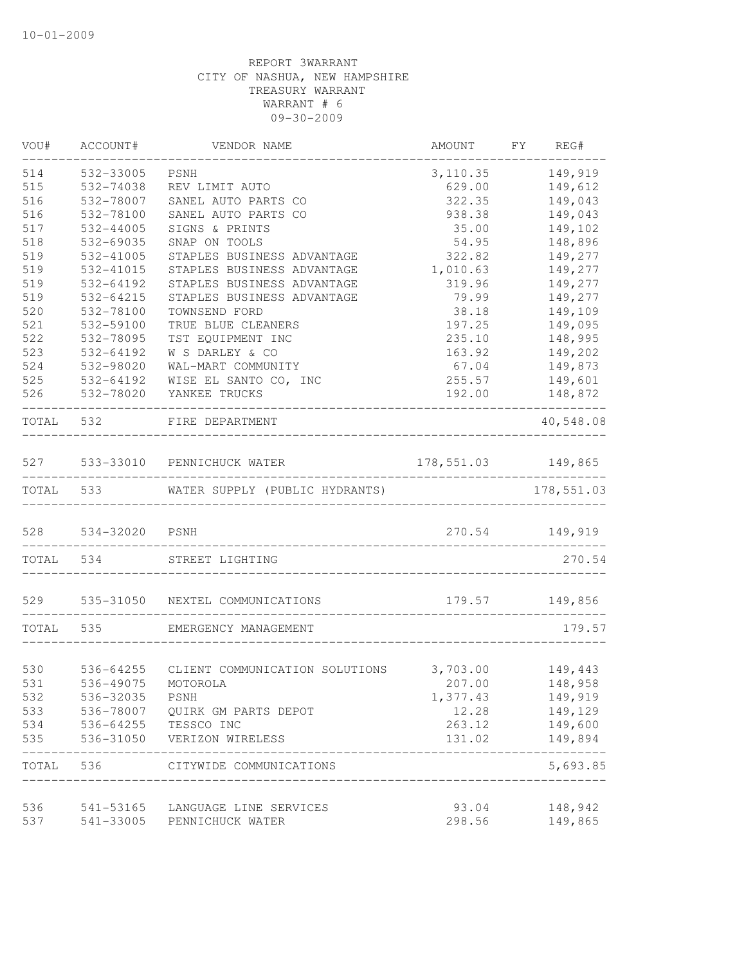| VOU#       | ACCOUNT#               | VENDOR NAME                                     | AMOUNT           | FY | REG#               |
|------------|------------------------|-------------------------------------------------|------------------|----|--------------------|
| 514        | 532-33005              | PSNH                                            | 3,110.35         |    | 149,919            |
| 515        | 532-74038              | REV LIMIT AUTO                                  | 629.00           |    | 149,612            |
| 516        | 532-78007              | SANEL AUTO PARTS CO                             | 322.35           |    | 149,043            |
| 516        | 532-78100              | SANEL AUTO PARTS CO                             | 938.38           |    | 149,043            |
| 517        | 532-44005              | SIGNS & PRINTS                                  | 35.00            |    | 149,102            |
| 518        | 532-69035              | SNAP ON TOOLS                                   | 54.95            |    | 148,896            |
| 519        | 532-41005              | STAPLES BUSINESS ADVANTAGE                      | 322.82           |    | 149,277            |
| 519        | 532-41015              | STAPLES BUSINESS ADVANTAGE                      | 1,010.63         |    | 149,277            |
| 519        | 532-64192              | STAPLES BUSINESS ADVANTAGE                      | 319.96           |    | 149,277            |
| 519        | 532-64215              | STAPLES BUSINESS ADVANTAGE                      | 79.99            |    | 149,277            |
| 520        | 532-78100              | TOWNSEND FORD                                   | 38.18            |    | 149,109            |
| 521        | 532-59100              | TRUE BLUE CLEANERS                              | 197.25           |    | 149,095            |
| 522        | 532-78095              | TST EQUIPMENT INC                               | 235.10           |    | 148,995            |
| 523        | 532-64192              | W S DARLEY & CO                                 | 163.92           |    | 149,202            |
| 524        | 532-98020              | WAL-MART COMMUNITY                              | 67.04            |    | 149,873            |
| 525        | 532-64192              | WISE EL SANTO CO, INC                           | 255.57           |    | 149,601            |
| 526        | 532-78020              | YANKEE TRUCKS                                   | 192.00           |    | 148,872            |
| TOTAL      | 532                    | FIRE DEPARTMENT                                 |                  |    | 40,548.08          |
|            |                        |                                                 |                  |    |                    |
| 527        |                        | 533-33010 PENNICHUCK WATER                      | 178,551.03       |    | 149,865            |
| TOTAL      | 533                    | WATER SUPPLY (PUBLIC HYDRANTS)                  |                  |    | 178,551.03         |
| 528        | 534-32020              | PSNH                                            | 270.54           |    | 149,919            |
| TOTAL      | 534                    | STREET LIGHTING                                 |                  |    | 270.54             |
|            |                        | 529 535-31050 NEXTEL COMMUNICATIONS             | 179.57           |    | 149,856            |
| TOTAL      | 535                    | EMERGENCY MANAGEMENT                            |                  |    | 179.57             |
| 530        | 536-64255              | CLIENT COMMUNICATION SOLUTIONS                  | 3,703.00         |    | 149,443            |
| 531        | 536-49075 MOTOROLA     | 207.00                                          |                  |    | 148,958            |
|            |                        |                                                 |                  |    |                    |
| 532<br>533 | 536-32035              | PSNH                                            | 1,377.43         |    | 149,919            |
|            | 536-78007              | QUIRK GM PARTS DEPOT                            | 12.28            |    | 149,129            |
| 534<br>535 | 536-64255<br>536-31050 | TESSCO INC<br>VERIZON WIRELESS                  | 263.12<br>131.02 |    | 149,600<br>149,894 |
|            |                        |                                                 |                  |    |                    |
| TOTAL 536  |                        | CITYWIDE COMMUNICATIONS<br>____________________ |                  |    | 5,693.85           |
| 536        | 541-53165              | LANGUAGE LINE SERVICES                          | 93.04            |    | 148,942            |
| 537        | 541-33005              | PENNICHUCK WATER                                | 298.56           |    | 149,865            |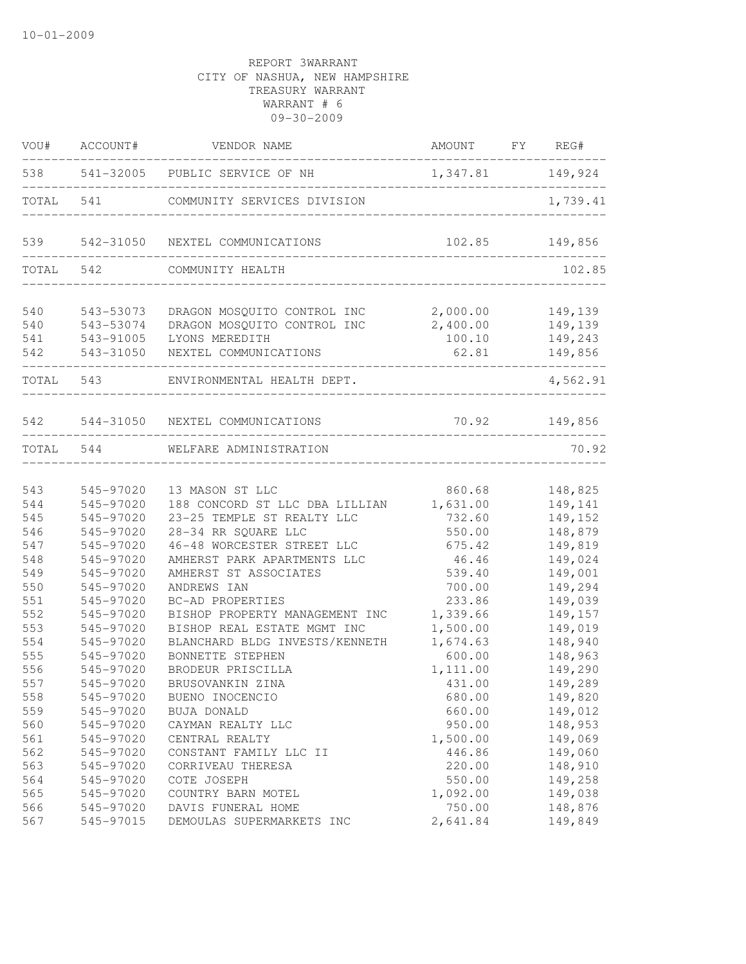|       | VOU# ACCOUNT# | VENDOR NAME                     | AMOUNT FY REG#   |          |
|-------|---------------|---------------------------------|------------------|----------|
| 538   |               | 541-32005 PUBLIC SERVICE OF NH  | 1,347.81 149,924 |          |
| TOTAL | 541           | COMMUNITY SERVICES DIVISION     |                  | 1,739.41 |
| 539   |               | 542-31050 NEXTEL COMMUNICATIONS | 102.85           | 149,856  |
| TOTAL | 542           | COMMUNITY HEALTH                |                  | 102.85   |
| 540   | 543-53073     | DRAGON MOSQUITO CONTROL INC     | 2,000.00         | 149,139  |
| 540   | 543-53074     | DRAGON MOSQUITO CONTROL INC     | 2,400.00         | 149,139  |
| 541   | 543-91005     | LYONS MEREDITH                  | 100.10           | 149,243  |
| 542   | 543-31050     | NEXTEL COMMUNICATIONS           | 62.81            | 149,856  |
|       | TOTAL 543     | ENVIRONMENTAL HEALTH DEPT.      |                  | 4,562.91 |
| 542   |               | 544-31050 NEXTEL COMMUNICATIONS | 70.92            | 149,856  |
|       | TOTAL 544     | WELFARE ADMINISTRATION          |                  | 70.92    |
|       |               |                                 |                  |          |
| 543   | 545-97020     | 13 MASON ST LLC                 | 860.68           | 148,825  |
| 544   | 545-97020     | 188 CONCORD ST LLC DBA LILLIAN  | 1,631.00         | 149,141  |
| 545   | 545-97020     | 23-25 TEMPLE ST REALTY LLC      | 732.60           | 149,152  |
| 546   | 545-97020     | 28-34 RR SQUARE LLC             | 550.00           | 148,879  |
| 547   | 545-97020     | 46-48 WORCESTER STREET LLC      | 675.42           | 149,819  |
| 548   | 545-97020     | AMHERST PARK APARTMENTS LLC     | 46.46            | 149,024  |
| 549   | 545-97020     | AMHERST ST ASSOCIATES           | 539.40           | 149,001  |
| 550   | 545-97020     | ANDREWS IAN                     | 700.00           | 149,294  |
| 551   | 545-97020     | BC-AD PROPERTIES                | 233.86           | 149,039  |
| 552   | 545-97020     | BISHOP PROPERTY MANAGEMENT INC  | 1,339.66         | 149,157  |
| 553   | 545-97020     | BISHOP REAL ESTATE MGMT INC     | 1,500.00         | 149,019  |
| 554   | 545-97020     | BLANCHARD BLDG INVESTS/KENNETH  | 1,674.63         | 148,940  |
| 555   | 545-97020     | BONNETTE STEPHEN                | 600.00           | 148,963  |
| 556   | 545-97020     | BRODEUR PRISCILLA               | 1,111.00         | 149,290  |
| 557   | 545-97020     | BRUSOVANKIN ZINA                | 431.00           | 149,289  |
| 558   | 545-97020     | BUENO INOCENCIO                 | 680.00           | 149,820  |
| 559   | 545-97020     | BUJA DONALD                     | 660.00           | 149,012  |
| 560   | 545-97020     | CAYMAN REALTY LLC               | 950.00           | 148,953  |
| 561   | 545-97020     | CENTRAL REALTY                  | 1,500.00         | 149,069  |
| 562   | 545-97020     | CONSTANT FAMILY LLC II          | 446.86           | 149,060  |
| 563   | 545-97020     | CORRIVEAU THERESA               | 220.00           | 148,910  |
| 564   | 545-97020     | COTE JOSEPH                     | 550.00           | 149,258  |
| 565   | 545-97020     | COUNTRY BARN MOTEL              | 1,092.00         | 149,038  |
| 566   | 545-97020     | DAVIS FUNERAL HOME              | 750.00           | 148,876  |
| 567   | 545-97015     | DEMOULAS SUPERMARKETS INC       | 2,641.84         | 149,849  |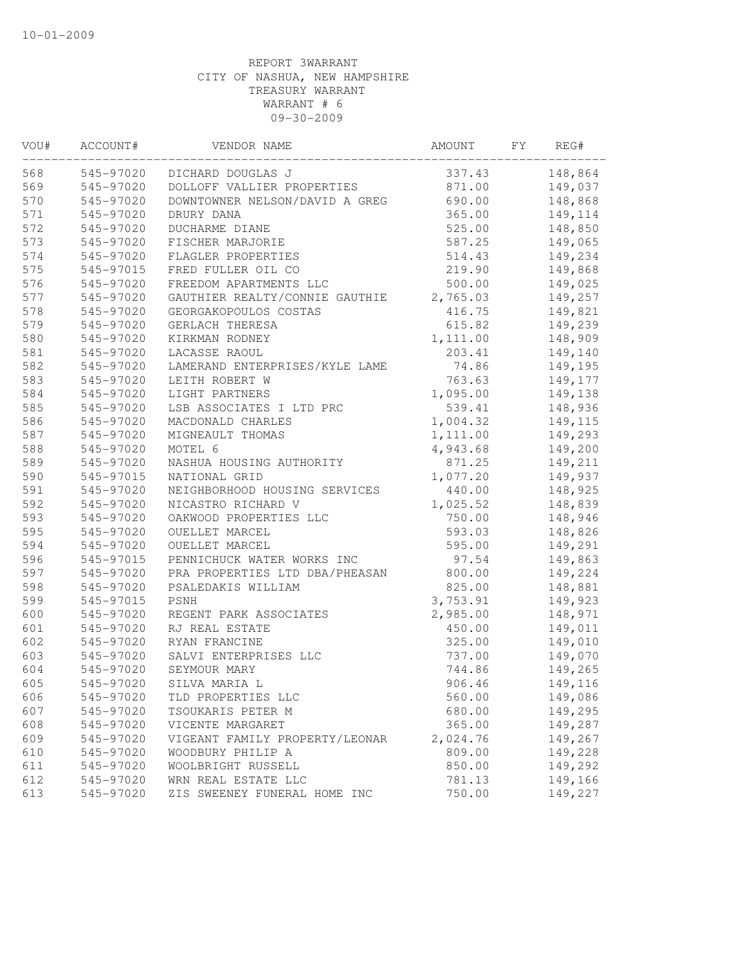| VOU# | ACCOUNT#  | VENDOR NAME                    | AMOUNT   | FY | REG#    |
|------|-----------|--------------------------------|----------|----|---------|
| 568  | 545-97020 | DICHARD DOUGLAS J              | 337.43   |    | 148,864 |
| 569  | 545-97020 | DOLLOFF VALLIER PROPERTIES     | 871.00   |    | 149,037 |
| 570  | 545-97020 | DOWNTOWNER NELSON/DAVID A GREG | 690.00   |    | 148,868 |
| 571  | 545-97020 | DRURY DANA                     | 365.00   |    | 149,114 |
| 572  | 545-97020 | DUCHARME DIANE                 | 525.00   |    | 148,850 |
| 573  | 545-97020 | FISCHER MARJORIE               | 587.25   |    | 149,065 |
| 574  | 545-97020 | FLAGLER PROPERTIES             | 514.43   |    | 149,234 |
| 575  | 545-97015 | FRED FULLER OIL CO             | 219.90   |    | 149,868 |
| 576  | 545-97020 | FREEDOM APARTMENTS LLC         | 500.00   |    | 149,025 |
| 577  | 545-97020 | GAUTHIER REALTY/CONNIE GAUTHIE | 2,765.03 |    | 149,257 |
| 578  | 545-97020 | GEORGAKOPOULOS COSTAS          | 416.75   |    | 149,821 |
| 579  | 545-97020 | GERLACH THERESA                | 615.82   |    | 149,239 |
| 580  | 545-97020 | KIRKMAN RODNEY                 | 1,111.00 |    | 148,909 |
| 581  | 545-97020 | LACASSE RAOUL                  | 203.41   |    | 149,140 |
| 582  | 545-97020 | LAMERAND ENTERPRISES/KYLE LAME | 74.86    |    | 149,195 |
| 583  | 545-97020 | LEITH ROBERT W                 | 763.63   |    | 149,177 |
| 584  | 545-97020 | LIGHT PARTNERS                 | 1,095.00 |    | 149,138 |
| 585  | 545-97020 | LSB ASSOCIATES I LTD PRC       | 539.41   |    | 148,936 |
| 586  | 545-97020 | MACDONALD CHARLES              | 1,004.32 |    | 149,115 |
| 587  | 545-97020 | MIGNEAULT THOMAS               | 1,111.00 |    | 149,293 |
| 588  | 545-97020 | MOTEL 6                        | 4,943.68 |    | 149,200 |
| 589  | 545-97020 | NASHUA HOUSING AUTHORITY       | 871.25   |    | 149,211 |
| 590  | 545-97015 | NATIONAL GRID                  | 1,077.20 |    | 149,937 |
| 591  | 545-97020 | NEIGHBORHOOD HOUSING SERVICES  | 440.00   |    | 148,925 |
| 592  | 545-97020 | NICASTRO RICHARD V             | 1,025.52 |    | 148,839 |
| 593  | 545-97020 | OAKWOOD PROPERTIES LLC         | 750.00   |    | 148,946 |
| 595  | 545-97020 | OUELLET MARCEL                 | 593.03   |    | 148,826 |
| 594  | 545-97020 | OUELLET MARCEL                 | 595.00   |    | 149,291 |
| 596  | 545-97015 | PENNICHUCK WATER WORKS INC     | 97.54    |    | 149,863 |
| 597  | 545-97020 | PRA PROPERTIES LTD DBA/PHEASAN | 800.00   |    | 149,224 |
| 598  | 545-97020 | PSALEDAKIS WILLIAM             | 825.00   |    | 148,881 |
| 599  | 545-97015 | PSNH                           | 3,753.91 |    | 149,923 |
| 600  | 545-97020 | REGENT PARK ASSOCIATES         | 2,985.00 |    | 148,971 |
| 601  | 545-97020 | RJ REAL ESTATE                 | 450.00   |    | 149,011 |
| 602  | 545-97020 | RYAN FRANCINE                  | 325.00   |    | 149,010 |
| 603  | 545-97020 | SALVI ENTERPRISES LLC          | 737.00   |    | 149,070 |
| 604  | 545-97020 | SEYMOUR MARY                   | 744.86   |    | 149,265 |
| 605  | 545-97020 | SILVA MARIA L                  | 906.46   |    | 149,116 |
| 606  | 545-97020 | TLD PROPERTIES LLC             | 560.00   |    | 149,086 |
| 607  | 545-97020 | TSOUKARIS PETER M              | 680.00   |    | 149,295 |
| 608  | 545-97020 | VICENTE MARGARET               | 365.00   |    | 149,287 |
| 609  | 545-97020 | VIGEANT FAMILY PROPERTY/LEONAR | 2,024.76 |    | 149,267 |
| 610  | 545-97020 | WOODBURY PHILIP A              | 809.00   |    | 149,228 |
| 611  | 545-97020 | WOOLBRIGHT RUSSELL             | 850.00   |    | 149,292 |
| 612  | 545-97020 | WRN REAL ESTATE LLC            | 781.13   |    | 149,166 |
| 613  | 545-97020 | ZIS SWEENEY FUNERAL HOME INC   | 750.00   |    | 149,227 |
|      |           |                                |          |    |         |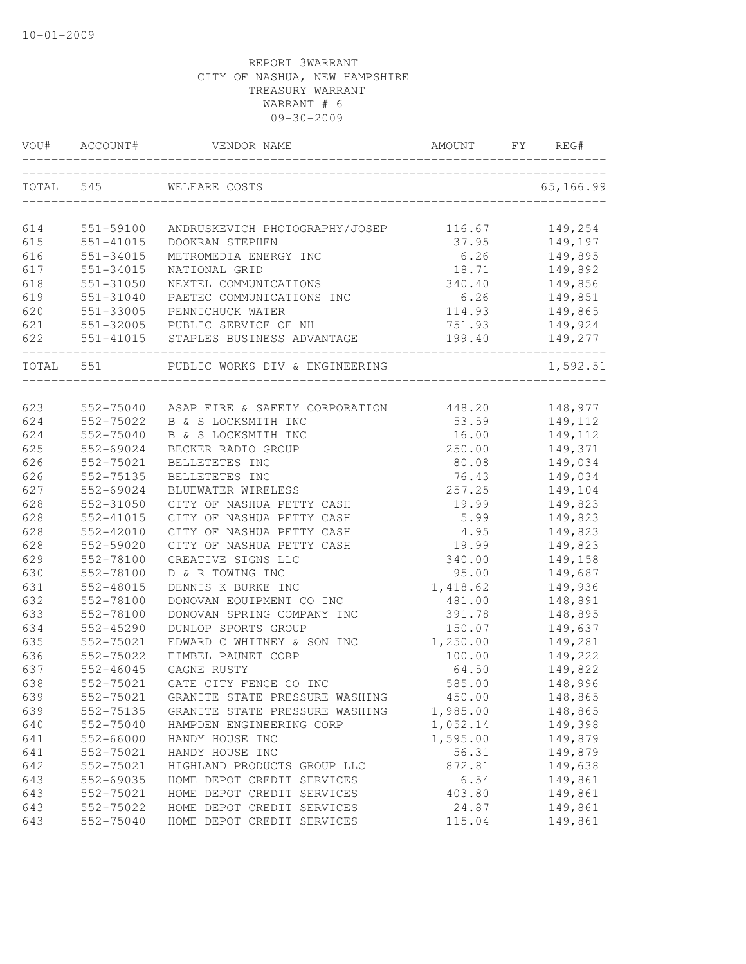| VOU# | ACCOUNT#  | VENDOR NAME                                     | AMOUNT   | FY | REG#      |
|------|-----------|-------------------------------------------------|----------|----|-----------|
|      | TOTAL 545 | WELFARE COSTS                                   |          |    | 65,166.99 |
| 614  | 551-59100 | ANDRUSKEVICH PHOTOGRAPHY/JOSEP                  | 116.67   |    | 149,254   |
| 615  | 551-41015 | DOOKRAN STEPHEN                                 | 37.95    |    | 149,197   |
| 616  | 551-34015 | METROMEDIA ENERGY INC                           | 6.26     |    | 149,895   |
| 617  | 551-34015 | NATIONAL GRID                                   | 18.71    |    | 149,892   |
| 618  | 551-31050 | NEXTEL COMMUNICATIONS                           | 340.40   |    | 149,856   |
| 619  | 551-31040 | PAETEC COMMUNICATIONS INC                       | 6.26     |    | 149,851   |
| 620  | 551-33005 | PENNICHUCK WATER                                | 114.93   |    | 149,865   |
| 621  |           | 551-32005 PUBLIC SERVICE OF NH                  | 751.93   |    | 149,924   |
| 622  |           | 551-41015 STAPLES BUSINESS ADVANTAGE            | 199.40   |    | 149,277   |
|      | TOTAL 551 | PUBLIC WORKS DIV & ENGINEERING                  |          |    | 1,592.51  |
|      |           |                                                 |          |    |           |
| 623  |           | 552-75040 ASAP FIRE & SAFETY CORPORATION 448.20 |          |    | 148,977   |
| 624  | 552-75022 | B & S LOCKSMITH INC                             | 53.59    |    | 149,112   |
| 624  | 552-75040 | B & S LOCKSMITH INC                             | 16.00    |    | 149,112   |
| 625  | 552-69024 | BECKER RADIO GROUP                              | 250.00   |    | 149,371   |
| 626  | 552-75021 | BELLETETES INC                                  | 80.08    |    | 149,034   |
| 626  | 552-75135 | BELLETETES INC                                  | 76.43    |    | 149,034   |
| 627  | 552-69024 | BLUEWATER WIRELESS                              | 257.25   |    | 149,104   |
| 628  | 552-31050 | CITY OF NASHUA PETTY CASH                       | 19.99    |    | 149,823   |
| 628  | 552-41015 | CITY OF NASHUA PETTY CASH                       | 5.99     |    | 149,823   |
| 628  | 552-42010 | CITY OF NASHUA PETTY CASH                       | 4.95     |    | 149,823   |
| 628  | 552-59020 | CITY OF NASHUA PETTY CASH                       | 19.99    |    | 149,823   |
| 629  | 552-78100 | CREATIVE SIGNS LLC                              | 340.00   |    | 149,158   |
| 630  | 552-78100 | D & R TOWING INC                                | 95.00    |    | 149,687   |
| 631  | 552-48015 | DENNIS K BURKE INC                              | 1,418.62 |    | 149,936   |
| 632  | 552-78100 | DONOVAN EQUIPMENT CO INC                        | 481.00   |    | 148,891   |
| 633  | 552-78100 | DONOVAN SPRING COMPANY INC                      | 391.78   |    | 148,895   |
| 634  | 552-45290 | DUNLOP SPORTS GROUP                             | 150.07   |    | 149,637   |
| 635  | 552-75021 | EDWARD C WHITNEY & SON INC                      | 1,250.00 |    | 149,281   |
| 636  | 552-75022 | FIMBEL PAUNET CORP                              | 100.00   |    | 149,222   |
| 637  | 552-46045 | GAGNE RUSTY                                     | 64.50    |    | 149,822   |
| 638  | 552-75021 | GATE CITY FENCE CO INC                          | 585.00   |    | 148,996   |
| 639  | 552-75021 | GRANITE STATE PRESSURE WASHING                  | 450.00   |    | 148,865   |
| 639  | 552-75135 | GRANITE STATE PRESSURE WASHING                  | 1,985.00 |    | 148,865   |
| 640  | 552-75040 | HAMPDEN ENGINEERING CORP                        | 1,052.14 |    | 149,398   |
| 641  | 552-66000 | HANDY HOUSE INC                                 | 1,595.00 |    | 149,879   |
| 641  | 552-75021 | HANDY HOUSE INC                                 | 56.31    |    | 149,879   |
| 642  | 552-75021 | HIGHLAND PRODUCTS GROUP LLC                     | 872.81   |    | 149,638   |
| 643  | 552-69035 | HOME DEPOT CREDIT SERVICES                      | 6.54     |    | 149,861   |
| 643  | 552-75021 | HOME DEPOT CREDIT SERVICES                      | 403.80   |    | 149,861   |
| 643  | 552-75022 | HOME DEPOT CREDIT SERVICES                      | 24.87    |    | 149,861   |
| 643  | 552-75040 | HOME DEPOT CREDIT SERVICES                      | 115.04   |    | 149,861   |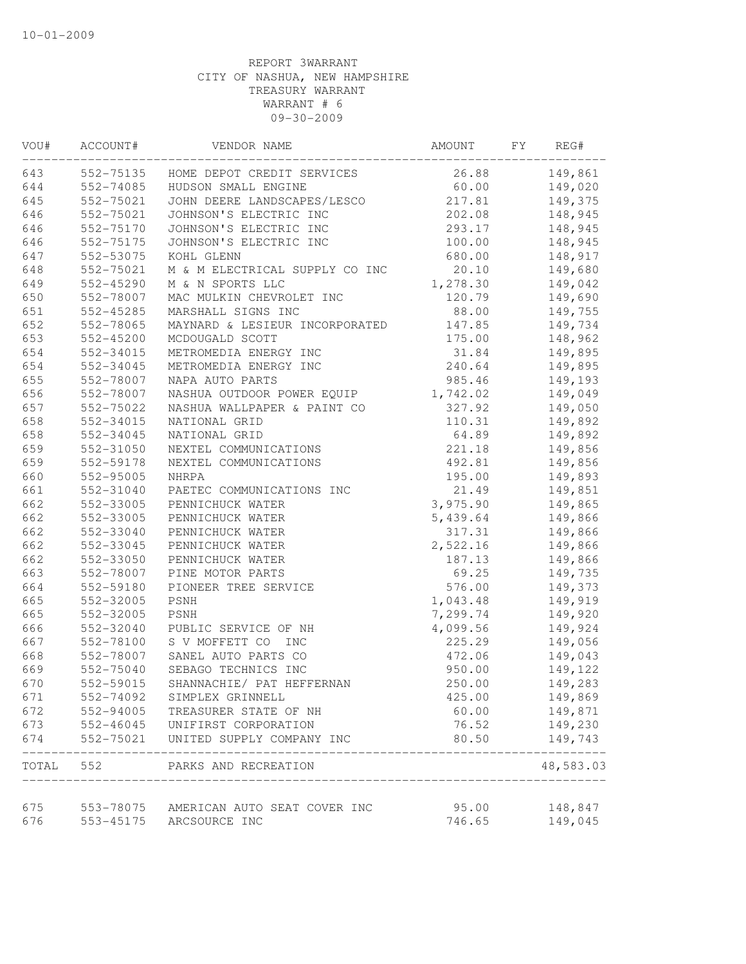| VOU# | ACCOUNT#  | VENDOR NAME                                             | AMOUNT          | FY | REG#      |
|------|-----------|---------------------------------------------------------|-----------------|----|-----------|
| 643  |           | 552-75135 HOME DEPOT CREDIT SERVICES                    | 26.88           |    | 149,861   |
| 644  | 552-74085 | HUDSON SMALL ENGINE                                     | 60.00           |    | 149,020   |
| 645  | 552-75021 | JOHN DEERE LANDSCAPES/LESCO                             | 217.81          |    | 149,375   |
| 646  | 552-75021 | JOHNSON'S ELECTRIC INC                                  | 202.08          |    | 148,945   |
| 646  | 552-75170 | JOHNSON'S ELECTRIC INC                                  | 293.17          |    | 148,945   |
| 646  | 552-75175 | JOHNSON'S ELECTRIC INC                                  | 100.00          |    | 148,945   |
| 647  | 552-53075 | KOHL GLENN                                              | 680.00          |    | 148,917   |
| 648  | 552-75021 | M & M ELECTRICAL SUPPLY CO INC                          | 20.10           |    | 149,680   |
| 649  | 552-45290 | M & N SPORTS LLC                                        | 1,278.30        |    | 149,042   |
| 650  | 552-78007 | MAC MULKIN CHEVROLET INC                                | 120.79          |    | 149,690   |
| 651  | 552-45285 | MARSHALL SIGNS INC                                      | 88.00           |    | 149,755   |
| 652  | 552-78065 | MAYNARD & LESIEUR INCORPORATED                          | 147.85          |    | 149,734   |
| 653  | 552-45200 | MCDOUGALD SCOTT                                         | 175.00          |    | 148,962   |
| 654  | 552-34015 | METROMEDIA ENERGY INC                                   | 31.84           |    | 149,895   |
| 654  | 552-34045 | METROMEDIA ENERGY INC                                   | 240.64          |    | 149,895   |
| 655  | 552-78007 | NAPA AUTO PARTS                                         | 985.46          |    | 149,193   |
| 656  | 552-78007 | NASHUA OUTDOOR POWER EQUIP                              | 1,742.02        |    | 149,049   |
| 657  | 552-75022 | NASHUA WALLPAPER & PAINT CO                             | 327.92          |    | 149,050   |
| 658  | 552-34015 | NATIONAL GRID                                           | 110.31          |    | 149,892   |
| 658  | 552-34045 | NATIONAL GRID                                           | 64.89           |    | 149,892   |
| 659  | 552-31050 | NEXTEL COMMUNICATIONS                                   | 221.18          |    | 149,856   |
| 659  | 552-59178 | NEXTEL COMMUNICATIONS                                   | 492.81          |    | 149,856   |
| 660  | 552-95005 | NHRPA                                                   | 195.00          |    | 149,893   |
| 661  | 552-31040 | PAETEC COMMUNICATIONS INC                               | 21.49           |    | 149,851   |
| 662  | 552-33005 | PENNICHUCK WATER                                        | 3,975.90        |    | 149,865   |
| 662  | 552-33005 | PENNICHUCK WATER                                        | 5,439.64        |    | 149,866   |
| 662  | 552-33040 | PENNICHUCK WATER                                        | 317.31          |    | 149,866   |
| 662  | 552-33045 | PENNICHUCK WATER                                        | 2,522.16        |    | 149,866   |
| 662  | 552-33050 | PENNICHUCK WATER                                        | 187.13          |    | 149,866   |
| 663  | 552-78007 | PINE MOTOR PARTS                                        | 69.25           |    | 149,735   |
| 664  | 552-59180 | PIONEER TREE SERVICE                                    | 576.00          |    | 149,373   |
| 665  | 552-32005 | PSNH                                                    | 1,043.48        |    | 149,919   |
| 665  | 552-32005 | PSNH                                                    | 7,299.74        |    | 149,920   |
| 666  | 552-32040 | PUBLIC SERVICE OF NH                                    | 4,099.56        |    | 149,924   |
| 667  | 552-78100 | S V MOFFETT CO<br><b>INC</b>                            | 225.29          |    | 149,056   |
| 668  | 552-78007 | SANEL AUTO PARTS CO                                     | 472.06          |    | 149,043   |
| 669  | 552-75040 | SEBAGO TECHNICS INC                                     | 950.00          |    | 149,122   |
| 670  | 552-59015 | SHANNACHIE/ PAT HEFFERNAN                               | 250.00          |    | 149,283   |
| 671  | 552-74092 | SIMPLEX GRINNELL                                        | 425.00          |    | 149,869   |
| 672  | 552-94005 | TREASURER STATE OF NH                                   | 60.00           |    | 149,871   |
| 673  | 552-46045 | UNIFIRST CORPORATION                                    | 76.52           |    | 149,230   |
| 674  | 552-75021 | UNITED SUPPLY COMPANY INC                               | 80.50           |    | 149,743   |
|      |           | TOTAL 552 PARKS AND RECREATION                          |                 |    | 48,583.03 |
| 675  |           |                                                         |                 |    |           |
| 676  | 553-45175 | 553-78075 AMERICAN AUTO SEAT COVER INC<br>ARCSOURCE INC | 95.00<br>746.65 |    | 148,847   |
|      |           |                                                         |                 |    | 149,045   |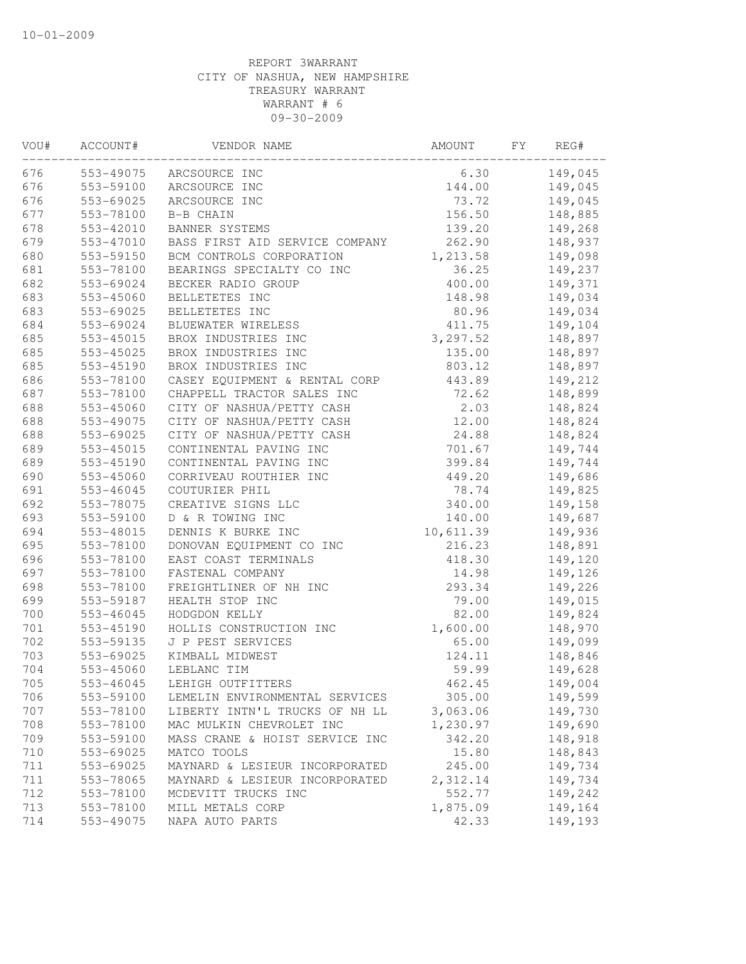| WOU# | ACCOUNT#      | VENDOR NAME                    | AMOUNT    | FY | REG#    |
|------|---------------|--------------------------------|-----------|----|---------|
| 676  | 553-49075     | ARCSOURCE INC                  | 6.30      |    | 149,045 |
| 676  | 553-59100     | ARCSOURCE INC                  | 144.00    |    | 149,045 |
| 676  | 553-69025     | ARCSOURCE INC                  | 73.72     |    | 149,045 |
| 677  | 553-78100     | B-B CHAIN                      | 156.50    |    | 148,885 |
| 678  | 553-42010     | BANNER SYSTEMS                 | 139.20    |    | 149,268 |
| 679  | 553-47010     | BASS FIRST AID SERVICE COMPANY | 262.90    |    | 148,937 |
| 680  | 553-59150     | BCM CONTROLS CORPORATION       | 1,213.58  |    | 149,098 |
| 681  | 553-78100     | BEARINGS SPECIALTY CO INC      | 36.25     |    | 149,237 |
| 682  | 553-69024     | BECKER RADIO GROUP             | 400.00    |    | 149,371 |
| 683  | $553 - 45060$ | BELLETETES INC                 | 148.98    |    | 149,034 |
| 683  | 553-69025     | BELLETETES INC                 | 80.96     |    | 149,034 |
| 684  | 553-69024     | BLUEWATER WIRELESS             | 411.75    |    | 149,104 |
| 685  | 553-45015     | BROX INDUSTRIES INC            | 3,297.52  |    | 148,897 |
| 685  | 553-45025     | BROX INDUSTRIES INC            | 135.00    |    | 148,897 |
| 685  | 553-45190     | BROX INDUSTRIES INC            | 803.12    |    | 148,897 |
| 686  | 553-78100     | CASEY EQUIPMENT & RENTAL CORP  | 443.89    |    | 149,212 |
| 687  | 553-78100     | CHAPPELL TRACTOR SALES INC     | 72.62     |    | 148,899 |
| 688  | 553-45060     | CITY OF NASHUA/PETTY CASH      | 2.03      |    | 148,824 |
| 688  | 553-49075     | CITY OF NASHUA/PETTY CASH      | 12.00     |    | 148,824 |
| 688  | 553-69025     | CITY OF NASHUA/PETTY CASH      | 24.88     |    | 148,824 |
| 689  | $553 - 45015$ | CONTINENTAL PAVING INC         | 701.67    |    | 149,744 |
| 689  | 553-45190     | CONTINENTAL PAVING INC         | 399.84    |    | 149,744 |
| 690  | 553-45060     | CORRIVEAU ROUTHIER INC         | 449.20    |    | 149,686 |
| 691  | 553-46045     | COUTURIER PHIL                 | 78.74     |    | 149,825 |
| 692  | 553-78075     | CREATIVE SIGNS LLC             | 340.00    |    | 149,158 |
| 693  | 553-59100     | D & R TOWING INC               | 140.00    |    | 149,687 |
| 694  | 553-48015     | DENNIS K BURKE INC             | 10,611.39 |    | 149,936 |
| 695  | 553-78100     | DONOVAN EQUIPMENT CO INC       | 216.23    |    | 148,891 |
| 696  | 553-78100     | EAST COAST TERMINALS           | 418.30    |    | 149,120 |
| 697  | 553-78100     | FASTENAL COMPANY               | 14.98     |    | 149,126 |
| 698  | 553-78100     | FREIGHTLINER OF NH INC         | 293.34    |    | 149,226 |
| 699  | 553-59187     | HEALTH STOP INC                | 79.00     |    | 149,015 |
| 700  | 553-46045     | HODGDON KELLY                  | 82.00     |    | 149,824 |
| 701  | 553-45190     | HOLLIS CONSTRUCTION INC        | 1,600.00  |    | 148,970 |
| 702  | 553-59135     | J P PEST SERVICES              | 65.00     |    | 149,099 |
| 703  | 553-69025     | KIMBALL MIDWEST                | 124.11    |    | 148,846 |
| 704  | 553-45060     | LEBLANC TIM                    | 59.99     |    | 149,628 |
| 705  | $553 - 46045$ | LEHIGH OUTFITTERS              | 462.45    |    | 149,004 |
| 706  | 553-59100     | LEMELIN ENVIRONMENTAL SERVICES | 305.00    |    | 149,599 |
| 707  | 553-78100     | LIBERTY INTN'L TRUCKS OF NH LL | 3,063.06  |    | 149,730 |
| 708  | 553-78100     | MAC MULKIN CHEVROLET INC       | 1,230.97  |    | 149,690 |
| 709  | 553-59100     | MASS CRANE & HOIST SERVICE INC | 342.20    |    | 148,918 |
| 710  | 553-69025     | MATCO TOOLS                    | 15.80     |    | 148,843 |
| 711  | 553-69025     | MAYNARD & LESIEUR INCORPORATED | 245.00    |    | 149,734 |
| 711  | 553-78065     | MAYNARD & LESIEUR INCORPORATED | 2,312.14  |    | 149,734 |
| 712  | 553-78100     | MCDEVITT TRUCKS INC            | 552.77    |    | 149,242 |
| 713  | 553-78100     | MILL METALS CORP               | 1,875.09  |    | 149,164 |
| 714  | 553-49075     | NAPA AUTO PARTS                | 42.33     |    | 149,193 |
|      |               |                                |           |    |         |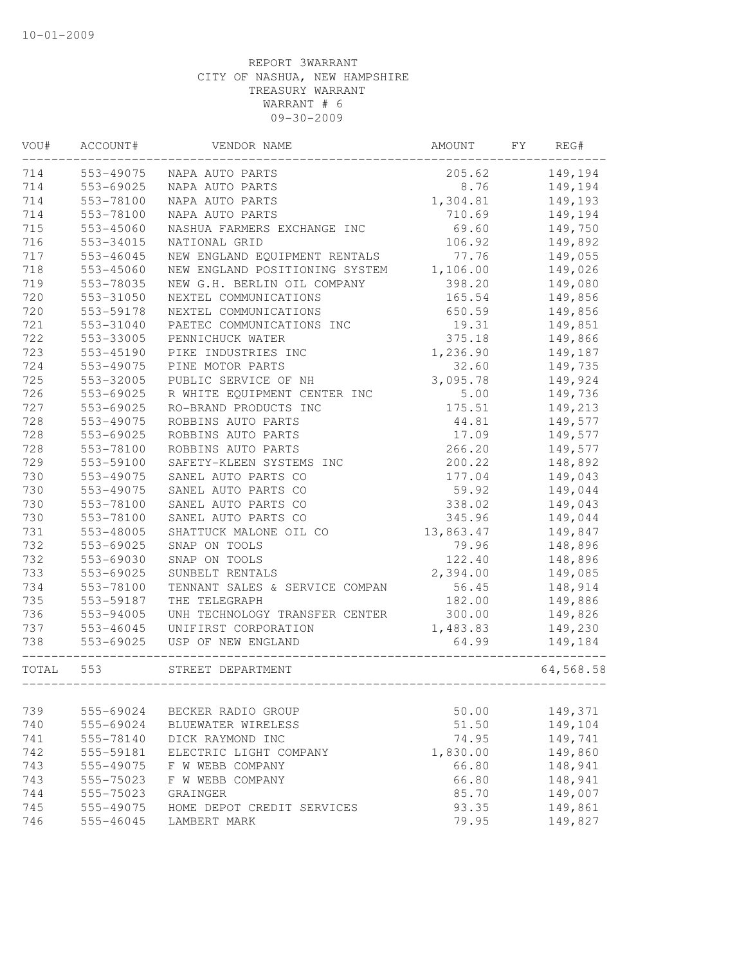| <b>WOU#</b> | ACCOUNT#      | VENDOR NAME                    | AMOUNT    | FY | REG#      |
|-------------|---------------|--------------------------------|-----------|----|-----------|
| 714         | 553-49075     | NAPA AUTO PARTS                | 205.62    |    | 149,194   |
| 714         | 553-69025     | NAPA AUTO PARTS                | 8.76      |    | 149,194   |
| 714         | 553-78100     | NAPA AUTO PARTS                | 1,304.81  |    | 149,193   |
| 714         | 553-78100     | NAPA AUTO PARTS                | 710.69    |    | 149,194   |
| 715         | 553-45060     | NASHUA FARMERS EXCHANGE INC    | 69.60     |    | 149,750   |
| 716         | 553-34015     | NATIONAL GRID                  | 106.92    |    | 149,892   |
| 717         | 553-46045     | NEW ENGLAND EQUIPMENT RENTALS  | 77.76     |    | 149,055   |
| 718         | 553-45060     | NEW ENGLAND POSITIONING SYSTEM | 1,106.00  |    | 149,026   |
| 719         | 553-78035     | NEW G.H. BERLIN OIL COMPANY    | 398.20    |    | 149,080   |
| 720         | 553-31050     | NEXTEL COMMUNICATIONS          | 165.54    |    | 149,856   |
| 720         | 553-59178     | NEXTEL COMMUNICATIONS          | 650.59    |    | 149,856   |
| 721         | 553-31040     | PAETEC COMMUNICATIONS INC      | 19.31     |    | 149,851   |
| 722         | 553-33005     | PENNICHUCK WATER               | 375.18    |    | 149,866   |
| 723         | 553-45190     | PIKE INDUSTRIES INC            | 1,236.90  |    | 149,187   |
| 724         | 553-49075     | PINE MOTOR PARTS               | 32.60     |    | 149,735   |
| 725         | 553-32005     | PUBLIC SERVICE OF NH           | 3,095.78  |    | 149,924   |
| 726         | 553-69025     | R WHITE EQUIPMENT CENTER INC   | 5.00      |    | 149,736   |
| 727         | 553-69025     | RO-BRAND PRODUCTS INC          | 175.51    |    | 149,213   |
| 728         | 553-49075     | ROBBINS AUTO PARTS             | 44.81     |    | 149,577   |
| 728         | 553-69025     | ROBBINS AUTO PARTS             | 17.09     |    | 149,577   |
| 728         | 553-78100     | ROBBINS AUTO PARTS             | 266.20    |    | 149,577   |
| 729         | 553-59100     | SAFETY-KLEEN SYSTEMS INC       | 200.22    |    | 148,892   |
| 730         | 553-49075     | SANEL AUTO PARTS CO            | 177.04    |    | 149,043   |
| 730         | 553-49075     | SANEL AUTO PARTS CO            | 59.92     |    | 149,044   |
| 730         | 553-78100     | SANEL AUTO PARTS CO            | 338.02    |    | 149,043   |
| 730         | 553-78100     | SANEL AUTO PARTS CO            | 345.96    |    | 149,044   |
| 731         | 553-48005     | SHATTUCK MALONE OIL CO         | 13,863.47 |    | 149,847   |
| 732         | 553-69025     | SNAP ON TOOLS                  | 79.96     |    | 148,896   |
| 732         | 553-69030     | SNAP ON TOOLS                  | 122.40    |    | 148,896   |
| 733         | 553-69025     | SUNBELT RENTALS                | 2,394.00  |    | 149,085   |
| 734         | 553-78100     | TENNANT SALES & SERVICE COMPAN | 56.45     |    | 148,914   |
| 735         | 553-59187     | THE TELEGRAPH                  | 182.00    |    | 149,886   |
| 736         | 553-94005     | UNH TECHNOLOGY TRANSFER CENTER | 300.00    |    | 149,826   |
| 737         | $553 - 46045$ | UNIFIRST CORPORATION           | 1,483.83  |    | 149,230   |
| 738         | 553-69025     | USP OF NEW ENGLAND             | 64.99     |    | 149,184   |
| TOTAL       | 553           | STREET DEPARTMENT              |           |    | 64,568.58 |
|             |               | ______________                 |           |    |           |
| 739         | 555-69024     | BECKER RADIO GROUP             | 50.00     |    | 149,371   |
| 740         | 555-69024     | BLUEWATER WIRELESS             | 51.50     |    | 149,104   |
| 741         | 555-78140     | DICK RAYMOND INC               | 74.95     |    | 149,741   |
| 742         | 555-59181     | ELECTRIC LIGHT COMPANY         | 1,830.00  |    | 149,860   |
| 743         | 555-49075     | F W WEBB COMPANY               | 66.80     |    | 148,941   |
| 743         | 555-75023     | F W WEBB COMPANY               | 66.80     |    | 148,941   |
| 744         | 555-75023     | GRAINGER                       | 85.70     |    | 149,007   |
| 745         | 555-49075     | HOME DEPOT CREDIT SERVICES     | 93.35     |    | 149,861   |
| 746         | 555-46045     | LAMBERT MARK                   | 79.95     |    | 149,827   |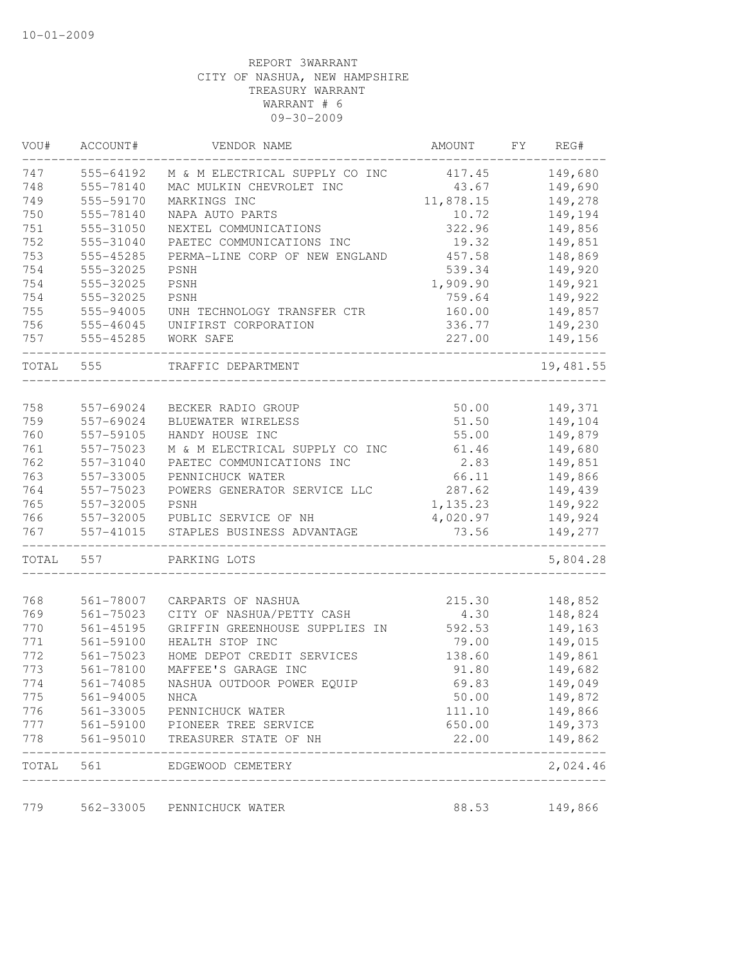| VOU#  | ACCOUNT#      | VENDOR NAME                    | AMOUNT    | FY | REG#      |
|-------|---------------|--------------------------------|-----------|----|-----------|
| 747   | 555-64192     | M & M ELECTRICAL SUPPLY CO INC | 417.45    |    | 149,680   |
| 748   | 555-78140     | MAC MULKIN CHEVROLET INC       | 43.67     |    | 149,690   |
| 749   | 555-59170     | MARKINGS INC                   | 11,878.15 |    | 149,278   |
| 750   | 555-78140     | NAPA AUTO PARTS                | 10.72     |    | 149,194   |
| 751   | 555-31050     | NEXTEL COMMUNICATIONS          | 322.96    |    | 149,856   |
| 752   | 555-31040     | PAETEC COMMUNICATIONS INC      | 19.32     |    | 149,851   |
| 753   | 555-45285     | PERMA-LINE CORP OF NEW ENGLAND | 457.58    |    | 148,869   |
| 754   | 555-32025     | PSNH                           | 539.34    |    | 149,920   |
| 754   | 555-32025     | PSNH                           | 1,909.90  |    | 149,921   |
| 754   | 555-32025     | PSNH                           | 759.64    |    | 149,922   |
| 755   | 555-94005     | UNH TECHNOLOGY TRANSFER CTR    | 160.00    |    | 149,857   |
| 756   | 555-46045     | UNIFIRST CORPORATION           | 336.77    |    | 149,230   |
| 757   | 555-45285     | WORK SAFE                      | 227.00    |    | 149,156   |
| TOTAL | 555           | TRAFFIC DEPARTMENT             |           |    | 19,481.55 |
| 758   | 557-69024     | BECKER RADIO GROUP             | 50.00     |    | 149,371   |
| 759   | 557-69024     | BLUEWATER WIRELESS             | 51.50     |    | 149,104   |
| 760   | 557-59105     | HANDY HOUSE INC                | 55.00     |    | 149,879   |
| 761   | 557-75023     | M & M ELECTRICAL SUPPLY CO INC | 61.46     |    | 149,680   |
| 762   | 557-31040     | PAETEC COMMUNICATIONS INC      | 2.83      |    | 149,851   |
| 763   | 557-33005     | PENNICHUCK WATER               | 66.11     |    | 149,866   |
| 764   | 557-75023     | POWERS GENERATOR SERVICE LLC   | 287.62    |    | 149,439   |
| 765   | 557-32005     | <b>PSNH</b>                    | 1,135.23  |    | 149,922   |
| 766   | 557-32005     | PUBLIC SERVICE OF NH           | 4,020.97  |    | 149,924   |
| 767   | 557-41015     | STAPLES BUSINESS ADVANTAGE     | 73.56     |    | 149,277   |
|       |               |                                |           |    |           |
| TOTAL | 557           | PARKING LOTS                   |           |    | 5,804.28  |
| 768   | 561-78007     | CARPARTS OF NASHUA             | 215.30    |    | 148,852   |
| 769   | $561 - 75023$ | CITY OF NASHUA/PETTY CASH      | 4.30      |    | 148,824   |
| 770   | $561 - 45195$ | GRIFFIN GREENHOUSE SUPPLIES IN | 592.53    |    | 149,163   |
| 771   | 561-59100     | HEALTH STOP INC                | 79.00     |    | 149,015   |
| 772   | 561-75023     | HOME DEPOT CREDIT SERVICES     | 138.60    |    | 149,861   |
| 773   | 561-78100     | MAFFEE'S GARAGE INC            | 91.80     |    | 149,682   |
| 774   | $561 - 74085$ | NASHUA OUTDOOR POWER EQUIP     | 69.83     |    | 149,049   |
| 775   | 561-94005     | NHCA                           | 50.00     |    | 149,872   |
| 776   | 561-33005     | PENNICHUCK WATER               | 111.10    |    | 149,866   |
| 777   | 561-59100     | PIONEER TREE SERVICE           | 650.00    |    | 149,373   |
| 778   | 561-95010     | TREASURER STATE OF NH          | 22.00     |    | 149,862   |
| TOTAL | 561           | EDGEWOOD CEMETERY              |           |    | 2,024.46  |
| 779   | 562-33005     | PENNICHUCK WATER               | 88.53     |    | 149,866   |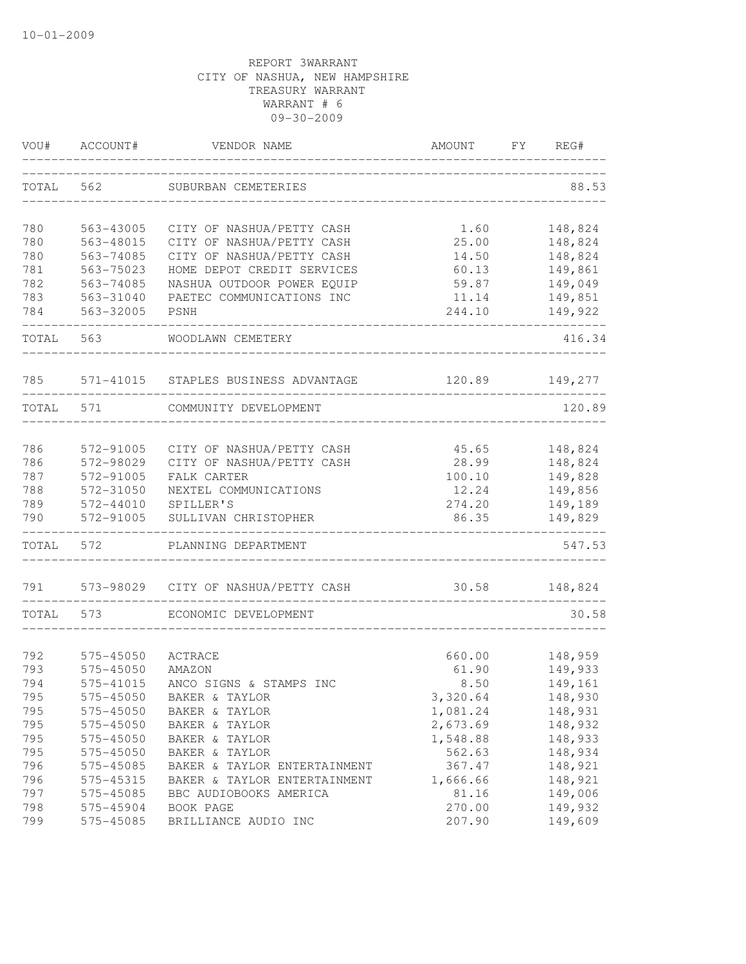| VOU#       | ACCOUNT#               | VENDOR NAME                          | AMOUNT          | FY. | REG#               |
|------------|------------------------|--------------------------------------|-----------------|-----|--------------------|
| TOTAL      | 562                    | SUBURBAN CEMETERIES                  |                 |     | 88.53              |
| 780        | 563-43005              | CITY OF NASHUA/PETTY CASH            | 1.60            |     | 148,824            |
| 780        | 563-48015              | CITY OF NASHUA/PETTY CASH            | 25.00           |     | 148,824            |
| 780        | 563-74085              | CITY OF NASHUA/PETTY CASH            | 14.50           |     | 148,824            |
| 781        | 563-75023              | HOME DEPOT CREDIT SERVICES           | 60.13           |     | 149,861            |
| 782        | 563-74085              | NASHUA OUTDOOR POWER EQUIP           | 59.87           |     | 149,049            |
| 783        | 563-31040              | PAETEC COMMUNICATIONS INC            | 11.14           |     | 149,851            |
| 784        | 563-32005              | PSNH                                 | 244.10          |     | 149,922            |
| TOTAL      | 563                    | WOODLAWN CEMETERY                    |                 |     | 416.34             |
| 785        |                        | 571-41015 STAPLES BUSINESS ADVANTAGE | 120.89          |     | 149,277            |
| TOTAL      | 571                    | COMMUNITY DEVELOPMENT                |                 |     | 120.89             |
|            |                        |                                      |                 |     |                    |
| 786        | 572-91005              | CITY OF NASHUA/PETTY CASH            | 45.65           |     | 148,824            |
| 786        | 572-98029              | CITY OF NASHUA/PETTY CASH            | 28.99           |     | 148,824            |
| 787        | 572-91005              | FALK CARTER                          | 100.10          |     | 149,828            |
| 788        | 572-31050              | NEXTEL COMMUNICATIONS                | 12.24           |     | 149,856            |
| 789<br>790 | 572-44010<br>572-91005 | SPILLER'S<br>SULLIVAN CHRISTOPHER    | 274.20<br>86.35 |     | 149,189<br>149,829 |
|            |                        |                                      |                 |     |                    |
| TOTAL      | 572                    | PLANNING DEPARTMENT                  |                 |     | 547.53             |
| 791        | 573-98029              | CITY OF NASHUA/PETTY CASH            | 30.58           |     | 148,824            |
| TOTAL      | 573                    | ECONOMIC DEVELOPMENT                 |                 |     | 30.58              |
| 792        | 575-45050              | ACTRACE                              | 660.00          |     | 148,959            |
| 793        | 575-45050              | AMAZON                               | 61.90           |     | 149,933            |
| 794        | 575-41015              | ANCO SIGNS & STAMPS INC              | 8.50            |     | 149,161            |
| 795        | 575-45050              | BAKER & TAYLOR                       | 3,320.64        |     | 148,930            |
| 795        | 575-45050              | BAKER & TAYLOR                       | 1,081.24        |     | 148,931            |
| 795        | 575-45050              | BAKER & TAYLOR                       | 2,673.69        |     | 148,932            |
| 795        | 575-45050              | BAKER & TAYLOR                       | 1,548.88        |     | 148,933            |
| 795        | 575-45050              | BAKER & TAYLOR                       | 562.63          |     | 148,934            |
| 796        | 575-45085              | BAKER & TAYLOR ENTERTAINMENT         | 367.47          |     | 148,921            |
| 796        | 575-45315              | BAKER & TAYLOR ENTERTAINMENT         | 1,666.66        |     | 148,921            |
| 797        | 575-45085              | BBC AUDIOBOOKS AMERICA               | 81.16           |     | 149,006            |
| 798        | 575-45904              | BOOK PAGE                            | 270.00          |     | 149,932            |
| 799        | 575-45085              | BRILLIANCE AUDIO INC                 | 207.90          |     | 149,609            |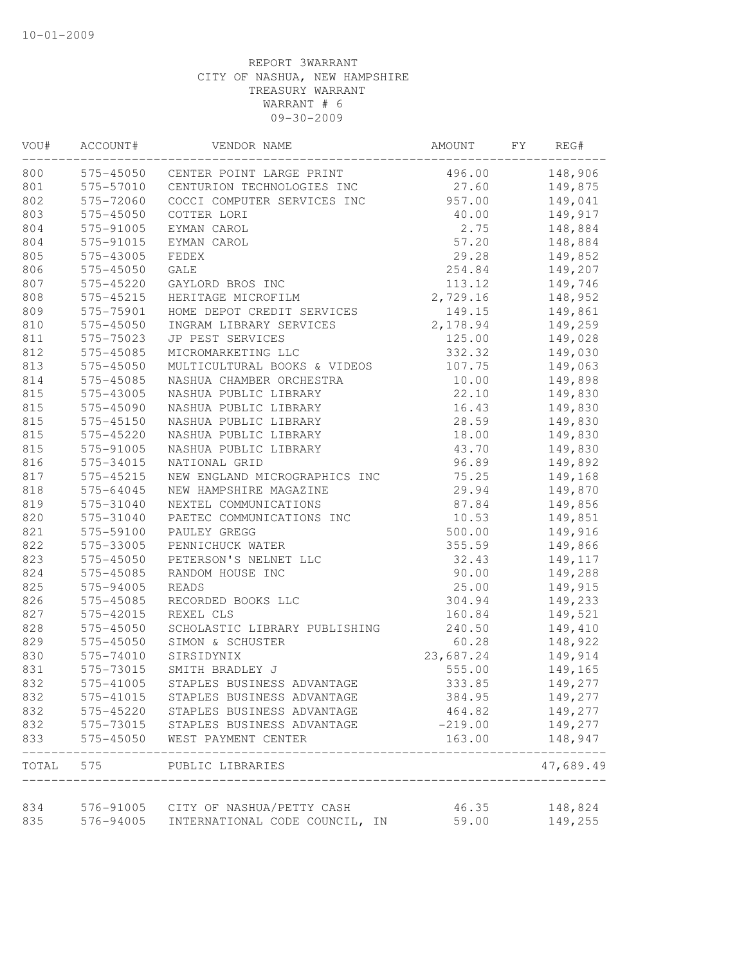| VOU#       | ACCOUNT#  | VENDOR NAME                                                           | AMOUNT         | FY | REG#               |
|------------|-----------|-----------------------------------------------------------------------|----------------|----|--------------------|
| 800        |           | 575-45050 CENTER POINT LARGE PRINT                                    | 496.00         |    | 148,906            |
| 801        |           | 575-57010 CENTURION TECHNOLOGIES INC                                  | 27.60          |    | 149,875            |
| 802        | 575-72060 | COCCI COMPUTER SERVICES INC                                           | 957.00         |    | 149,041            |
| 803        | 575-45050 | COTTER LORI                                                           | 40.00          |    | 149,917            |
| 804        | 575-91005 | EYMAN CAROL                                                           | 2.75           |    | 148,884            |
| 804        | 575-91015 | EYMAN CAROL                                                           | 57.20          |    | 148,884            |
| 805        | 575-43005 | FEDEX                                                                 | 29.28          |    | 149,852            |
| 806        | 575-45050 | GALE                                                                  | 254.84         |    | 149,207            |
| 807        | 575-45220 | GAYLORD BROS INC                                                      | 113.12         |    | 149,746            |
| 808        | 575-45215 | HERITAGE MICROFILM                                                    | 2,729.16       |    | 148,952            |
| 809        | 575-75901 | HOME DEPOT CREDIT SERVICES                                            | 149.15         |    | 149,861            |
| 810        | 575-45050 | INGRAM LIBRARY SERVICES                                               | 2,178.94       |    | 149,259            |
| 811        | 575-75023 | JP PEST SERVICES                                                      | 125.00         |    | 149,028            |
| 812        | 575-45085 | MICROMARKETING LLC                                                    | 332.32         |    | 149,030            |
| 813        | 575-45050 | MULTICULTURAL BOOKS & VIDEOS                                          | 107.75         |    | 149,063            |
| 814        | 575-45085 | NASHUA CHAMBER ORCHESTRA                                              | 10.00          |    | 149,898            |
| 815        | 575-43005 | NASHUA PUBLIC LIBRARY                                                 | 22.10          |    | 149,830            |
| 815        | 575-45090 | NASHUA PUBLIC LIBRARY                                                 | 16.43          |    | 149,830            |
| 815        | 575-45150 | NASHUA PUBLIC LIBRARY                                                 | 28.59          |    | 149,830            |
| 815        | 575-45220 | NASHUA PUBLIC LIBRARY                                                 | 18.00          |    | 149,830            |
| 815        | 575-91005 | NASHUA PUBLIC LIBRARY                                                 | 43.70          |    | 149,830            |
| 816        | 575-34015 | NATIONAL GRID                                                         | 96.89          |    | 149,892            |
| 817        | 575-45215 | NEW ENGLAND MICROGRAPHICS INC                                         | 75.25          |    | 149,168            |
| 818        | 575-64045 | NEW HAMPSHIRE MAGAZINE                                                | 29.94          |    | 149,870            |
| 819        | 575-31040 | NEXTEL COMMUNICATIONS                                                 | 87.84          |    | 149,856            |
| 820        | 575-31040 | PAETEC COMMUNICATIONS INC                                             | 10.53          |    | 149,851            |
| 821        | 575-59100 | PAULEY GREGG                                                          | 500.00         |    | 149,916            |
| 822        | 575-33005 | PENNICHUCK WATER                                                      | 355.59         |    | 149,866            |
| 823        | 575-45050 | PETERSON'S NELNET LLC                                                 | 32.43          |    | 149,117            |
| 824        | 575-45085 | RANDOM HOUSE INC                                                      | 90.00          |    | 149,288            |
| 825        | 575-94005 | <b>READS</b>                                                          | 25.00          |    | 149,915            |
| 826        | 575-45085 | RECORDED BOOKS LLC                                                    | 304.94         |    | 149,233            |
| 827        | 575-42015 | REXEL CLS                                                             | 160.84         |    | 149,521            |
| 828        | 575-45050 | SCHOLASTIC LIBRARY PUBLISHING                                         | 240.50         |    | 149,410            |
| 829        | 575-45050 | SIMON & SCHUSTER                                                      | 60.28          |    | 148,922            |
| 830        | 575-74010 | SIRSIDYNIX                                                            | 23,687.24      |    | 149,914            |
| 831        | 575-73015 | SMITH BRADLEY J                                                       | 555.00         |    | 149,165            |
| 832        | 575-41005 | STAPLES BUSINESS ADVANTAGE                                            | 333.85         |    | 149,277            |
| 832        | 575-41015 | STAPLES BUSINESS ADVANTAGE                                            | 384.95         |    | 149,277            |
| 832        | 575-45220 | STAPLES BUSINESS ADVANTAGE                                            | 464.82         |    | 149,277            |
| 832        | 575-73015 | STAPLES BUSINESS ADVANTAGE                                            | $-219.00$      |    | 149,277            |
| 833        | 575-45050 | WEST PAYMENT CENTER                                                   | 163.00         |    | 148,947            |
| TOTAL      |           | 575 PUBLIC LIBRARIES                                                  |                |    | 47,689.49          |
|            |           |                                                                       |                |    |                    |
| 834<br>835 | 576-94005 | 576-91005 CITY OF NASHUA/PETTY CASH<br>INTERNATIONAL CODE COUNCIL, IN | 46.35<br>59.00 |    | 148,824<br>149,255 |
|            |           |                                                                       |                |    |                    |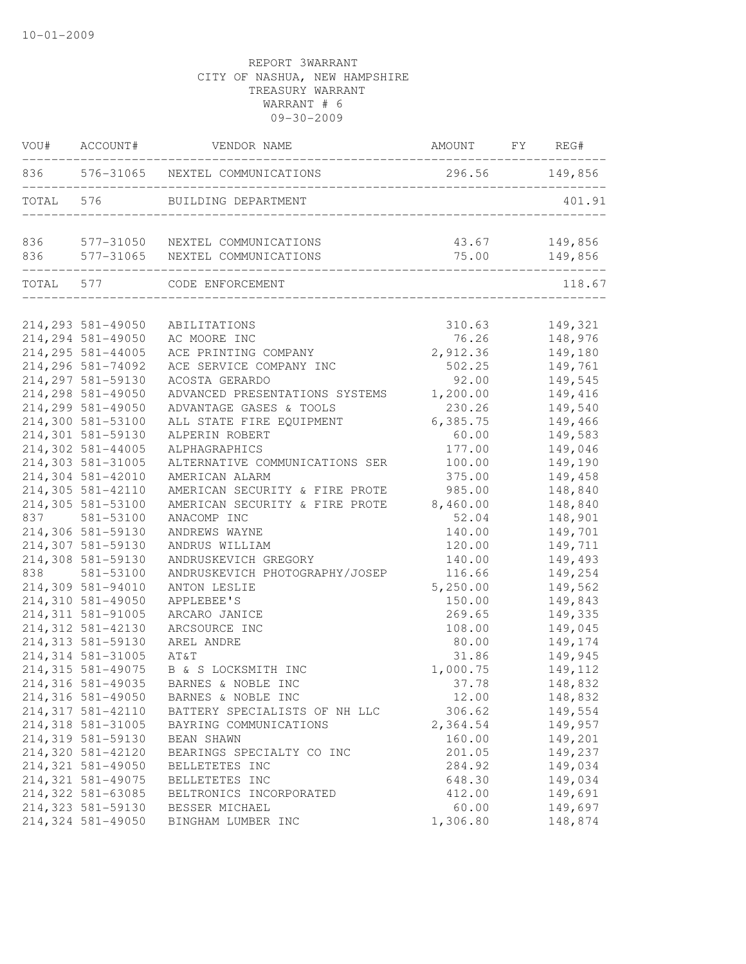|           | VOU# ACCOUNT#      | VENDOR NAME                         | AMOUNT FY REG# |         |
|-----------|--------------------|-------------------------------------|----------------|---------|
|           |                    | 836 576-31065 NEXTEL COMMUNICATIONS | 296.56 149,856 |         |
| TOTAL 576 |                    | BUILDING DEPARTMENT                 |                | 401.91  |
| 836       |                    | 577-31050 NEXTEL COMMUNICATIONS     | 43.67          | 149,856 |
| 836       |                    | 577-31065 NEXTEL COMMUNICATIONS     | 75.00          | 149,856 |
|           |                    | TOTAL 577 CODE ENFORCEMENT          |                | 118.67  |
|           | 214,293 581-49050  | ABILITATIONS                        | 310.63         | 149,321 |
|           | 214,294 581-49050  | AC MOORE INC                        | 76.26          | 148,976 |
|           | 214, 295 581-44005 | ACE PRINTING COMPANY                | 2,912.36       | 149,180 |
|           | 214,296 581-74092  | ACE SERVICE COMPANY INC             | 502.25         | 149,761 |
|           | 214,297 581-59130  | ACOSTA GERARDO                      | 92.00          | 149,545 |
|           | 214,298 581-49050  | ADVANCED PRESENTATIONS SYSTEMS      | 1,200.00       | 149,416 |
|           | 214,299 581-49050  | ADVANTAGE GASES & TOOLS             | 230.26         | 149,540 |
|           | 214,300 581-53100  | ALL STATE FIRE EQUIPMENT            | 6,385.75       | 149,466 |
|           | 214,301 581-59130  | ALPERIN ROBERT                      | 60.00          | 149,583 |
|           | 214,302 581-44005  | ALPHAGRAPHICS                       | 177.00         | 149,046 |
|           | 214,303 581-31005  | ALTERNATIVE COMMUNICATIONS SER      | 100.00         | 149,190 |
|           | 214,304 581-42010  | AMERICAN ALARM                      | 375.00         | 149,458 |
|           | 214,305 581-42110  | AMERICAN SECURITY & FIRE PROTE      | 985.00         | 148,840 |
|           | 214,305 581-53100  | AMERICAN SECURITY & FIRE PROTE      | 8,460.00       | 148,840 |
|           | 837 581-53100      | ANACOMP INC                         | 52.04          | 148,901 |
|           | 214,306 581-59130  | ANDREWS WAYNE                       | 140.00         | 149,701 |
|           | 214,307 581-59130  | ANDRUS WILLIAM                      | 120.00         | 149,711 |
|           | 214,308 581-59130  | ANDRUSKEVICH GREGORY                | 140.00         | 149,493 |
| 838       | 581-53100          | ANDRUSKEVICH PHOTOGRAPHY/JOSEP      | 116.66         | 149,254 |
|           | 214,309 581-94010  | ANTON LESLIE                        | 5,250.00       | 149,562 |
|           | 214,310 581-49050  | APPLEBEE'S                          | 150.00         | 149,843 |
|           | 214, 311 581-91005 | ARCARO JANICE                       | 269.65         | 149,335 |
|           | 214,312 581-42130  | ARCSOURCE INC                       | 108.00         | 149,045 |
|           | 214,313 581-59130  | AREL ANDRE                          | 80.00          | 149,174 |
|           | 214, 314 581-31005 | AT&T                                | 31.86          | 149,945 |
|           | 214,315 581-49075  | B & S LOCKSMITH INC                 | 1,000.75       | 149,112 |
|           | 214,316 581-49035  | BARNES & NOBLE INC                  | 37.78          | 148,832 |
|           | 214,316 581-49050  | BARNES & NOBLE INC                  | 12.00          | 148,832 |
|           | 214, 317 581-42110 | BATTERY SPECIALISTS OF NH LLC       | 306.62         | 149,554 |
|           | 214,318 581-31005  | BAYRING COMMUNICATIONS              | 2,364.54       | 149,957 |
|           | 214,319 581-59130  | BEAN SHAWN                          | 160.00         | 149,201 |
|           | 214,320 581-42120  | BEARINGS SPECIALTY CO INC           | 201.05         | 149,237 |
|           | 214,321 581-49050  | BELLETETES INC                      | 284.92         | 149,034 |
|           | 214,321 581-49075  | BELLETETES INC                      | 648.30         | 149,034 |
|           | 214,322 581-63085  | BELTRONICS INCORPORATED             | 412.00         | 149,691 |
|           | 214,323 581-59130  | BESSER MICHAEL                      | 60.00          | 149,697 |
|           | 214,324 581-49050  | BINGHAM LUMBER INC                  | 1,306.80       | 148,874 |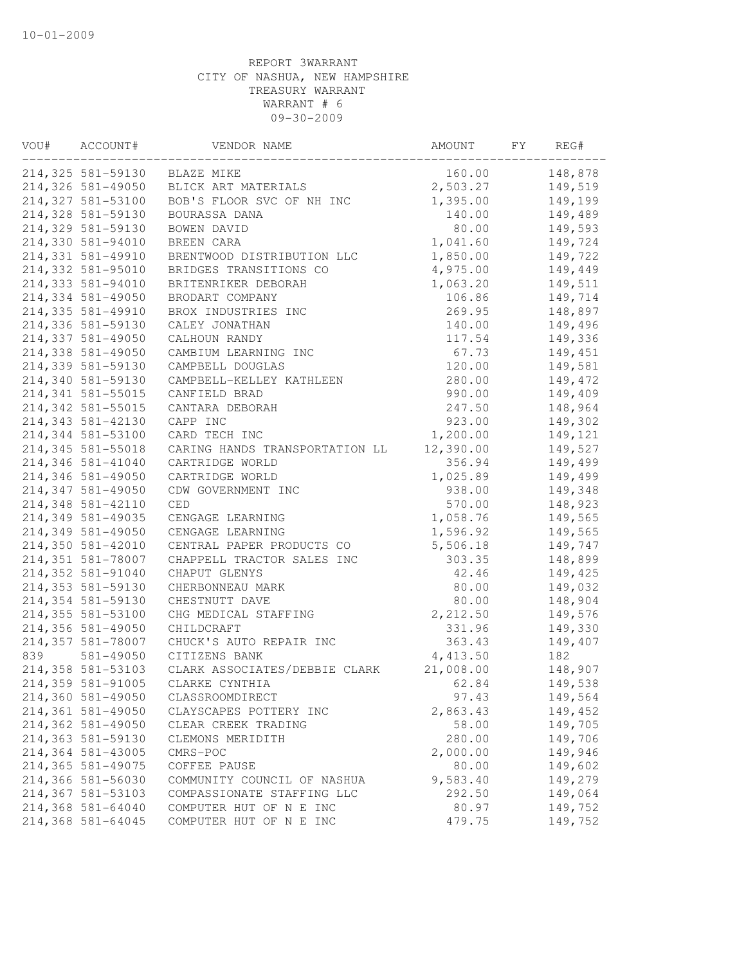| VOU# | ACCOUNT#          | VENDOR NAME                    | AMOUNT    | FY | REG#    |
|------|-------------------|--------------------------------|-----------|----|---------|
|      | 214,325 581-59130 | BLAZE MIKE                     | 160.00    |    | 148,878 |
|      | 214,326 581-49050 | BLICK ART MATERIALS            | 2,503.27  |    | 149,519 |
|      | 214,327 581-53100 | BOB'S FLOOR SVC OF NH INC      | 1,395.00  |    | 149,199 |
|      | 214,328 581-59130 | BOURASSA DANA                  | 140.00    |    | 149,489 |
|      | 214,329 581-59130 | BOWEN DAVID                    | 80.00     |    | 149,593 |
|      | 214,330 581-94010 | BREEN CARA                     | 1,041.60  |    | 149,724 |
|      | 214,331 581-49910 | BRENTWOOD DISTRIBUTION LLC     | 1,850.00  |    | 149,722 |
|      | 214,332 581-95010 | BRIDGES TRANSITIONS CO         | 4,975.00  |    | 149,449 |
|      | 214,333 581-94010 | BRITENRIKER DEBORAH            | 1,063.20  |    | 149,511 |
|      | 214,334 581-49050 | BRODART COMPANY                | 106.86    |    | 149,714 |
|      | 214,335 581-49910 | BROX INDUSTRIES INC            | 269.95    |    | 148,897 |
|      | 214,336 581-59130 | CALEY JONATHAN                 | 140.00    |    | 149,496 |
|      | 214,337 581-49050 | CALHOUN RANDY                  | 117.54    |    | 149,336 |
|      | 214,338 581-49050 | CAMBIUM LEARNING INC           | 67.73     |    | 149,451 |
|      | 214,339 581-59130 | CAMPBELL DOUGLAS               | 120.00    |    | 149,581 |
|      | 214,340 581-59130 | CAMPBELL-KELLEY KATHLEEN       | 280.00    |    | 149,472 |
|      | 214,341 581-55015 | CANFIELD BRAD                  | 990.00    |    | 149,409 |
|      | 214,342 581-55015 | CANTARA DEBORAH                | 247.50    |    | 148,964 |
|      | 214,343 581-42130 | CAPP INC                       | 923.00    |    | 149,302 |
|      | 214,344 581-53100 | CARD TECH INC                  | 1,200.00  |    | 149,121 |
|      | 214,345 581-55018 | CARING HANDS TRANSPORTATION LL | 12,390.00 |    | 149,527 |
|      | 214,346 581-41040 | CARTRIDGE WORLD                | 356.94    |    | 149,499 |
|      | 214,346 581-49050 | CARTRIDGE WORLD                | 1,025.89  |    | 149,499 |
|      | 214,347 581-49050 | CDW GOVERNMENT INC             | 938.00    |    | 149,348 |
|      | 214,348 581-42110 | CED                            | 570.00    |    | 148,923 |
|      | 214,349 581-49035 | CENGAGE LEARNING               | 1,058.76  |    | 149,565 |
|      | 214,349 581-49050 | CENGAGE LEARNING               | 1,596.92  |    | 149,565 |
|      | 214,350 581-42010 | CENTRAL PAPER PRODUCTS CO      | 5,506.18  |    | 149,747 |
|      | 214,351 581-78007 | CHAPPELL TRACTOR SALES INC     | 303.35    |    | 148,899 |
|      | 214,352 581-91040 | CHAPUT GLENYS                  | 42.46     |    | 149,425 |
|      | 214,353 581-59130 | CHERBONNEAU MARK               | 80.00     |    | 149,032 |
|      | 214,354 581-59130 | CHESTNUTT DAVE                 | 80.00     |    | 148,904 |
|      | 214,355 581-53100 | CHG MEDICAL STAFFING           | 2,212.50  |    | 149,576 |
|      | 214,356 581-49050 | CHILDCRAFT                     | 331.96    |    | 149,330 |
|      | 214,357 581-78007 | CHUCK'S AUTO REPAIR INC        | 363.43    |    | 149,407 |
| 839  | 581-49050         | CITIZENS BANK                  | 4, 413.50 |    | 182     |
|      | 214,358 581-53103 | CLARK ASSOCIATES/DEBBIE CLARK  | 21,008.00 |    | 148,907 |
|      | 214,359 581-91005 | CLARKE CYNTHIA                 | 62.84     |    | 149,538 |
|      | 214,360 581-49050 | CLASSROOMDIRECT                | 97.43     |    | 149,564 |
|      | 214,361 581-49050 | CLAYSCAPES POTTERY INC         | 2,863.43  |    | 149,452 |
|      | 214,362 581-49050 | CLEAR CREEK TRADING            | 58.00     |    | 149,705 |
|      | 214,363 581-59130 | CLEMONS MERIDITH               | 280.00    |    | 149,706 |
|      | 214,364 581-43005 | CMRS-POC                       | 2,000.00  |    | 149,946 |
|      | 214,365 581-49075 | COFFEE PAUSE                   | 80.00     |    | 149,602 |
|      | 214,366 581-56030 | COMMUNITY COUNCIL OF NASHUA    | 9,583.40  |    | 149,279 |
|      | 214,367 581-53103 | COMPASSIONATE STAFFING LLC     | 292.50    |    | 149,064 |
|      | 214,368 581-64040 | COMPUTER HUT OF N E INC        | 80.97     |    | 149,752 |
|      | 214,368 581-64045 | COMPUTER HUT OF N E INC        | 479.75    |    | 149,752 |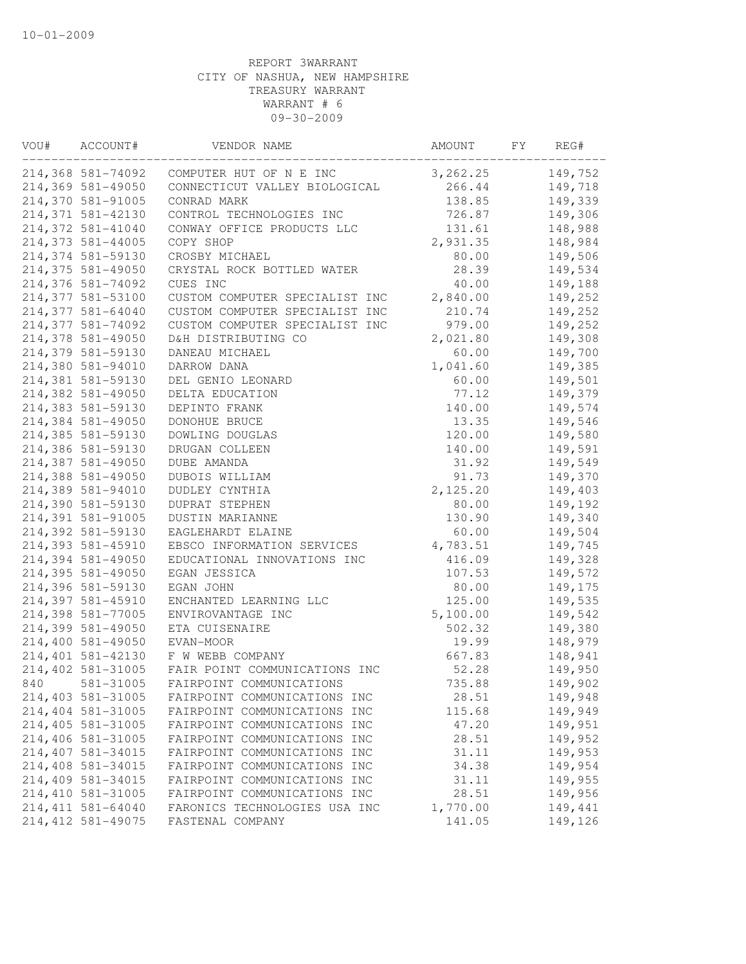| VOU# | ACCOUNT#           | VENDOR NAME                    | AMOUNT   | FY | REG#    |
|------|--------------------|--------------------------------|----------|----|---------|
|      | 214,368 581-74092  | COMPUTER HUT OF N E INC        | 3,262.25 |    | 149,752 |
|      | 214,369 581-49050  | CONNECTICUT VALLEY BIOLOGICAL  | 266.44   |    | 149,718 |
|      | 214,370 581-91005  | CONRAD MARK                    | 138.85   |    | 149,339 |
|      | 214,371 581-42130  | CONTROL TECHNOLOGIES INC       | 726.87   |    | 149,306 |
|      | 214,372 581-41040  | CONWAY OFFICE PRODUCTS LLC     | 131.61   |    | 148,988 |
|      | 214,373 581-44005  | COPY SHOP                      | 2,931.35 |    | 148,984 |
|      | 214,374 581-59130  | CROSBY MICHAEL                 | 80.00    |    | 149,506 |
|      | 214,375 581-49050  | CRYSTAL ROCK BOTTLED WATER     | 28.39    |    | 149,534 |
|      | 214,376 581-74092  | CUES INC                       | 40.00    |    | 149,188 |
|      | 214,377 581-53100  | CUSTOM COMPUTER SPECIALIST INC | 2,840.00 |    | 149,252 |
|      | 214,377 581-64040  | CUSTOM COMPUTER SPECIALIST INC | 210.74   |    | 149,252 |
|      | 214,377 581-74092  | CUSTOM COMPUTER SPECIALIST INC | 979.00   |    | 149,252 |
|      | 214,378 581-49050  | D&H DISTRIBUTING CO            | 2,021.80 |    | 149,308 |
|      | 214,379 581-59130  | DANEAU MICHAEL                 | 60.00    |    | 149,700 |
|      | 214,380 581-94010  | DARROW DANA                    | 1,041.60 |    | 149,385 |
|      | 214,381 581-59130  | DEL GENIO LEONARD              | 60.00    |    | 149,501 |
|      | 214,382 581-49050  | DELTA EDUCATION                | 77.12    |    | 149,379 |
|      | 214,383 581-59130  | DEPINTO FRANK                  | 140.00   |    | 149,574 |
|      | 214,384 581-49050  | DONOHUE BRUCE                  | 13.35    |    | 149,546 |
|      | 214,385 581-59130  | DOWLING DOUGLAS                | 120.00   |    | 149,580 |
|      | 214,386 581-59130  | DRUGAN COLLEEN                 | 140.00   |    | 149,591 |
|      | 214,387 581-49050  | DUBE AMANDA                    | 31.92    |    | 149,549 |
|      | 214,388 581-49050  | DUBOIS WILLIAM                 | 91.73    |    | 149,370 |
|      | 214,389 581-94010  | DUDLEY CYNTHIA                 | 2,125.20 |    | 149,403 |
|      | 214,390 581-59130  | DUPRAT STEPHEN                 | 80.00    |    | 149,192 |
|      | 214,391 581-91005  | DUSTIN MARIANNE                | 130.90   |    | 149,340 |
|      | 214,392 581-59130  | EAGLEHARDT ELAINE              | 60.00    |    | 149,504 |
|      | 214,393 581-45910  | EBSCO INFORMATION SERVICES     | 4,783.51 |    | 149,745 |
|      | 214,394 581-49050  | EDUCATIONAL INNOVATIONS INC    | 416.09   |    | 149,328 |
|      | 214,395 581-49050  | EGAN JESSICA                   | 107.53   |    | 149,572 |
|      | 214,396 581-59130  | EGAN JOHN                      | 80.00    |    | 149,175 |
|      | 214,397 581-45910  | ENCHANTED LEARNING LLC         | 125.00   |    | 149,535 |
|      | 214,398 581-77005  | ENVIROVANTAGE INC              | 5,100.00 |    | 149,542 |
|      | 214,399 581-49050  | ETA CUISENAIRE                 | 502.32   |    | 149,380 |
|      | 214,400 581-49050  | EVAN-MOOR                      | 19.99    |    | 148,979 |
|      | 214,401 581-42130  | F W WEBB COMPANY               | 667.83   |    | 148,941 |
|      | 214,402 581-31005  | FAIR POINT COMMUNICATIONS INC  | 52.28    |    | 149,950 |
| 840  | 581-31005          | FAIRPOINT COMMUNICATIONS       | 735.88   |    | 149,902 |
|      | 214,403 581-31005  | FAIRPOINT COMMUNICATIONS INC   | 28.51    |    | 149,948 |
|      | 214,404 581-31005  | FAIRPOINT COMMUNICATIONS INC   | 115.68   |    | 149,949 |
|      | 214,405 581-31005  | FAIRPOINT COMMUNICATIONS INC   | 47.20    |    | 149,951 |
|      | 214,406 581-31005  | FAIRPOINT COMMUNICATIONS INC   | 28.51    |    | 149,952 |
|      | 214,407 581-34015  | FAIRPOINT COMMUNICATIONS INC   | 31.11    |    | 149,953 |
|      | 214,408 581-34015  | FAIRPOINT COMMUNICATIONS INC   | 34.38    |    | 149,954 |
|      | 214,409 581-34015  | FAIRPOINT COMMUNICATIONS INC   | 31.11    |    | 149,955 |
|      | 214, 410 581-31005 | FAIRPOINT COMMUNICATIONS INC   | 28.51    |    | 149,956 |
|      | 214, 411 581-64040 | FARONICS TECHNOLOGIES USA INC  | 1,770.00 |    | 149,441 |
|      | 214, 412 581-49075 | FASTENAL COMPANY               | 141.05   |    | 149,126 |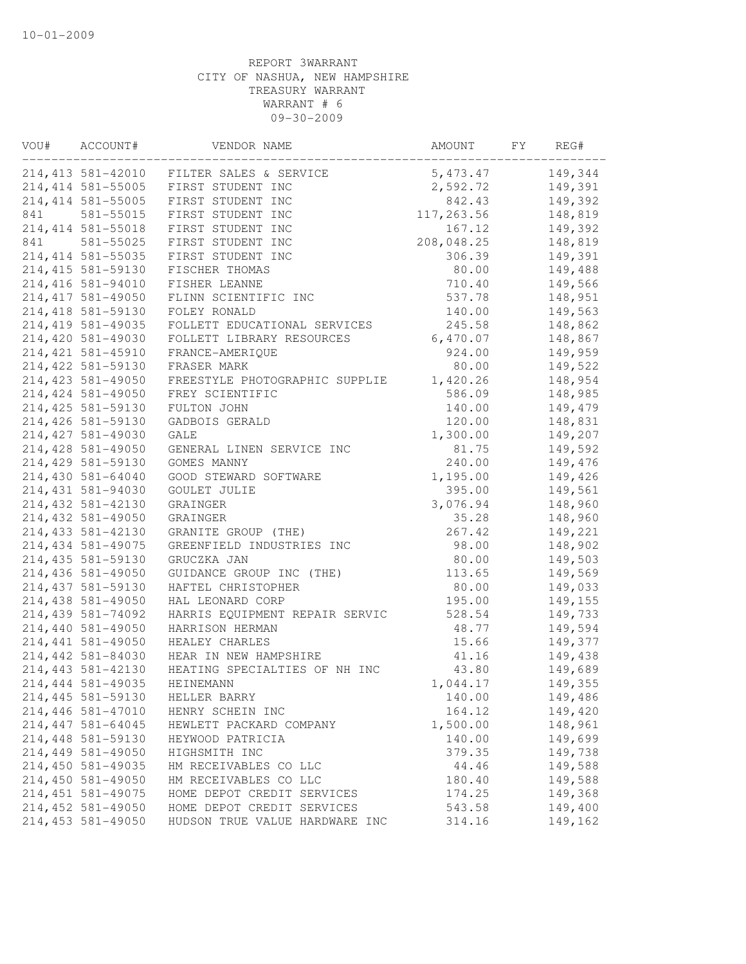| 214, 413 581-42010 FILTER SALES & SERVICE<br>5,473.47<br>149,344<br>214, 414 581-55005<br>FIRST STUDENT INC<br>2,592.72<br>149,391<br>214, 414 581-55005<br>FIRST STUDENT INC<br>842.43<br>149,392<br>581-55015<br>FIRST STUDENT INC<br>117,263.56<br>148,819<br>214, 414 581-55018<br>FIRST STUDENT INC<br>149,392<br>167.12<br>FIRST STUDENT INC<br>208,048.25<br>581-55025<br>148,819<br>214, 414 581-55035<br>149,391<br>FIRST STUDENT INC<br>306.39<br>214, 415 581-59130<br>80.00<br>149,488<br>FISCHER THOMAS<br>214, 416 581-94010<br>FISHER LEANNE<br>710.40<br>149,566<br>214, 417 581-49050<br>537.78<br>148,951<br>FLINN SCIENTIFIC INC<br>214,418 581-59130<br>149,563<br>FOLEY RONALD<br>140.00<br>214, 419 581-49035<br>FOLLETT EDUCATIONAL SERVICES<br>245.58<br>148,862<br>214,420 581-49030<br>FOLLETT LIBRARY RESOURCES<br>6,470.07<br>148,867<br>214, 421 581-45910<br>924.00<br>149,959<br>FRANCE-AMERIQUE<br>214, 422 581-59130<br>149,522<br>FRASER MARK<br>80.00<br>214, 423 581-49050<br>1,420.26<br>148,954<br>FREESTYLE PHOTOGRAPHIC SUPPLIE<br>214, 424 581-49050<br>586.09<br>148,985<br>FREY SCIENTIFIC<br>214, 425 581-59130<br>140.00<br>149,479<br>FULTON JOHN<br>214,426 581-59130<br>148,831<br>GADBOIS GERALD<br>120.00<br>214, 427 581-49030<br>GALE<br>1,300.00<br>149,207<br>214, 428 581-49050<br>149,592<br>GENERAL LINEN SERVICE INC<br>81.75<br>214,429 581-59130<br>240.00<br>149,476<br>GOMES MANNY<br>1,195.00<br>214,430 581-64040<br>GOOD STEWARD SOFTWARE<br>149,426<br>214, 431 581-94030<br>395.00<br>149,561<br>GOULET JULIE<br>3,076.94<br>214, 432 581-42130<br>148,960<br>GRAINGER<br>214,432 581-49050<br>148,960<br>35.28<br>GRAINGER<br>214, 433 581-42130<br>GRANITE GROUP (THE)<br>267.42<br>149,221<br>214, 434 581-49075<br>GREENFIELD INDUSTRIES INC<br>98.00<br>148,902<br>214, 435 581-59130<br>GRUCZKA JAN<br>80.00<br>149,503<br>113.65<br>214,436 581-49050<br>GUIDANCE GROUP INC (THE)<br>149,569<br>80.00<br>214, 437 581-59130<br>149,033<br>HAFTEL CHRISTOPHER<br>214,438 581-49050<br>195.00<br>149,155<br>HAL LEONARD CORP<br>214,439 581-74092<br>HARRIS EQUIPMENT REPAIR SERVIC<br>528.54<br>149,733<br>214,440 581-49050<br>48.77<br>149,594<br>HARRISON HERMAN<br>214, 441 581-49050<br>15.66<br>149,377<br>HEALEY CHARLES<br>214,442 581-84030<br>HEAR IN NEW HAMPSHIRE<br>41.16<br>149,438<br>214, 443 581-42130<br>HEATING SPECIALTIES OF NH INC<br>43.80<br>149,689<br>214, 444 581-49035<br>149,355<br>HEINEMANN<br>1,044.17<br>214, 445 581-59130<br>140.00<br>149,486<br>HELLER BARRY<br>214,446 581-47010<br>164.12<br>149,420<br>HENRY SCHEIN INC<br>214, 447 581-64045<br>1,500.00<br>148,961<br>HEWLETT PACKARD COMPANY<br>214,448 581-59130<br>140.00<br>149,699<br>HEYWOOD PATRICIA<br>214,449 581-49050<br>149,738<br>HIGHSMITH INC<br>379.35<br>214,450 581-49035<br>149,588<br>44.46<br>HM RECEIVABLES CO LLC<br>214,450 581-49050<br>149,588<br>180.40<br>HM RECEIVABLES CO LLC<br>214, 451 581-49075<br>149,368<br>HOME DEPOT CREDIT SERVICES<br>174.25<br>214, 452 581-49050<br>HOME DEPOT CREDIT SERVICES<br>149,400<br>543.58<br>214, 453 581-49050<br>314.16<br>149,162<br>HUDSON TRUE VALUE HARDWARE INC | VOU# | ACCOUNT# | VENDOR NAME | AMOUNT | FY | REG# |
|---------------------------------------------------------------------------------------------------------------------------------------------------------------------------------------------------------------------------------------------------------------------------------------------------------------------------------------------------------------------------------------------------------------------------------------------------------------------------------------------------------------------------------------------------------------------------------------------------------------------------------------------------------------------------------------------------------------------------------------------------------------------------------------------------------------------------------------------------------------------------------------------------------------------------------------------------------------------------------------------------------------------------------------------------------------------------------------------------------------------------------------------------------------------------------------------------------------------------------------------------------------------------------------------------------------------------------------------------------------------------------------------------------------------------------------------------------------------------------------------------------------------------------------------------------------------------------------------------------------------------------------------------------------------------------------------------------------------------------------------------------------------------------------------------------------------------------------------------------------------------------------------------------------------------------------------------------------------------------------------------------------------------------------------------------------------------------------------------------------------------------------------------------------------------------------------------------------------------------------------------------------------------------------------------------------------------------------------------------------------------------------------------------------------------------------------------------------------------------------------------------------------------------------------------------------------------------------------------------------------------------------------------------------------------------------------------------------------------------------------------------------------------------------------------------------------------------------------------------------------------------------------------------------------------------------------------------------------------------------------------------------------------------------------------------------------------------------------------------------------------------------------------------------------------------------------------------------|------|----------|-------------|--------|----|------|
|                                                                                                                                                                                                                                                                                                                                                                                                                                                                                                                                                                                                                                                                                                                                                                                                                                                                                                                                                                                                                                                                                                                                                                                                                                                                                                                                                                                                                                                                                                                                                                                                                                                                                                                                                                                                                                                                                                                                                                                                                                                                                                                                                                                                                                                                                                                                                                                                                                                                                                                                                                                                                                                                                                                                                                                                                                                                                                                                                                                                                                                                                                                                                                                                               |      |          |             |        |    |      |
|                                                                                                                                                                                                                                                                                                                                                                                                                                                                                                                                                                                                                                                                                                                                                                                                                                                                                                                                                                                                                                                                                                                                                                                                                                                                                                                                                                                                                                                                                                                                                                                                                                                                                                                                                                                                                                                                                                                                                                                                                                                                                                                                                                                                                                                                                                                                                                                                                                                                                                                                                                                                                                                                                                                                                                                                                                                                                                                                                                                                                                                                                                                                                                                                               |      |          |             |        |    |      |
|                                                                                                                                                                                                                                                                                                                                                                                                                                                                                                                                                                                                                                                                                                                                                                                                                                                                                                                                                                                                                                                                                                                                                                                                                                                                                                                                                                                                                                                                                                                                                                                                                                                                                                                                                                                                                                                                                                                                                                                                                                                                                                                                                                                                                                                                                                                                                                                                                                                                                                                                                                                                                                                                                                                                                                                                                                                                                                                                                                                                                                                                                                                                                                                                               |      |          |             |        |    |      |
|                                                                                                                                                                                                                                                                                                                                                                                                                                                                                                                                                                                                                                                                                                                                                                                                                                                                                                                                                                                                                                                                                                                                                                                                                                                                                                                                                                                                                                                                                                                                                                                                                                                                                                                                                                                                                                                                                                                                                                                                                                                                                                                                                                                                                                                                                                                                                                                                                                                                                                                                                                                                                                                                                                                                                                                                                                                                                                                                                                                                                                                                                                                                                                                                               | 841  |          |             |        |    |      |
|                                                                                                                                                                                                                                                                                                                                                                                                                                                                                                                                                                                                                                                                                                                                                                                                                                                                                                                                                                                                                                                                                                                                                                                                                                                                                                                                                                                                                                                                                                                                                                                                                                                                                                                                                                                                                                                                                                                                                                                                                                                                                                                                                                                                                                                                                                                                                                                                                                                                                                                                                                                                                                                                                                                                                                                                                                                                                                                                                                                                                                                                                                                                                                                                               |      |          |             |        |    |      |
|                                                                                                                                                                                                                                                                                                                                                                                                                                                                                                                                                                                                                                                                                                                                                                                                                                                                                                                                                                                                                                                                                                                                                                                                                                                                                                                                                                                                                                                                                                                                                                                                                                                                                                                                                                                                                                                                                                                                                                                                                                                                                                                                                                                                                                                                                                                                                                                                                                                                                                                                                                                                                                                                                                                                                                                                                                                                                                                                                                                                                                                                                                                                                                                                               | 841  |          |             |        |    |      |
|                                                                                                                                                                                                                                                                                                                                                                                                                                                                                                                                                                                                                                                                                                                                                                                                                                                                                                                                                                                                                                                                                                                                                                                                                                                                                                                                                                                                                                                                                                                                                                                                                                                                                                                                                                                                                                                                                                                                                                                                                                                                                                                                                                                                                                                                                                                                                                                                                                                                                                                                                                                                                                                                                                                                                                                                                                                                                                                                                                                                                                                                                                                                                                                                               |      |          |             |        |    |      |
|                                                                                                                                                                                                                                                                                                                                                                                                                                                                                                                                                                                                                                                                                                                                                                                                                                                                                                                                                                                                                                                                                                                                                                                                                                                                                                                                                                                                                                                                                                                                                                                                                                                                                                                                                                                                                                                                                                                                                                                                                                                                                                                                                                                                                                                                                                                                                                                                                                                                                                                                                                                                                                                                                                                                                                                                                                                                                                                                                                                                                                                                                                                                                                                                               |      |          |             |        |    |      |
|                                                                                                                                                                                                                                                                                                                                                                                                                                                                                                                                                                                                                                                                                                                                                                                                                                                                                                                                                                                                                                                                                                                                                                                                                                                                                                                                                                                                                                                                                                                                                                                                                                                                                                                                                                                                                                                                                                                                                                                                                                                                                                                                                                                                                                                                                                                                                                                                                                                                                                                                                                                                                                                                                                                                                                                                                                                                                                                                                                                                                                                                                                                                                                                                               |      |          |             |        |    |      |
|                                                                                                                                                                                                                                                                                                                                                                                                                                                                                                                                                                                                                                                                                                                                                                                                                                                                                                                                                                                                                                                                                                                                                                                                                                                                                                                                                                                                                                                                                                                                                                                                                                                                                                                                                                                                                                                                                                                                                                                                                                                                                                                                                                                                                                                                                                                                                                                                                                                                                                                                                                                                                                                                                                                                                                                                                                                                                                                                                                                                                                                                                                                                                                                                               |      |          |             |        |    |      |
|                                                                                                                                                                                                                                                                                                                                                                                                                                                                                                                                                                                                                                                                                                                                                                                                                                                                                                                                                                                                                                                                                                                                                                                                                                                                                                                                                                                                                                                                                                                                                                                                                                                                                                                                                                                                                                                                                                                                                                                                                                                                                                                                                                                                                                                                                                                                                                                                                                                                                                                                                                                                                                                                                                                                                                                                                                                                                                                                                                                                                                                                                                                                                                                                               |      |          |             |        |    |      |
|                                                                                                                                                                                                                                                                                                                                                                                                                                                                                                                                                                                                                                                                                                                                                                                                                                                                                                                                                                                                                                                                                                                                                                                                                                                                                                                                                                                                                                                                                                                                                                                                                                                                                                                                                                                                                                                                                                                                                                                                                                                                                                                                                                                                                                                                                                                                                                                                                                                                                                                                                                                                                                                                                                                                                                                                                                                                                                                                                                                                                                                                                                                                                                                                               |      |          |             |        |    |      |
|                                                                                                                                                                                                                                                                                                                                                                                                                                                                                                                                                                                                                                                                                                                                                                                                                                                                                                                                                                                                                                                                                                                                                                                                                                                                                                                                                                                                                                                                                                                                                                                                                                                                                                                                                                                                                                                                                                                                                                                                                                                                                                                                                                                                                                                                                                                                                                                                                                                                                                                                                                                                                                                                                                                                                                                                                                                                                                                                                                                                                                                                                                                                                                                                               |      |          |             |        |    |      |
|                                                                                                                                                                                                                                                                                                                                                                                                                                                                                                                                                                                                                                                                                                                                                                                                                                                                                                                                                                                                                                                                                                                                                                                                                                                                                                                                                                                                                                                                                                                                                                                                                                                                                                                                                                                                                                                                                                                                                                                                                                                                                                                                                                                                                                                                                                                                                                                                                                                                                                                                                                                                                                                                                                                                                                                                                                                                                                                                                                                                                                                                                                                                                                                                               |      |          |             |        |    |      |
|                                                                                                                                                                                                                                                                                                                                                                                                                                                                                                                                                                                                                                                                                                                                                                                                                                                                                                                                                                                                                                                                                                                                                                                                                                                                                                                                                                                                                                                                                                                                                                                                                                                                                                                                                                                                                                                                                                                                                                                                                                                                                                                                                                                                                                                                                                                                                                                                                                                                                                                                                                                                                                                                                                                                                                                                                                                                                                                                                                                                                                                                                                                                                                                                               |      |          |             |        |    |      |
|                                                                                                                                                                                                                                                                                                                                                                                                                                                                                                                                                                                                                                                                                                                                                                                                                                                                                                                                                                                                                                                                                                                                                                                                                                                                                                                                                                                                                                                                                                                                                                                                                                                                                                                                                                                                                                                                                                                                                                                                                                                                                                                                                                                                                                                                                                                                                                                                                                                                                                                                                                                                                                                                                                                                                                                                                                                                                                                                                                                                                                                                                                                                                                                                               |      |          |             |        |    |      |
|                                                                                                                                                                                                                                                                                                                                                                                                                                                                                                                                                                                                                                                                                                                                                                                                                                                                                                                                                                                                                                                                                                                                                                                                                                                                                                                                                                                                                                                                                                                                                                                                                                                                                                                                                                                                                                                                                                                                                                                                                                                                                                                                                                                                                                                                                                                                                                                                                                                                                                                                                                                                                                                                                                                                                                                                                                                                                                                                                                                                                                                                                                                                                                                                               |      |          |             |        |    |      |
|                                                                                                                                                                                                                                                                                                                                                                                                                                                                                                                                                                                                                                                                                                                                                                                                                                                                                                                                                                                                                                                                                                                                                                                                                                                                                                                                                                                                                                                                                                                                                                                                                                                                                                                                                                                                                                                                                                                                                                                                                                                                                                                                                                                                                                                                                                                                                                                                                                                                                                                                                                                                                                                                                                                                                                                                                                                                                                                                                                                                                                                                                                                                                                                                               |      |          |             |        |    |      |
|                                                                                                                                                                                                                                                                                                                                                                                                                                                                                                                                                                                                                                                                                                                                                                                                                                                                                                                                                                                                                                                                                                                                                                                                                                                                                                                                                                                                                                                                                                                                                                                                                                                                                                                                                                                                                                                                                                                                                                                                                                                                                                                                                                                                                                                                                                                                                                                                                                                                                                                                                                                                                                                                                                                                                                                                                                                                                                                                                                                                                                                                                                                                                                                                               |      |          |             |        |    |      |
|                                                                                                                                                                                                                                                                                                                                                                                                                                                                                                                                                                                                                                                                                                                                                                                                                                                                                                                                                                                                                                                                                                                                                                                                                                                                                                                                                                                                                                                                                                                                                                                                                                                                                                                                                                                                                                                                                                                                                                                                                                                                                                                                                                                                                                                                                                                                                                                                                                                                                                                                                                                                                                                                                                                                                                                                                                                                                                                                                                                                                                                                                                                                                                                                               |      |          |             |        |    |      |
|                                                                                                                                                                                                                                                                                                                                                                                                                                                                                                                                                                                                                                                                                                                                                                                                                                                                                                                                                                                                                                                                                                                                                                                                                                                                                                                                                                                                                                                                                                                                                                                                                                                                                                                                                                                                                                                                                                                                                                                                                                                                                                                                                                                                                                                                                                                                                                                                                                                                                                                                                                                                                                                                                                                                                                                                                                                                                                                                                                                                                                                                                                                                                                                                               |      |          |             |        |    |      |
|                                                                                                                                                                                                                                                                                                                                                                                                                                                                                                                                                                                                                                                                                                                                                                                                                                                                                                                                                                                                                                                                                                                                                                                                                                                                                                                                                                                                                                                                                                                                                                                                                                                                                                                                                                                                                                                                                                                                                                                                                                                                                                                                                                                                                                                                                                                                                                                                                                                                                                                                                                                                                                                                                                                                                                                                                                                                                                                                                                                                                                                                                                                                                                                                               |      |          |             |        |    |      |
|                                                                                                                                                                                                                                                                                                                                                                                                                                                                                                                                                                                                                                                                                                                                                                                                                                                                                                                                                                                                                                                                                                                                                                                                                                                                                                                                                                                                                                                                                                                                                                                                                                                                                                                                                                                                                                                                                                                                                                                                                                                                                                                                                                                                                                                                                                                                                                                                                                                                                                                                                                                                                                                                                                                                                                                                                                                                                                                                                                                                                                                                                                                                                                                                               |      |          |             |        |    |      |
|                                                                                                                                                                                                                                                                                                                                                                                                                                                                                                                                                                                                                                                                                                                                                                                                                                                                                                                                                                                                                                                                                                                                                                                                                                                                                                                                                                                                                                                                                                                                                                                                                                                                                                                                                                                                                                                                                                                                                                                                                                                                                                                                                                                                                                                                                                                                                                                                                                                                                                                                                                                                                                                                                                                                                                                                                                                                                                                                                                                                                                                                                                                                                                                                               |      |          |             |        |    |      |
|                                                                                                                                                                                                                                                                                                                                                                                                                                                                                                                                                                                                                                                                                                                                                                                                                                                                                                                                                                                                                                                                                                                                                                                                                                                                                                                                                                                                                                                                                                                                                                                                                                                                                                                                                                                                                                                                                                                                                                                                                                                                                                                                                                                                                                                                                                                                                                                                                                                                                                                                                                                                                                                                                                                                                                                                                                                                                                                                                                                                                                                                                                                                                                                                               |      |          |             |        |    |      |
|                                                                                                                                                                                                                                                                                                                                                                                                                                                                                                                                                                                                                                                                                                                                                                                                                                                                                                                                                                                                                                                                                                                                                                                                                                                                                                                                                                                                                                                                                                                                                                                                                                                                                                                                                                                                                                                                                                                                                                                                                                                                                                                                                                                                                                                                                                                                                                                                                                                                                                                                                                                                                                                                                                                                                                                                                                                                                                                                                                                                                                                                                                                                                                                                               |      |          |             |        |    |      |
|                                                                                                                                                                                                                                                                                                                                                                                                                                                                                                                                                                                                                                                                                                                                                                                                                                                                                                                                                                                                                                                                                                                                                                                                                                                                                                                                                                                                                                                                                                                                                                                                                                                                                                                                                                                                                                                                                                                                                                                                                                                                                                                                                                                                                                                                                                                                                                                                                                                                                                                                                                                                                                                                                                                                                                                                                                                                                                                                                                                                                                                                                                                                                                                                               |      |          |             |        |    |      |
|                                                                                                                                                                                                                                                                                                                                                                                                                                                                                                                                                                                                                                                                                                                                                                                                                                                                                                                                                                                                                                                                                                                                                                                                                                                                                                                                                                                                                                                                                                                                                                                                                                                                                                                                                                                                                                                                                                                                                                                                                                                                                                                                                                                                                                                                                                                                                                                                                                                                                                                                                                                                                                                                                                                                                                                                                                                                                                                                                                                                                                                                                                                                                                                                               |      |          |             |        |    |      |
|                                                                                                                                                                                                                                                                                                                                                                                                                                                                                                                                                                                                                                                                                                                                                                                                                                                                                                                                                                                                                                                                                                                                                                                                                                                                                                                                                                                                                                                                                                                                                                                                                                                                                                                                                                                                                                                                                                                                                                                                                                                                                                                                                                                                                                                                                                                                                                                                                                                                                                                                                                                                                                                                                                                                                                                                                                                                                                                                                                                                                                                                                                                                                                                                               |      |          |             |        |    |      |
|                                                                                                                                                                                                                                                                                                                                                                                                                                                                                                                                                                                                                                                                                                                                                                                                                                                                                                                                                                                                                                                                                                                                                                                                                                                                                                                                                                                                                                                                                                                                                                                                                                                                                                                                                                                                                                                                                                                                                                                                                                                                                                                                                                                                                                                                                                                                                                                                                                                                                                                                                                                                                                                                                                                                                                                                                                                                                                                                                                                                                                                                                                                                                                                                               |      |          |             |        |    |      |
|                                                                                                                                                                                                                                                                                                                                                                                                                                                                                                                                                                                                                                                                                                                                                                                                                                                                                                                                                                                                                                                                                                                                                                                                                                                                                                                                                                                                                                                                                                                                                                                                                                                                                                                                                                                                                                                                                                                                                                                                                                                                                                                                                                                                                                                                                                                                                                                                                                                                                                                                                                                                                                                                                                                                                                                                                                                                                                                                                                                                                                                                                                                                                                                                               |      |          |             |        |    |      |
|                                                                                                                                                                                                                                                                                                                                                                                                                                                                                                                                                                                                                                                                                                                                                                                                                                                                                                                                                                                                                                                                                                                                                                                                                                                                                                                                                                                                                                                                                                                                                                                                                                                                                                                                                                                                                                                                                                                                                                                                                                                                                                                                                                                                                                                                                                                                                                                                                                                                                                                                                                                                                                                                                                                                                                                                                                                                                                                                                                                                                                                                                                                                                                                                               |      |          |             |        |    |      |
|                                                                                                                                                                                                                                                                                                                                                                                                                                                                                                                                                                                                                                                                                                                                                                                                                                                                                                                                                                                                                                                                                                                                                                                                                                                                                                                                                                                                                                                                                                                                                                                                                                                                                                                                                                                                                                                                                                                                                                                                                                                                                                                                                                                                                                                                                                                                                                                                                                                                                                                                                                                                                                                                                                                                                                                                                                                                                                                                                                                                                                                                                                                                                                                                               |      |          |             |        |    |      |
|                                                                                                                                                                                                                                                                                                                                                                                                                                                                                                                                                                                                                                                                                                                                                                                                                                                                                                                                                                                                                                                                                                                                                                                                                                                                                                                                                                                                                                                                                                                                                                                                                                                                                                                                                                                                                                                                                                                                                                                                                                                                                                                                                                                                                                                                                                                                                                                                                                                                                                                                                                                                                                                                                                                                                                                                                                                                                                                                                                                                                                                                                                                                                                                                               |      |          |             |        |    |      |
|                                                                                                                                                                                                                                                                                                                                                                                                                                                                                                                                                                                                                                                                                                                                                                                                                                                                                                                                                                                                                                                                                                                                                                                                                                                                                                                                                                                                                                                                                                                                                                                                                                                                                                                                                                                                                                                                                                                                                                                                                                                                                                                                                                                                                                                                                                                                                                                                                                                                                                                                                                                                                                                                                                                                                                                                                                                                                                                                                                                                                                                                                                                                                                                                               |      |          |             |        |    |      |
|                                                                                                                                                                                                                                                                                                                                                                                                                                                                                                                                                                                                                                                                                                                                                                                                                                                                                                                                                                                                                                                                                                                                                                                                                                                                                                                                                                                                                                                                                                                                                                                                                                                                                                                                                                                                                                                                                                                                                                                                                                                                                                                                                                                                                                                                                                                                                                                                                                                                                                                                                                                                                                                                                                                                                                                                                                                                                                                                                                                                                                                                                                                                                                                                               |      |          |             |        |    |      |
|                                                                                                                                                                                                                                                                                                                                                                                                                                                                                                                                                                                                                                                                                                                                                                                                                                                                                                                                                                                                                                                                                                                                                                                                                                                                                                                                                                                                                                                                                                                                                                                                                                                                                                                                                                                                                                                                                                                                                                                                                                                                                                                                                                                                                                                                                                                                                                                                                                                                                                                                                                                                                                                                                                                                                                                                                                                                                                                                                                                                                                                                                                                                                                                                               |      |          |             |        |    |      |
|                                                                                                                                                                                                                                                                                                                                                                                                                                                                                                                                                                                                                                                                                                                                                                                                                                                                                                                                                                                                                                                                                                                                                                                                                                                                                                                                                                                                                                                                                                                                                                                                                                                                                                                                                                                                                                                                                                                                                                                                                                                                                                                                                                                                                                                                                                                                                                                                                                                                                                                                                                                                                                                                                                                                                                                                                                                                                                                                                                                                                                                                                                                                                                                                               |      |          |             |        |    |      |
|                                                                                                                                                                                                                                                                                                                                                                                                                                                                                                                                                                                                                                                                                                                                                                                                                                                                                                                                                                                                                                                                                                                                                                                                                                                                                                                                                                                                                                                                                                                                                                                                                                                                                                                                                                                                                                                                                                                                                                                                                                                                                                                                                                                                                                                                                                                                                                                                                                                                                                                                                                                                                                                                                                                                                                                                                                                                                                                                                                                                                                                                                                                                                                                                               |      |          |             |        |    |      |
|                                                                                                                                                                                                                                                                                                                                                                                                                                                                                                                                                                                                                                                                                                                                                                                                                                                                                                                                                                                                                                                                                                                                                                                                                                                                                                                                                                                                                                                                                                                                                                                                                                                                                                                                                                                                                                                                                                                                                                                                                                                                                                                                                                                                                                                                                                                                                                                                                                                                                                                                                                                                                                                                                                                                                                                                                                                                                                                                                                                                                                                                                                                                                                                                               |      |          |             |        |    |      |
|                                                                                                                                                                                                                                                                                                                                                                                                                                                                                                                                                                                                                                                                                                                                                                                                                                                                                                                                                                                                                                                                                                                                                                                                                                                                                                                                                                                                                                                                                                                                                                                                                                                                                                                                                                                                                                                                                                                                                                                                                                                                                                                                                                                                                                                                                                                                                                                                                                                                                                                                                                                                                                                                                                                                                                                                                                                                                                                                                                                                                                                                                                                                                                                                               |      |          |             |        |    |      |
|                                                                                                                                                                                                                                                                                                                                                                                                                                                                                                                                                                                                                                                                                                                                                                                                                                                                                                                                                                                                                                                                                                                                                                                                                                                                                                                                                                                                                                                                                                                                                                                                                                                                                                                                                                                                                                                                                                                                                                                                                                                                                                                                                                                                                                                                                                                                                                                                                                                                                                                                                                                                                                                                                                                                                                                                                                                                                                                                                                                                                                                                                                                                                                                                               |      |          |             |        |    |      |
|                                                                                                                                                                                                                                                                                                                                                                                                                                                                                                                                                                                                                                                                                                                                                                                                                                                                                                                                                                                                                                                                                                                                                                                                                                                                                                                                                                                                                                                                                                                                                                                                                                                                                                                                                                                                                                                                                                                                                                                                                                                                                                                                                                                                                                                                                                                                                                                                                                                                                                                                                                                                                                                                                                                                                                                                                                                                                                                                                                                                                                                                                                                                                                                                               |      |          |             |        |    |      |
|                                                                                                                                                                                                                                                                                                                                                                                                                                                                                                                                                                                                                                                                                                                                                                                                                                                                                                                                                                                                                                                                                                                                                                                                                                                                                                                                                                                                                                                                                                                                                                                                                                                                                                                                                                                                                                                                                                                                                                                                                                                                                                                                                                                                                                                                                                                                                                                                                                                                                                                                                                                                                                                                                                                                                                                                                                                                                                                                                                                                                                                                                                                                                                                                               |      |          |             |        |    |      |
|                                                                                                                                                                                                                                                                                                                                                                                                                                                                                                                                                                                                                                                                                                                                                                                                                                                                                                                                                                                                                                                                                                                                                                                                                                                                                                                                                                                                                                                                                                                                                                                                                                                                                                                                                                                                                                                                                                                                                                                                                                                                                                                                                                                                                                                                                                                                                                                                                                                                                                                                                                                                                                                                                                                                                                                                                                                                                                                                                                                                                                                                                                                                                                                                               |      |          |             |        |    |      |
|                                                                                                                                                                                                                                                                                                                                                                                                                                                                                                                                                                                                                                                                                                                                                                                                                                                                                                                                                                                                                                                                                                                                                                                                                                                                                                                                                                                                                                                                                                                                                                                                                                                                                                                                                                                                                                                                                                                                                                                                                                                                                                                                                                                                                                                                                                                                                                                                                                                                                                                                                                                                                                                                                                                                                                                                                                                                                                                                                                                                                                                                                                                                                                                                               |      |          |             |        |    |      |
|                                                                                                                                                                                                                                                                                                                                                                                                                                                                                                                                                                                                                                                                                                                                                                                                                                                                                                                                                                                                                                                                                                                                                                                                                                                                                                                                                                                                                                                                                                                                                                                                                                                                                                                                                                                                                                                                                                                                                                                                                                                                                                                                                                                                                                                                                                                                                                                                                                                                                                                                                                                                                                                                                                                                                                                                                                                                                                                                                                                                                                                                                                                                                                                                               |      |          |             |        |    |      |
|                                                                                                                                                                                                                                                                                                                                                                                                                                                                                                                                                                                                                                                                                                                                                                                                                                                                                                                                                                                                                                                                                                                                                                                                                                                                                                                                                                                                                                                                                                                                                                                                                                                                                                                                                                                                                                                                                                                                                                                                                                                                                                                                                                                                                                                                                                                                                                                                                                                                                                                                                                                                                                                                                                                                                                                                                                                                                                                                                                                                                                                                                                                                                                                                               |      |          |             |        |    |      |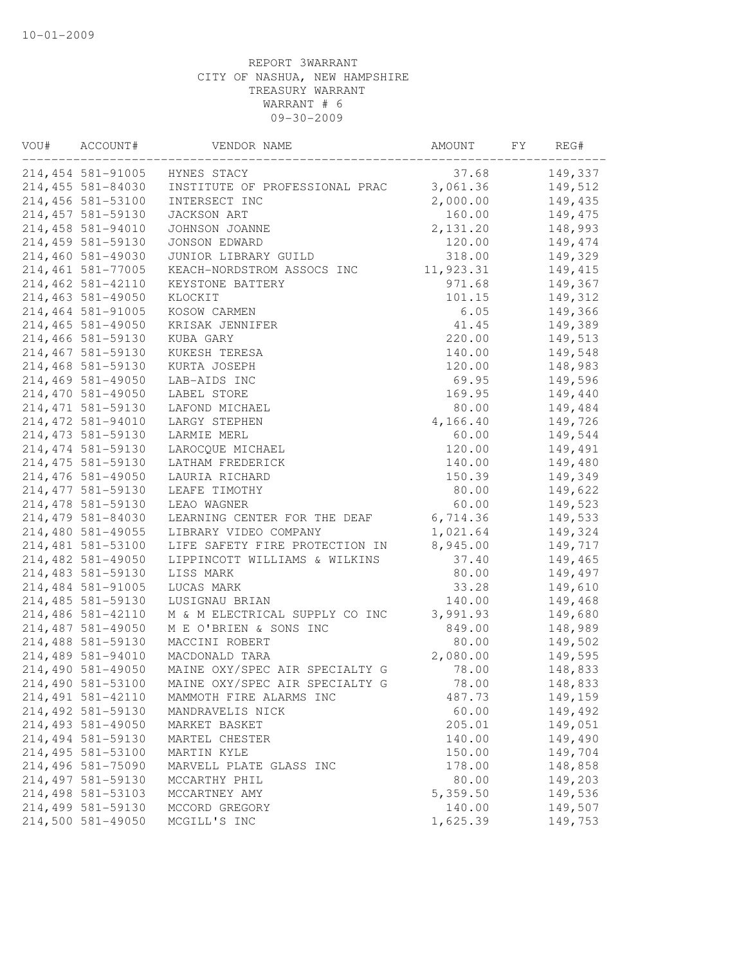| VOU# | ACCOUNT#           | VENDOR NAME                    | AMOUNT    | FY | REG#     |
|------|--------------------|--------------------------------|-----------|----|----------|
|      | 214, 454 581-91005 | HYNES STACY                    | 37.68     |    | 149,337  |
|      | 214, 455 581-84030 | INSTITUTE OF PROFESSIONAL PRAC | 3,061.36  |    | 149,512  |
|      | 214,456 581-53100  | INTERSECT INC                  | 2,000.00  |    | 149,435  |
|      | 214, 457 581-59130 | JACKSON ART                    | 160.00    |    | 149,475  |
|      | 214,458 581-94010  | JOHNSON JOANNE                 | 2,131.20  |    | 148,993  |
|      | 214,459 581-59130  | JONSON EDWARD                  | 120.00    |    | 149,474  |
|      | 214,460 581-49030  | JUNIOR LIBRARY GUILD           | 318.00    |    | 149,329  |
|      | 214,461 581-77005  | KEACH-NORDSTROM ASSOCS INC     | 11,923.31 |    | 149, 415 |
|      | 214,462 581-42110  | KEYSTONE BATTERY               | 971.68    |    | 149,367  |
|      | 214,463 581-49050  | KLOCKIT                        | 101.15    |    | 149,312  |
|      | 214,464 581-91005  | KOSOW CARMEN                   | 6.05      |    | 149,366  |
|      | 214,465 581-49050  | KRISAK JENNIFER                | 41.45     |    | 149,389  |
|      | 214,466 581-59130  | KUBA GARY                      | 220.00    |    | 149,513  |
|      | 214,467 581-59130  | KUKESH TERESA                  | 140.00    |    | 149,548  |
|      | 214,468 581-59130  | KURTA JOSEPH                   | 120.00    |    | 148,983  |
|      | 214,469 581-49050  | LAB-AIDS INC                   | 69.95     |    | 149,596  |
|      | 214,470 581-49050  | LABEL STORE                    | 169.95    |    | 149,440  |
|      | 214, 471 581-59130 | LAFOND MICHAEL                 | 80.00     |    | 149,484  |
|      | 214, 472 581-94010 | LARGY STEPHEN                  | 4,166.40  |    | 149,726  |
|      | 214, 473 581-59130 | LARMIE MERL                    | 60.00     |    | 149,544  |
|      | 214, 474 581-59130 | LAROCQUE MICHAEL               | 120.00    |    | 149,491  |
|      | 214, 475 581-59130 | LATHAM FREDERICK               | 140.00    |    | 149,480  |
|      | 214,476 581-49050  | LAURIA RICHARD                 | 150.39    |    | 149,349  |
|      | 214, 477 581-59130 | LEAFE TIMOTHY                  | 80.00     |    | 149,622  |
|      | 214, 478 581-59130 | LEAO WAGNER                    | 60.00     |    | 149,523  |
|      | 214,479 581-84030  | LEARNING CENTER FOR THE DEAF   | 6,714.36  |    | 149,533  |
|      | 214,480 581-49055  | LIBRARY VIDEO COMPANY          | 1,021.64  |    | 149,324  |
|      | 214,481 581-53100  | LIFE SAFETY FIRE PROTECTION IN | 8,945.00  |    | 149,717  |
|      | 214,482 581-49050  | LIPPINCOTT WILLIAMS & WILKINS  | 37.40     |    | 149,465  |
|      | 214,483 581-59130  | LISS MARK                      | 80.00     |    | 149,497  |
|      | 214,484 581-91005  | LUCAS MARK                     | 33.28     |    | 149,610  |
|      | 214,485 581-59130  | LUSIGNAU BRIAN                 | 140.00    |    | 149,468  |
|      | 214,486 581-42110  | M & M ELECTRICAL SUPPLY CO INC | 3,991.93  |    | 149,680  |
|      | 214,487 581-49050  | M E O'BRIEN & SONS INC         | 849.00    |    | 148,989  |
|      | 214,488 581-59130  | MACCINI ROBERT                 | 80.00     |    | 149,502  |
|      | 214,489 581-94010  | MACDONALD TARA                 | 2,080.00  |    | 149,595  |
|      | 214,490 581-49050  | MAINE OXY/SPEC AIR SPECIALTY G | 78.00     |    | 148,833  |
|      | 214,490 581-53100  | MAINE OXY/SPEC AIR SPECIALTY G | 78.00     |    | 148,833  |
|      | 214, 491 581-42110 | MAMMOTH FIRE ALARMS INC        | 487.73    |    | 149,159  |
|      | 214, 492 581-59130 | MANDRAVELIS NICK               | 60.00     |    | 149,492  |
|      | 214, 493 581-49050 | MARKET BASKET                  | 205.01    |    | 149,051  |
|      | 214, 494 581-59130 | MARTEL CHESTER                 | 140.00    |    | 149,490  |
|      | 214,495 581-53100  | MARTIN KYLE                    | 150.00    |    | 149,704  |
|      | 214,496 581-75090  | MARVELL PLATE GLASS INC        | 178.00    |    | 148,858  |
|      | 214, 497 581-59130 | MCCARTHY PHIL                  | 80.00     |    | 149,203  |
|      | 214,498 581-53103  | MCCARTNEY AMY                  | 5,359.50  |    | 149,536  |
|      | 214,499 581-59130  | MCCORD GREGORY                 | 140.00    |    | 149,507  |
|      | 214,500 581-49050  | MCGILL'S INC                   | 1,625.39  |    | 149,753  |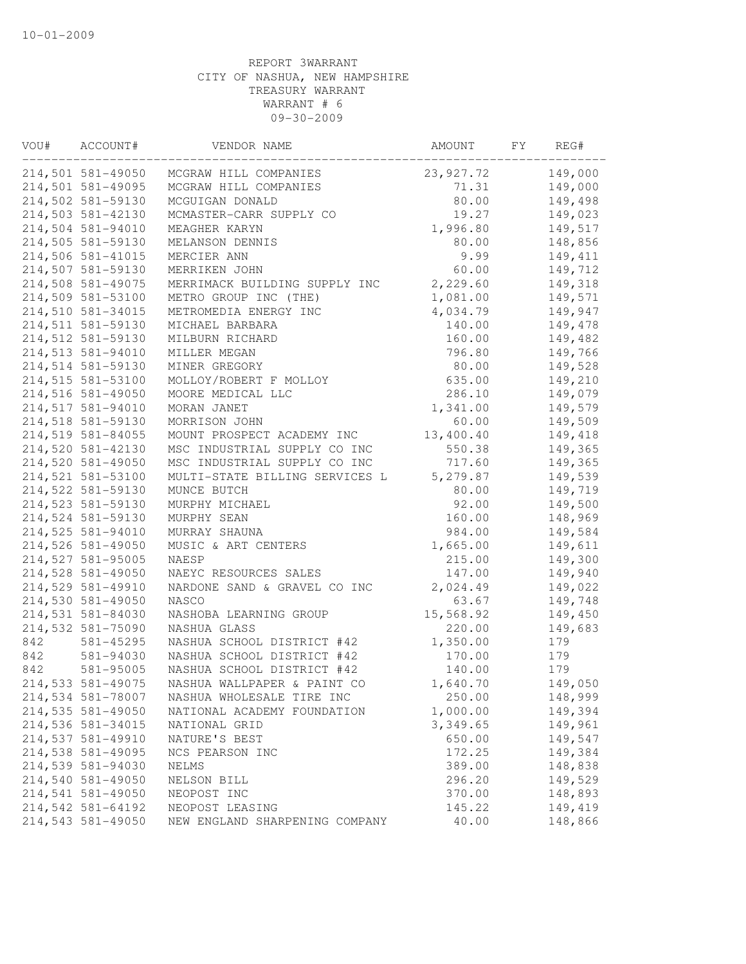| VOU# | ACCOUNT#          | VENDOR NAME                    | AMOUNT      | FY | REG#    |
|------|-------------------|--------------------------------|-------------|----|---------|
|      | 214,501 581-49050 | MCGRAW HILL COMPANIES          | 23, 927. 72 |    | 149,000 |
|      | 214,501 581-49095 | MCGRAW HILL COMPANIES          | 71.31       |    | 149,000 |
|      | 214,502 581-59130 | MCGUIGAN DONALD                | 80.00       |    | 149,498 |
|      | 214,503 581-42130 | MCMASTER-CARR SUPPLY CO        | 19.27       |    | 149,023 |
|      | 214,504 581-94010 | MEAGHER KARYN                  | 1,996.80    |    | 149,517 |
|      | 214,505 581-59130 | MELANSON DENNIS                | 80.00       |    | 148,856 |
|      | 214,506 581-41015 | MERCIER ANN                    | 9.99        |    | 149,411 |
|      | 214,507 581-59130 | MERRIKEN JOHN                  | 60.00       |    | 149,712 |
|      | 214,508 581-49075 | MERRIMACK BUILDING SUPPLY INC  | 2,229.60    |    | 149,318 |
|      | 214,509 581-53100 | METRO GROUP INC (THE)          | 1,081.00    |    | 149,571 |
|      | 214,510 581-34015 | METROMEDIA ENERGY INC          | 4,034.79    |    | 149,947 |
|      | 214,511 581-59130 | MICHAEL BARBARA                | 140.00      |    | 149,478 |
|      | 214,512 581-59130 | MILBURN RICHARD                | 160.00      |    | 149,482 |
|      | 214,513 581-94010 | MILLER MEGAN                   | 796.80      |    | 149,766 |
|      | 214,514 581-59130 | MINER GREGORY                  | 80.00       |    | 149,528 |
|      | 214,515 581-53100 | MOLLOY/ROBERT F MOLLOY         | 635.00      |    | 149,210 |
|      | 214,516 581-49050 | MOORE MEDICAL LLC              | 286.10      |    | 149,079 |
|      | 214,517 581-94010 | MORAN JANET                    | 1,341.00    |    | 149,579 |
|      | 214,518 581-59130 | MORRISON JOHN                  | 60.00       |    | 149,509 |
|      | 214,519 581-84055 | MOUNT PROSPECT ACADEMY INC     | 13,400.40   |    | 149,418 |
|      | 214,520 581-42130 | MSC INDUSTRIAL SUPPLY CO INC   | 550.38      |    | 149,365 |
|      | 214,520 581-49050 | MSC INDUSTRIAL SUPPLY CO INC   | 717.60      |    | 149,365 |
|      | 214,521 581-53100 | MULTI-STATE BILLING SERVICES L | 5,279.87    |    | 149,539 |
|      | 214,522 581-59130 | MUNCE BUTCH                    | 80.00       |    | 149,719 |
|      | 214,523 581-59130 | MURPHY MICHAEL                 | 92.00       |    | 149,500 |
|      | 214,524 581-59130 |                                |             |    | 148,969 |
|      |                   | MURPHY SEAN                    | 160.00      |    |         |
|      | 214,525 581-94010 | MURRAY SHAUNA                  | 984.00      |    | 149,584 |
|      | 214,526 581-49050 | MUSIC & ART CENTERS            | 1,665.00    |    | 149,611 |
|      | 214,527 581-95005 | NAESP                          | 215.00      |    | 149,300 |
|      | 214,528 581-49050 | NAEYC RESOURCES SALES          | 147.00      |    | 149,940 |
|      | 214,529 581-49910 | NARDONE SAND & GRAVEL CO INC   | 2,024.49    |    | 149,022 |
|      | 214,530 581-49050 | NASCO                          | 63.67       |    | 149,748 |
|      | 214,531 581-84030 | NASHOBA LEARNING GROUP         | 15,568.92   |    | 149,450 |
|      | 214,532 581-75090 | NASHUA GLASS                   | 220.00      |    | 149,683 |
| 842  | 581-45295         | NASHUA SCHOOL DISTRICT #42     | 1,350.00    |    | 179     |
| 842  | 581-94030         | NASHUA SCHOOL DISTRICT #42     | 170.00      |    | 179     |
| 842  | 581-95005         | NASHUA SCHOOL DISTRICT #42     | 140.00      |    | 179     |
|      | 214,533 581-49075 | NASHUA WALLPAPER & PAINT CO    | 1,640.70    |    | 149,050 |
|      | 214,534 581-78007 | NASHUA WHOLESALE TIRE INC      | 250.00      |    | 148,999 |
|      | 214,535 581-49050 | NATIONAL ACADEMY FOUNDATION    | 1,000.00    |    | 149,394 |
|      | 214,536 581-34015 | NATIONAL GRID                  | 3,349.65    |    | 149,961 |
|      | 214,537 581-49910 | NATURE'S BEST                  | 650.00      |    | 149,547 |
|      | 214,538 581-49095 | NCS PEARSON INC                | 172.25      |    | 149,384 |
|      | 214,539 581-94030 | NELMS                          | 389.00      |    | 148,838 |
|      | 214,540 581-49050 | NELSON BILL                    | 296.20      |    | 149,529 |
|      | 214,541 581-49050 | NEOPOST INC                    | 370.00      |    | 148,893 |
|      | 214,542 581-64192 | NEOPOST LEASING                | 145.22      |    | 149,419 |
|      | 214,543 581-49050 | NEW ENGLAND SHARPENING COMPANY | 40.00       |    | 148,866 |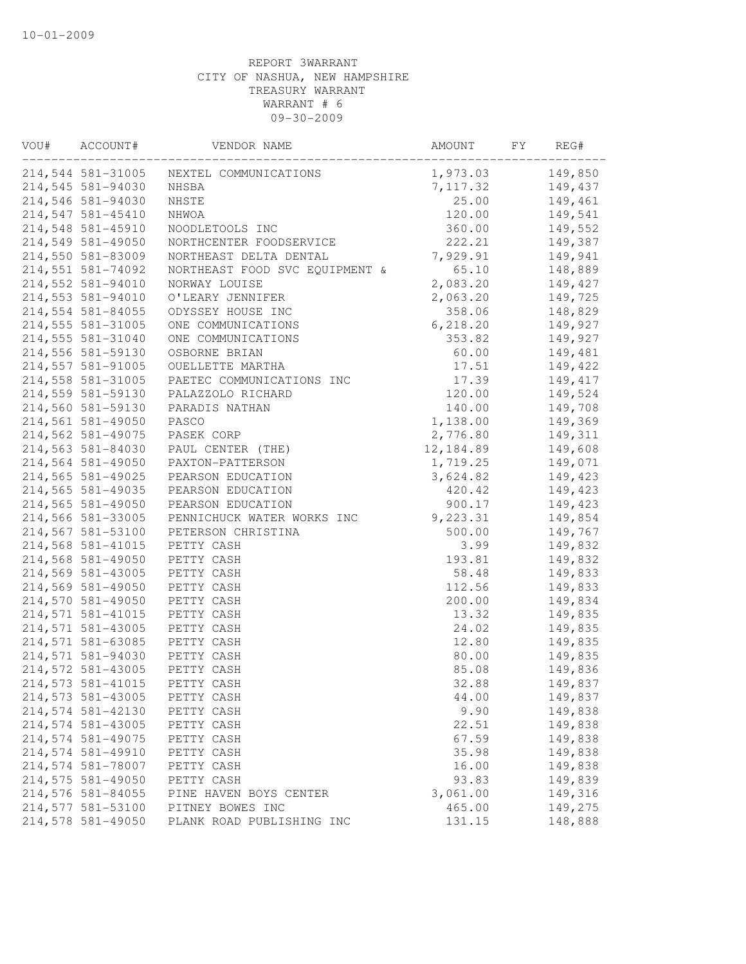| VOU# | ACCOUNT#          | VENDOR NAME                    | AMOUNT    | FY | REG#     |
|------|-------------------|--------------------------------|-----------|----|----------|
|      | 214,544 581-31005 | NEXTEL COMMUNICATIONS          | 1,973.03  |    | 149,850  |
|      | 214,545 581-94030 | NHSBA                          | 7,117.32  |    | 149,437  |
|      | 214,546 581-94030 | NHSTE                          | 25.00     |    | 149,461  |
|      | 214,547 581-45410 | NHWOA                          | 120.00    |    | 149,541  |
|      | 214,548 581-45910 | NOODLETOOLS INC                | 360.00    |    | 149,552  |
|      | 214,549 581-49050 | NORTHCENTER FOODSERVICE        | 222.21    |    | 149,387  |
|      | 214,550 581-83009 | NORTHEAST DELTA DENTAL         | 7,929.91  |    | 149,941  |
|      | 214,551 581-74092 | NORTHEAST FOOD SVC EQUIPMENT & | 65.10     |    | 148,889  |
|      | 214,552 581-94010 | NORWAY LOUISE                  | 2,083.20  |    | 149,427  |
|      | 214,553 581-94010 | O'LEARY JENNIFER               | 2,063.20  |    | 149,725  |
|      | 214,554 581-84055 | ODYSSEY HOUSE INC              | 358.06    |    | 148,829  |
|      | 214,555 581-31005 | ONE COMMUNICATIONS             | 6, 218.20 |    | 149,927  |
|      | 214,555 581-31040 | ONE COMMUNICATIONS             | 353.82    |    | 149,927  |
|      | 214,556 581-59130 | OSBORNE BRIAN                  | 60.00     |    | 149,481  |
|      | 214,557 581-91005 | OUELLETTE MARTHA               | 17.51     |    | 149,422  |
|      | 214,558 581-31005 | PAETEC COMMUNICATIONS INC      | 17.39     |    | 149, 417 |
|      | 214,559 581-59130 | PALAZZOLO RICHARD              | 120.00    |    | 149,524  |
|      | 214,560 581-59130 | PARADIS NATHAN                 | 140.00    |    | 149,708  |
|      | 214,561 581-49050 | PASCO                          | 1,138.00  |    | 149,369  |
|      | 214,562 581-49075 | PASEK CORP                     | 2,776.80  |    | 149,311  |
|      | 214,563 581-84030 | PAUL CENTER (THE)              | 12,184.89 |    | 149,608  |
|      | 214,564 581-49050 | PAXTON-PATTERSON               | 1,719.25  |    | 149,071  |
|      | 214,565 581-49025 | PEARSON EDUCATION              | 3,624.82  |    | 149,423  |
|      | 214,565 581-49035 | PEARSON EDUCATION              | 420.42    |    | 149,423  |
|      | 214,565 581-49050 | PEARSON EDUCATION              | 900.17    |    | 149,423  |
|      | 214,566 581-33005 | PENNICHUCK WATER WORKS INC     | 9,223.31  |    | 149,854  |
|      | 214,567 581-53100 | PETERSON CHRISTINA             | 500.00    |    | 149,767  |
|      | 214,568 581-41015 | PETTY CASH                     | 3.99      |    | 149,832  |
|      | 214,568 581-49050 | PETTY CASH                     | 193.81    |    | 149,832  |
|      | 214,569 581-43005 | PETTY CASH                     | 58.48     |    | 149,833  |
|      | 214,569 581-49050 | PETTY CASH                     | 112.56    |    | 149,833  |
|      | 214,570 581-49050 | PETTY CASH                     | 200.00    |    | 149,834  |
|      | 214,571 581-41015 | PETTY CASH                     | 13.32     |    | 149,835  |
|      | 214,571 581-43005 | PETTY CASH                     | 24.02     |    | 149,835  |
|      | 214,571 581-63085 | PETTY CASH                     | 12.80     |    | 149,835  |
|      | 214,571 581-94030 | PETTY CASH                     | 80.00     |    | 149,835  |
|      | 214,572 581-43005 | PETTY CASH                     | 85.08     |    | 149,836  |
|      | 214,573 581-41015 | PETTY CASH                     | 32.88     |    | 149,837  |
|      | 214,573 581-43005 | PETTY CASH                     | 44.00     |    | 149,837  |
|      | 214,574 581-42130 | PETTY CASH                     | 9.90      |    | 149,838  |
|      | 214,574 581-43005 | PETTY CASH                     | 22.51     |    | 149,838  |
|      | 214,574 581-49075 | PETTY CASH                     | 67.59     |    | 149,838  |
|      | 214,574 581-49910 | PETTY CASH                     | 35.98     |    | 149,838  |
|      | 214,574 581-78007 | PETTY CASH                     | 16.00     |    | 149,838  |
|      | 214,575 581-49050 | PETTY CASH                     | 93.83     |    | 149,839  |
|      | 214,576 581-84055 | PINE HAVEN BOYS CENTER         | 3,061.00  |    | 149,316  |
|      | 214,577 581-53100 | PITNEY BOWES INC               | 465.00    |    | 149,275  |
|      | 214,578 581-49050 | PLANK ROAD PUBLISHING INC      | 131.15    |    | 148,888  |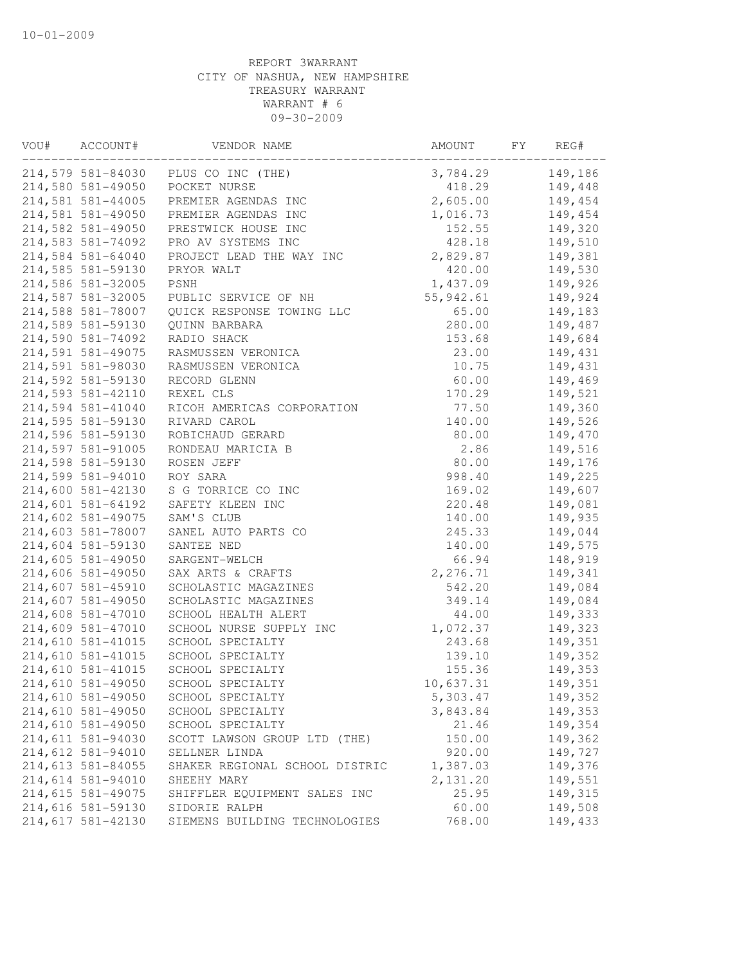| VOU# | ACCOUNT#          | VENDOR NAME                         | AMOUNT    | FY | REG#    |
|------|-------------------|-------------------------------------|-----------|----|---------|
|      |                   | 214,579 581-84030 PLUS CO INC (THE) | 3,784.29  |    | 149,186 |
|      | 214,580 581-49050 | POCKET NURSE                        | 418.29    |    | 149,448 |
|      | 214,581 581-44005 | PREMIER AGENDAS INC                 | 2,605.00  |    | 149,454 |
|      | 214,581 581-49050 | PREMIER AGENDAS INC                 | 1,016.73  |    | 149,454 |
|      | 214,582 581-49050 | PRESTWICK HOUSE INC                 | 152.55    |    | 149,320 |
|      | 214,583 581-74092 | PRO AV SYSTEMS INC                  | 428.18    |    | 149,510 |
|      | 214,584 581-64040 | PROJECT LEAD THE WAY INC            | 2,829.87  |    | 149,381 |
|      | 214,585 581-59130 | PRYOR WALT                          | 420.00    |    | 149,530 |
|      | 214,586 581-32005 | PSNH                                | 1,437.09  |    | 149,926 |
|      | 214,587 581-32005 | PUBLIC SERVICE OF NH                | 55,942.61 |    | 149,924 |
|      | 214,588 581-78007 | QUICK RESPONSE TOWING LLC           | 65.00     |    | 149,183 |
|      | 214,589 581-59130 | QUINN BARBARA                       | 280.00    |    | 149,487 |
|      | 214,590 581-74092 | RADIO SHACK                         | 153.68    |    | 149,684 |
|      | 214,591 581-49075 | RASMUSSEN VERONICA                  | 23.00     |    | 149,431 |
|      | 214,591 581-98030 | RASMUSSEN VERONICA                  | 10.75     |    | 149,431 |
|      | 214,592 581-59130 | RECORD GLENN                        | 60.00     |    | 149,469 |
|      | 214,593 581-42110 | REXEL CLS                           | 170.29    |    | 149,521 |
|      | 214,594 581-41040 | RICOH AMERICAS CORPORATION          | 77.50     |    | 149,360 |
|      | 214,595 581-59130 | RIVARD CAROL                        | 140.00    |    | 149,526 |
|      | 214,596 581-59130 | ROBICHAUD GERARD                    | 80.00     |    | 149,470 |
|      | 214,597 581-91005 | RONDEAU MARICIA B                   | 2.86      |    | 149,516 |
|      | 214,598 581-59130 | ROSEN JEFF                          | 80.00     |    | 149,176 |
|      | 214,599 581-94010 | ROY SARA                            | 998.40    |    | 149,225 |
|      | 214,600 581-42130 | S G TORRICE CO INC                  | 169.02    |    | 149,607 |
|      | 214,601 581-64192 | SAFETY KLEEN INC                    | 220.48    |    | 149,081 |
|      | 214,602 581-49075 | SAM'S CLUB                          | 140.00    |    | 149,935 |
|      | 214,603 581-78007 | SANEL AUTO PARTS CO                 | 245.33    |    | 149,044 |
|      | 214,604 581-59130 | SANTEE NED                          | 140.00    |    | 149,575 |
|      | 214,605 581-49050 | SARGENT-WELCH                       | 66.94     |    | 148,919 |
|      | 214,606 581-49050 | SAX ARTS & CRAFTS                   | 2,276.71  |    | 149,341 |
|      | 214,607 581-45910 | SCHOLASTIC MAGAZINES                | 542.20    |    | 149,084 |
|      | 214,607 581-49050 | SCHOLASTIC MAGAZINES                | 349.14    |    | 149,084 |
|      | 214,608 581-47010 | SCHOOL HEALTH ALERT                 | 44.00     |    | 149,333 |
|      | 214,609 581-47010 | SCHOOL NURSE SUPPLY INC             | 1,072.37  |    | 149,323 |
|      | 214,610 581-41015 | SCHOOL SPECIALTY                    | 243.68    |    | 149,351 |
|      | 214,610 581-41015 | SCHOOL SPECIALTY                    | 139.10    |    | 149,352 |
|      | 214,610 581-41015 | SCHOOL SPECIALTY                    | 155.36    |    | 149,353 |
|      | 214,610 581-49050 | SCHOOL SPECIALTY                    | 10,637.31 |    | 149,351 |
|      | 214,610 581-49050 | SCHOOL SPECIALTY                    | 5,303.47  |    | 149,352 |
|      | 214,610 581-49050 | SCHOOL SPECIALTY                    | 3,843.84  |    | 149,353 |
|      | 214,610 581-49050 | SCHOOL SPECIALTY                    | 21.46     |    | 149,354 |
|      | 214,611 581-94030 | SCOTT LAWSON GROUP LTD (THE)        | 150.00    |    | 149,362 |
|      | 214,612 581-94010 | SELLNER LINDA                       | 920.00    |    | 149,727 |
|      | 214,613 581-84055 | SHAKER REGIONAL SCHOOL DISTRIC      | 1,387.03  |    | 149,376 |
|      | 214,614 581-94010 | SHEEHY MARY                         | 2,131.20  |    | 149,551 |
|      | 214,615 581-49075 | SHIFFLER EQUIPMENT SALES INC        | 25.95     |    | 149,315 |
|      | 214,616 581-59130 | SIDORIE RALPH                       | 60.00     |    | 149,508 |
|      | 214,617 581-42130 | SIEMENS BUILDING TECHNOLOGIES       | 768.00    |    | 149,433 |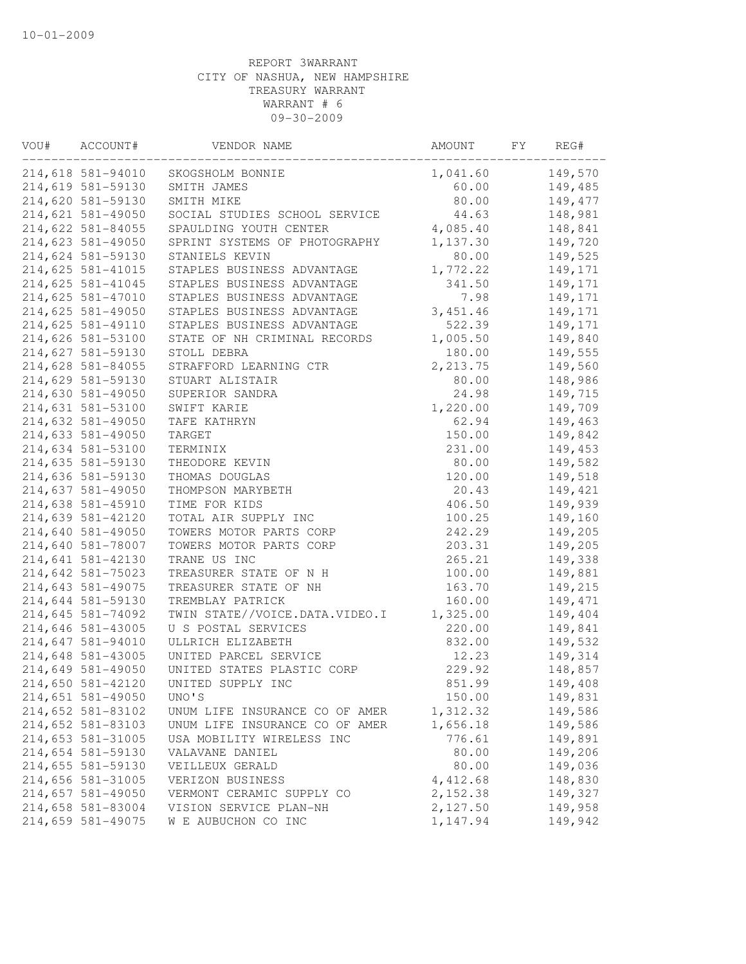| VOU# | ACCOUNT#          | VENDOR NAME                    | AMOUNT    | FY | REG#    |
|------|-------------------|--------------------------------|-----------|----|---------|
|      | 214,618 581-94010 | SKOGSHOLM BONNIE               | 1,041.60  |    | 149,570 |
|      | 214,619 581-59130 | SMITH JAMES                    | 60.00     |    | 149,485 |
|      | 214,620 581-59130 | SMITH MIKE                     | 80.00     |    | 149,477 |
|      | 214,621 581-49050 | SOCIAL STUDIES SCHOOL SERVICE  | 44.63     |    | 148,981 |
|      | 214,622 581-84055 | SPAULDING YOUTH CENTER         | 4,085.40  |    | 148,841 |
|      | 214,623 581-49050 | SPRINT SYSTEMS OF PHOTOGRAPHY  | 1,137.30  |    | 149,720 |
|      | 214,624 581-59130 | STANIELS KEVIN                 | 80.00     |    | 149,525 |
|      | 214,625 581-41015 | STAPLES BUSINESS ADVANTAGE     | 1,772.22  |    | 149,171 |
|      | 214,625 581-41045 | STAPLES BUSINESS ADVANTAGE     | 341.50    |    | 149,171 |
|      | 214,625 581-47010 | STAPLES BUSINESS ADVANTAGE     | 7.98      |    | 149,171 |
|      | 214,625 581-49050 | STAPLES BUSINESS ADVANTAGE     | 3, 451.46 |    | 149,171 |
|      | 214,625 581-49110 | STAPLES BUSINESS ADVANTAGE     | 522.39    |    | 149,171 |
|      | 214,626 581-53100 | STATE OF NH CRIMINAL RECORDS   | 1,005.50  |    | 149,840 |
|      | 214,627 581-59130 | STOLL DEBRA                    | 180.00    |    | 149,555 |
|      | 214,628 581-84055 | STRAFFORD LEARNING CTR         | 2, 213.75 |    | 149,560 |
|      | 214,629 581-59130 | STUART ALISTAIR                | 80.00     |    | 148,986 |
|      | 214,630 581-49050 | SUPERIOR SANDRA                | 24.98     |    | 149,715 |
|      | 214,631 581-53100 | SWIFT KARIE                    | 1,220.00  |    | 149,709 |
|      | 214,632 581-49050 | TAFE KATHRYN                   | 62.94     |    | 149,463 |
|      | 214,633 581-49050 | TARGET                         | 150.00    |    | 149,842 |
|      | 214,634 581-53100 | TERMINIX                       | 231.00    |    | 149,453 |
|      | 214,635 581-59130 | THEODORE KEVIN                 | 80.00     |    | 149,582 |
|      | 214,636 581-59130 | THOMAS DOUGLAS                 | 120.00    |    | 149,518 |
|      | 214,637 581-49050 | THOMPSON MARYBETH              | 20.43     |    | 149,421 |
|      | 214,638 581-45910 | TIME FOR KIDS                  | 406.50    |    | 149,939 |
|      | 214,639 581-42120 | TOTAL AIR SUPPLY INC           | 100.25    |    | 149,160 |
|      | 214,640 581-49050 | TOWERS MOTOR PARTS CORP        | 242.29    |    | 149,205 |
|      | 214,640 581-78007 | TOWERS MOTOR PARTS CORP        | 203.31    |    | 149,205 |
|      | 214,641 581-42130 | TRANE US INC                   | 265.21    |    | 149,338 |
|      | 214,642 581-75023 | TREASURER STATE OF N H         | 100.00    |    | 149,881 |
|      |                   | TREASURER STATE OF NH          |           |    |         |
|      | 214,643 581-49075 |                                | 163.70    |    | 149,215 |
|      | 214,644 581-59130 | TREMBLAY PATRICK               | 160.00    |    | 149,471 |
|      | 214,645 581-74092 | TWIN STATE//VOICE.DATA.VIDEO.I | 1,325.00  |    | 149,404 |
|      | 214,646 581-43005 | U S POSTAL SERVICES            | 220.00    |    | 149,841 |
|      | 214,647 581-94010 | ULLRICH ELIZABETH              | 832.00    |    | 149,532 |
|      | 214,648 581-43005 | UNITED PARCEL SERVICE          | 12.23     |    | 149,314 |
|      | 214,649 581-49050 | UNITED STATES PLASTIC CORP     | 229.92    |    | 148,857 |
|      | 214,650 581-42120 | UNITED SUPPLY INC              | 851.99    |    | 149,408 |
|      | 214,651 581-49050 | UNO'S                          | 150.00    |    | 149,831 |
|      | 214,652 581-83102 | UNUM LIFE INSURANCE CO OF AMER | 1,312.32  |    | 149,586 |
|      | 214,652 581-83103 | UNUM LIFE INSURANCE CO OF AMER | 1,656.18  |    | 149,586 |
|      | 214,653 581-31005 | USA MOBILITY WIRELESS INC      | 776.61    |    | 149,891 |
|      | 214,654 581-59130 | VALAVANE DANIEL                | 80.00     |    | 149,206 |
|      | 214,655 581-59130 | VEILLEUX GERALD                | 80.00     |    | 149,036 |
|      | 214,656 581-31005 | VERIZON BUSINESS               | 4, 412.68 |    | 148,830 |
|      | 214,657 581-49050 | VERMONT CERAMIC SUPPLY CO      | 2,152.38  |    | 149,327 |
|      | 214,658 581-83004 | VISION SERVICE PLAN-NH         | 2,127.50  |    | 149,958 |
|      | 214,659 581-49075 | W E AUBUCHON CO INC            | 1,147.94  |    | 149,942 |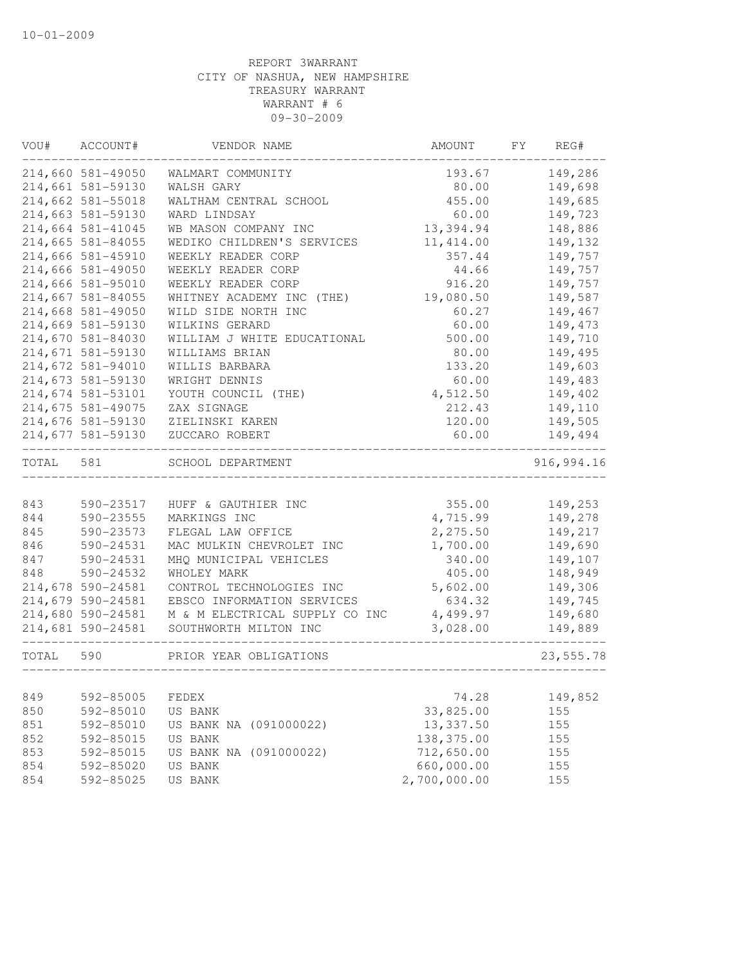| VOU#      | ACCOUNT#          | VENDOR NAME                    | AMOUNT       | FY. | REG#       |
|-----------|-------------------|--------------------------------|--------------|-----|------------|
|           | 214,660 581-49050 | WALMART COMMUNITY              | 193.67       |     | 149,286    |
|           | 214,661 581-59130 | WALSH GARY                     | 80.00        |     | 149,698    |
|           | 214,662 581-55018 | WALTHAM CENTRAL SCHOOL         | 455.00       |     | 149,685    |
|           | 214,663 581-59130 | WARD LINDSAY                   | 60.00        |     | 149,723    |
|           | 214,664 581-41045 | WB MASON COMPANY INC           | 13,394.94    |     | 148,886    |
|           | 214,665 581-84055 | WEDIKO CHILDREN'S SERVICES     | 11, 414.00   |     | 149,132    |
|           | 214,666 581-45910 | WEEKLY READER CORP             | 357.44       |     | 149,757    |
|           | 214,666 581-49050 | WEEKLY READER CORP             | 44.66        |     | 149,757    |
|           | 214,666 581-95010 | WEEKLY READER CORP             | 916.20       |     | 149,757    |
|           | 214,667 581-84055 | WHITNEY ACADEMY INC (THE)      | 19,080.50    |     | 149,587    |
|           | 214,668 581-49050 | WILD SIDE NORTH INC            | 60.27        |     | 149,467    |
|           | 214,669 581-59130 | WILKINS GERARD                 | 60.00        |     | 149,473    |
|           | 214,670 581-84030 | WILLIAM J WHITE EDUCATIONAL    | 500.00       |     | 149,710    |
|           | 214,671 581-59130 | WILLIAMS BRIAN                 | 80.00        |     | 149,495    |
|           | 214,672 581-94010 | WILLIS BARBARA                 | 133.20       |     | 149,603    |
|           | 214,673 581-59130 | WRIGHT DENNIS                  | 60.00        |     | 149,483    |
|           | 214,674 581-53101 | YOUTH COUNCIL (THE)            | 4,512.50     |     | 149,402    |
|           | 214,675 581-49075 | ZAX SIGNAGE                    | 212.43       |     | 149,110    |
|           | 214,676 581-59130 | ZIELINSKI KAREN                | 120.00       |     | 149,505    |
|           | 214,677 581-59130 | ZUCCARO ROBERT                 | 60.00        |     | 149,494    |
| TOTAL     | 581               | SCHOOL DEPARTMENT              |              |     | 916,994.16 |
|           |                   |                                |              |     |            |
| 843       | 590-23517         | HUFF & GAUTHIER INC            | 355.00       |     | 149,253    |
| 844       | 590-23555         | MARKINGS INC                   | 4,715.99     |     | 149,278    |
| 845       | 590-23573         | FLEGAL LAW OFFICE              | 2,275.50     |     | 149,217    |
| 846       | 590-24531         | MAC MULKIN CHEVROLET INC       | 1,700.00     |     | 149,690    |
| 847       | 590-24531         | MHQ MUNICIPAL VEHICLES         | 340.00       |     | 149,107    |
| 848       | 590-24532         | WHOLEY MARK                    | 405.00       |     | 148,949    |
|           | 214,678 590-24581 | CONTROL TECHNOLOGIES INC       | 5,602.00     |     | 149,306    |
|           | 214,679 590-24581 | EBSCO INFORMATION SERVICES     | 634.32       |     | 149,745    |
|           | 214,680 590-24581 | M & M ELECTRICAL SUPPLY CO INC | 4,499.97     |     | 149,680    |
|           | 214,681 590-24581 | SOUTHWORTH MILTON INC          | 3,028.00     |     | 149,889    |
| TOTAL 590 |                   | PRIOR YEAR OBLIGATIONS         |              |     | 23,555.78  |
|           |                   |                                |              |     |            |
| 849       | 592-85005         | FEDEX                          | 74.28        |     | 149,852    |
| 850       | 592-85010         | US BANK                        | 33,825.00    |     | 155        |
| 851       | 592-85010         | US BANK NA (091000022)         | 13,337.50    |     | 155        |
| 852       | 592-85015         | US BANK                        | 138,375.00   |     | 155        |
| 853       | 592-85015         | US BANK NA (091000022)         | 712,650.00   |     | 155        |
| 854       | 592-85020         | US BANK                        | 660,000.00   |     | 155        |
| 854       | 592-85025         | US BANK                        | 2,700,000.00 |     | 155        |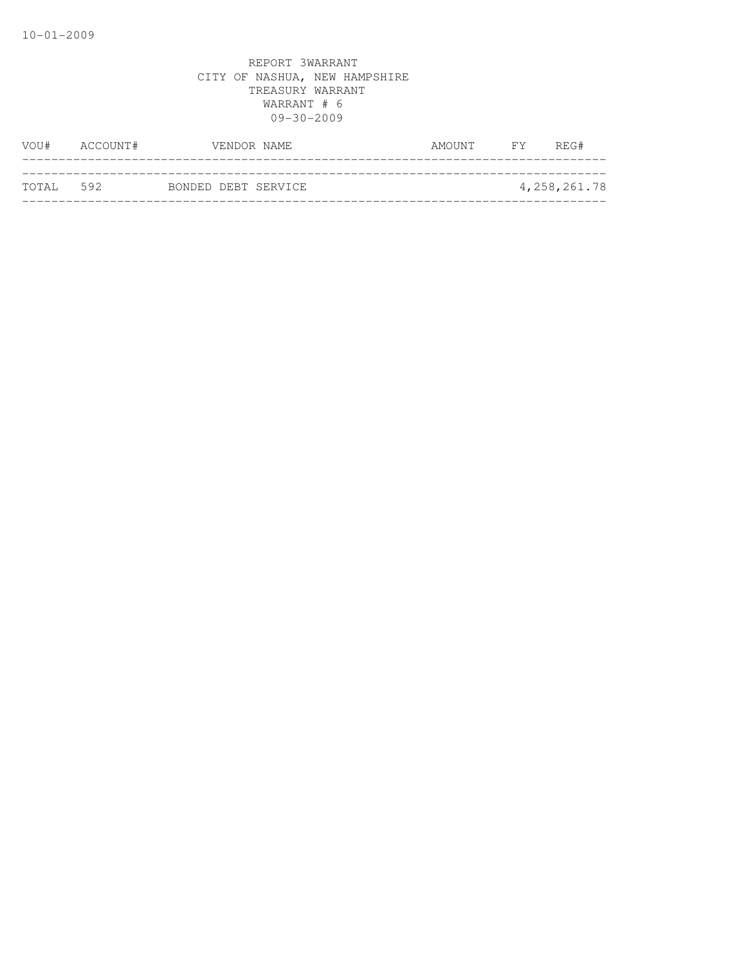| VOU#      | ACCOUNT# |  | VENDOR NAME         | AMOUNT | FY | REG#           |
|-----------|----------|--|---------------------|--------|----|----------------|
|           |          |  |                     |        |    |                |
| TOTAL 592 |          |  | BONDED DEBT SERVICE |        |    | 4, 258, 261.78 |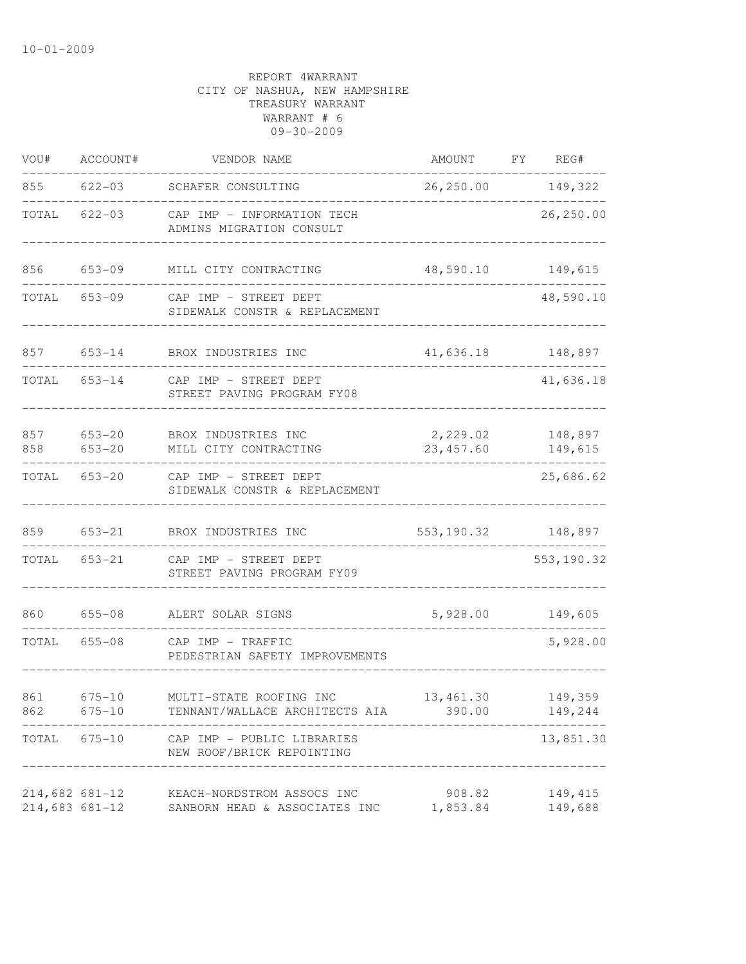| VOU#             | ACCOUNT#                 | VENDOR NAME                                                 | AMOUNT                 | FY | REG#                |
|------------------|--------------------------|-------------------------------------------------------------|------------------------|----|---------------------|
| 855              | 622-03                   | SCHAFER CONSULTING                                          | 26, 250.00 149, 322    |    |                     |
| TOTAL            | $622 - 03$               | CAP IMP - INFORMATION TECH<br>ADMINS MIGRATION CONSULT      |                        |    | 26,250.00           |
| 856              | $653 - 09$               | MILL CITY CONTRACTING                                       | 48,590.10              |    | 149,615             |
| TOTAL            | 653-09                   | CAP IMP - STREET DEPT<br>SIDEWALK CONSTR & REPLACEMENT      |                        |    | 48,590.10           |
| 857              | $653 - 14$               | BROX INDUSTRIES INC                                         | 41,636.18              |    | 148,897             |
| TOTAL            | $653 - 14$               | CAP IMP - STREET DEPT<br>STREET PAVING PROGRAM FY08         |                        |    | 41,636.18           |
| 857<br>858       | $653 - 20$<br>$653 - 20$ | BROX INDUSTRIES INC<br>MILL CITY CONTRACTING                | 2,229.02<br>23, 457.60 |    | 148,897<br>149,615  |
| TOTAL            | $653 - 20$               | CAP IMP - STREET DEPT<br>SIDEWALK CONSTR & REPLACEMENT      |                        |    | 25,686.62           |
| 859              | 653-21                   | BROX INDUSTRIES INC                                         | 553, 190.32 148, 897   |    |                     |
| TOTAL            | $653 - 21$               | CAP IMP - STREET DEPT<br>STREET PAVING PROGRAM FY09         |                        |    | 553, 190.32         |
| 860              | $655 - 08$               | ALERT SOLAR SIGNS                                           | 5,928.00               |    | 149,605             |
| TOTAL            | $655 - 08$               | CAP IMP - TRAFFIC<br>PEDESTRIAN SAFETY IMPROVEMENTS         |                        |    | 5,928.00            |
| 861              | $675 - 10$<br>862 675-10 | MULTI-STATE ROOFING INC<br>TENNANT/WALLACE ARCHITECTS AIA   | 13,461.30<br>390.00    |    | 149,359<br>149,244  |
|                  | TOTAL 675-10             | CAP IMP - PUBLIC LIBRARIES<br>NEW ROOF/BRICK REPOINTING     |                        |    | 13,851.30           |
| $214,683$ 681-12 | $214,682$ 681-12         | KEACH-NORDSTROM ASSOCS INC<br>SANBORN HEAD & ASSOCIATES INC | 908.82<br>1,853.84     |    | 149, 415<br>149,688 |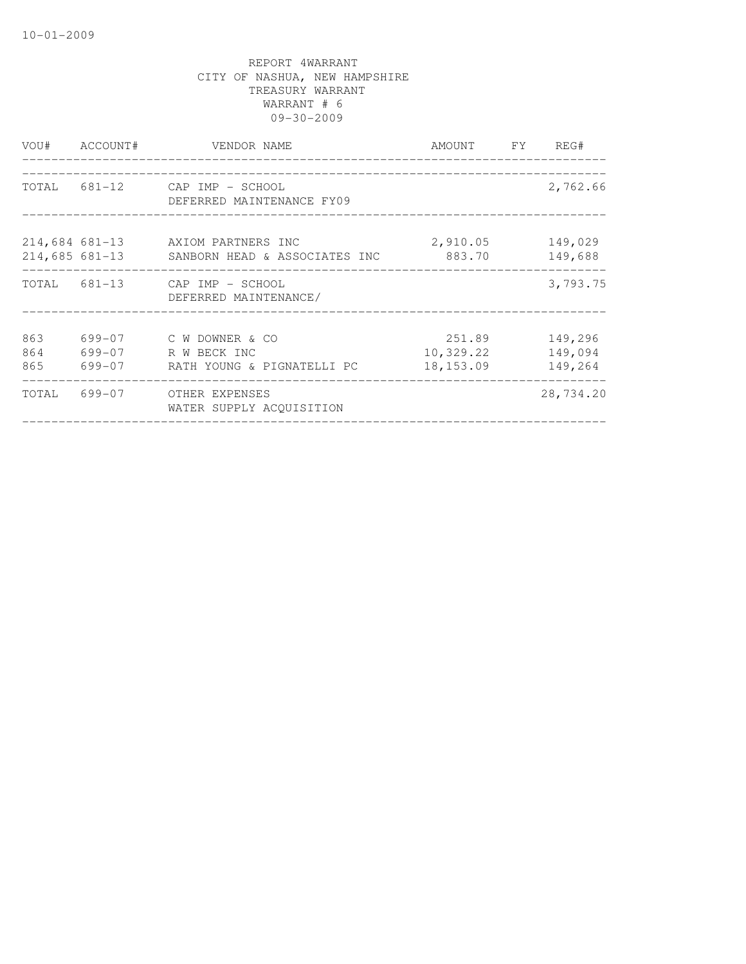|                   | VOU# ACCOUNT# | VENDOR NAME                                                                              | AMOUNT FY REG#                   |                               |
|-------------------|---------------|------------------------------------------------------------------------------------------|----------------------------------|-------------------------------|
|                   |               | TOTAL 681-12 CAP IMP - SCHOOL<br>DEFERRED MAINTENANCE FY09                               |                                  | 2,762.66                      |
|                   |               | 214,684 681-13 AXIOM PARTNERS INC<br>214,685 681-13 SANBORN HEAD & ASSOCIATES INC 883.70 | 2,910.05                         | 149,029<br>149,688            |
|                   |               | TOTAL 681-13 CAP IMP - SCHOOL<br>DEFERRED MAINTENANCE/                                   |                                  | 3,793.75                      |
| 863<br>864<br>865 |               | 699-07 C W DOWNER & CO<br>699-07 R W BECK INC<br>699-07 RATH YOUNG & PIGNATELLI PC       | 251.89<br>10,329.22<br>18,153.09 | 149,296<br>149,094<br>149,264 |
|                   |               | TOTAL 699-07 OTHER EXPENSES<br>WATER SUPPLY ACOUISITION                                  |                                  | 28,734.20                     |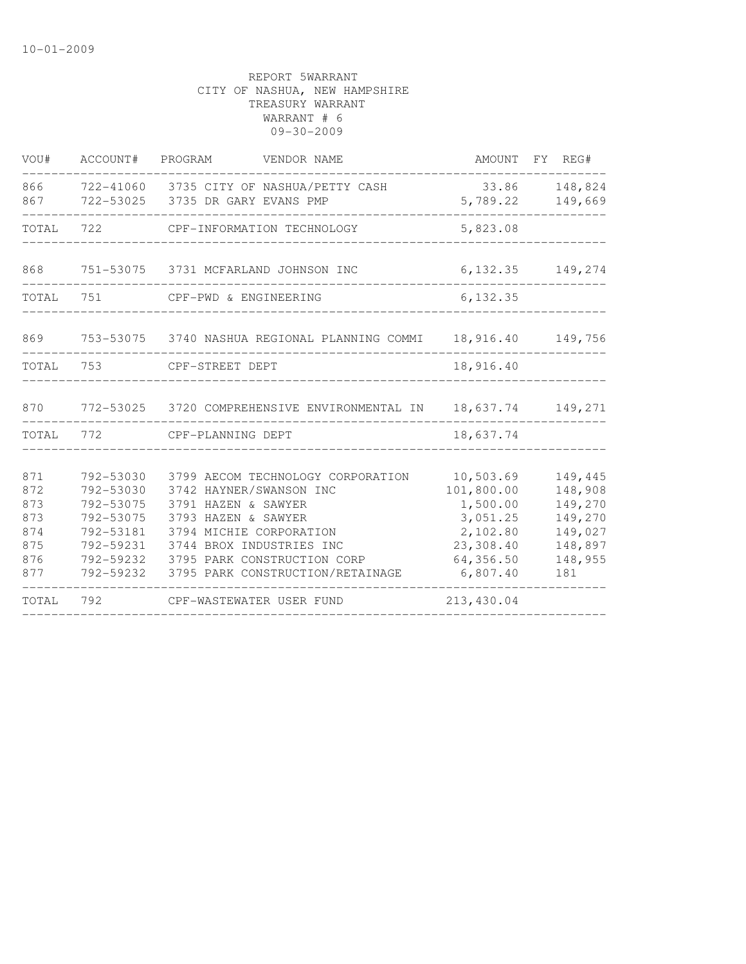| VOU#                                                 | ACCOUNT# PROGRAM                                                                                     | VENDOR NAME                                                                                                                                                                                                                          |                                                                                                   | AMOUNT FY REG#                                                                   |
|------------------------------------------------------|------------------------------------------------------------------------------------------------------|--------------------------------------------------------------------------------------------------------------------------------------------------------------------------------------------------------------------------------------|---------------------------------------------------------------------------------------------------|----------------------------------------------------------------------------------|
| 866<br>867                                           |                                                                                                      | 722-41060 3735 CITY OF NASHUA/PETTY CASH<br>722-53025 3735 DR GARY EVANS PMP                                                                                                                                                         | 33.86<br>5,789.22                                                                                 | 148,824<br>149,669                                                               |
| TOTAL                                                | 722                                                                                                  | CPF-INFORMATION TECHNOLOGY                                                                                                                                                                                                           | 5,823.08                                                                                          |                                                                                  |
| 868                                                  |                                                                                                      | 751-53075 3731 MCFARLAND JOHNSON INC                                                                                                                                                                                                 | 6, 132.35                                                                                         | 149,274                                                                          |
| TOTAL                                                | 751                                                                                                  | CPF-PWD & ENGINEERING                                                                                                                                                                                                                | 6, 132.35                                                                                         |                                                                                  |
| 869                                                  |                                                                                                      | 753-53075 3740 NASHUA REGIONAL PLANNING COMMI                                                                                                                                                                                        | 18,916.40                                                                                         | 149,756                                                                          |
| TOTAL                                                | 753                                                                                                  | CPF-STREET DEPT                                                                                                                                                                                                                      | 18,916.40                                                                                         |                                                                                  |
| 870                                                  |                                                                                                      | 772-53025 3720 COMPREHENSIVE ENVIRONMENTAL IN 18,637.74 149,271                                                                                                                                                                      |                                                                                                   |                                                                                  |
| TOTAL                                                | 772                                                                                                  | CPF-PLANNING DEPT                                                                                                                                                                                                                    | 18,637.74                                                                                         |                                                                                  |
| 871<br>872<br>873<br>873<br>874<br>875<br>876<br>877 | 792-53030<br>792-53030<br>792-53075<br>792-53075<br>792-53181<br>792-59231<br>792-59232<br>792-59232 | 3799 AECOM TECHNOLOGY CORPORATION<br>3742 HAYNER/SWANSON INC<br>3791 HAZEN & SAWYER<br>3793 HAZEN & SAWYER<br>3794 MICHIE CORPORATION<br>3744 BROX INDUSTRIES INC<br>3795 PARK CONSTRUCTION CORP<br>3795 PARK CONSTRUCTION/RETAINAGE | 10,503.69<br>101,800.00<br>1,500.00<br>3,051.25<br>2,102.80<br>23,308.40<br>64,356.50<br>6,807.40 | 149,445<br>148,908<br>149,270<br>149,270<br>149,027<br>148,897<br>148,955<br>181 |
| TOTAL                                                | 792                                                                                                  | CPF-WASTEWATER USER FUND                                                                                                                                                                                                             | 213,430.04                                                                                        |                                                                                  |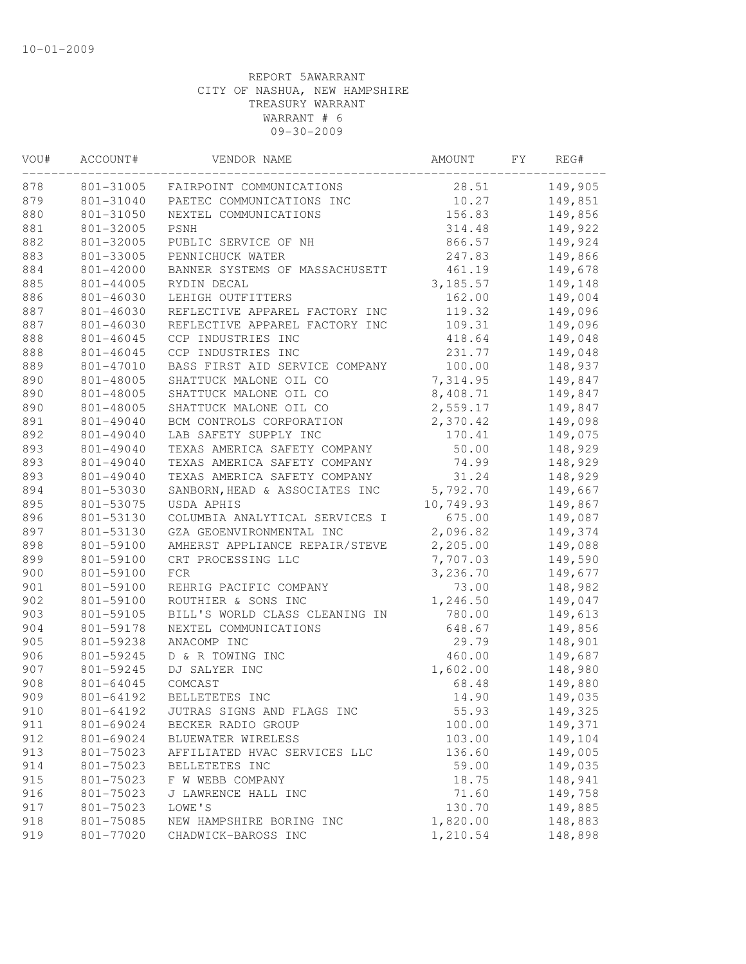| VOU#       | ACCOUNT#               | VENDOR NAME                        | AMOUNT         | FY | REG#               |
|------------|------------------------|------------------------------------|----------------|----|--------------------|
| 878        |                        | 801-31005 FAIRPOINT COMMUNICATIONS | 28.51          |    | 149,905            |
| 879        | 801-31040              | PAETEC COMMUNICATIONS INC          | 10.27          |    | 149,851            |
| 880        | 801-31050              | NEXTEL COMMUNICATIONS              | 156.83         |    | 149,856            |
| 881        | 801-32005              | PSNH                               | 314.48         |    | 149,922            |
| 882        | 801-32005              | PUBLIC SERVICE OF NH               | 866.57         |    | 149,924            |
| 883        | 801-33005              | PENNICHUCK WATER                   | 247.83         |    | 149,866            |
| 884        | 801-42000              | BANNER SYSTEMS OF MASSACHUSETT     | 461.19         |    | 149,678            |
| 885        | 801-44005              | RYDIN DECAL                        | 3,185.57       |    | 149,148            |
| 886        | 801-46030              | LEHIGH OUTFITTERS                  | 162.00         |    | 149,004            |
| 887        | 801-46030              | REFLECTIVE APPAREL FACTORY INC     | 119.32         |    | 149,096            |
| 887        | 801-46030              | REFLECTIVE APPAREL FACTORY INC     | 109.31         |    | 149,096            |
| 888        | 801-46045              | CCP INDUSTRIES INC                 | 418.64         |    | 149,048            |
| 888        | 801-46045              | CCP INDUSTRIES INC                 | 231.77         |    | 149,048            |
| 889        | 801-47010              | BASS FIRST AID SERVICE COMPANY     | 100.00         |    | 148,937            |
| 890        | 801-48005              | SHATTUCK MALONE OIL CO             | 7,314.95       |    | 149,847            |
| 890        | 801-48005              | SHATTUCK MALONE OIL CO             | 8,408.71       |    | 149,847            |
| 890        | 801-48005              | SHATTUCK MALONE OIL CO             | 2,559.17       |    | 149,847            |
| 891        | 801-49040              | BCM CONTROLS CORPORATION           | 2,370.42       |    | 149,098            |
| 892        | 801-49040              | LAB SAFETY SUPPLY INC              | 170.41         |    | 149,075            |
| 893        | 801-49040              | TEXAS AMERICA SAFETY COMPANY       | 50.00          |    | 148,929            |
| 893        | 801-49040              | TEXAS AMERICA SAFETY COMPANY       | 74.99          |    | 148,929            |
| 893        | 801-49040              | TEXAS AMERICA SAFETY COMPANY       | 31.24          |    | 148,929            |
| 894        | 801-53030              | SANBORN, HEAD & ASSOCIATES INC     | 5,792.70       |    | 149,667            |
| 895        | 801-53075              | USDA APHIS                         | 10,749.93      |    | 149,867            |
| 896        | 801-53130              | COLUMBIA ANALYTICAL SERVICES I     | 675.00         |    | 149,087            |
| 897        | 801-53130              | GZA GEOENVIRONMENTAL INC           | 2,096.82       |    | 149,374            |
| 898        | 801-59100              | AMHERST APPLIANCE REPAIR/STEVE     | 2,205.00       |    | 149,088            |
| 899        | 801-59100              | CRT PROCESSING LLC                 | 7,707.03       |    | 149,590            |
| 900        | 801-59100              | FCR                                | 3,236.70       |    | 149,677            |
| 901        | 801-59100              | REHRIG PACIFIC COMPANY             | 73.00          |    | 148,982            |
| 902        | 801-59100              | ROUTHIER & SONS INC                | 1,246.50       |    | 149,047            |
| 903        | 801-59105              | BILL'S WORLD CLASS CLEANING IN     | 780.00         |    | 149,613            |
| 904        | 801-59178              | NEXTEL COMMUNICATIONS              | 648.67         |    | 149,856            |
| 905        | 801-59238              | ANACOMP INC                        | 29.79          |    | 148,901            |
| 906        | 801-59245              | D & R TOWING INC                   | 460.00         |    | 149,687            |
| 907        | 801-59245              | DJ SALYER INC                      | 1,602.00       |    | 148,980            |
| 908        | 801-64045              | COMCAST                            | 68.48          |    | 149,880            |
| 909        | 801-64192              | BELLETETES INC                     | 14.90          |    | 149,035            |
| 910        | 801-64192              | JUTRAS SIGNS AND FLAGS INC         | 55.93          |    | 149,325            |
| 911        | 801-69024              | BECKER RADIO GROUP                 | 100.00         |    | 149,371            |
| 912        | 801-69024              | BLUEWATER WIRELESS                 | 103.00         |    | 149,104            |
| 913        | 801-75023              | AFFILIATED HVAC SERVICES LLC       | 136.60         |    | 149,005            |
|            |                        |                                    |                |    | 149,035            |
| 914<br>915 | 801-75023<br>801-75023 | BELLETETES INC<br>F W WEBB COMPANY | 59.00<br>18.75 |    | 148,941            |
| 916        | 801-75023              | J LAWRENCE HALL INC                | 71.60          |    | 149,758            |
|            |                        | LOWE'S                             |                |    |                    |
| 917        | 801-75023              | NEW HAMPSHIRE BORING INC           | 130.70         |    | 149,885<br>148,883 |
| 918        | 801-75085              |                                    | 1,820.00       |    |                    |
| 919        | 801-77020              | CHADWICK-BAROSS INC                | 1,210.54       |    | 148,898            |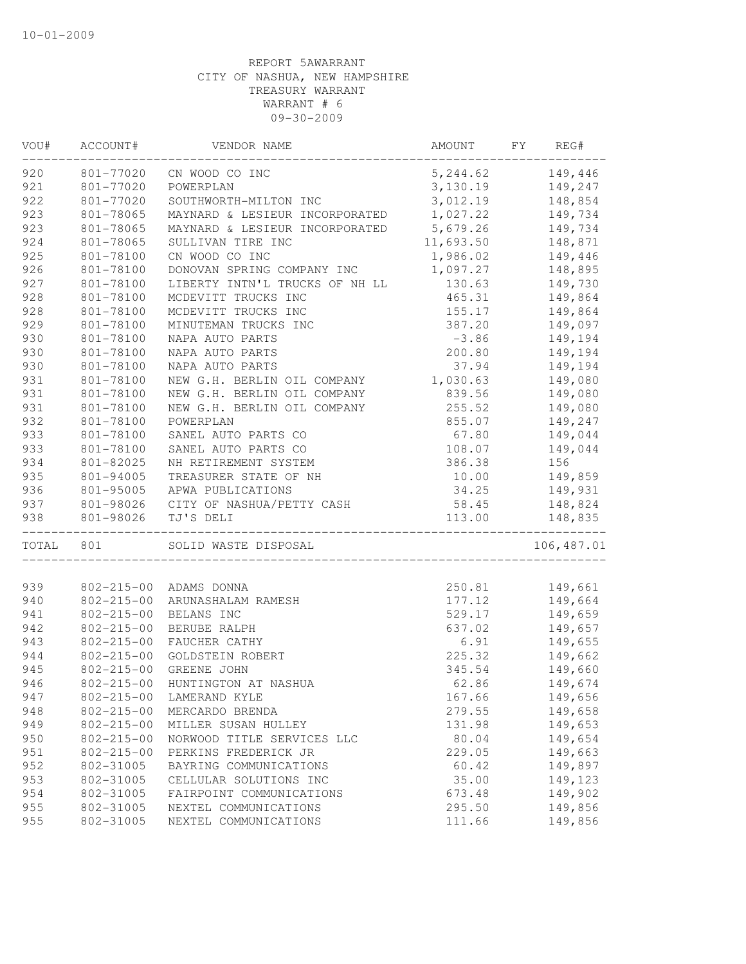| VOU#  | ACCOUNT#         | VENDOR NAME                    | AMOUNT             | FY | REG#        |
|-------|------------------|--------------------------------|--------------------|----|-------------|
| 920   |                  | 801-77020 CN WOOD CO INC       | 5, 244.62 149, 446 |    |             |
| 921   | 801-77020        | POWERPLAN                      | 3,130.19           |    | 149,247     |
| 922   | 801-77020        | SOUTHWORTH-MILTON INC          | 3,012.19           |    | 148,854     |
| 923   | 801-78065        | MAYNARD & LESIEUR INCORPORATED | 1,027.22           |    | 149,734     |
| 923   | 801-78065        | MAYNARD & LESIEUR INCORPORATED | 5,679.26           |    | 149,734     |
| 924   | 801-78065        | SULLIVAN TIRE INC              | 11,693.50          |    | 148,871     |
| 925   | 801-78100        | CN WOOD CO INC                 | 1,986.02           |    | 149,446     |
| 926   | 801-78100        | DONOVAN SPRING COMPANY INC     | 1,097.27           |    | 148,895     |
| 927   | 801-78100        | LIBERTY INTN'L TRUCKS OF NH LL | 130.63             |    | 149,730     |
| 928   | 801-78100        | MCDEVITT TRUCKS INC            | 465.31             |    | 149,864     |
| 928   | 801-78100        | MCDEVITT TRUCKS INC            | 155.17             |    | 149,864     |
| 929   | 801-78100        | MINUTEMAN TRUCKS INC           | 387.20             |    | 149,097     |
| 930   | 801-78100        | NAPA AUTO PARTS                | $-3.86$            |    | 149,194     |
| 930   | 801-78100        | NAPA AUTO PARTS                | 200.80             |    | 149,194     |
| 930   | 801-78100        | NAPA AUTO PARTS                | 37.94              |    | 149,194     |
| 931   | 801-78100        | NEW G.H. BERLIN OIL COMPANY    | 1,030.63           |    | 149,080     |
| 931   | 801-78100        | NEW G.H. BERLIN OIL COMPANY    | 839.56             |    | 149,080     |
| 931   | 801-78100        | NEW G.H. BERLIN OIL COMPANY    | 255.52             |    | 149,080     |
| 932   | 801-78100        | POWERPLAN                      | 855.07             |    | 149,247     |
| 933   | 801-78100        | SANEL AUTO PARTS CO            | 67.80              |    | 149,044     |
| 933   | 801-78100        | SANEL AUTO PARTS CO            | 108.07             |    | 149,044     |
| 934   | 801-82025        | NH RETIREMENT SYSTEM           | 386.38             |    | 156         |
| 935   | 801-94005        | TREASURER STATE OF NH          | 10.00              |    | 149,859     |
| 936   | 801-95005        | APWA PUBLICATIONS              | 34.25              |    | 149,931     |
| 937   | 801-98026        | CITY OF NASHUA/PETTY CASH      | 58.45              |    | 148,824     |
| 938   | 801-98026        | TJ'S DELI                      | 113.00             |    | 148,835     |
| TOTAL | 801              | SOLID WASTE DISPOSAL           |                    |    | 106, 487.01 |
|       |                  |                                |                    |    |             |
| 939   | $802 - 215 - 00$ | ADAMS DONNA                    | 250.81             |    | 149,661     |
| 940   | $802 - 215 - 00$ | ARUNASHALAM RAMESH             | 177.12             |    | 149,664     |
| 941   | $802 - 215 - 00$ | BELANS INC                     | 529.17             |    | 149,659     |
| 942   | $802 - 215 - 00$ | BERUBE RALPH                   | 637.02             |    | 149,657     |
| 943   | $802 - 215 - 00$ | FAUCHER CATHY                  | 6.91               |    | 149,655     |
| 944   | $802 - 215 - 00$ | GOLDSTEIN ROBERT               | 225.32             |    | 149,662     |
| 945   | $802 - 215 - 00$ | GREENE JOHN                    | 345.54             |    | 149,660     |
| 946   | $802 - 215 - 00$ | HUNTINGTON AT NASHUA           | 62.86              |    | 149,674     |
| 947   | $802 - 215 - 00$ | LAMERAND KYLE                  | 167.66             |    | 149,656     |
| 948   | $802 - 215 - 00$ | MERCARDO BRENDA                | 279.55             |    | 149,658     |
| 949   | $802 - 215 - 00$ | MILLER SUSAN HULLEY            | 131.98             |    | 149,653     |
| 950   | $802 - 215 - 00$ | NORWOOD TITLE SERVICES LLC     | 80.04              |    | 149,654     |
| 951   | $802 - 215 - 00$ | PERKINS FREDERICK JR           | 229.05             |    | 149,663     |
| 952   | 802-31005        | BAYRING COMMUNICATIONS         | 60.42              |    | 149,897     |
| 953   | 802-31005        | CELLULAR SOLUTIONS INC         | 35.00              |    | 149,123     |
| 954   | 802-31005        | FAIRPOINT COMMUNICATIONS       | 673.48             |    | 149,902     |
| 955   | 802-31005        | NEXTEL COMMUNICATIONS          | 295.50             |    | 149,856     |
| 955   | 802-31005        | NEXTEL COMMUNICATIONS          | 111.66             |    | 149,856     |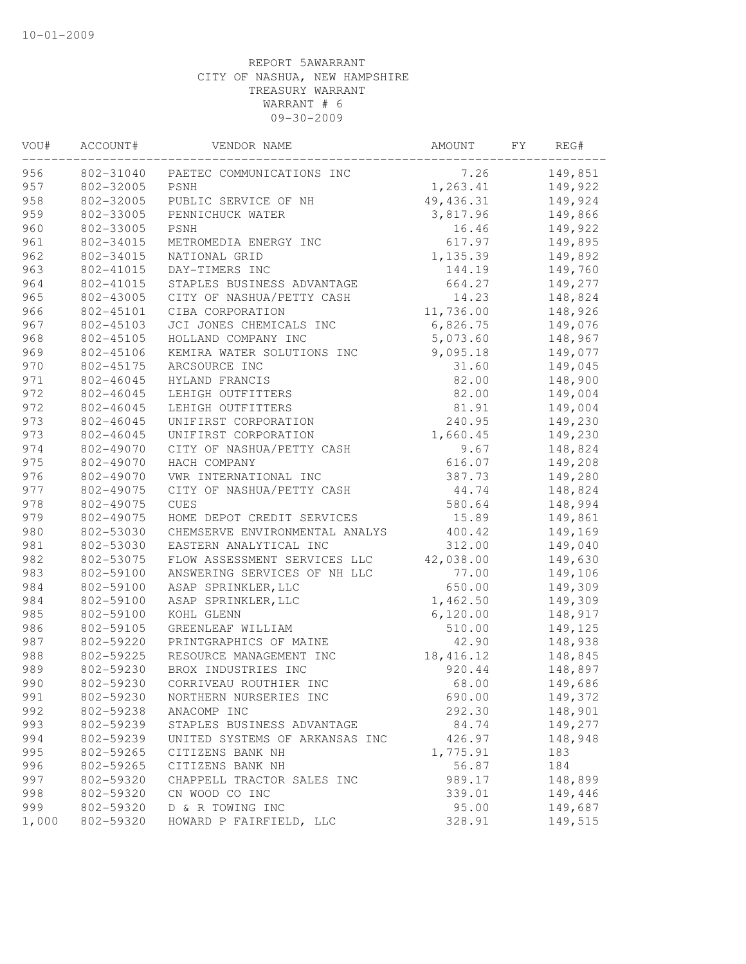| VOU#  | ACCOUNT#  | VENDOR NAME                    | AMOUNT     | FY | REG#    |
|-------|-----------|--------------------------------|------------|----|---------|
| 956   | 802-31040 | PAETEC COMMUNICATIONS INC      | 7.26       |    | 149,851 |
| 957   | 802-32005 | PSNH                           | 1,263.41   |    | 149,922 |
| 958   | 802-32005 | PUBLIC SERVICE OF NH           | 49,436.31  |    | 149,924 |
| 959   | 802-33005 | PENNICHUCK WATER               | 3,817.96   |    | 149,866 |
| 960   | 802-33005 | PSNH                           | 16.46      |    | 149,922 |
| 961   | 802-34015 | METROMEDIA ENERGY INC          | 617.97     |    | 149,895 |
| 962   | 802-34015 | NATIONAL GRID                  | 1,135.39   |    | 149,892 |
| 963   | 802-41015 | DAY-TIMERS INC                 | 144.19     |    | 149,760 |
| 964   | 802-41015 | STAPLES BUSINESS ADVANTAGE     | 664.27     |    | 149,277 |
| 965   | 802-43005 | CITY OF NASHUA/PETTY CASH      | 14.23      |    | 148,824 |
| 966   | 802-45101 | CIBA CORPORATION               | 11,736.00  |    | 148,926 |
| 967   | 802-45103 | JCI JONES CHEMICALS INC        | 6,826.75   |    | 149,076 |
| 968   | 802-45105 | HOLLAND COMPANY INC            | 5,073.60   |    | 148,967 |
| 969   | 802-45106 | KEMIRA WATER SOLUTIONS INC     | 9,095.18   |    | 149,077 |
| 970   | 802-45175 | ARCSOURCE INC                  | 31.60      |    | 149,045 |
| 971   | 802-46045 | HYLAND FRANCIS                 | 82.00      |    | 148,900 |
| 972   | 802-46045 | LEHIGH OUTFITTERS              | 82.00      |    | 149,004 |
| 972   | 802-46045 | LEHIGH OUTFITTERS              | 81.91      |    | 149,004 |
| 973   | 802-46045 | UNIFIRST CORPORATION           | 240.95     |    | 149,230 |
| 973   | 802-46045 | UNIFIRST CORPORATION           | 1,660.45   |    | 149,230 |
| 974   | 802-49070 | CITY OF NASHUA/PETTY CASH      | 9.67       |    | 148,824 |
| 975   | 802-49070 | HACH COMPANY                   | 616.07     |    | 149,208 |
| 976   | 802-49070 | VWR INTERNATIONAL INC          | 387.73     |    | 149,280 |
| 977   | 802-49075 | CITY OF NASHUA/PETTY CASH      | 44.74      |    | 148,824 |
| 978   | 802-49075 | CUES                           | 580.64     |    | 148,994 |
| 979   | 802-49075 | HOME DEPOT CREDIT SERVICES     | 15.89      |    | 149,861 |
| 980   | 802-53030 | CHEMSERVE ENVIRONMENTAL ANALYS | 400.42     |    | 149,169 |
| 981   | 802-53030 | EASTERN ANALYTICAL INC         | 312.00     |    | 149,040 |
| 982   | 802-53075 | FLOW ASSESSMENT SERVICES LLC   | 42,038.00  |    | 149,630 |
| 983   | 802-59100 | ANSWERING SERVICES OF NH LLC   | 77.00      |    | 149,106 |
| 984   | 802-59100 | ASAP SPRINKLER, LLC            | 650.00     |    | 149,309 |
| 984   | 802-59100 | ASAP SPRINKLER, LLC            | 1,462.50   |    | 149,309 |
| 985   | 802-59100 | KOHL GLENN                     | 6,120.00   |    | 148,917 |
| 986   | 802-59105 | GREENLEAF WILLIAM              | 510.00     |    | 149,125 |
| 987   | 802-59220 | PRINTGRAPHICS OF MAINE         | 42.90      |    | 148,938 |
| 988   | 802-59225 | RESOURCE MANAGEMENT INC        | 18, 416.12 |    | 148,845 |
| 989   | 802-59230 | BROX INDUSTRIES INC            | 920.44     |    | 148,897 |
| 990   | 802-59230 | CORRIVEAU ROUTHIER INC         | 68.00      |    | 149,686 |
| 991   | 802-59230 | NORTHERN NURSERIES INC         | 690.00     |    | 149,372 |
| 992   | 802-59238 | ANACOMP INC                    | 292.30     |    | 148,901 |
| 993   | 802-59239 | STAPLES BUSINESS ADVANTAGE     | 84.74      |    | 149,277 |
| 994   | 802-59239 | UNITED SYSTEMS OF ARKANSAS INC | 426.97     |    | 148,948 |
| 995   | 802-59265 | CITIZENS BANK NH               | 1,775.91   |    | 183     |
| 996   | 802-59265 | CITIZENS BANK NH               | 56.87      |    | 184     |
| 997   | 802-59320 | CHAPPELL TRACTOR SALES INC     | 989.17     |    | 148,899 |
| 998   | 802-59320 | CN WOOD CO INC                 | 339.01     |    | 149,446 |
| 999   | 802-59320 | D & R TOWING INC               | 95.00      |    | 149,687 |
| 1,000 | 802-59320 | HOWARD P FAIRFIELD, LLC        | 328.91     |    | 149,515 |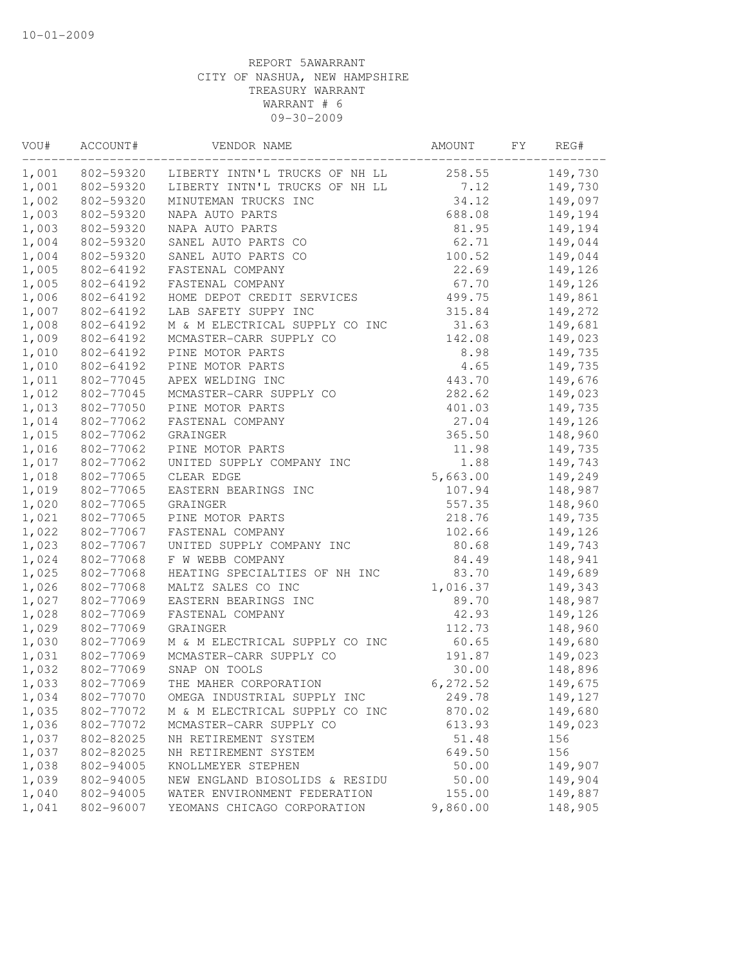| 258.55<br>149,730<br>802-59320<br>LIBERTY INTN'L TRUCKS OF NH LL<br>802-59320<br>LIBERTY INTN'L TRUCKS OF NH LL<br>7.12<br>149,730<br>34.12<br>802-59320<br>MINUTEMAN TRUCKS INC<br>149,097<br>802-59320<br>NAPA AUTO PARTS<br>688.08<br>149,194<br>802-59320<br>NAPA AUTO PARTS<br>81.95<br>149,194<br>802-59320<br>SANEL AUTO PARTS CO<br>62.71<br>149,044<br>SANEL AUTO PARTS CO<br>100.52<br>149,044<br>802-59320<br>802-64192<br>FASTENAL COMPANY<br>22.69<br>149,126<br>802-64192<br>FASTENAL COMPANY<br>67.70<br>149,126<br>149,861<br>802-64192<br>HOME DEPOT CREDIT SERVICES<br>499.75<br>LAB SAFETY SUPPY INC<br>802-64192<br>315.84<br>149,272<br>802-64192<br>M & M ELECTRICAL SUPPLY CO INC<br>31.63<br>149,681<br>802-64192<br>MCMASTER-CARR SUPPLY CO<br>142.08<br>149,023<br>802-64192<br>PINE MOTOR PARTS<br>8.98<br>149,735<br>802-64192<br>PINE MOTOR PARTS<br>4.65<br>149,735<br>802-77045<br>APEX WELDING INC<br>443.70<br>149,676<br>282.62<br>149,023<br>802-77045<br>MCMASTER-CARR SUPPLY CO<br>802-77050<br>PINE MOTOR PARTS<br>401.03<br>149,735<br>802-77062<br>FASTENAL COMPANY<br>27.04<br>149,126<br>802-77062<br>GRAINGER<br>365.50<br>148,960<br>802-77062<br>PINE MOTOR PARTS<br>11.98<br>149,735<br>802-77062<br>UNITED SUPPLY COMPANY INC<br>1.88<br>149,743<br>1,018<br>802-77065<br>5,663.00<br>149,249<br>CLEAR EDGE<br>802-77065<br>EASTERN BEARINGS INC<br>107.94<br>148,987<br>557.35<br>802-77065<br>GRAINGER<br>148,960<br>802-77065<br>PINE MOTOR PARTS<br>218.76<br>149,735<br>802-77067<br>FASTENAL COMPANY<br>102.66<br>149,126<br>802-77067<br>UNITED SUPPLY COMPANY INC<br>80.68<br>149,743<br>F W WEBB COMPANY<br>802-77068<br>84.49<br>148,941<br>HEATING SPECIALTIES OF NH INC<br>1,025<br>802-77068<br>83.70<br>149,689<br>1,016.37<br>802-77068<br>MALTZ SALES CO INC<br>149,343<br>1,027<br>802-77069<br>EASTERN BEARINGS INC<br>89.70<br>148,987<br>802-77069<br>FASTENAL COMPANY<br>42.93<br>149,126<br>1,029<br>112.73<br>148,960<br>802-77069<br>GRAINGER<br>60.65<br>802-77069<br>M & M ELECTRICAL SUPPLY CO INC<br>149,680<br>802-77069<br>MCMASTER-CARR SUPPLY CO<br>191.87<br>149,023<br>802-77069<br>1,032<br>SNAP ON TOOLS<br>30.00<br>148,896<br>802-77069<br>6, 272.52<br>THE MAHER CORPORATION<br>149,675<br>1,034<br>802-77070<br>OMEGA INDUSTRIAL SUPPLY INC<br>249.78<br>149,127<br>802-77072<br>M & M ELECTRICAL SUPPLY CO INC<br>870.02<br>149,680<br>1,036<br>802-77072<br>149,023<br>MCMASTER-CARR SUPPLY CO<br>613.93<br>802-82025<br>51.48<br>156<br>NH RETIREMENT SYSTEM<br>802-82025<br>649.50<br>156<br>NH RETIREMENT SYSTEM<br>802-94005<br>50.00<br>149,907<br>KNOLLMEYER STEPHEN<br>802-94005<br>NEW ENGLAND BIOSOLIDS & RESIDU<br>50.00<br>149,904<br>802-94005<br>WATER ENVIRONMENT FEDERATION<br>155.00<br>149,887<br>148,905<br>802-96007<br>YEOMANS CHICAGO CORPORATION<br>9,860.00 | VOU#  | ACCOUNT# | VENDOR NAME | AMOUNT | FY | REG# |
|-----------------------------------------------------------------------------------------------------------------------------------------------------------------------------------------------------------------------------------------------------------------------------------------------------------------------------------------------------------------------------------------------------------------------------------------------------------------------------------------------------------------------------------------------------------------------------------------------------------------------------------------------------------------------------------------------------------------------------------------------------------------------------------------------------------------------------------------------------------------------------------------------------------------------------------------------------------------------------------------------------------------------------------------------------------------------------------------------------------------------------------------------------------------------------------------------------------------------------------------------------------------------------------------------------------------------------------------------------------------------------------------------------------------------------------------------------------------------------------------------------------------------------------------------------------------------------------------------------------------------------------------------------------------------------------------------------------------------------------------------------------------------------------------------------------------------------------------------------------------------------------------------------------------------------------------------------------------------------------------------------------------------------------------------------------------------------------------------------------------------------------------------------------------------------------------------------------------------------------------------------------------------------------------------------------------------------------------------------------------------------------------------------------------------------------------------------------------------------------------------------------------------------------------------------------------------------------------------------------------------------------------------------------------------------------------------------------------------------------------------------------------------------------------------------------------------------------------------------------------------------|-------|----------|-------------|--------|----|------|
|                                                                                                                                                                                                                                                                                                                                                                                                                                                                                                                                                                                                                                                                                                                                                                                                                                                                                                                                                                                                                                                                                                                                                                                                                                                                                                                                                                                                                                                                                                                                                                                                                                                                                                                                                                                                                                                                                                                                                                                                                                                                                                                                                                                                                                                                                                                                                                                                                                                                                                                                                                                                                                                                                                                                                                                                                                                                             | 1,001 |          |             |        |    |      |
|                                                                                                                                                                                                                                                                                                                                                                                                                                                                                                                                                                                                                                                                                                                                                                                                                                                                                                                                                                                                                                                                                                                                                                                                                                                                                                                                                                                                                                                                                                                                                                                                                                                                                                                                                                                                                                                                                                                                                                                                                                                                                                                                                                                                                                                                                                                                                                                                                                                                                                                                                                                                                                                                                                                                                                                                                                                                             | 1,001 |          |             |        |    |      |
|                                                                                                                                                                                                                                                                                                                                                                                                                                                                                                                                                                                                                                                                                                                                                                                                                                                                                                                                                                                                                                                                                                                                                                                                                                                                                                                                                                                                                                                                                                                                                                                                                                                                                                                                                                                                                                                                                                                                                                                                                                                                                                                                                                                                                                                                                                                                                                                                                                                                                                                                                                                                                                                                                                                                                                                                                                                                             | 1,002 |          |             |        |    |      |
|                                                                                                                                                                                                                                                                                                                                                                                                                                                                                                                                                                                                                                                                                                                                                                                                                                                                                                                                                                                                                                                                                                                                                                                                                                                                                                                                                                                                                                                                                                                                                                                                                                                                                                                                                                                                                                                                                                                                                                                                                                                                                                                                                                                                                                                                                                                                                                                                                                                                                                                                                                                                                                                                                                                                                                                                                                                                             | 1,003 |          |             |        |    |      |
|                                                                                                                                                                                                                                                                                                                                                                                                                                                                                                                                                                                                                                                                                                                                                                                                                                                                                                                                                                                                                                                                                                                                                                                                                                                                                                                                                                                                                                                                                                                                                                                                                                                                                                                                                                                                                                                                                                                                                                                                                                                                                                                                                                                                                                                                                                                                                                                                                                                                                                                                                                                                                                                                                                                                                                                                                                                                             | 1,003 |          |             |        |    |      |
|                                                                                                                                                                                                                                                                                                                                                                                                                                                                                                                                                                                                                                                                                                                                                                                                                                                                                                                                                                                                                                                                                                                                                                                                                                                                                                                                                                                                                                                                                                                                                                                                                                                                                                                                                                                                                                                                                                                                                                                                                                                                                                                                                                                                                                                                                                                                                                                                                                                                                                                                                                                                                                                                                                                                                                                                                                                                             | 1,004 |          |             |        |    |      |
|                                                                                                                                                                                                                                                                                                                                                                                                                                                                                                                                                                                                                                                                                                                                                                                                                                                                                                                                                                                                                                                                                                                                                                                                                                                                                                                                                                                                                                                                                                                                                                                                                                                                                                                                                                                                                                                                                                                                                                                                                                                                                                                                                                                                                                                                                                                                                                                                                                                                                                                                                                                                                                                                                                                                                                                                                                                                             | 1,004 |          |             |        |    |      |
|                                                                                                                                                                                                                                                                                                                                                                                                                                                                                                                                                                                                                                                                                                                                                                                                                                                                                                                                                                                                                                                                                                                                                                                                                                                                                                                                                                                                                                                                                                                                                                                                                                                                                                                                                                                                                                                                                                                                                                                                                                                                                                                                                                                                                                                                                                                                                                                                                                                                                                                                                                                                                                                                                                                                                                                                                                                                             | 1,005 |          |             |        |    |      |
|                                                                                                                                                                                                                                                                                                                                                                                                                                                                                                                                                                                                                                                                                                                                                                                                                                                                                                                                                                                                                                                                                                                                                                                                                                                                                                                                                                                                                                                                                                                                                                                                                                                                                                                                                                                                                                                                                                                                                                                                                                                                                                                                                                                                                                                                                                                                                                                                                                                                                                                                                                                                                                                                                                                                                                                                                                                                             | 1,005 |          |             |        |    |      |
|                                                                                                                                                                                                                                                                                                                                                                                                                                                                                                                                                                                                                                                                                                                                                                                                                                                                                                                                                                                                                                                                                                                                                                                                                                                                                                                                                                                                                                                                                                                                                                                                                                                                                                                                                                                                                                                                                                                                                                                                                                                                                                                                                                                                                                                                                                                                                                                                                                                                                                                                                                                                                                                                                                                                                                                                                                                                             | 1,006 |          |             |        |    |      |
|                                                                                                                                                                                                                                                                                                                                                                                                                                                                                                                                                                                                                                                                                                                                                                                                                                                                                                                                                                                                                                                                                                                                                                                                                                                                                                                                                                                                                                                                                                                                                                                                                                                                                                                                                                                                                                                                                                                                                                                                                                                                                                                                                                                                                                                                                                                                                                                                                                                                                                                                                                                                                                                                                                                                                                                                                                                                             | 1,007 |          |             |        |    |      |
|                                                                                                                                                                                                                                                                                                                                                                                                                                                                                                                                                                                                                                                                                                                                                                                                                                                                                                                                                                                                                                                                                                                                                                                                                                                                                                                                                                                                                                                                                                                                                                                                                                                                                                                                                                                                                                                                                                                                                                                                                                                                                                                                                                                                                                                                                                                                                                                                                                                                                                                                                                                                                                                                                                                                                                                                                                                                             | 1,008 |          |             |        |    |      |
|                                                                                                                                                                                                                                                                                                                                                                                                                                                                                                                                                                                                                                                                                                                                                                                                                                                                                                                                                                                                                                                                                                                                                                                                                                                                                                                                                                                                                                                                                                                                                                                                                                                                                                                                                                                                                                                                                                                                                                                                                                                                                                                                                                                                                                                                                                                                                                                                                                                                                                                                                                                                                                                                                                                                                                                                                                                                             | 1,009 |          |             |        |    |      |
|                                                                                                                                                                                                                                                                                                                                                                                                                                                                                                                                                                                                                                                                                                                                                                                                                                                                                                                                                                                                                                                                                                                                                                                                                                                                                                                                                                                                                                                                                                                                                                                                                                                                                                                                                                                                                                                                                                                                                                                                                                                                                                                                                                                                                                                                                                                                                                                                                                                                                                                                                                                                                                                                                                                                                                                                                                                                             | 1,010 |          |             |        |    |      |
|                                                                                                                                                                                                                                                                                                                                                                                                                                                                                                                                                                                                                                                                                                                                                                                                                                                                                                                                                                                                                                                                                                                                                                                                                                                                                                                                                                                                                                                                                                                                                                                                                                                                                                                                                                                                                                                                                                                                                                                                                                                                                                                                                                                                                                                                                                                                                                                                                                                                                                                                                                                                                                                                                                                                                                                                                                                                             | 1,010 |          |             |        |    |      |
|                                                                                                                                                                                                                                                                                                                                                                                                                                                                                                                                                                                                                                                                                                                                                                                                                                                                                                                                                                                                                                                                                                                                                                                                                                                                                                                                                                                                                                                                                                                                                                                                                                                                                                                                                                                                                                                                                                                                                                                                                                                                                                                                                                                                                                                                                                                                                                                                                                                                                                                                                                                                                                                                                                                                                                                                                                                                             | 1,011 |          |             |        |    |      |
|                                                                                                                                                                                                                                                                                                                                                                                                                                                                                                                                                                                                                                                                                                                                                                                                                                                                                                                                                                                                                                                                                                                                                                                                                                                                                                                                                                                                                                                                                                                                                                                                                                                                                                                                                                                                                                                                                                                                                                                                                                                                                                                                                                                                                                                                                                                                                                                                                                                                                                                                                                                                                                                                                                                                                                                                                                                                             | 1,012 |          |             |        |    |      |
|                                                                                                                                                                                                                                                                                                                                                                                                                                                                                                                                                                                                                                                                                                                                                                                                                                                                                                                                                                                                                                                                                                                                                                                                                                                                                                                                                                                                                                                                                                                                                                                                                                                                                                                                                                                                                                                                                                                                                                                                                                                                                                                                                                                                                                                                                                                                                                                                                                                                                                                                                                                                                                                                                                                                                                                                                                                                             | 1,013 |          |             |        |    |      |
|                                                                                                                                                                                                                                                                                                                                                                                                                                                                                                                                                                                                                                                                                                                                                                                                                                                                                                                                                                                                                                                                                                                                                                                                                                                                                                                                                                                                                                                                                                                                                                                                                                                                                                                                                                                                                                                                                                                                                                                                                                                                                                                                                                                                                                                                                                                                                                                                                                                                                                                                                                                                                                                                                                                                                                                                                                                                             | 1,014 |          |             |        |    |      |
|                                                                                                                                                                                                                                                                                                                                                                                                                                                                                                                                                                                                                                                                                                                                                                                                                                                                                                                                                                                                                                                                                                                                                                                                                                                                                                                                                                                                                                                                                                                                                                                                                                                                                                                                                                                                                                                                                                                                                                                                                                                                                                                                                                                                                                                                                                                                                                                                                                                                                                                                                                                                                                                                                                                                                                                                                                                                             | 1,015 |          |             |        |    |      |
|                                                                                                                                                                                                                                                                                                                                                                                                                                                                                                                                                                                                                                                                                                                                                                                                                                                                                                                                                                                                                                                                                                                                                                                                                                                                                                                                                                                                                                                                                                                                                                                                                                                                                                                                                                                                                                                                                                                                                                                                                                                                                                                                                                                                                                                                                                                                                                                                                                                                                                                                                                                                                                                                                                                                                                                                                                                                             | 1,016 |          |             |        |    |      |
|                                                                                                                                                                                                                                                                                                                                                                                                                                                                                                                                                                                                                                                                                                                                                                                                                                                                                                                                                                                                                                                                                                                                                                                                                                                                                                                                                                                                                                                                                                                                                                                                                                                                                                                                                                                                                                                                                                                                                                                                                                                                                                                                                                                                                                                                                                                                                                                                                                                                                                                                                                                                                                                                                                                                                                                                                                                                             | 1,017 |          |             |        |    |      |
|                                                                                                                                                                                                                                                                                                                                                                                                                                                                                                                                                                                                                                                                                                                                                                                                                                                                                                                                                                                                                                                                                                                                                                                                                                                                                                                                                                                                                                                                                                                                                                                                                                                                                                                                                                                                                                                                                                                                                                                                                                                                                                                                                                                                                                                                                                                                                                                                                                                                                                                                                                                                                                                                                                                                                                                                                                                                             |       |          |             |        |    |      |
|                                                                                                                                                                                                                                                                                                                                                                                                                                                                                                                                                                                                                                                                                                                                                                                                                                                                                                                                                                                                                                                                                                                                                                                                                                                                                                                                                                                                                                                                                                                                                                                                                                                                                                                                                                                                                                                                                                                                                                                                                                                                                                                                                                                                                                                                                                                                                                                                                                                                                                                                                                                                                                                                                                                                                                                                                                                                             | 1,019 |          |             |        |    |      |
|                                                                                                                                                                                                                                                                                                                                                                                                                                                                                                                                                                                                                                                                                                                                                                                                                                                                                                                                                                                                                                                                                                                                                                                                                                                                                                                                                                                                                                                                                                                                                                                                                                                                                                                                                                                                                                                                                                                                                                                                                                                                                                                                                                                                                                                                                                                                                                                                                                                                                                                                                                                                                                                                                                                                                                                                                                                                             | 1,020 |          |             |        |    |      |
|                                                                                                                                                                                                                                                                                                                                                                                                                                                                                                                                                                                                                                                                                                                                                                                                                                                                                                                                                                                                                                                                                                                                                                                                                                                                                                                                                                                                                                                                                                                                                                                                                                                                                                                                                                                                                                                                                                                                                                                                                                                                                                                                                                                                                                                                                                                                                                                                                                                                                                                                                                                                                                                                                                                                                                                                                                                                             | 1,021 |          |             |        |    |      |
|                                                                                                                                                                                                                                                                                                                                                                                                                                                                                                                                                                                                                                                                                                                                                                                                                                                                                                                                                                                                                                                                                                                                                                                                                                                                                                                                                                                                                                                                                                                                                                                                                                                                                                                                                                                                                                                                                                                                                                                                                                                                                                                                                                                                                                                                                                                                                                                                                                                                                                                                                                                                                                                                                                                                                                                                                                                                             | 1,022 |          |             |        |    |      |
|                                                                                                                                                                                                                                                                                                                                                                                                                                                                                                                                                                                                                                                                                                                                                                                                                                                                                                                                                                                                                                                                                                                                                                                                                                                                                                                                                                                                                                                                                                                                                                                                                                                                                                                                                                                                                                                                                                                                                                                                                                                                                                                                                                                                                                                                                                                                                                                                                                                                                                                                                                                                                                                                                                                                                                                                                                                                             | 1,023 |          |             |        |    |      |
|                                                                                                                                                                                                                                                                                                                                                                                                                                                                                                                                                                                                                                                                                                                                                                                                                                                                                                                                                                                                                                                                                                                                                                                                                                                                                                                                                                                                                                                                                                                                                                                                                                                                                                                                                                                                                                                                                                                                                                                                                                                                                                                                                                                                                                                                                                                                                                                                                                                                                                                                                                                                                                                                                                                                                                                                                                                                             | 1,024 |          |             |        |    |      |
|                                                                                                                                                                                                                                                                                                                                                                                                                                                                                                                                                                                                                                                                                                                                                                                                                                                                                                                                                                                                                                                                                                                                                                                                                                                                                                                                                                                                                                                                                                                                                                                                                                                                                                                                                                                                                                                                                                                                                                                                                                                                                                                                                                                                                                                                                                                                                                                                                                                                                                                                                                                                                                                                                                                                                                                                                                                                             |       |          |             |        |    |      |
|                                                                                                                                                                                                                                                                                                                                                                                                                                                                                                                                                                                                                                                                                                                                                                                                                                                                                                                                                                                                                                                                                                                                                                                                                                                                                                                                                                                                                                                                                                                                                                                                                                                                                                                                                                                                                                                                                                                                                                                                                                                                                                                                                                                                                                                                                                                                                                                                                                                                                                                                                                                                                                                                                                                                                                                                                                                                             | 1,026 |          |             |        |    |      |
|                                                                                                                                                                                                                                                                                                                                                                                                                                                                                                                                                                                                                                                                                                                                                                                                                                                                                                                                                                                                                                                                                                                                                                                                                                                                                                                                                                                                                                                                                                                                                                                                                                                                                                                                                                                                                                                                                                                                                                                                                                                                                                                                                                                                                                                                                                                                                                                                                                                                                                                                                                                                                                                                                                                                                                                                                                                                             |       |          |             |        |    |      |
|                                                                                                                                                                                                                                                                                                                                                                                                                                                                                                                                                                                                                                                                                                                                                                                                                                                                                                                                                                                                                                                                                                                                                                                                                                                                                                                                                                                                                                                                                                                                                                                                                                                                                                                                                                                                                                                                                                                                                                                                                                                                                                                                                                                                                                                                                                                                                                                                                                                                                                                                                                                                                                                                                                                                                                                                                                                                             | 1,028 |          |             |        |    |      |
|                                                                                                                                                                                                                                                                                                                                                                                                                                                                                                                                                                                                                                                                                                                                                                                                                                                                                                                                                                                                                                                                                                                                                                                                                                                                                                                                                                                                                                                                                                                                                                                                                                                                                                                                                                                                                                                                                                                                                                                                                                                                                                                                                                                                                                                                                                                                                                                                                                                                                                                                                                                                                                                                                                                                                                                                                                                                             |       |          |             |        |    |      |
|                                                                                                                                                                                                                                                                                                                                                                                                                                                                                                                                                                                                                                                                                                                                                                                                                                                                                                                                                                                                                                                                                                                                                                                                                                                                                                                                                                                                                                                                                                                                                                                                                                                                                                                                                                                                                                                                                                                                                                                                                                                                                                                                                                                                                                                                                                                                                                                                                                                                                                                                                                                                                                                                                                                                                                                                                                                                             | 1,030 |          |             |        |    |      |
|                                                                                                                                                                                                                                                                                                                                                                                                                                                                                                                                                                                                                                                                                                                                                                                                                                                                                                                                                                                                                                                                                                                                                                                                                                                                                                                                                                                                                                                                                                                                                                                                                                                                                                                                                                                                                                                                                                                                                                                                                                                                                                                                                                                                                                                                                                                                                                                                                                                                                                                                                                                                                                                                                                                                                                                                                                                                             | 1,031 |          |             |        |    |      |
|                                                                                                                                                                                                                                                                                                                                                                                                                                                                                                                                                                                                                                                                                                                                                                                                                                                                                                                                                                                                                                                                                                                                                                                                                                                                                                                                                                                                                                                                                                                                                                                                                                                                                                                                                                                                                                                                                                                                                                                                                                                                                                                                                                                                                                                                                                                                                                                                                                                                                                                                                                                                                                                                                                                                                                                                                                                                             |       |          |             |        |    |      |
|                                                                                                                                                                                                                                                                                                                                                                                                                                                                                                                                                                                                                                                                                                                                                                                                                                                                                                                                                                                                                                                                                                                                                                                                                                                                                                                                                                                                                                                                                                                                                                                                                                                                                                                                                                                                                                                                                                                                                                                                                                                                                                                                                                                                                                                                                                                                                                                                                                                                                                                                                                                                                                                                                                                                                                                                                                                                             | 1,033 |          |             |        |    |      |
|                                                                                                                                                                                                                                                                                                                                                                                                                                                                                                                                                                                                                                                                                                                                                                                                                                                                                                                                                                                                                                                                                                                                                                                                                                                                                                                                                                                                                                                                                                                                                                                                                                                                                                                                                                                                                                                                                                                                                                                                                                                                                                                                                                                                                                                                                                                                                                                                                                                                                                                                                                                                                                                                                                                                                                                                                                                                             |       |          |             |        |    |      |
|                                                                                                                                                                                                                                                                                                                                                                                                                                                                                                                                                                                                                                                                                                                                                                                                                                                                                                                                                                                                                                                                                                                                                                                                                                                                                                                                                                                                                                                                                                                                                                                                                                                                                                                                                                                                                                                                                                                                                                                                                                                                                                                                                                                                                                                                                                                                                                                                                                                                                                                                                                                                                                                                                                                                                                                                                                                                             | 1,035 |          |             |        |    |      |
|                                                                                                                                                                                                                                                                                                                                                                                                                                                                                                                                                                                                                                                                                                                                                                                                                                                                                                                                                                                                                                                                                                                                                                                                                                                                                                                                                                                                                                                                                                                                                                                                                                                                                                                                                                                                                                                                                                                                                                                                                                                                                                                                                                                                                                                                                                                                                                                                                                                                                                                                                                                                                                                                                                                                                                                                                                                                             |       |          |             |        |    |      |
|                                                                                                                                                                                                                                                                                                                                                                                                                                                                                                                                                                                                                                                                                                                                                                                                                                                                                                                                                                                                                                                                                                                                                                                                                                                                                                                                                                                                                                                                                                                                                                                                                                                                                                                                                                                                                                                                                                                                                                                                                                                                                                                                                                                                                                                                                                                                                                                                                                                                                                                                                                                                                                                                                                                                                                                                                                                                             | 1,037 |          |             |        |    |      |
|                                                                                                                                                                                                                                                                                                                                                                                                                                                                                                                                                                                                                                                                                                                                                                                                                                                                                                                                                                                                                                                                                                                                                                                                                                                                                                                                                                                                                                                                                                                                                                                                                                                                                                                                                                                                                                                                                                                                                                                                                                                                                                                                                                                                                                                                                                                                                                                                                                                                                                                                                                                                                                                                                                                                                                                                                                                                             | 1,037 |          |             |        |    |      |
|                                                                                                                                                                                                                                                                                                                                                                                                                                                                                                                                                                                                                                                                                                                                                                                                                                                                                                                                                                                                                                                                                                                                                                                                                                                                                                                                                                                                                                                                                                                                                                                                                                                                                                                                                                                                                                                                                                                                                                                                                                                                                                                                                                                                                                                                                                                                                                                                                                                                                                                                                                                                                                                                                                                                                                                                                                                                             | 1,038 |          |             |        |    |      |
|                                                                                                                                                                                                                                                                                                                                                                                                                                                                                                                                                                                                                                                                                                                                                                                                                                                                                                                                                                                                                                                                                                                                                                                                                                                                                                                                                                                                                                                                                                                                                                                                                                                                                                                                                                                                                                                                                                                                                                                                                                                                                                                                                                                                                                                                                                                                                                                                                                                                                                                                                                                                                                                                                                                                                                                                                                                                             | 1,039 |          |             |        |    |      |
|                                                                                                                                                                                                                                                                                                                                                                                                                                                                                                                                                                                                                                                                                                                                                                                                                                                                                                                                                                                                                                                                                                                                                                                                                                                                                                                                                                                                                                                                                                                                                                                                                                                                                                                                                                                                                                                                                                                                                                                                                                                                                                                                                                                                                                                                                                                                                                                                                                                                                                                                                                                                                                                                                                                                                                                                                                                                             | 1,040 |          |             |        |    |      |
|                                                                                                                                                                                                                                                                                                                                                                                                                                                                                                                                                                                                                                                                                                                                                                                                                                                                                                                                                                                                                                                                                                                                                                                                                                                                                                                                                                                                                                                                                                                                                                                                                                                                                                                                                                                                                                                                                                                                                                                                                                                                                                                                                                                                                                                                                                                                                                                                                                                                                                                                                                                                                                                                                                                                                                                                                                                                             | 1,041 |          |             |        |    |      |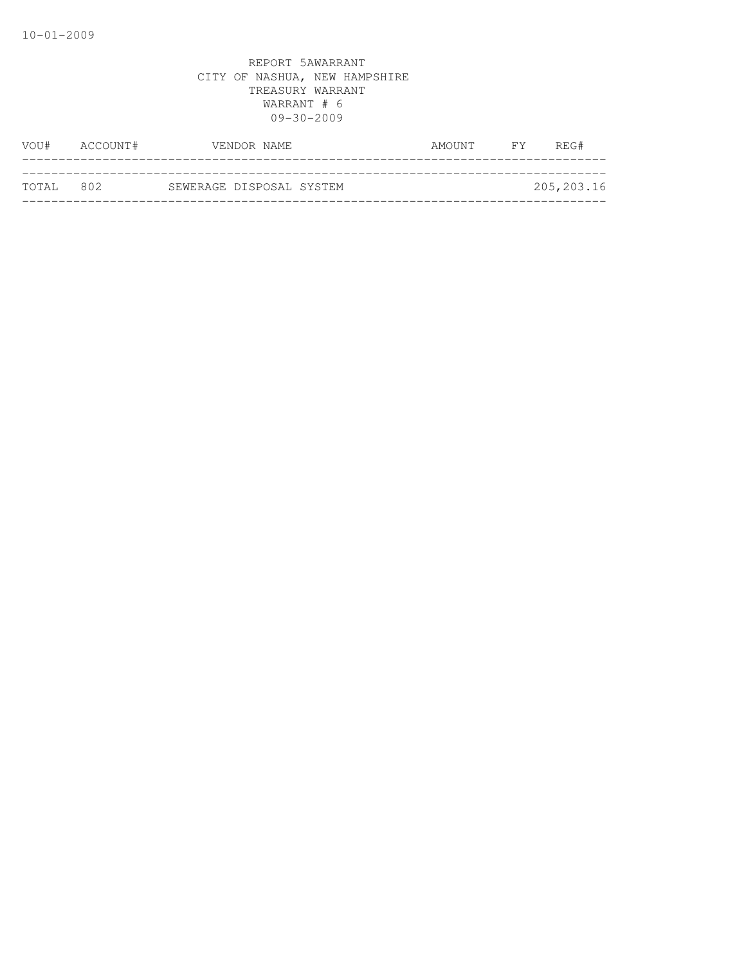| VOU#      | ACCOUNT# |                          | VENDOR NAME | AMOUNT | FY . | REG#       |
|-----------|----------|--------------------------|-------------|--------|------|------------|
|           |          |                          |             |        |      |            |
| TOTAL 802 |          | SEWERAGE DISPOSAL SYSTEM |             |        |      | 205,203.16 |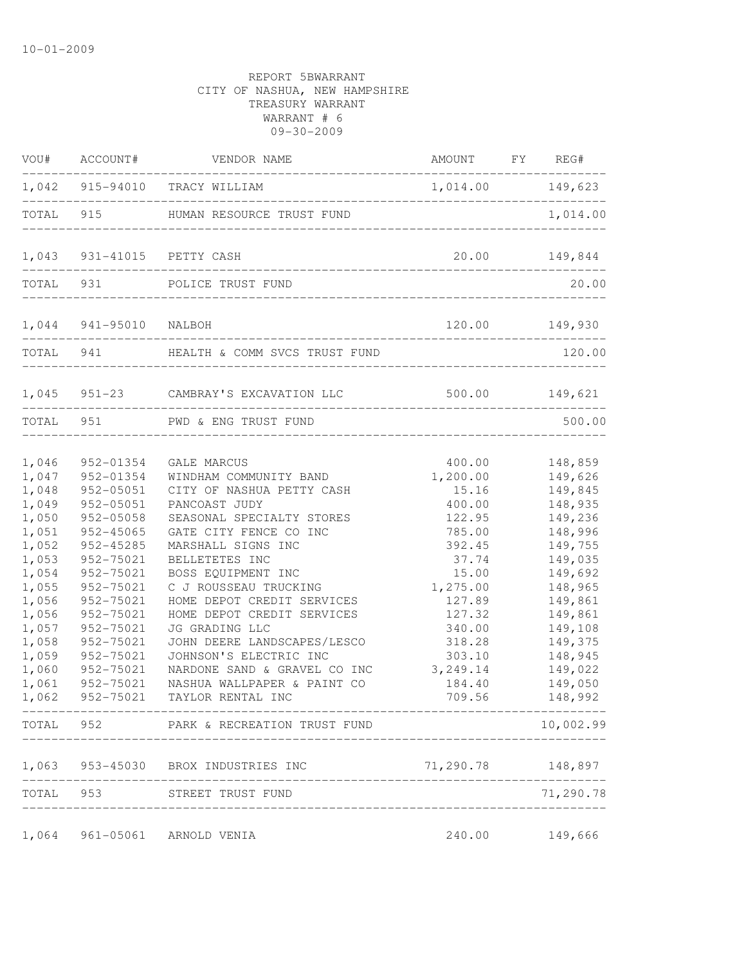|                                                                                                                                                                | VOU# ACCOUNT#                                                                                                                                                                                                                          | VENDOR NAME                                                                                                                                                                                                                                                                                                                                                                                                                                                                           | AMOUNT FY REG#                                                                                                                                                                      |                                                                                                                                                                                                    |
|----------------------------------------------------------------------------------------------------------------------------------------------------------------|----------------------------------------------------------------------------------------------------------------------------------------------------------------------------------------------------------------------------------------|---------------------------------------------------------------------------------------------------------------------------------------------------------------------------------------------------------------------------------------------------------------------------------------------------------------------------------------------------------------------------------------------------------------------------------------------------------------------------------------|-------------------------------------------------------------------------------------------------------------------------------------------------------------------------------------|----------------------------------------------------------------------------------------------------------------------------------------------------------------------------------------------------|
|                                                                                                                                                                |                                                                                                                                                                                                                                        | 1,042 915-94010 TRACY WILLIAM                                                                                                                                                                                                                                                                                                                                                                                                                                                         | 1,014.00 149,623                                                                                                                                                                    | -----------------                                                                                                                                                                                  |
|                                                                                                                                                                |                                                                                                                                                                                                                                        | TOTAL 915 HUMAN RESOURCE TRUST FUND                                                                                                                                                                                                                                                                                                                                                                                                                                                   |                                                                                                                                                                                     | 1,014.00                                                                                                                                                                                           |
|                                                                                                                                                                |                                                                                                                                                                                                                                        | 1,043 931-41015 PETTY CASH                                                                                                                                                                                                                                                                                                                                                                                                                                                            |                                                                                                                                                                                     | 20.00 149,844                                                                                                                                                                                      |
|                                                                                                                                                                |                                                                                                                                                                                                                                        | TOTAL 931 POLICE TRUST FUND                                                                                                                                                                                                                                                                                                                                                                                                                                                           |                                                                                                                                                                                     | 20.00                                                                                                                                                                                              |
|                                                                                                                                                                | 1,044 941-95010 NALBOH                                                                                                                                                                                                                 |                                                                                                                                                                                                                                                                                                                                                                                                                                                                                       | 120.00 149,930                                                                                                                                                                      |                                                                                                                                                                                                    |
|                                                                                                                                                                | ----------------------                                                                                                                                                                                                                 | TOTAL 941 HEALTH & COMM SVCS TRUST FUND                                                                                                                                                                                                                                                                                                                                                                                                                                               |                                                                                                                                                                                     | 120.00                                                                                                                                                                                             |
|                                                                                                                                                                |                                                                                                                                                                                                                                        | 1,045 951-23 CAMBRAY'S EXCAVATION LLC                                                                                                                                                                                                                                                                                                                                                                                                                                                 | ------------------------------------                                                                                                                                                | 500.00    149,621                                                                                                                                                                                  |
|                                                                                                                                                                | TOTAL 951                                                                                                                                                                                                                              | PWD & ENG TRUST FUND                                                                                                                                                                                                                                                                                                                                                                                                                                                                  | .___________________________                                                                                                                                                        | 500.00                                                                                                                                                                                             |
| 1,046<br>1,047<br>1,048<br>1,049<br>1,050<br>1,051<br>1,052<br>1,053<br>1,054<br>1,055<br>1,056<br>1,056<br>1,057<br>1,058<br>1,059<br>1,060<br>1,061<br>1,062 | 952-01354<br>952-01354<br>952-05051<br>952-05051<br>952-05058<br>952-45065<br>952-45285<br>952-75021<br>952-75021<br>952-75021<br>952-75021<br>952-75021<br>952-75021<br>952-75021<br>952-75021<br>952-75021<br>952-75021<br>952-75021 | GALE MARCUS<br>WINDHAM COMMUNITY BAND<br>CITY OF NASHUA PETTY CASH<br>PANCOAST JUDY<br>SEASONAL SPECIALTY STORES<br>GATE CITY FENCE CO INC<br>MARSHALL SIGNS INC<br>BELLETETES INC<br>BOSS EQUIPMENT INC<br>C J ROUSSEAU TRUCKING<br>HOME DEPOT CREDIT SERVICES<br>HOME DEPOT CREDIT SERVICES<br>JG GRADING LLC<br>JOHN DEERE LANDSCAPES/LESCO<br>JOHNSON'S ELECTRIC INC<br>NARDONE SAND & GRAVEL CO INC<br>NASHUA WALLPAPER & PAINT CO<br>TAYLOR RENTAL INC<br>--------------------- | 400.00<br>1,200.00<br>15.16<br>400.00<br>122.95<br>785.00<br>392.45<br>37.74<br>15.00<br>1,275.00<br>127.89<br>127.32<br>340.00<br>318.28<br>303.10<br>3,249.14<br>184.40<br>709.56 | 148,859<br>149,626<br>149,845<br>148,935<br>149,236<br>148,996<br>149,755<br>149,035<br>149,692<br>148,965<br>149,861<br>149,861<br>149,108<br>149,375<br>148,945<br>149,022<br>149,050<br>148,992 |
|                                                                                                                                                                |                                                                                                                                                                                                                                        | TOTAL 952 PARK & RECREATION TRUST FUND                                                                                                                                                                                                                                                                                                                                                                                                                                                |                                                                                                                                                                                     | 10,002.99                                                                                                                                                                                          |
|                                                                                                                                                                |                                                                                                                                                                                                                                        | 1,063 953-45030 BROX INDUSTRIES INC                                                                                                                                                                                                                                                                                                                                                                                                                                                   |                                                                                                                                                                                     | 71,290.78 148,897                                                                                                                                                                                  |
| TOTAL                                                                                                                                                          |                                                                                                                                                                                                                                        | 953 STREET TRUST FUND<br>----------------                                                                                                                                                                                                                                                                                                                                                                                                                                             |                                                                                                                                                                                     | 71,290.78                                                                                                                                                                                          |
| 1,064                                                                                                                                                          |                                                                                                                                                                                                                                        | 961-05061 ARNOLD VENIA                                                                                                                                                                                                                                                                                                                                                                                                                                                                | 240.00                                                                                                                                                                              | 149,666                                                                                                                                                                                            |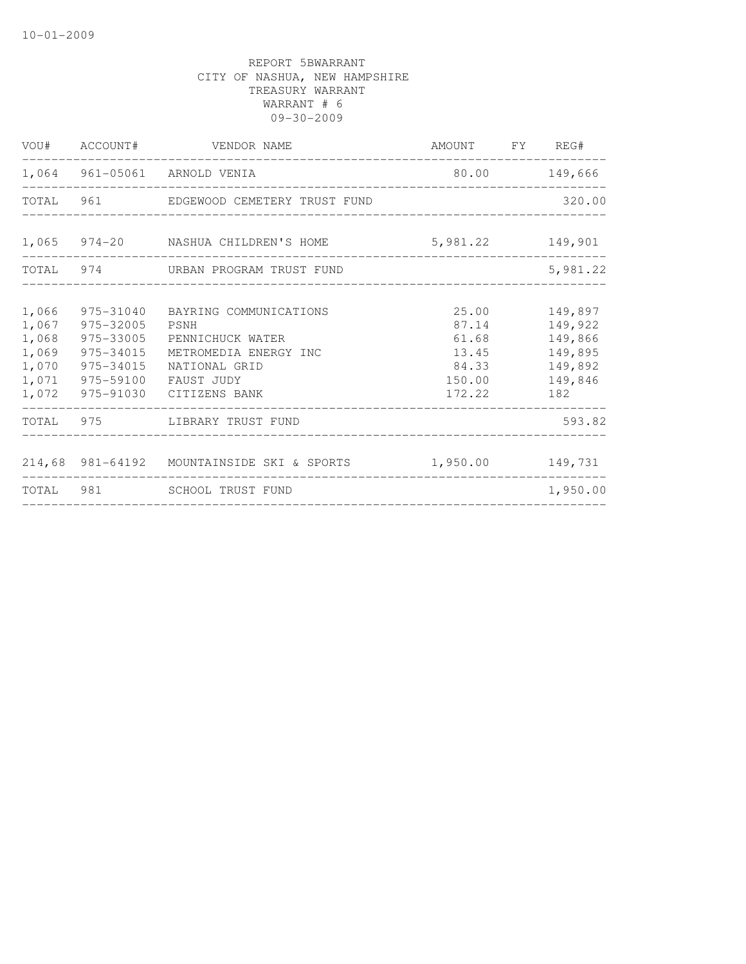|       |           | VOU# ACCOUNT# VENDOR NAME                                   | AMOUNT FY REG# |               |
|-------|-----------|-------------------------------------------------------------|----------------|---------------|
|       |           | 1,064 961-05061 ARNOLD VENIA                                |                | 80.00 149,666 |
|       |           | TOTAL 961 EDGEWOOD CEMETERY TRUST FUND                      |                | 320.00        |
|       |           | 1,065 974-20 NASHUA CHILDREN'S HOME 5,981.22 149,901        |                |               |
|       |           | TOTAL 974 URBAN PROGRAM TRUST FUND                          |                | 5,981.22      |
| 1,066 | 975-31040 | BAYRING COMMUNICATIONS                                      | 25.00          | 149,897       |
| 1,067 | 975-32005 | PSNH                                                        | 87.14          | 149,922       |
| 1,068 | 975-33005 | PENNICHUCK WATER                                            | 61.68          | 149,866       |
| 1,069 | 975-34015 | METROMEDIA ENERGY INC                                       | 13.45          | 149,895       |
| 1,070 | 975-34015 | NATIONAL GRID                                               | 84.33          | 149,892       |
| 1,071 | 975-59100 | FAUST JUDY                                                  | 150.00         | 149,846       |
| 1,072 |           | 975-91030 CITIZENS BANK                                     | 172.22 182     |               |
|       |           | TOTAL 975 LIBRARY TRUST FUND                                |                | 593.82        |
|       |           | 214,68 981-64192 MOUNTAINSIDE SKI & SPORTS 1,950.00 149,731 |                |               |
|       |           | TOTAL 981 SCHOOL TRUST FUND                                 |                | 1,950.00      |
|       |           |                                                             |                |               |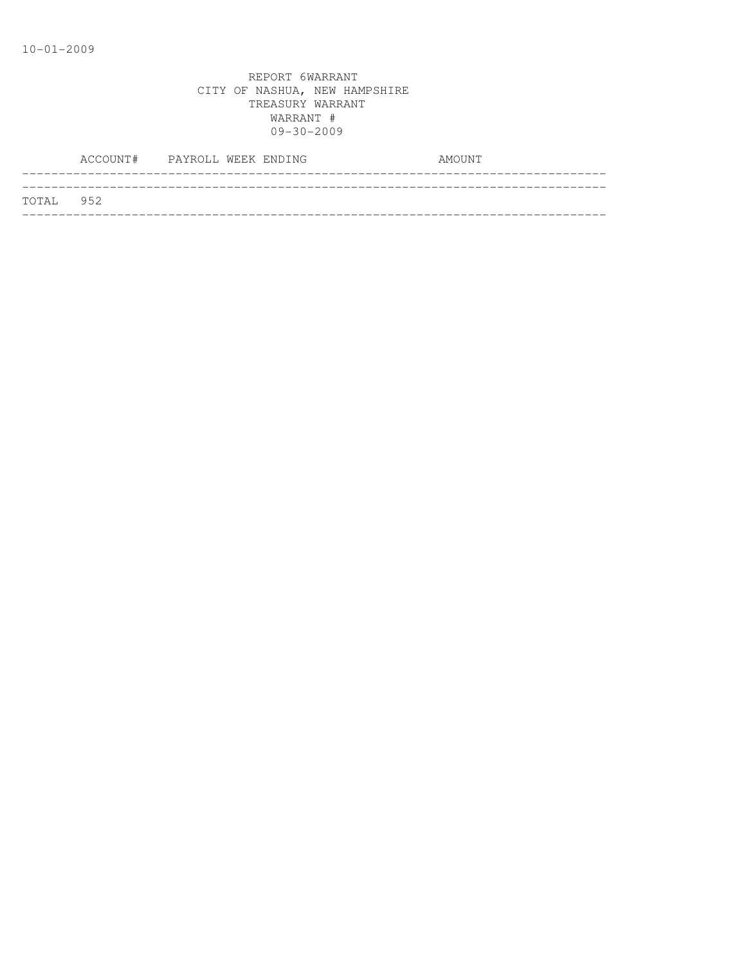|           | ACCOUNT# PAYROLL WEEK ENDING |  |  | AMOUNT |
|-----------|------------------------------|--|--|--------|
|           |                              |  |  |        |
| TOTAL 952 |                              |  |  |        |
|           |                              |  |  |        |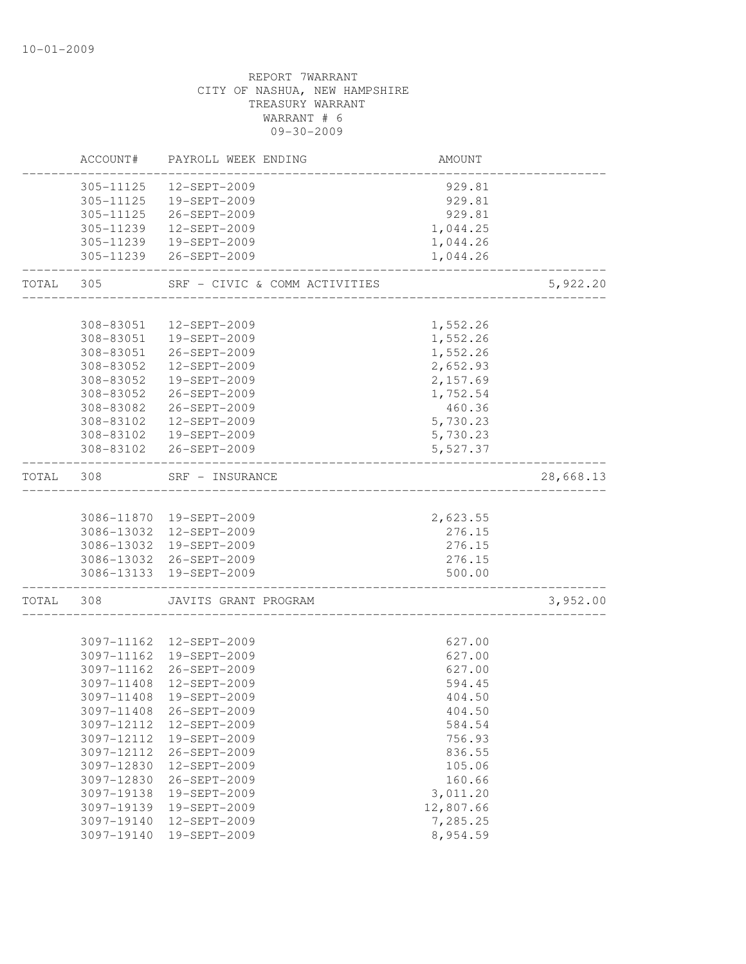|       | ACCOUNT#   | PAYROLL WEEK ENDING                   | AMOUNT    |           |
|-------|------------|---------------------------------------|-----------|-----------|
|       | 305-11125  | 12-SEPT-2009                          | 929.81    |           |
|       | 305-11125  | 19-SEPT-2009                          | 929.81    |           |
|       | 305-11125  | 26-SEPT-2009                          | 929.81    |           |
|       | 305-11239  | 12-SEPT-2009                          | 1,044.25  |           |
|       |            | 305-11239  19-SEPT-2009               | 1,044.26  |           |
|       |            | 305-11239 26-SEPT-2009                | 1,044.26  |           |
| TOTAL | 305        | SRF - CIVIC & COMM ACTIVITIES         |           | 5,922.20  |
|       |            |                                       |           |           |
|       | 308-83051  | 12-SEPT-2009                          | 1,552.26  |           |
|       | 308-83051  | 19-SEPT-2009                          | 1,552.26  |           |
|       |            | 308-83051 26-SEPT-2009                | 1,552.26  |           |
|       | 308-83052  | 12-SEPT-2009                          | 2,652.93  |           |
|       | 308-83052  | 19-SEPT-2009                          | 2,157.69  |           |
|       | 308-83052  | 26-SEPT-2009                          | 1,752.54  |           |
|       | 308-83082  | 26-SEPT-2009                          | 460.36    |           |
|       | 308-83102  | 12-SEPT-2009                          | 5,730.23  |           |
|       | 308-83102  | 19-SEPT-2009                          | 5,730.23  |           |
|       | 308-83102  | 26-SEPT-2009                          | 5,527.37  |           |
| TOTAL | 308        | SRF - INSURANCE<br>__________________ |           | 28,668.13 |
|       |            | 3086-11870 19-SEPT-2009               | 2,623.55  |           |
|       |            | 3086-13032 12-SEPT-2009               | 276.15    |           |
|       |            | 3086-13032 19-SEPT-2009               | 276.15    |           |
|       |            | 3086-13032 26-SEPT-2009               | 276.15    |           |
|       |            | 3086-13133 19-SEPT-2009               | 500.00    |           |
| TOTAL | 308        | JAVITS GRANT PROGRAM                  |           | 3,952.00  |
|       |            |                                       |           |           |
|       |            | 3097-11162  12-SEPT-2009              | 627.00    |           |
|       |            | 3097-11162 19-SEPT-2009               | 627.00    |           |
|       | 3097-11162 | 26-SEPT-2009                          | 627.00    |           |
|       | 3097-11408 | 12-SEPT-2009                          | 594.45    |           |
|       |            | 3097-11408 19-SEPT-2009               | 404.50    |           |
|       | 3097-11408 | 26-SEPT-2009                          | 404.50    |           |
|       | 3097-12112 | 12-SEPT-2009                          | 584.54    |           |
|       | 3097-12112 | 19-SEPT-2009                          | 756.93    |           |
|       | 3097-12112 | 26-SEPT-2009                          | 836.55    |           |
|       | 3097-12830 | 12-SEPT-2009                          | 105.06    |           |
|       | 3097-12830 | 26-SEPT-2009                          | 160.66    |           |
|       | 3097-19138 | 19-SEPT-2009                          | 3,011.20  |           |
|       | 3097-19139 | 19-SEPT-2009                          | 12,807.66 |           |
|       | 3097-19140 | 12-SEPT-2009                          | 7,285.25  |           |
|       | 3097-19140 | 19-SEPT-2009                          | 8,954.59  |           |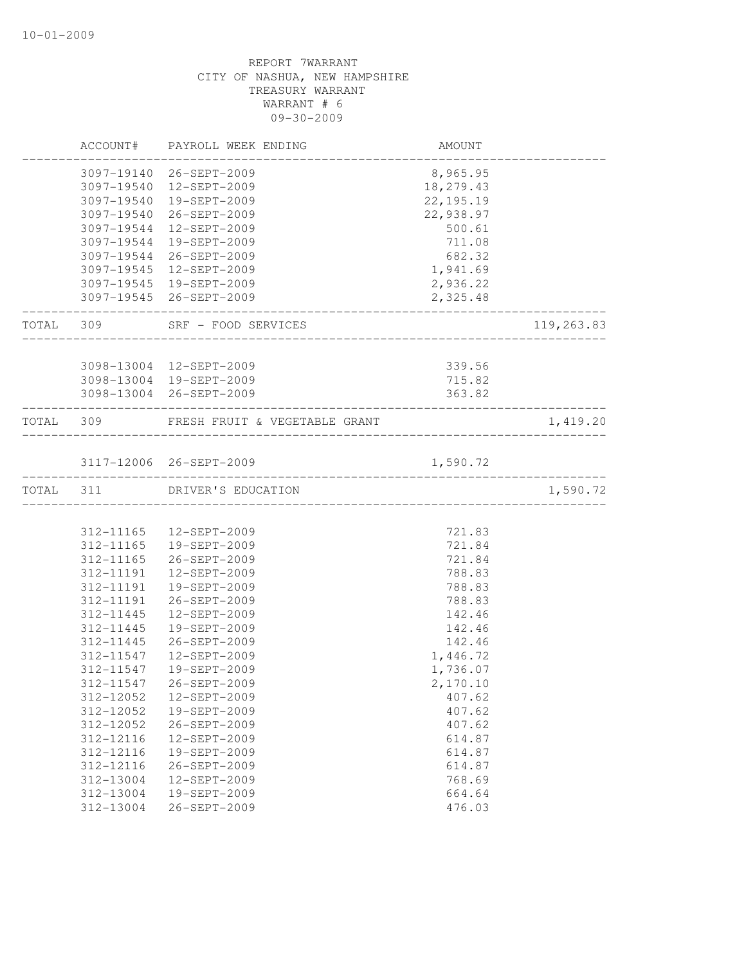|           |                        | ACCOUNT# PAYROLL WEEK ENDING                              | AMOUNT           |            |
|-----------|------------------------|-----------------------------------------------------------|------------------|------------|
|           |                        | 3097-19140 26-SEPT-2009                                   | 8,965.95         |            |
|           |                        | 3097-19540  12-SEPT-2009                                  | 18,279.43        |            |
|           | 3097-19540             | 19-SEPT-2009                                              | 22, 195. 19      |            |
|           | 3097-19540             | 26-SEPT-2009                                              | 22,938.97        |            |
|           | 3097-19544             | 12-SEPT-2009                                              | 500.61           |            |
|           | 3097-19544             | 19-SEPT-2009                                              | 711.08           |            |
|           |                        | 3097-19544 26-SEPT-2009                                   | 682.32           |            |
|           |                        | 3097-19545 12-SEPT-2009                                   | 1,941.69         |            |
|           |                        | 3097-19545 19-SEPT-2009                                   | 2,936.22         |            |
|           |                        | 3097-19545 26-SEPT-2009<br>----------------------         | 2,325.48         |            |
|           |                        | TOTAL 309 SRF - FOOD SERVICES<br>------------------------ |                  | 119,263.83 |
|           |                        |                                                           |                  |            |
|           |                        | 3098-13004 12-SEPT-2009<br>3098-13004 19-SEPT-2009        | 339.56<br>715.82 |            |
|           |                        |                                                           |                  |            |
|           |                        | 3098-13004 26-SEPT-2009                                   | 363.82           |            |
|           |                        | TOTAL 309 FRESH FRUIT & VEGETABLE GRANT                   |                  | 1,419.20   |
|           |                        | 3117-12006 26-SEPT-2009                                   | 1,590.72         |            |
| TOTAL 311 |                        | ______________________________<br>DRIVER'S EDUCATION      |                  | 1,590.72   |
|           |                        |                                                           |                  |            |
|           |                        | 312-11165   12-SEPT-2009                                  | 721.83           |            |
|           |                        | 312-11165  19-SEPT-2009                                   | 721.84           |            |
|           | 312-11165              | 26-SEPT-2009                                              | 721.84           |            |
|           | 312-11191              | 12-SEPT-2009                                              | 788.83           |            |
|           | 312-11191              | 19-SEPT-2009                                              | 788.83           |            |
|           | 312-11191              | 26-SEPT-2009                                              | 788.83           |            |
|           | 312-11445              | 12-SEPT-2009                                              | 142.46           |            |
|           | 312-11445              | 19-SEPT-2009                                              | 142.46           |            |
|           | 312-11445              | 26-SEPT-2009                                              | 142.46           |            |
|           | 312-11547              | 12-SEPT-2009                                              | 1,446.72         |            |
|           | 312-11547              | 19-SEPT-2009                                              | 1,736.07         |            |
|           |                        | 312-11547 26-SEPT-2009                                    | 2,170.10         |            |
|           | 312-12052              | 12-SEPT-2009                                              | 407.62           |            |
|           | 312-12052              | 19-SEPT-2009                                              | 407.62           |            |
|           | 312-12052              | 26-SEPT-2009                                              | 407.62           |            |
|           | 312-12116              | 12-SEPT-2009                                              | 614.87           |            |
|           | 312-12116              | 19-SEPT-2009                                              | 614.87           |            |
|           |                        |                                                           |                  |            |
|           |                        |                                                           |                  |            |
|           | 312-12116              | 26-SEPT-2009<br>12-SEPT-2009                              | 614.87           |            |
|           | 312-13004<br>312-13004 | 19-SEPT-2009                                              | 768.69<br>664.64 |            |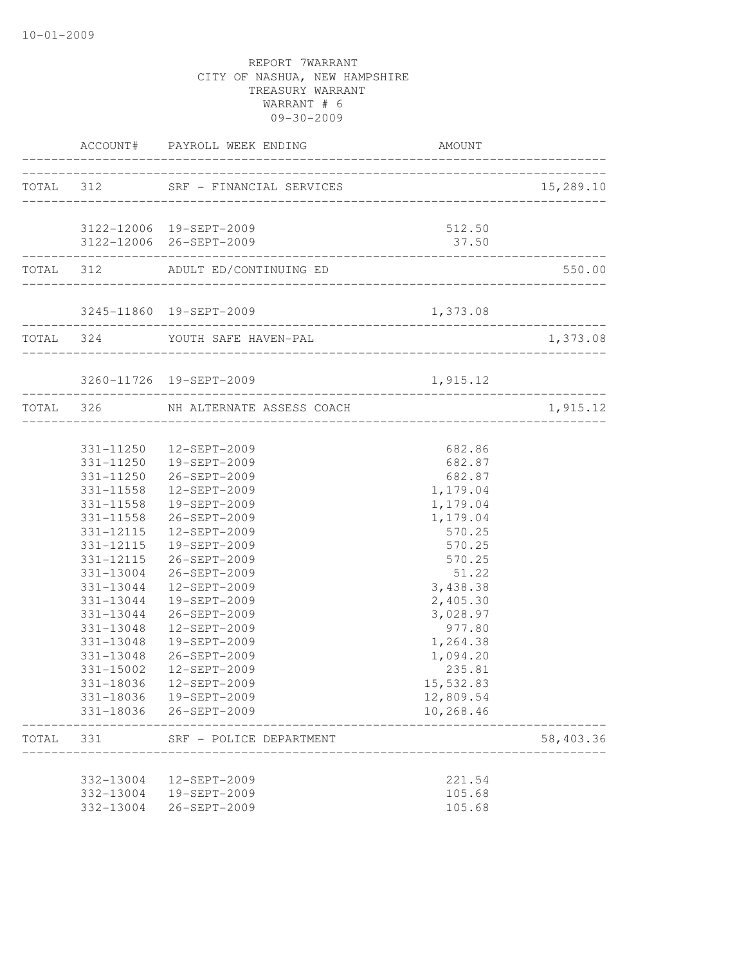|       | _________             | ACCOUNT# PAYROLL WEEK ENDING                                               | AMOUNT          |                                                 |
|-------|-----------------------|----------------------------------------------------------------------------|-----------------|-------------------------------------------------|
|       |                       | TOTAL 312 SRF - FINANCIAL SERVICES                                         |                 | 15,289.10                                       |
|       |                       | 3122-12006 19-SEPT-2009<br>3122-12006 26-SEPT-2009                         | 512.50<br>37.50 |                                                 |
|       |                       | TOTAL 312 ADULT ED/CONTINUING ED                                           |                 | 550.00                                          |
|       |                       | 3245-11860 19-SEPT-2009                                                    | 1,373.08        |                                                 |
|       | _____________________ | TOTAL 324 YOUTH SAFE HAVEN-PAL                                             |                 | 1,373.08                                        |
|       |                       | 3260-11726 19-SEPT-2009                                                    | 1,915.12        |                                                 |
|       |                       | -----------------------------------<br>TOTAL 326 NH ALTERNATE ASSESS COACH |                 | . _ _ _ _ _ _ _ _ _ _ _ _ _ _ _ _ _<br>1,915.12 |
|       |                       | 331-11250  12-SEPT-2009                                                    | 682.86          |                                                 |
|       |                       | 331-11250  19-SEPT-2009                                                    | 682.87          |                                                 |
|       |                       | 331-11250 26-SEPT-2009                                                     | 682.87          |                                                 |
|       |                       | 331-11558  12-SEPT-2009                                                    | 1,179.04        |                                                 |
|       | 331-11558             | 19-SEPT-2009                                                               | 1,179.04        |                                                 |
|       | 331-11558             | 26-SEPT-2009                                                               | 1,179.04        |                                                 |
|       | 331-12115             | 12-SEPT-2009                                                               | 570.25          |                                                 |
|       |                       | 331-12115  19-SEPT-2009                                                    | 570.25          |                                                 |
|       |                       | 331-12115 26-SEPT-2009                                                     | 570.25          |                                                 |
|       |                       | 331-13004 26-SEPT-2009                                                     | 51.22           |                                                 |
|       | 331-13044             | 12-SEPT-2009                                                               | 3,438.38        |                                                 |
|       | 331-13044             | 19-SEPT-2009                                                               | 2,405.30        |                                                 |
|       | 331-13044             | 26-SEPT-2009                                                               | 3,028.97        |                                                 |
|       | 331-13048             | 12-SEPT-2009                                                               | 977.80          |                                                 |
|       | 331-13048             | 19-SEPT-2009                                                               | 1,264.38        |                                                 |
|       | 331-13048             | 26-SEPT-2009                                                               | 1,094.20        |                                                 |
|       | 331-15002             | 12-SEPT-2009                                                               | 235.81          |                                                 |
|       |                       | 331-18036  12-SEPT-2009                                                    | 15,532.83       |                                                 |
|       |                       | 331-18036  19-SEPT-2009                                                    | 12,809.54       |                                                 |
|       |                       | 331-18036 26-SEPT-2009                                                     | 10,268.46       |                                                 |
| TOTAL | 331                   | SRF - POLICE DEPARTMENT                                                    |                 | 58,403.36                                       |
|       | 332-13004             | 12-SEPT-2009                                                               | 221.54          |                                                 |
|       | 332-13004             | 19-SEPT-2009                                                               | 105.68          |                                                 |
|       | 332-13004             | 26-SEPT-2009                                                               | 105.68          |                                                 |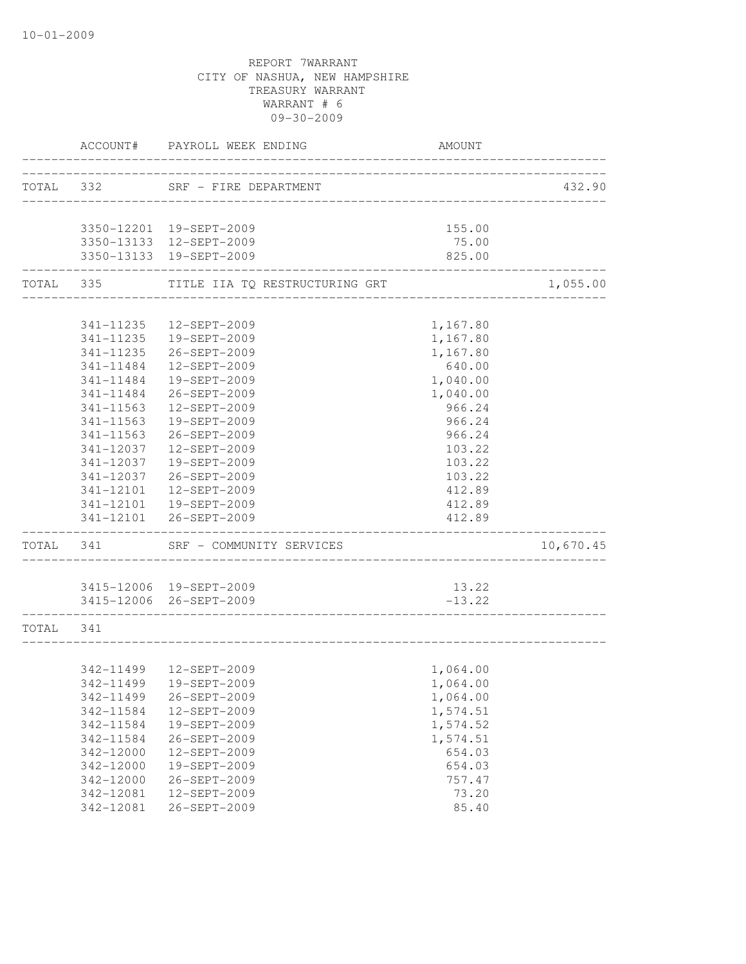|           |                                | ACCOUNT# PAYROLL WEEK ENDING                      | <b>AMOUNT</b>                        |           |
|-----------|--------------------------------|---------------------------------------------------|--------------------------------------|-----------|
|           |                                | TOTAL 332 SRF - FIRE DEPARTMENT                   |                                      | 432.90    |
|           |                                |                                                   | ------------------------------------ |           |
|           |                                | 3350-12201 19-SEPT-2009                           | 155.00                               |           |
|           |                                | 3350-13133 12-SEPT-2009                           | 75.00                                |           |
|           |                                | 3350-13133 19-SEPT-2009                           | 825.00                               |           |
|           | TOTAL 335                      | TITLE IIA TQ RESTRUCTURING GRT                    |                                      | 1,055.00  |
|           |                                |                                                   |                                      |           |
|           | 341-11235                      | 12-SEPT-2009                                      | 1,167.80                             |           |
|           | 341-11235                      | 19-SEPT-2009                                      | 1,167.80                             |           |
|           | 341-11235                      | 26-SEPT-2009                                      | 1,167.80                             |           |
|           | 341-11484                      | 12-SEPT-2009                                      | 640.00                               |           |
|           | 341-11484                      | 19-SEPT-2009                                      | 1,040.00                             |           |
|           | 341-11484                      | 26-SEPT-2009                                      | 1,040.00                             |           |
|           | $341 - 11563$<br>$341 - 11563$ | 12-SEPT-2009                                      | 966.24                               |           |
|           |                                | 19-SEPT-2009                                      | 966.24                               |           |
|           | $341 - 11563$                  | 26-SEPT-2009                                      | 966.24                               |           |
|           | 341-12037                      | 12-SEPT-2009                                      | 103.22                               |           |
|           | 341-12037<br>341-12037         | 19-SEPT-2009<br>26-SEPT-2009                      | 103.22<br>103.22                     |           |
|           | 341-12101                      | 12-SEPT-2009                                      |                                      |           |
|           |                                |                                                   | 412.89<br>412.89                     |           |
|           |                                | 341-12101  19-SEPT-2009<br>341-12101 26-SEPT-2009 | 412.89                               |           |
|           | TOTAL 341                      | SRF - COMMUNITY SERVICES                          |                                      | 10,670.45 |
|           |                                |                                                   |                                      |           |
|           |                                | 3415-12006 19-SEPT-2009                           | 13.22                                |           |
|           |                                | 3415-12006 26-SEPT-2009                           | $-13.22$                             |           |
| TOTAL 341 |                                |                                                   |                                      |           |
|           |                                | 342-11499  12-SEPT-2009                           | 1,064.00                             |           |
|           |                                | 342-11499  19-SEPT-2009                           | 1,064.00                             |           |
|           | 342-11499                      | 26-SEPT-2009                                      | 1,064.00                             |           |
|           | 342-11584                      | 12-SEPT-2009                                      | 1,574.51                             |           |
|           | 342-11584                      | 19-SEPT-2009                                      | 1,574.52                             |           |
|           | 342-11584                      | 26-SEPT-2009                                      | 1,574.51                             |           |
|           | 342-12000                      | 12-SEPT-2009                                      | 654.03                               |           |
|           | 342-12000                      | 19-SEPT-2009                                      | 654.03                               |           |
|           | 342-12000                      | 26-SEPT-2009                                      | 757.47                               |           |
|           | 342-12081                      | 12-SEPT-2009                                      | 73.20                                |           |
|           | 342-12081                      | 26-SEPT-2009                                      | 85.40                                |           |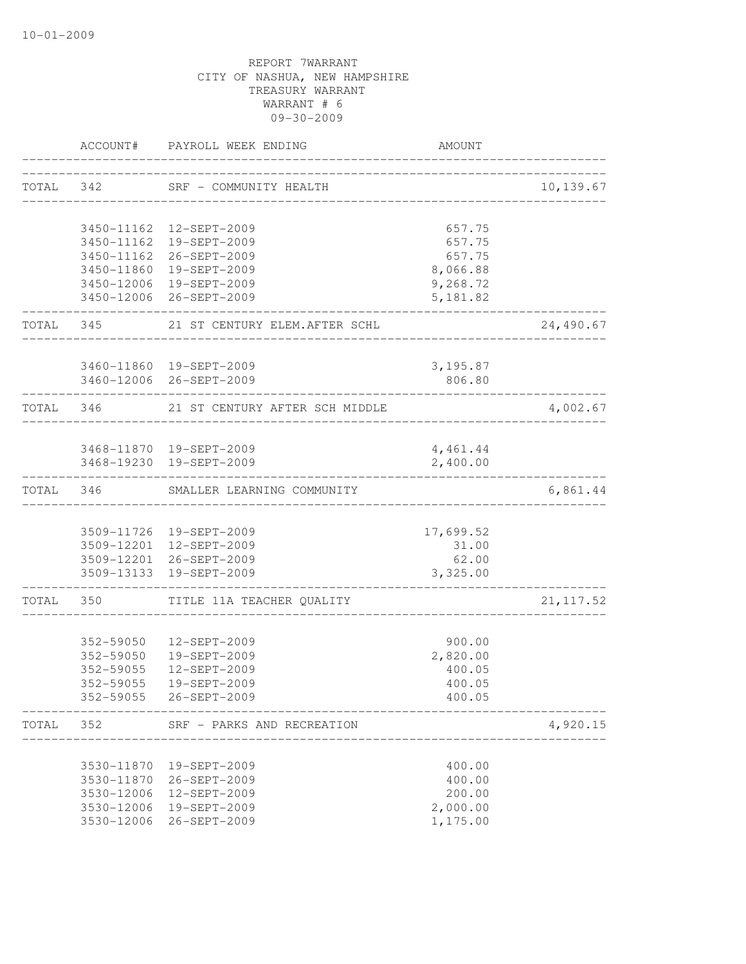|           |                          | ACCOUNT# PAYROLL WEEK ENDING                        | AMOUNT               |            |
|-----------|--------------------------|-----------------------------------------------------|----------------------|------------|
|           | TOTAL 342                | SRF - COMMUNITY HEALTH                              |                      | 10,139.67  |
|           |                          | 3450-11162  12-SEPT-2009                            | 657.75               |            |
|           |                          | 3450-11162  19-SEPT-2009                            | 657.75               |            |
|           |                          | 3450-11162 26-SEPT-2009                             | 657.75               |            |
|           |                          | 3450-11860 19-SEPT-2009                             | 8,066.88             |            |
|           |                          | 3450-12006 19-SEPT-2009                             | 9,268.72             |            |
|           |                          | 3450-12006 26-SEPT-2009                             | 5,181.82             |            |
|           |                          | TOTAL 345 21 ST CENTURY ELEM. AFTER SCHL            |                      | 24,490.67  |
|           |                          | 3460-11860 19-SEPT-2009                             | 3,195.87             |            |
|           |                          | 3460-12006 26-SEPT-2009                             | 806.80               |            |
| TOTAL 346 |                          | 21 ST CENTURY AFTER SCH MIDDLE                      |                      | 4,002.67   |
|           |                          |                                                     |                      |            |
|           |                          | 3468-11870  19-SEPT-2009<br>3468-19230 19-SEPT-2009 | 4,461.44<br>2,400.00 |            |
|           |                          | TOTAL 346 SMALLER LEARNING COMMUNITY                |                      | 6,861.44   |
|           |                          |                                                     |                      |            |
|           |                          | 3509-11726 19-SEPT-2009                             | 17,699.52            |            |
|           |                          | 3509-12201 12-SEPT-2009                             | 31.00                |            |
|           |                          | 3509-12201 26-SEPT-2009<br>3509-13133 19-SEPT-2009  | 62.00<br>3,325.00    |            |
| TOTAL 350 |                          | TITLE 11A TEACHER QUALITY                           |                      | 21, 117.52 |
|           |                          |                                                     |                      |            |
|           |                          | 352-59050  12-SEPT-2009                             | 900.00               |            |
|           |                          | 352-59050  19-SEPT-2009                             | 2,820.00             |            |
|           | 352-59055                | 12-SEPT-2009                                        | 400.05               |            |
|           | 352-59055                | 19-SEPT-2009<br>352-59055 26-SEPT-2009              | 400.05<br>400.05     |            |
| TOTAL     | 352                      | SRF - PARKS AND RECREATION                          |                      | 4,920.15   |
|           |                          |                                                     |                      |            |
|           | 3530-11870               | 19-SEPT-2009                                        | 400.00               |            |
|           | 3530-11870               | 26-SEPT-2009                                        | 400.00               |            |
|           | 3530-12006               | 12-SEPT-2009                                        | 200.00               |            |
|           | 3530-12006<br>3530-12006 | 19-SEPT-2009<br>26-SEPT-2009                        | 2,000.00<br>1,175.00 |            |
|           |                          |                                                     |                      |            |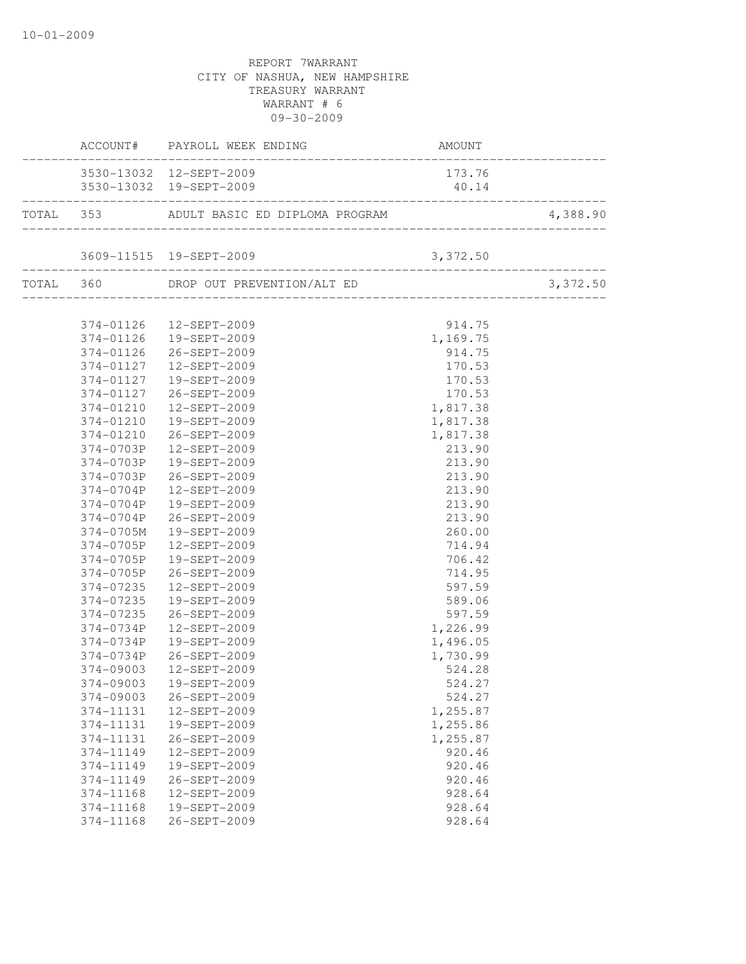|           | ACCOUNT# PAYROLL WEEK ENDING                      | AMOUNT   |          |
|-----------|---------------------------------------------------|----------|----------|
|           | 3530-13032 12-SEPT-2009                           | 173.76   |          |
|           | 3530-13032 19-SEPT-2009                           | 40.14    |          |
|           | TOTAL 353 ADULT BASIC ED DIPLOMA PROGRAM 4,388.90 |          |          |
|           |                                                   |          |          |
|           | 3609-11515  19-SEPT-2009                          | 3,372.50 |          |
|           | TOTAL 360 DROP OUT PREVENTION/ALT ED              |          | 3,372.50 |
|           |                                                   |          |          |
|           | 374-01126  12-SEPT-2009                           | 914.75   |          |
|           | 374-01126  19-SEPT-2009                           | 1,169.75 |          |
|           | 374-01126 26-SEPT-2009                            | 914.75   |          |
|           | 374-01127  12-SEPT-2009                           | 170.53   |          |
| 374-01127 | 19-SEPT-2009                                      | 170.53   |          |
| 374-01127 | 26-SEPT-2009                                      | 170.53   |          |
| 374-01210 | 12-SEPT-2009                                      | 1,817.38 |          |
| 374-01210 | 19-SEPT-2009                                      | 1,817.38 |          |
| 374-01210 | 26-SEPT-2009                                      | 1,817.38 |          |
| 374-0703P | 12-SEPT-2009                                      | 213.90   |          |
| 374-0703P | 19-SEPT-2009                                      | 213.90   |          |
| 374-0703P | 26-SEPT-2009                                      | 213.90   |          |
| 374-0704P | 12-SEPT-2009                                      | 213.90   |          |
| 374-0704P | 19-SEPT-2009                                      | 213.90   |          |
| 374-0704P | 26-SEPT-2009                                      | 213.90   |          |
| 374-0705M | 19-SEPT-2009                                      | 260.00   |          |
| 374-0705P | 12-SEPT-2009                                      | 714.94   |          |
| 374-0705P | 19-SEPT-2009                                      | 706.42   |          |
| 374-0705P | 26-SEPT-2009                                      | 714.95   |          |
| 374-07235 | 12-SEPT-2009                                      | 597.59   |          |
| 374-07235 | 19-SEPT-2009                                      | 589.06   |          |
| 374-07235 | 26-SEPT-2009                                      | 597.59   |          |
|           |                                                   | 1,226.99 |          |
|           | 374-0734P  19-SEPT-2009                           | 1,496.05 |          |
|           | 374-0734P 26-SEPT-2009                            | 1,730.99 |          |
| 374-09003 | 12-SEPT-2009                                      | 524.28   |          |
|           | 374-09003  19-SEPT-2009                           | 524.27   |          |
| 374-09003 | 26-SEPT-2009                                      | 524.27   |          |
| 374-11131 | 12-SEPT-2009                                      | 1,255.87 |          |
| 374-11131 | 19-SEPT-2009                                      | 1,255.86 |          |
| 374-11131 | 26-SEPT-2009                                      | 1,255.87 |          |
| 374-11149 | 12-SEPT-2009                                      | 920.46   |          |
| 374-11149 | 19-SEPT-2009                                      | 920.46   |          |
| 374-11149 | 26-SEPT-2009                                      | 920.46   |          |
| 374-11168 | 12-SEPT-2009                                      | 928.64   |          |
| 374-11168 | 19-SEPT-2009                                      | 928.64   |          |
| 374-11168 | 26-SEPT-2009                                      | 928.64   |          |
|           |                                                   |          |          |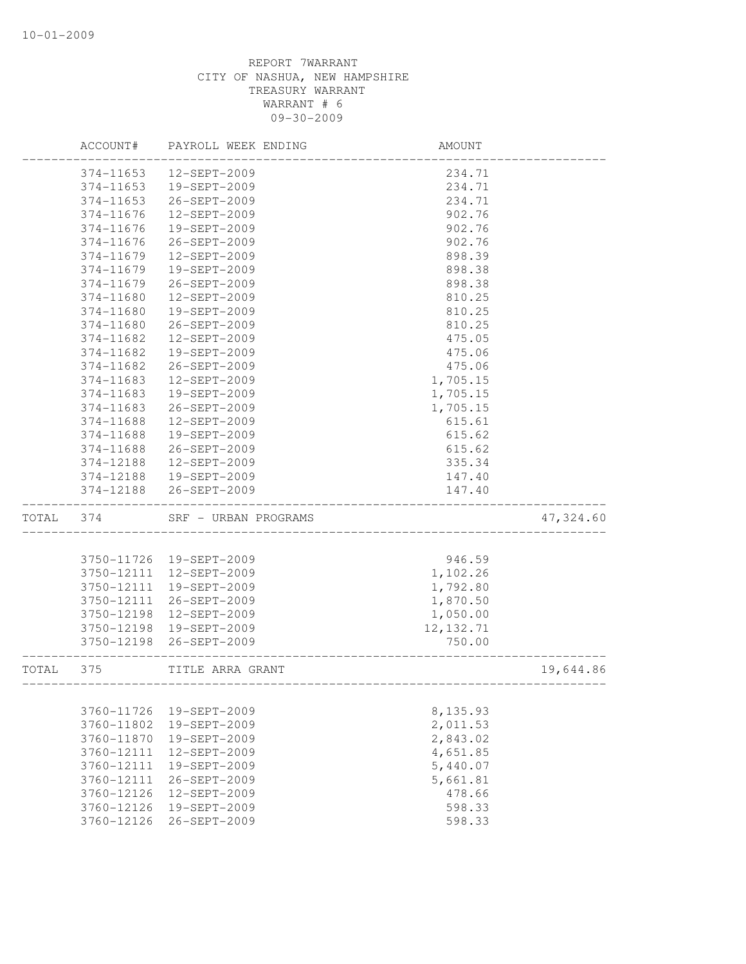|       | ACCOUNT#   | PAYROLL WEEK ENDING  | <b>AMOUNT</b>     |           |
|-------|------------|----------------------|-------------------|-----------|
|       | 374-11653  | 12-SEPT-2009         | 234.71            |           |
|       | 374-11653  | 19-SEPT-2009         | 234.71            |           |
|       | 374-11653  | 26-SEPT-2009         | 234.71            |           |
|       | 374-11676  | 12-SEPT-2009         | 902.76            |           |
|       | 374-11676  | 19-SEPT-2009         | 902.76            |           |
|       | 374-11676  | 26-SEPT-2009         | 902.76            |           |
|       | 374-11679  | 12-SEPT-2009         | 898.39            |           |
|       | 374-11679  | 19-SEPT-2009         | 898.38            |           |
|       | 374-11679  | 26-SEPT-2009         | 898.38            |           |
|       | 374-11680  | 12-SEPT-2009         | 810.25            |           |
|       | 374-11680  | 19-SEPT-2009         | 810.25            |           |
|       | 374-11680  | 26-SEPT-2009         | 810.25            |           |
|       | 374-11682  | 12-SEPT-2009         | 475.05            |           |
|       | 374-11682  | 19-SEPT-2009         | 475.06            |           |
|       | 374-11682  | 26-SEPT-2009         | 475.06            |           |
|       | 374-11683  | 12-SEPT-2009         | 1,705.15          |           |
|       | 374-11683  | 19-SEPT-2009         | 1,705.15          |           |
|       | 374-11683  | 26-SEPT-2009         | 1,705.15          |           |
|       | 374-11688  | 12-SEPT-2009         | 615.61            |           |
|       | 374-11688  | 19-SEPT-2009         | 615.62            |           |
|       | 374-11688  | 26-SEPT-2009         | 615.62            |           |
|       | 374-12188  | 12-SEPT-2009         | 335.34            |           |
|       | 374-12188  | 19-SEPT-2009         | 147.40            |           |
|       | 374-12188  | 26-SEPT-2009         | 147.40            |           |
| TOTAL | 374        | SRF - URBAN PROGRAMS |                   | 47,324.60 |
|       |            |                      |                   |           |
|       | 3750-11726 | 19-SEPT-2009         | 946.59            |           |
|       | 3750-12111 | 12-SEPT-2009         | 1,102.26          |           |
|       | 3750-12111 | 19-SEPT-2009         | 1,792.80          |           |
|       | 3750-12111 | 26-SEPT-2009         | 1,870.50          |           |
|       | 3750-12198 | 12-SEPT-2009         | 1,050.00          |           |
|       | 3750-12198 | 19-SEPT-2009         | 12, 132.71        |           |
|       | 3750-12198 | 26-SEPT-2009         | 750.00            |           |
| TOTAL | 375        | TITLE ARRA GRANT     | _________________ | 19,644.86 |
|       |            |                      |                   |           |
|       | 3760-11726 | 19-SEPT-2009         | 8,135.93          |           |
|       | 3760-11802 | 19-SEPT-2009         | 2,011.53          |           |
|       | 3760-11870 | 19-SEPT-2009         | 2,843.02          |           |
|       | 3760-12111 | 12-SEPT-2009         | 4,651.85          |           |
|       | 3760-12111 | 19-SEPT-2009         | 5,440.07          |           |
|       | 3760-12111 | 26-SEPT-2009         | 5,661.81          |           |
|       | 3760-12126 | 12-SEPT-2009         | 478.66            |           |
|       | 3760-12126 | 19-SEPT-2009         | 598.33            |           |
|       | 3760-12126 | 26-SEPT-2009         | 598.33            |           |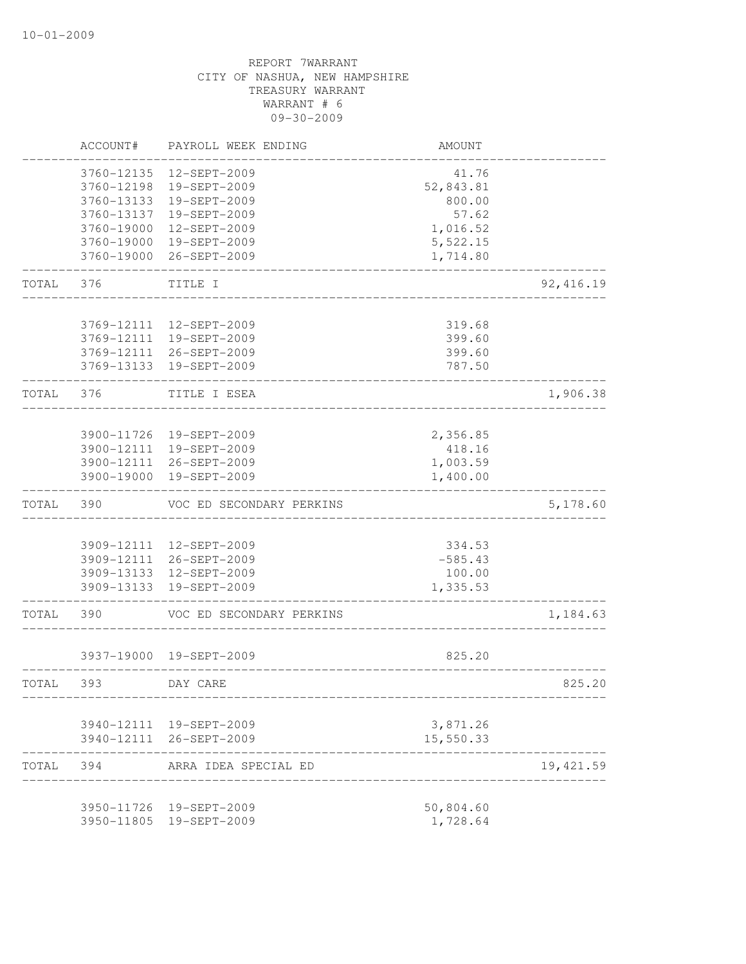|       | ACCOUNT#                 | PAYROLL WEEK ENDING                                | AMOUNT                |            |
|-------|--------------------------|----------------------------------------------------|-----------------------|------------|
|       | 3760-12135<br>3760-12198 | 12-SEPT-2009<br>19-SEPT-2009                       | 41.76<br>52,843.81    |            |
|       | 3760-13133               | 19-SEPT-2009                                       | 800.00                |            |
|       | 3760-13137               | 19-SEPT-2009                                       | 57.62                 |            |
|       | 3760-19000<br>3760-19000 | 12-SEPT-2009<br>19-SEPT-2009                       | 1,016.52<br>5,522.15  |            |
|       | 3760-19000               | 26-SEPT-2009                                       | 1,714.80              |            |
| TOTAL | 376                      | TITLE I                                            |                       | 92, 416.19 |
|       |                          |                                                    |                       |            |
|       | 3769-12111               | 12-SEPT-2009                                       | 319.68                |            |
|       | 3769-12111               | 19-SEPT-2009<br>3769-12111 26-SEPT-2009            | 399.60<br>399.60      |            |
|       | 3769-13133               | 19-SEPT-2009                                       | 787.50                |            |
| TOTAL | 376                      | TITLE I ESEA                                       |                       | 1,906.38   |
|       |                          |                                                    |                       |            |
|       | 3900-11726               | 19-SEPT-2009<br>3900-12111 19-SEPT-2009            | 2,356.85              |            |
|       |                          | 3900-12111 26-SEPT-2009                            | 418.16<br>1,003.59    |            |
|       | 3900-19000               | 19-SEPT-2009                                       | 1,400.00              |            |
| TOTAL | 390                      | VOC ED SECONDARY PERKINS                           |                       | 5,178.60   |
|       | 3909-12111               | 12-SEPT-2009                                       | 334.53                |            |
|       | 3909-12111               | 26-SEPT-2009                                       | $-585.43$             |            |
|       | 3909-13133               | 12-SEPT-2009                                       | 100.00                |            |
|       | 3909-13133               | 19-SEPT-2009                                       | 1,335.53              |            |
| TOTAL | 390                      | VOC ED SECONDARY PERKINS                           |                       | 1,184.63   |
|       |                          | 3937-19000 19-SEPT-2009                            | 825.20                |            |
| TOTAL | 393                      | DAY CARE                                           |                       | 825.20     |
|       |                          |                                                    |                       |            |
|       |                          | 3940-12111 19-SEPT-2009<br>3940-12111 26-SEPT-2009 | 3,871.26<br>15,550.33 |            |
| TOTAL | 394                      | ARRA IDEA SPECIAL ED                               |                       | 19, 421.59 |
|       |                          | 3950-11726 19-SEPT-2009                            | 50,804.60             |            |
|       |                          | 3950-11805 19-SEPT-2009                            | 1,728.64              |            |
|       |                          |                                                    |                       |            |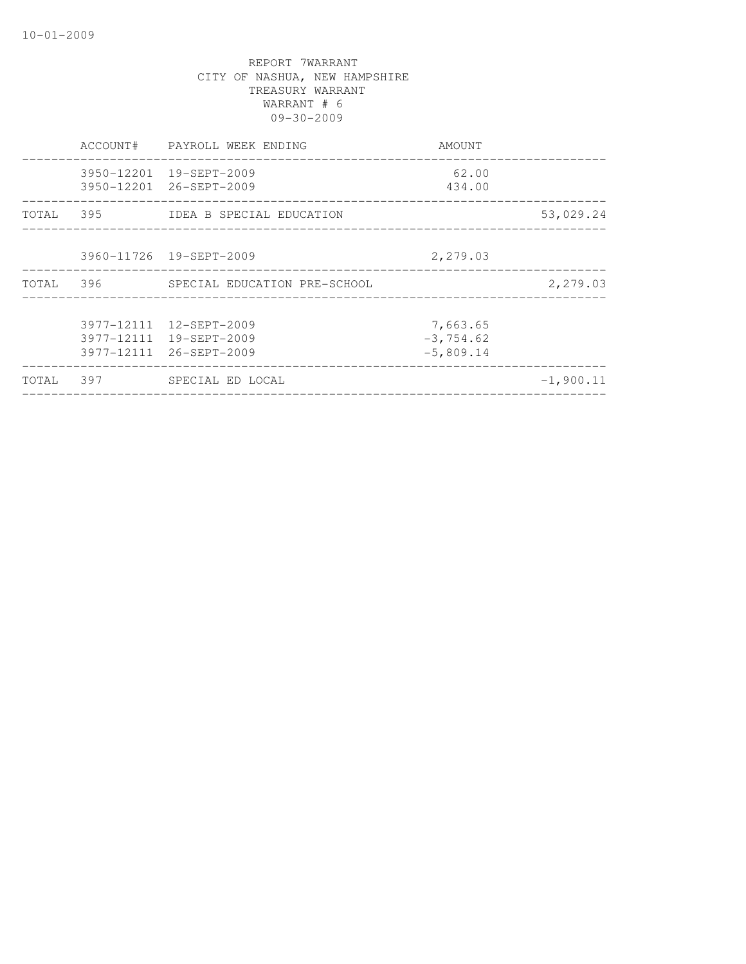|           | ACCOUNT# | PAYROLL WEEK ENDING                                                           | AMOUNT                                  |             |
|-----------|----------|-------------------------------------------------------------------------------|-----------------------------------------|-------------|
|           |          | 3950-12201 19-SEPT-2009<br>3950-12201 26-SEPT-2009                            | 62.00<br>434.00                         |             |
|           |          | TOTAL 395 IDEA B SPECIAL EDUCATION                                            |                                         | 53,029.24   |
|           |          | 3960-11726 19-SEPT-2009                                                       | 2,279.03                                |             |
| TOTAL 396 |          | SPECIAL EDUCATION PRE-SCHOOL                                                  |                                         | 2,279.03    |
|           |          | 3977-12111 12-SEPT-2009<br>3977-12111 19-SEPT-2009<br>3977-12111 26-SEPT-2009 | 7,663.65<br>$-3, 754.62$<br>$-5,809.14$ |             |
| TOTAL     | 397      | SPECIAL ED LOCAL                                                              |                                         | $-1,900.11$ |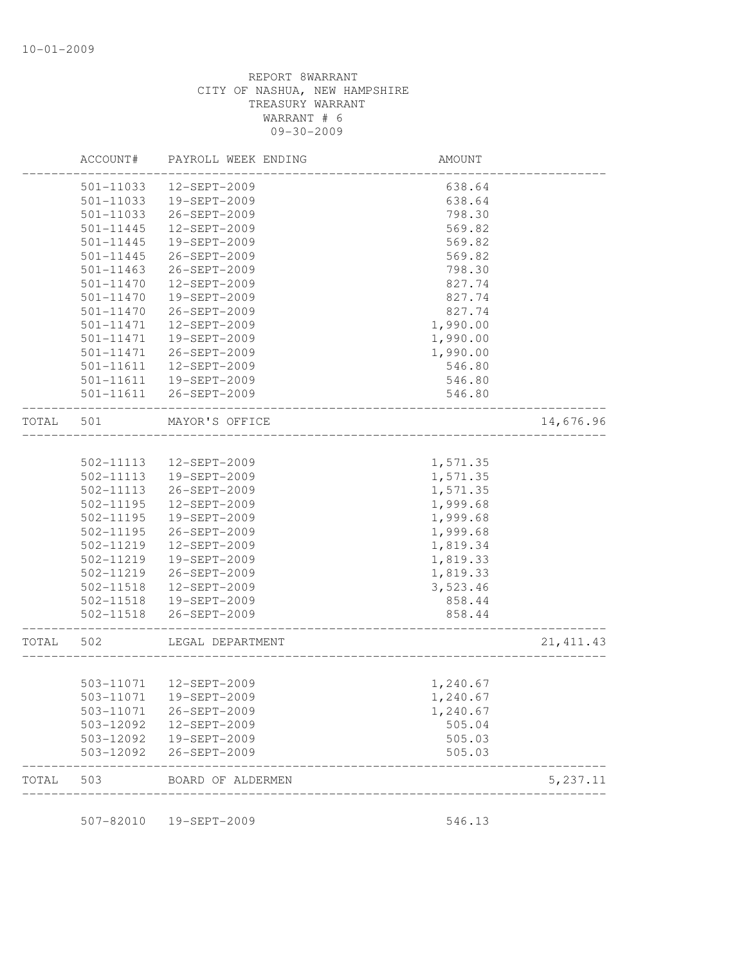|       | ACCOUNT#      | PAYROLL WEEK ENDING     | AMOUNT                  |            |
|-------|---------------|-------------------------|-------------------------|------------|
|       | $501 - 11033$ | 12-SEPT-2009            | 638.64                  |            |
|       | 501-11033     | 19-SEPT-2009            | 638.64                  |            |
|       | 501-11033     | 26-SEPT-2009            | 798.30                  |            |
|       | 501-11445     | 12-SEPT-2009            | 569.82                  |            |
|       | 501-11445     | 19-SEPT-2009            | 569.82                  |            |
|       | 501-11445     | 26-SEPT-2009            | 569.82                  |            |
|       | 501-11463     | 26-SEPT-2009            | 798.30                  |            |
|       | $501 - 11470$ | 12-SEPT-2009            | 827.74                  |            |
|       | $501 - 11470$ | 19-SEPT-2009            | 827.74                  |            |
|       | $501 - 11470$ | 26-SEPT-2009            | 827.74                  |            |
|       | 501-11471     | 12-SEPT-2009            | 1,990.00                |            |
|       | 501-11471     | 19-SEPT-2009            | 1,990.00                |            |
|       | 501-11471     | 26-SEPT-2009            | 1,990.00                |            |
|       | 501-11611     | 12-SEPT-2009            | 546.80                  |            |
|       | 501-11611     | 19-SEPT-2009            | 546.80                  |            |
|       | 501-11611     | 26-SEPT-2009            | 546.80                  |            |
| TOTAL | 501           | MAYOR'S OFFICE          |                         | 14,676.96  |
|       |               |                         |                         |            |
|       | 502-11113     | 12-SEPT-2009            | 1,571.35                |            |
|       | 502-11113     | 19-SEPT-2009            | 1,571.35                |            |
|       | 502-11113     | 26-SEPT-2009            | 1,571.35                |            |
|       | 502-11195     | 12-SEPT-2009            | 1,999.68                |            |
|       | 502-11195     | 19-SEPT-2009            | 1,999.68                |            |
|       | 502-11195     | 26-SEPT-2009            | 1,999.68                |            |
|       | 502-11219     | 12-SEPT-2009            | 1,819.34                |            |
|       | 502-11219     | 19-SEPT-2009            | 1,819.33                |            |
|       | 502-11219     | 26-SEPT-2009            | 1,819.33                |            |
|       | 502-11518     | 12-SEPT-2009            | 3,523.46                |            |
|       | 502-11518     | 19-SEPT-2009            | 858.44                  |            |
|       | 502-11518     | 26-SEPT-2009            | 858.44                  |            |
| TOTAL | 502           | LEGAL DEPARTMENT        | _______________________ | 21, 411.43 |
|       |               |                         |                         |            |
|       |               | 503-11071  12-SEPT-2009 | 1,240.67                |            |
|       |               | 503-11071  19-SEPT-2009 | 1,240.67                |            |
|       |               | 503-11071 26-SEPT-2009  | 1,240.67                |            |
|       |               | 503-12092  12-SEPT-2009 | 505.04                  |            |
|       |               | 503-12092  19-SEPT-2009 | 505.03                  |            |
|       | 503-12092     | 26-SEPT-2009            | 505.03                  |            |
| TOTAL | 503           | BOARD OF ALDERMEN       |                         | 5, 237.11  |

507-82010 19-SEPT-2009 507-82010 546.13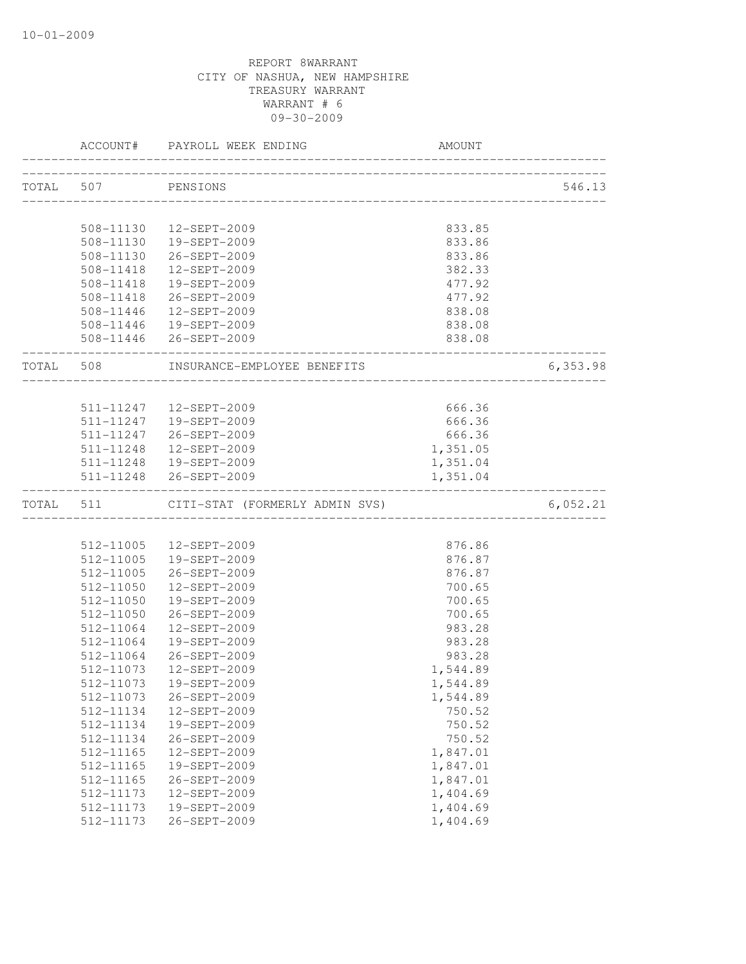|           |                        | ACCOUNT# PAYROLL WEEK ENDING          | AMOUNT           |          |
|-----------|------------------------|---------------------------------------|------------------|----------|
|           |                        |                                       |                  |          |
| TOTAL 507 |                        | PENSIONS                              |                  | 546.13   |
|           | 508-11130              | 12-SEPT-2009                          | 833.85           |          |
|           | 508-11130              | 19-SEPT-2009                          | 833.86           |          |
|           | 508-11130              | 26-SEPT-2009                          | 833.86           |          |
|           | 508-11418              | 12-SEPT-2009                          | 382.33           |          |
|           | 508-11418              | 19-SEPT-2009                          | 477.92           |          |
|           | 508-11418              | 26-SEPT-2009                          | 477.92           |          |
|           |                        | 508-11446  12-SEPT-2009               | 838.08           |          |
|           |                        | 508-11446  19-SEPT-2009               | 838.08           |          |
|           |                        | 508-11446 26-SEPT-2009                | 838.08           |          |
|           |                        | TOTAL 508 INSURANCE-EMPLOYEE BENEFITS | _______________  | 6,353.98 |
|           |                        |                                       |                  |          |
|           |                        | 511-11247  12-SEPT-2009               | 666.36           |          |
|           |                        | 511-11247  19-SEPT-2009               | 666.36           |          |
|           |                        | 511-11247 26-SEPT-2009                | 666.36           |          |
|           |                        | 511-11248  12-SEPT-2009               | 1,351.05         |          |
|           |                        | 511-11248  19-SEPT-2009               | 1,351.04         |          |
|           |                        | 511-11248 26-SEPT-2009                | 1,351.04         |          |
| TOTAL 511 |                        | CITI-STAT (FORMERLY ADMIN SVS)        |                  | 6,052.21 |
|           |                        | 512-11005  12-SEPT-2009               | 876.86           |          |
|           |                        | 512-11005  19-SEPT-2009               |                  |          |
|           |                        |                                       | 876.87           |          |
|           | 512-11005              | 26-SEPT-2009                          | 876.87           |          |
|           | 512-11050              | 12-SEPT-2009                          | 700.65<br>700.65 |          |
|           | 512-11050<br>512-11050 | 19-SEPT-2009<br>26-SEPT-2009          | 700.65           |          |
|           | 512-11064              | 12-SEPT-2009                          | 983.28           |          |
|           | 512-11064              | 19-SEPT-2009                          | 983.28           |          |
|           | 512-11064              | 26-SEPT-2009                          | 983.28           |          |
|           | 512-11073              | 12-SEPT-2009                          | 1,544.89         |          |
|           |                        | 512-11073  19-SEPT-2009               | 1,544.89         |          |
|           | 512-11073              | 26-SEPT-2009                          | 1,544.89         |          |
|           | 512-11134              | 12-SEPT-2009                          | 750.52           |          |
|           | 512-11134              | 19-SEPT-2009                          | 750.52           |          |
|           | 512-11134              | 26-SEPT-2009                          | 750.52           |          |
|           | 512-11165              | 12-SEPT-2009                          | 1,847.01         |          |
|           | 512-11165              | 19-SEPT-2009                          | 1,847.01         |          |
|           | 512-11165              | 26-SEPT-2009                          | 1,847.01         |          |
|           | 512-11173              | 12-SEPT-2009                          | 1,404.69         |          |
|           | 512-11173              | 19-SEPT-2009                          | 1,404.69         |          |
|           | 512-11173              | 26-SEPT-2009                          | 1,404.69         |          |
|           |                        |                                       |                  |          |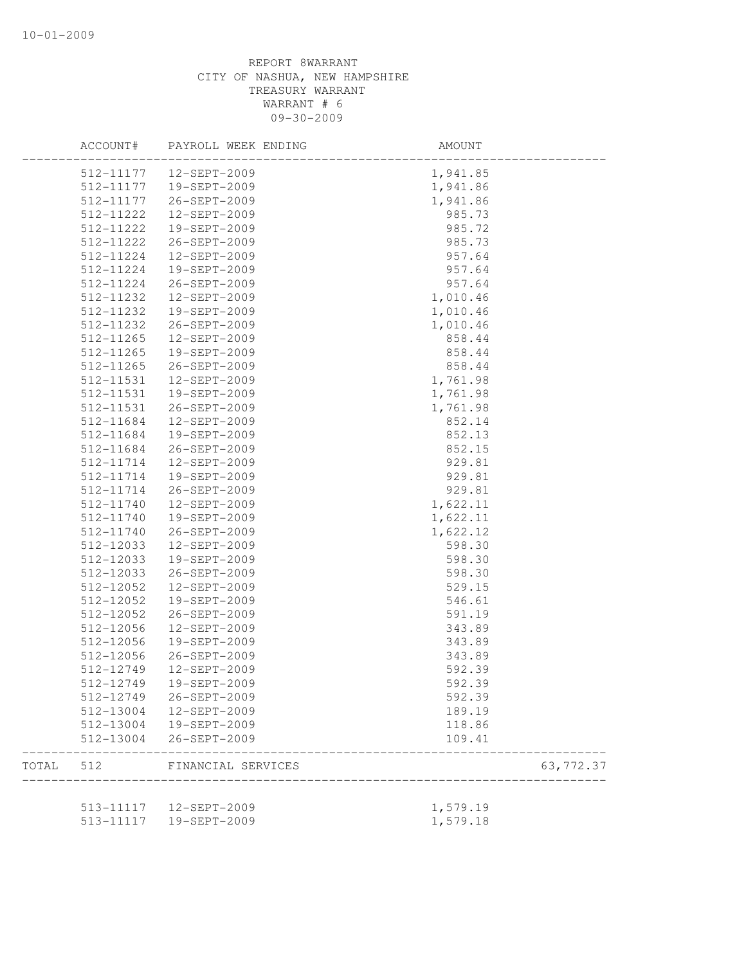|       | ACCOUNT#               | PAYROLL WEEK ENDING          | AMOUNT           |            |
|-------|------------------------|------------------------------|------------------|------------|
|       | 512-11177              | 12-SEPT-2009                 | 1,941.85         |            |
|       | 512-11177              | 19-SEPT-2009                 | 1,941.86         |            |
|       | 512-11177              | 26-SEPT-2009                 | 1,941.86         |            |
|       | 512-11222              | 12-SEPT-2009                 | 985.73           |            |
|       | 512-11222              | 19-SEPT-2009                 | 985.72           |            |
|       | 512-11222              | 26-SEPT-2009                 | 985.73           |            |
|       | 512-11224              | 12-SEPT-2009                 | 957.64           |            |
|       | 512-11224              | 19-SEPT-2009                 | 957.64           |            |
|       | 512-11224              | 26-SEPT-2009                 | 957.64           |            |
|       | 512-11232              | $12 - SEPT - 2009$           | 1,010.46         |            |
|       | 512-11232              | 19-SEPT-2009                 | 1,010.46         |            |
|       | 512-11232              | 26-SEPT-2009                 | 1,010.46         |            |
|       | 512-11265              | 12-SEPT-2009                 | 858.44           |            |
|       | 512-11265              | 19-SEPT-2009                 | 858.44           |            |
|       | 512-11265              | 26-SEPT-2009                 | 858.44           |            |
|       | 512-11531              | 12-SEPT-2009                 | 1,761.98         |            |
|       | 512-11531              | 19-SEPT-2009                 | 1,761.98         |            |
|       | 512-11531              | 26-SEPT-2009                 | 1,761.98         |            |
|       | 512-11684              | $12 - SEPT - 2009$           | 852.14           |            |
|       | 512-11684              | 19-SEPT-2009                 | 852.13           |            |
|       | 512-11684              | 26-SEPT-2009                 | 852.15           |            |
|       | 512-11714              | 12-SEPT-2009                 | 929.81           |            |
|       | 512-11714              | 19-SEPT-2009                 | 929.81           |            |
|       | 512-11714              | 26-SEPT-2009                 | 929.81           |            |
|       | 512-11740              | 12-SEPT-2009                 | 1,622.11         |            |
|       | 512-11740              | 19-SEPT-2009                 | 1,622.11         |            |
|       | 512-11740              | 26-SEPT-2009                 | 1,622.12         |            |
|       | 512-12033              | 12-SEPT-2009                 | 598.30           |            |
|       | 512-12033              | 19-SEPT-2009                 | 598.30           |            |
|       | 512-12033              | 26-SEPT-2009                 | 598.30           |            |
|       | 512-12052              | 12-SEPT-2009                 | 529.15           |            |
|       | 512-12052              | 19-SEPT-2009                 | 546.61           |            |
|       | 512-12052              | 26-SEPT-2009                 | 591.19           |            |
|       | 512-12056              | 12-SEPT-2009                 | 343.89           |            |
|       | 512-12056              | 19-SEPT-2009                 | 343.89           |            |
|       | 512-12056              | 26-SEPT-2009                 | 343.89           |            |
|       | 512-12749              | 12-SEPT-2009                 | 592.39           |            |
|       |                        |                              |                  |            |
|       | 512-12749              | 19-SEPT-2009                 | 592.39           |            |
|       | 512-12749              | 26-SEPT-2009                 | 592.39           |            |
|       | 512-13004              | 12-SEPT-2009                 | 189.19           |            |
|       | 512-13004<br>512-13004 | 19-SEPT-2009<br>26-SEPT-2009 | 118.86<br>109.41 |            |
| TOTAL | 512                    | FINANCIAL SERVICES           |                  | 63, 772.37 |
|       |                        |                              |                  |            |
|       | 513-11117              | 12-SEPT-2009                 | 1,579.19         |            |
|       | 513-11117              | 19-SEPT-2009                 | 1,579.18         |            |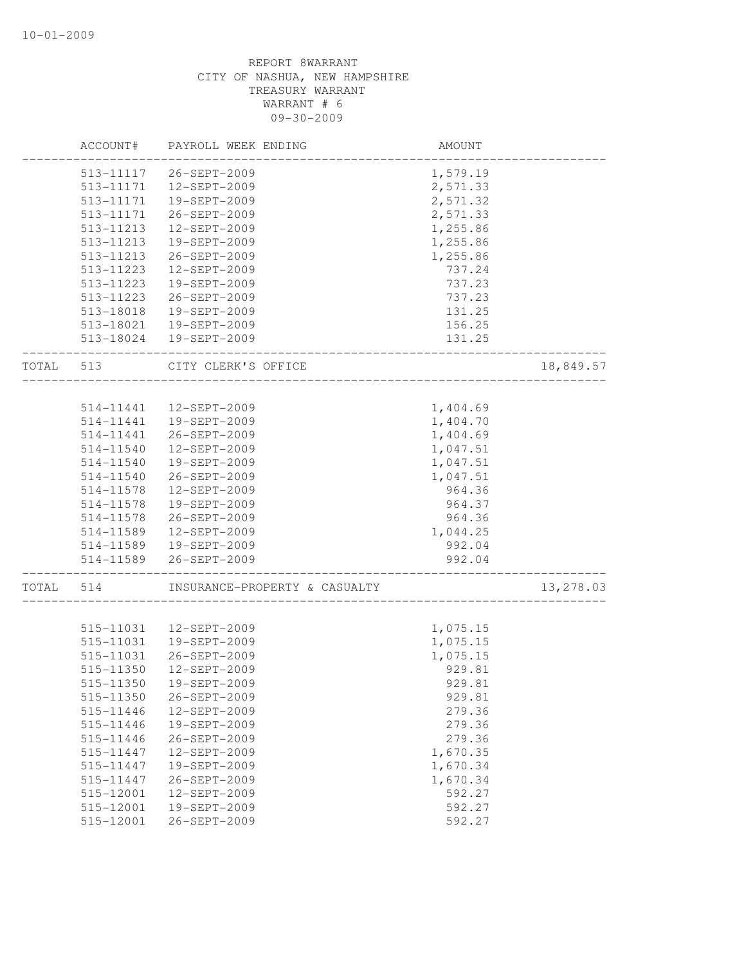|       | ACCOUNT#  | PAYROLL WEEK ENDING           | AMOUNT   |           |
|-------|-----------|-------------------------------|----------|-----------|
|       | 513-11117 | 26-SEPT-2009                  | 1,579.19 |           |
|       | 513-11171 | 12-SEPT-2009                  | 2,571.33 |           |
|       | 513-11171 | 19-SEPT-2009                  | 2,571.32 |           |
|       | 513-11171 | 26-SEPT-2009                  | 2,571.33 |           |
|       | 513-11213 | 12-SEPT-2009                  | 1,255.86 |           |
|       | 513-11213 | 19-SEPT-2009                  | 1,255.86 |           |
|       | 513-11213 | 26-SEPT-2009                  | 1,255.86 |           |
|       | 513-11223 | 12-SEPT-2009                  | 737.24   |           |
|       | 513-11223 | 19-SEPT-2009                  | 737.23   |           |
|       | 513-11223 | 26-SEPT-2009                  | 737.23   |           |
|       | 513-18018 | 19-SEPT-2009                  | 131.25   |           |
|       | 513-18021 | 19-SEPT-2009                  | 156.25   |           |
|       | 513-18024 | 19-SEPT-2009                  | 131.25   |           |
| TOTAL | 513       | CITY CLERK'S OFFICE           |          | 18,849.57 |
|       |           |                               |          |           |
|       | 514-11441 | 12-SEPT-2009                  | 1,404.69 |           |
|       | 514-11441 | 19-SEPT-2009                  | 1,404.70 |           |
|       | 514-11441 | 26-SEPT-2009                  | 1,404.69 |           |
|       | 514-11540 | 12-SEPT-2009                  | 1,047.51 |           |
|       | 514-11540 | 19-SEPT-2009                  | 1,047.51 |           |
|       | 514-11540 | 26-SEPT-2009                  | 1,047.51 |           |
|       | 514-11578 | 12-SEPT-2009                  | 964.36   |           |
|       | 514-11578 | 19-SEPT-2009                  | 964.37   |           |
|       | 514-11578 | 26-SEPT-2009                  | 964.36   |           |
|       | 514-11589 | 12-SEPT-2009                  | 1,044.25 |           |
|       | 514-11589 | 19-SEPT-2009                  | 992.04   |           |
|       | 514-11589 | 26-SEPT-2009                  | 992.04   |           |
| TOTAL | 514       | INSURANCE-PROPERTY & CASUALTY |          | 13,278.03 |
|       |           |                               |          |           |
|       | 515-11031 | 12-SEPT-2009                  | 1,075.15 |           |
|       | 515-11031 | 19-SEPT-2009                  | 1,075.15 |           |
|       | 515-11031 | 26-SEPT-2009                  | 1,075.15 |           |
|       | 515-11350 | 12-SEPT-2009                  | 929.81   |           |
|       | 515-11350 | 19-SEPT-2009                  | 929.81   |           |
|       | 515-11350 | 26-SEPT-2009                  | 929.81   |           |
|       | 515-11446 | 12-SEPT-2009                  | 279.36   |           |
|       | 515-11446 | 19-SEPT-2009                  | 279.36   |           |
|       | 515-11446 | 26-SEPT-2009                  | 279.36   |           |
|       | 515-11447 | 12-SEPT-2009                  | 1,670.35 |           |
|       | 515-11447 | 19-SEPT-2009                  | 1,670.34 |           |
|       | 515-11447 | 26-SEPT-2009                  | 1,670.34 |           |
|       | 515-12001 | 12-SEPT-2009                  | 592.27   |           |
|       | 515-12001 | 19-SEPT-2009                  | 592.27   |           |
|       | 515-12001 | 26-SEPT-2009                  | 592.27   |           |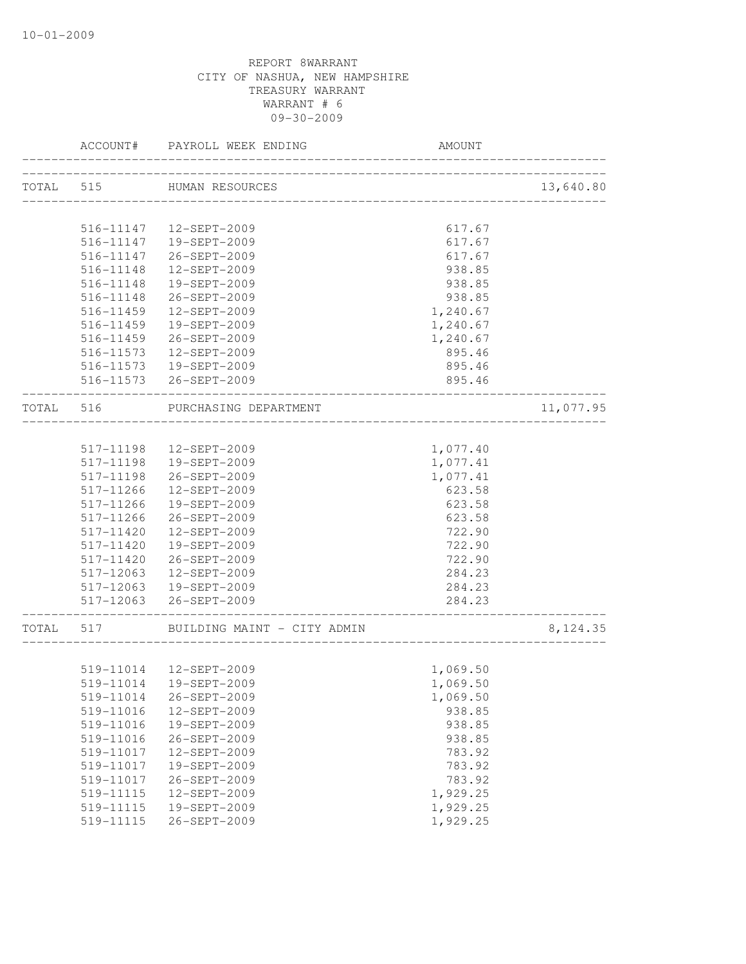|           | ACCOUNT#      | PAYROLL WEEK ENDING                                      | AMOUNT                      |           |
|-----------|---------------|----------------------------------------------------------|-----------------------------|-----------|
|           |               | TOTAL 515 HUMAN RESOURCES<br>___________________________ |                             | 13,640.80 |
|           |               |                                                          |                             |           |
|           | 516-11147     | 12-SEPT-2009                                             | 617.67                      |           |
|           |               | 516-11147  19-SEPT-2009                                  | 617.67                      |           |
|           | 516-11147     | 26-SEPT-2009                                             | 617.67                      |           |
|           | 516-11148     | 12-SEPT-2009                                             | 938.85                      |           |
|           | 516-11148     | 19-SEPT-2009                                             | 938.85                      |           |
|           | 516-11148     | 26-SEPT-2009                                             | 938.85                      |           |
|           | $516 - 11459$ | 12-SEPT-2009                                             | 1,240.67                    |           |
|           | 516-11459     | 19-SEPT-2009                                             | 1,240.67                    |           |
|           | 516-11459     | 26-SEPT-2009                                             | 1,240.67                    |           |
|           | 516-11573     | 12-SEPT-2009                                             | 895.46                      |           |
|           |               | 516-11573  19-SEPT-2009                                  | 895.46                      |           |
|           |               | 516-11573 26-SEPT-2009                                   | 895.46                      |           |
| TOTAL 516 |               | PURCHASING DEPARTMENT                                    |                             | 11,077.95 |
|           |               |                                                          |                             |           |
|           | 517-11198     | 12-SEPT-2009                                             | 1,077.40                    |           |
|           | 517-11198     | 19-SEPT-2009                                             | 1,077.41                    |           |
|           | 517-11198     | 26-SEPT-2009                                             | 1,077.41                    |           |
|           | 517-11266     | 12-SEPT-2009                                             | 623.58                      |           |
|           | 517-11266     | 19-SEPT-2009                                             | 623.58                      |           |
|           | 517-11266     | 26-SEPT-2009                                             | 623.58                      |           |
|           | 517-11420     | 12-SEPT-2009                                             | 722.90                      |           |
|           | 517-11420     | 19-SEPT-2009                                             | 722.90                      |           |
|           | 517-11420     | 26-SEPT-2009                                             | 722.90                      |           |
|           | 517-12063     | 12-SEPT-2009                                             | 284.23                      |           |
|           |               | 517-12063  19-SEPT-2009                                  | 284.23                      |           |
|           |               | 517-12063 26-SEPT-2009                                   | 284.23<br>----------------- |           |
| TOTAL     | 517           | BUILDING MAINT - CITY ADMIN                              |                             | 8,124.35  |
|           |               |                                                          |                             |           |
|           |               | 519-11014  12-SEPT-2009                                  | 1,069.50                    |           |
|           |               | 519-11014  19-SEPT-2009                                  | 1,069.50                    |           |
|           | 519-11014     | 26-SEPT-2009                                             | 1,069.50                    |           |
|           | 519-11016     | 12-SEPT-2009                                             | 938.85                      |           |
|           | 519-11016     | 19-SEPT-2009                                             | 938.85                      |           |
|           | 519-11016     | 26-SEPT-2009                                             | 938.85                      |           |
|           | 519-11017     | 12-SEPT-2009                                             | 783.92                      |           |
|           | 519-11017     | 19-SEPT-2009                                             | 783.92                      |           |
|           | 519-11017     | 26-SEPT-2009                                             | 783.92                      |           |
|           | 519-11115     | 12-SEPT-2009                                             | 1,929.25                    |           |
|           | 519-11115     | 19-SEPT-2009                                             | 1,929.25                    |           |
|           | 519-11115     | 26-SEPT-2009                                             | 1,929.25                    |           |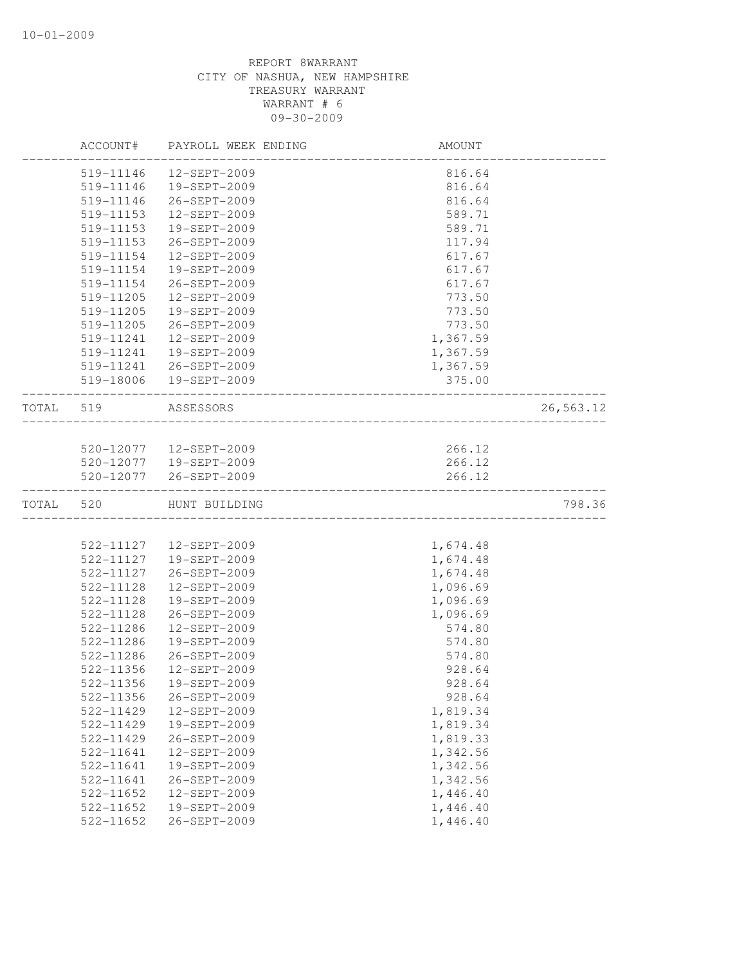|       | ACCOUNT#      | PAYROLL WEEK ENDING      | AMOUNT   |           |
|-------|---------------|--------------------------|----------|-----------|
|       | 519-11146     | 12-SEPT-2009             | 816.64   |           |
|       | 519-11146     | 19-SEPT-2009             | 816.64   |           |
|       | 519-11146     | 26-SEPT-2009             | 816.64   |           |
|       | 519-11153     | 12-SEPT-2009             | 589.71   |           |
|       | 519-11153     | 19-SEPT-2009             | 589.71   |           |
|       | 519-11153     | 26-SEPT-2009             | 117.94   |           |
|       | 519-11154     | 12-SEPT-2009             | 617.67   |           |
|       | 519-11154     | 19-SEPT-2009             | 617.67   |           |
|       | 519-11154     | 26-SEPT-2009             | 617.67   |           |
|       | 519-11205     | $12 - SEPT - 2009$       | 773.50   |           |
|       | 519-11205     | 19-SEPT-2009             | 773.50   |           |
|       | 519-11205     | 26-SEPT-2009             | 773.50   |           |
|       | 519-11241     | 12-SEPT-2009             | 1,367.59 |           |
|       | 519-11241     | 19-SEPT-2009             | 1,367.59 |           |
|       | 519-11241     | 26-SEPT-2009             | 1,367.59 |           |
|       | 519-18006     | 19-SEPT-2009             | 375.00   |           |
| TOTAL | 519           | ASSESSORS                |          | 26,563.12 |
|       |               |                          |          |           |
|       |               | 520-12077   12-SEPT-2009 | 266.12   |           |
|       |               | 520-12077  19-SEPT-2009  | 266.12   |           |
|       | 520-12077     | 26-SEPT-2009             | 266.12   |           |
| TOTAL | 520           | HUNT BUILDING            |          | 798.36    |
|       |               |                          |          |           |
|       | 522-11127     | 12-SEPT-2009             | 1,674.48 |           |
|       | 522-11127     | 19-SEPT-2009             | 1,674.48 |           |
|       | 522-11127     | 26-SEPT-2009             | 1,674.48 |           |
|       | 522-11128     | 12-SEPT-2009             | 1,096.69 |           |
|       | 522-11128     | 19-SEPT-2009             | 1,096.69 |           |
|       | 522-11128     | 26-SEPT-2009             | 1,096.69 |           |
|       | 522-11286     | 12-SEPT-2009             | 574.80   |           |
|       | 522-11286     | 19-SEPT-2009             | 574.80   |           |
|       | 522-11286     | 26-SEPT-2009             | 574.80   |           |
|       | 522-11356     | 12-SEPT-2009             | 928.64   |           |
|       | 522-11356     | 19-SEPT-2009             | 928.64   |           |
|       | 522-11356     | 26-SEPT-2009             | 928.64   |           |
|       | 522-11429     | 12-SEPT-2009             | 1,819.34 |           |
|       | 522-11429     | 19-SEPT-2009             | 1,819.34 |           |
|       | 522-11429     | 26-SEPT-2009             | 1,819.33 |           |
|       | 522-11641     | 12-SEPT-2009             | 1,342.56 |           |
|       | 522-11641     | 19-SEPT-2009             | 1,342.56 |           |
|       | $522 - 11641$ | 26-SEPT-2009             | 1,342.56 |           |
|       | 522-11652     | 12-SEPT-2009             | 1,446.40 |           |
|       | 522-11652     | 19-SEPT-2009             | 1,446.40 |           |
|       | 522-11652     | 26-SEPT-2009             | 1,446.40 |           |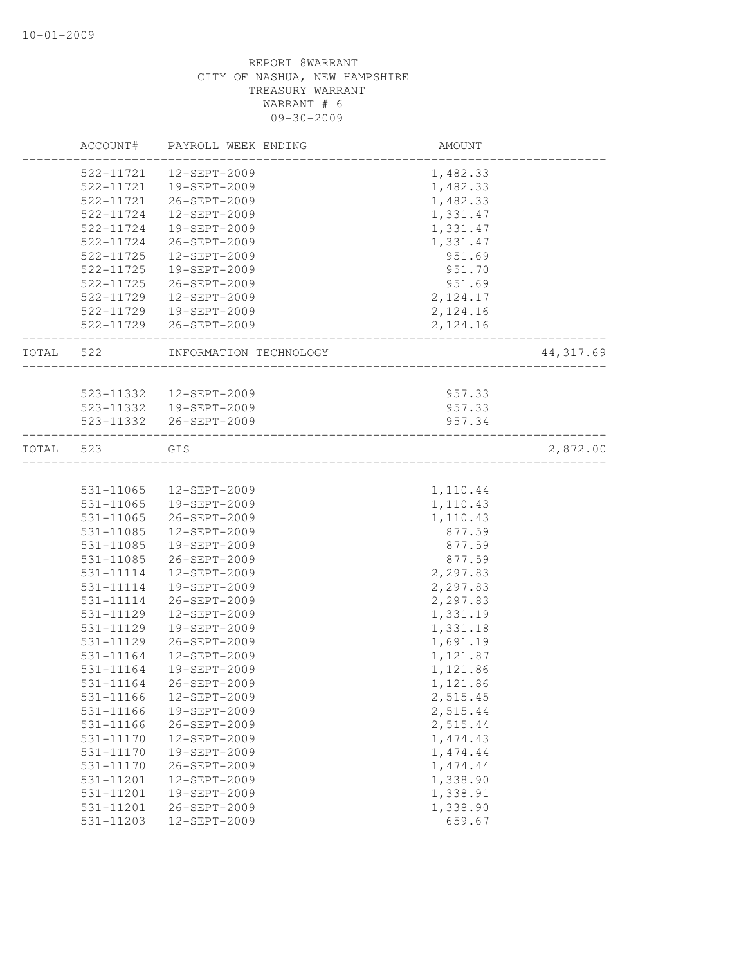|       | ACCOUNT#      | PAYROLL WEEK ENDING    | AMOUNT    |            |
|-------|---------------|------------------------|-----------|------------|
|       | 522-11721     | 12-SEPT-2009           | 1,482.33  |            |
|       | 522-11721     | 19-SEPT-2009           | 1,482.33  |            |
|       | 522-11721     | 26-SEPT-2009           | 1,482.33  |            |
|       | 522-11724     | 12-SEPT-2009           | 1,331.47  |            |
|       | 522-11724     | 19-SEPT-2009           | 1,331.47  |            |
|       | 522-11724     | 26-SEPT-2009           | 1,331.47  |            |
|       | 522-11725     | 12-SEPT-2009           | 951.69    |            |
|       | 522-11725     | 19-SEPT-2009           | 951.70    |            |
|       | 522-11725     | 26-SEPT-2009           | 951.69    |            |
|       | 522-11729     | 12-SEPT-2009           | 2, 124.17 |            |
|       | 522-11729     | 19-SEPT-2009           | 2,124.16  |            |
|       | 522-11729     | 26-SEPT-2009           | 2,124.16  |            |
| TOTAL | 522           | INFORMATION TECHNOLOGY |           | 44, 317.69 |
|       |               |                        |           |            |
|       | 523-11332     | 12-SEPT-2009           | 957.33    |            |
|       | 523-11332     | 19-SEPT-2009           | 957.33    |            |
|       | 523-11332     | 26-SEPT-2009           | 957.34    |            |
| TOTAL | 523           | GIS                    |           | 2,872.00   |
|       |               |                        |           |            |
|       | 531-11065     | 12-SEPT-2009           | 1,110.44  |            |
|       | 531-11065     | 19-SEPT-2009           | 1,110.43  |            |
|       | 531-11065     | 26-SEPT-2009           | 1,110.43  |            |
|       | 531-11085     | 12-SEPT-2009           | 877.59    |            |
|       | 531-11085     | 19-SEPT-2009           | 877.59    |            |
|       | 531-11085     | 26-SEPT-2009           | 877.59    |            |
|       | 531-11114     | 12-SEPT-2009           | 2,297.83  |            |
|       | 531-11114     | 19-SEPT-2009           | 2,297.83  |            |
|       | 531-11114     | 26-SEPT-2009           | 2,297.83  |            |
|       | 531-11129     | 12-SEPT-2009           | 1,331.19  |            |
|       | 531-11129     | 19-SEPT-2009           | 1,331.18  |            |
|       | 531-11129     | 26-SEPT-2009           | 1,691.19  |            |
|       | 531-11164     | 12-SEPT-2009           | 1,121.87  |            |
|       | 531-11164     | 19-SEPT-2009           | 1,121.86  |            |
|       | 531-11164     | 26-SEPT-2009           | 1,121.86  |            |
|       | 531-11166     | 12-SEPT-2009           | 2,515.45  |            |
|       | 531-11166     | 19-SEPT-2009           | 2,515.44  |            |
|       | 531-11166     | 26-SEPT-2009           | 2,515.44  |            |
|       | 531-11170     | 12-SEPT-2009           | 1,474.43  |            |
|       | 531-11170     | 19-SEPT-2009           | 1, 474.44 |            |
|       | $531 - 11170$ | 26-SEPT-2009           | 1, 474.44 |            |
|       | 531-11201     | 12-SEPT-2009           | 1,338.90  |            |
|       | 531-11201     | 19-SEPT-2009           | 1,338.91  |            |
|       | 531-11201     | 26-SEPT-2009           | 1,338.90  |            |
|       | 531-11203     | 12-SEPT-2009           | 659.67    |            |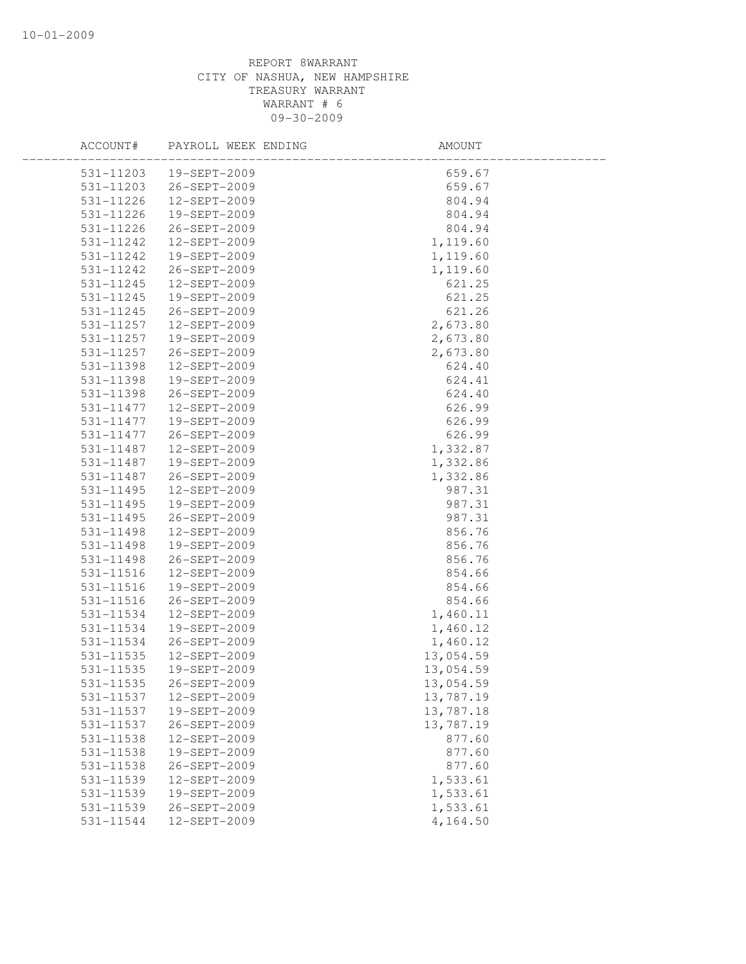| ACCOUNT#      | PAYROLL WEEK ENDING | AMOUNT    |  |
|---------------|---------------------|-----------|--|
| 531-11203     | 19-SEPT-2009        | 659.67    |  |
| 531-11203     | 26-SEPT-2009        | 659.67    |  |
| 531-11226     | 12-SEPT-2009        | 804.94    |  |
| 531-11226     | 19-SEPT-2009        | 804.94    |  |
| $531 - 11226$ | 26-SEPT-2009        | 804.94    |  |
| 531-11242     | 12-SEPT-2009        | 1,119.60  |  |
| 531-11242     | 19-SEPT-2009        | 1,119.60  |  |
| 531-11242     | 26-SEPT-2009        | 1,119.60  |  |
| 531-11245     | 12-SEPT-2009        | 621.25    |  |
| 531-11245     | 19-SEPT-2009        | 621.25    |  |
| 531-11245     | 26-SEPT-2009        | 621.26    |  |
| 531-11257     | 12-SEPT-2009        | 2,673.80  |  |
| 531-11257     | 19-SEPT-2009        | 2,673.80  |  |
| 531-11257     | 26-SEPT-2009        | 2,673.80  |  |
| 531-11398     | 12-SEPT-2009        | 624.40    |  |
| 531-11398     | 19-SEPT-2009        | 624.41    |  |
| 531-11398     | 26-SEPT-2009        | 624.40    |  |
| 531-11477     | 12-SEPT-2009        | 626.99    |  |
| $531 - 11477$ | 19-SEPT-2009        | 626.99    |  |
| 531-11477     | 26-SEPT-2009        | 626.99    |  |
| 531-11487     | 12-SEPT-2009        | 1,332.87  |  |
| 531-11487     | 19-SEPT-2009        | 1,332.86  |  |
| 531-11487     | 26-SEPT-2009        | 1,332.86  |  |
| 531-11495     | 12-SEPT-2009        | 987.31    |  |
| 531-11495     | 19-SEPT-2009        | 987.31    |  |
| 531-11495     | 26-SEPT-2009        | 987.31    |  |
| 531-11498     | 12-SEPT-2009        | 856.76    |  |
| 531-11498     | 19-SEPT-2009        | 856.76    |  |
| 531-11498     | 26-SEPT-2009        | 856.76    |  |
| 531-11516     | 12-SEPT-2009        | 854.66    |  |
| 531-11516     | 19-SEPT-2009        | 854.66    |  |
| 531-11516     | 26-SEPT-2009        | 854.66    |  |
| 531-11534     | 12-SEPT-2009        | 1,460.11  |  |
| 531-11534     | 19-SEPT-2009        | 1,460.12  |  |
| 531-11534     | 26-SEPT-2009        | 1,460.12  |  |
| 531-11535     | 12-SEPT-2009        | 13,054.59 |  |
| 531-11535     | 19-SEPT-2009        | 13,054.59 |  |
| 531-11535     | 26-SEPT-2009        | 13,054.59 |  |
| 531-11537     | 12-SEPT-2009        | 13,787.19 |  |
| 531-11537     | 19-SEPT-2009        | 13,787.18 |  |
| 531-11537     | 26-SEPT-2009        | 13,787.19 |  |
| 531-11538     | 12-SEPT-2009        | 877.60    |  |
| 531-11538     | 19-SEPT-2009        | 877.60    |  |
| 531-11538     | 26-SEPT-2009        | 877.60    |  |
| 531-11539     | 12-SEPT-2009        | 1,533.61  |  |
| 531-11539     | 19-SEPT-2009        | 1,533.61  |  |
| 531-11539     | 26-SEPT-2009        | 1,533.61  |  |
| 531-11544     | 12-SEPT-2009        | 4,164.50  |  |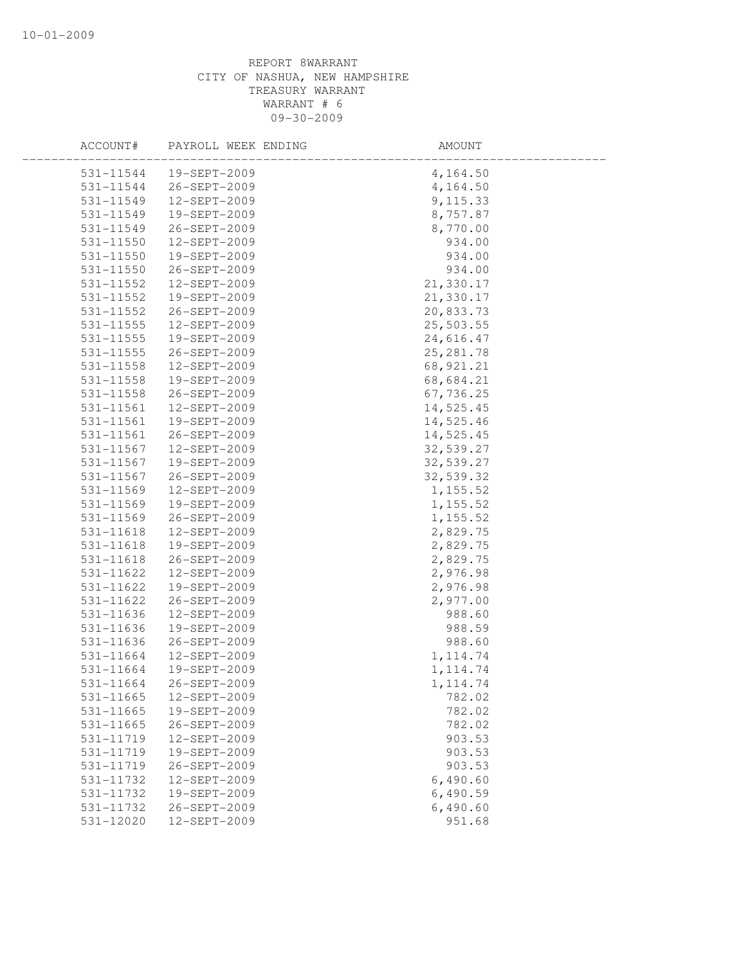| ACCOUNT#                   | PAYROLL WEEK ENDING          | AMOUNT           |  |
|----------------------------|------------------------------|------------------|--|
| 531-11544                  | 19-SEPT-2009                 | 4,164.50         |  |
| 531-11544                  | 26-SEPT-2009                 | 4,164.50         |  |
| 531-11549                  | 12-SEPT-2009                 | 9,115.33         |  |
| 531-11549                  | 19-SEPT-2009                 | 8,757.87         |  |
| 531-11549                  | 26-SEPT-2009                 | 8,770.00         |  |
| 531-11550                  | 12-SEPT-2009                 | 934.00           |  |
| 531-11550                  | 19-SEPT-2009                 | 934.00           |  |
| 531-11550                  | 26-SEPT-2009                 | 934.00           |  |
| 531-11552                  | 12-SEPT-2009                 | 21,330.17        |  |
| 531-11552                  | 19-SEPT-2009                 | 21,330.17        |  |
| 531-11552                  | 26-SEPT-2009                 | 20,833.73        |  |
| 531-11555                  | 12-SEPT-2009                 | 25,503.55        |  |
| 531-11555                  | 19-SEPT-2009                 | 24,616.47        |  |
| 531-11555                  | 26-SEPT-2009                 | 25, 281.78       |  |
| 531-11558                  | 12-SEPT-2009                 | 68,921.21        |  |
| 531-11558                  | 19-SEPT-2009                 | 68,684.21        |  |
| 531-11558                  | 26-SEPT-2009                 | 67,736.25        |  |
| 531-11561                  | 12-SEPT-2009                 | 14,525.45        |  |
| 531-11561                  | 19-SEPT-2009                 | 14,525.46        |  |
| 531-11561                  | 26-SEPT-2009                 | 14,525.45        |  |
| 531-11567                  | 12-SEPT-2009                 | 32,539.27        |  |
| 531-11567                  | 19-SEPT-2009                 | 32,539.27        |  |
| 531-11567                  | 26-SEPT-2009                 | 32,539.32        |  |
| 531-11569                  | 12-SEPT-2009                 | 1,155.52         |  |
| 531-11569                  | 19-SEPT-2009                 | 1,155.52         |  |
| 531-11569                  | 26-SEPT-2009                 | 1, 155.52        |  |
| 531-11618                  | 12-SEPT-2009                 | 2,829.75         |  |
| 531-11618                  | 19-SEPT-2009                 | 2,829.75         |  |
| 531-11618                  | 26-SEPT-2009                 | 2,829.75         |  |
| 531-11622                  | 12-SEPT-2009                 | 2,976.98         |  |
| 531-11622                  | 19-SEPT-2009                 | 2,976.98         |  |
| 531-11622                  | 26-SEPT-2009                 | 2,977.00         |  |
| 531-11636                  | 12-SEPT-2009                 | 988.60           |  |
| 531-11636                  | 19-SEPT-2009                 | 988.59           |  |
| 531-11636                  | 26-SEPT-2009                 | 988.60           |  |
| 531-11664<br>531-11664     | 12-SEPT-2009                 | 1, 114.74        |  |
|                            | 19-SEPT-2009                 | 1, 114.74        |  |
| 531-11664                  | 26-SEPT-2009<br>12-SEPT-2009 | 1, 114.74        |  |
| $531 - 11665$<br>531-11665 | 19-SEPT-2009                 | 782.02<br>782.02 |  |
| 531-11665                  | 26-SEPT-2009                 | 782.02           |  |
| 531-11719                  | 12-SEPT-2009                 | 903.53           |  |
| 531-11719                  | 19-SEPT-2009                 | 903.53           |  |
| 531-11719                  | 26-SEPT-2009                 | 903.53           |  |
| 531-11732                  | 12-SEPT-2009                 | 6,490.60         |  |
| 531-11732                  | 19-SEPT-2009                 | 6,490.59         |  |
| 531-11732                  | 26-SEPT-2009                 | 6,490.60         |  |
| 531-12020                  | 12-SEPT-2009                 | 951.68           |  |
|                            |                              |                  |  |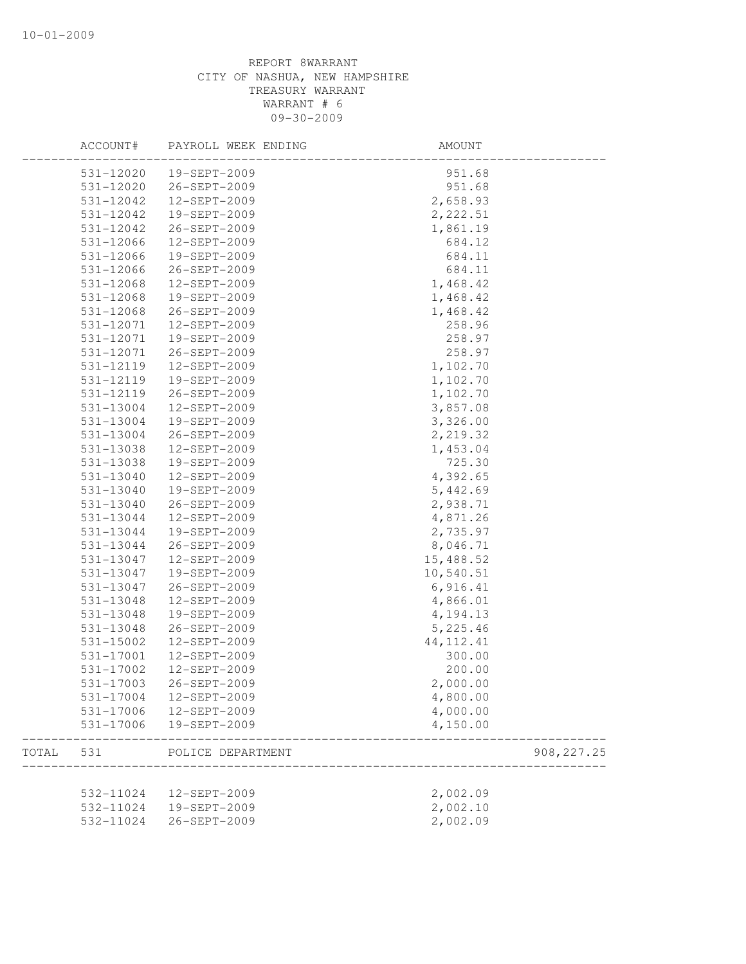|       | ACCOUNT#      | PAYROLL WEEK ENDING | AMOUNT      |             |
|-------|---------------|---------------------|-------------|-------------|
|       | 531-12020     | 19-SEPT-2009        | 951.68      |             |
|       | 531-12020     | 26-SEPT-2009        | 951.68      |             |
|       | 531-12042     | 12-SEPT-2009        | 2,658.93    |             |
|       | 531-12042     | 19-SEPT-2009        | 2,222.51    |             |
|       | 531-12042     | 26-SEPT-2009        | 1,861.19    |             |
|       | 531-12066     | 12-SEPT-2009        | 684.12      |             |
|       | 531-12066     | 19-SEPT-2009        | 684.11      |             |
|       | 531-12066     | 26-SEPT-2009        | 684.11      |             |
|       | 531-12068     | 12-SEPT-2009        | 1,468.42    |             |
|       | 531-12068     | 19-SEPT-2009        | 1,468.42    |             |
|       | 531-12068     | 26-SEPT-2009        | 1,468.42    |             |
|       | 531-12071     | 12-SEPT-2009        | 258.96      |             |
|       | 531-12071     | 19-SEPT-2009        | 258.97      |             |
|       | 531-12071     | 26-SEPT-2009        | 258.97      |             |
|       | 531-12119     | 12-SEPT-2009        | 1,102.70    |             |
|       | 531-12119     | 19-SEPT-2009        | 1,102.70    |             |
|       | 531-12119     | 26-SEPT-2009        | 1,102.70    |             |
|       | 531-13004     | 12-SEPT-2009        | 3,857.08    |             |
|       | 531-13004     | 19-SEPT-2009        | 3,326.00    |             |
|       | 531-13004     | 26-SEPT-2009        | 2,219.32    |             |
|       | 531-13038     | 12-SEPT-2009        | 1,453.04    |             |
|       | 531-13038     | 19-SEPT-2009        | 725.30      |             |
|       | 531-13040     | 12-SEPT-2009        | 4,392.65    |             |
|       | $531 - 13040$ | 19-SEPT-2009        | 5,442.69    |             |
|       | 531-13040     | 26-SEPT-2009        | 2,938.71    |             |
|       | 531-13044     | 12-SEPT-2009        | 4,871.26    |             |
|       | 531-13044     | 19-SEPT-2009        | 2,735.97    |             |
|       | 531-13044     | 26-SEPT-2009        | 8,046.71    |             |
|       | 531-13047     | 12-SEPT-2009        | 15,488.52   |             |
|       | 531-13047     | 19-SEPT-2009        | 10,540.51   |             |
|       | 531-13047     | 26-SEPT-2009        | 6,916.41    |             |
|       | 531-13048     | 12-SEPT-2009        | 4,866.01    |             |
|       | 531-13048     | 19-SEPT-2009        | 4,194.13    |             |
|       | 531-13048     | 26-SEPT-2009        | 5,225.46    |             |
|       | 531-15002     | 12-SEPT-2009        | 44, 112. 41 |             |
|       | 531-17001     | 12-SEPT-2009        | 300.00      |             |
|       | 531-17002     | 12-SEPT-2009        | 200.00      |             |
|       | 531-17003     | 26-SEPT-2009        | 2,000.00    |             |
|       | $531 - 17004$ | 12-SEPT-2009        | 4,800.00    |             |
|       | 531-17006     | 12-SEPT-2009        | 4,000.00    |             |
|       | 531-17006     | 19-SEPT-2009        | 4,150.00    |             |
| TOTAL | 531           | POLICE DEPARTMENT   |             | 908, 227.25 |
|       |               |                     |             |             |
|       | 532-11024     | 12-SEPT-2009        | 2,002.09    |             |
|       | 532-11024     | 19-SEPT-2009        | 2,002.10    |             |
|       | 532-11024     | 26-SEPT-2009        | 2,002.09    |             |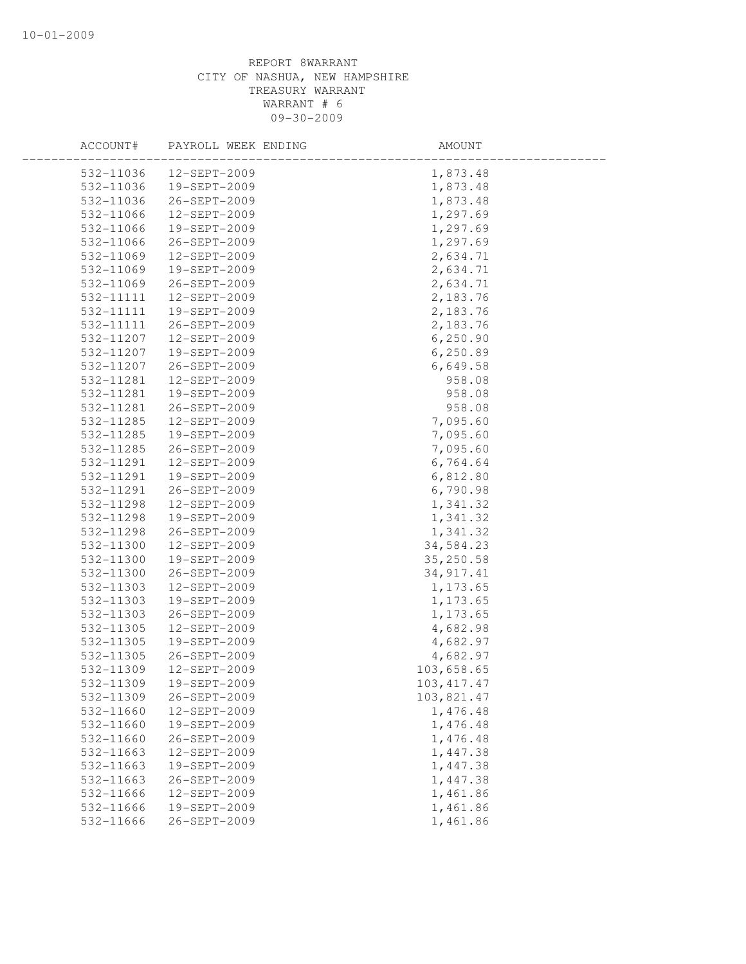| ACCOUNT#  | PAYROLL WEEK ENDING | AMOUNT      |  |
|-----------|---------------------|-------------|--|
| 532-11036 | $12 - SEPT - 2009$  | 1,873.48    |  |
| 532-11036 | 19-SEPT-2009        | 1,873.48    |  |
| 532-11036 | 26-SEPT-2009        | 1,873.48    |  |
| 532-11066 | 12-SEPT-2009        | 1,297.69    |  |
| 532-11066 | 19-SEPT-2009        | 1,297.69    |  |
| 532-11066 | 26-SEPT-2009        | 1,297.69    |  |
| 532-11069 | 12-SEPT-2009        | 2,634.71    |  |
| 532-11069 | 19-SEPT-2009        | 2,634.71    |  |
| 532-11069 | 26-SEPT-2009        | 2,634.71    |  |
| 532-11111 | 12-SEPT-2009        | 2,183.76    |  |
| 532-11111 | 19-SEPT-2009        | 2,183.76    |  |
| 532-11111 | 26-SEPT-2009        | 2,183.76    |  |
| 532-11207 | 12-SEPT-2009        | 6, 250.90   |  |
| 532-11207 | 19-SEPT-2009        | 6,250.89    |  |
| 532-11207 | 26-SEPT-2009        | 6,649.58    |  |
| 532-11281 | 12-SEPT-2009        | 958.08      |  |
| 532-11281 | 19-SEPT-2009        | 958.08      |  |
| 532-11281 | 26-SEPT-2009        | 958.08      |  |
| 532-11285 | 12-SEPT-2009        | 7,095.60    |  |
| 532-11285 | 19-SEPT-2009        | 7,095.60    |  |
| 532-11285 | 26-SEPT-2009        | 7,095.60    |  |
| 532-11291 | 12-SEPT-2009        | 6,764.64    |  |
| 532-11291 | 19-SEPT-2009        | 6,812.80    |  |
| 532-11291 | 26-SEPT-2009        | 6,790.98    |  |
| 532-11298 | 12-SEPT-2009        | 1,341.32    |  |
| 532-11298 | 19-SEPT-2009        | 1,341.32    |  |
| 532-11298 | 26-SEPT-2009        | 1,341.32    |  |
| 532-11300 | 12-SEPT-2009        | 34,584.23   |  |
| 532-11300 | 19-SEPT-2009        | 35,250.58   |  |
| 532-11300 | 26-SEPT-2009        | 34, 917.41  |  |
| 532-11303 | 12-SEPT-2009        | 1,173.65    |  |
| 532-11303 | 19-SEPT-2009        | 1,173.65    |  |
| 532-11303 | 26-SEPT-2009        | 1,173.65    |  |
| 532-11305 | 12-SEPT-2009        | 4,682.98    |  |
| 532-11305 | 19-SEPT-2009        | 4,682.97    |  |
| 532-11305 | 26-SEPT-2009        | 4,682.97    |  |
| 532-11309 | 12-SEPT-2009        | 103,658.65  |  |
| 532-11309 | 19-SEPT-2009        | 103, 417.47 |  |
| 532-11309 | 26-SEPT-2009        | 103,821.47  |  |
| 532-11660 | 12-SEPT-2009        | 1,476.48    |  |
| 532-11660 | 19-SEPT-2009        | 1,476.48    |  |
| 532-11660 | 26-SEPT-2009        | 1,476.48    |  |
| 532-11663 | 12-SEPT-2009        | 1,447.38    |  |
| 532-11663 | 19-SEPT-2009        | 1,447.38    |  |
| 532-11663 | 26-SEPT-2009        | 1,447.38    |  |
| 532-11666 | 12-SEPT-2009        | 1,461.86    |  |
| 532-11666 | 19-SEPT-2009        | 1,461.86    |  |
| 532-11666 | 26-SEPT-2009        | 1,461.86    |  |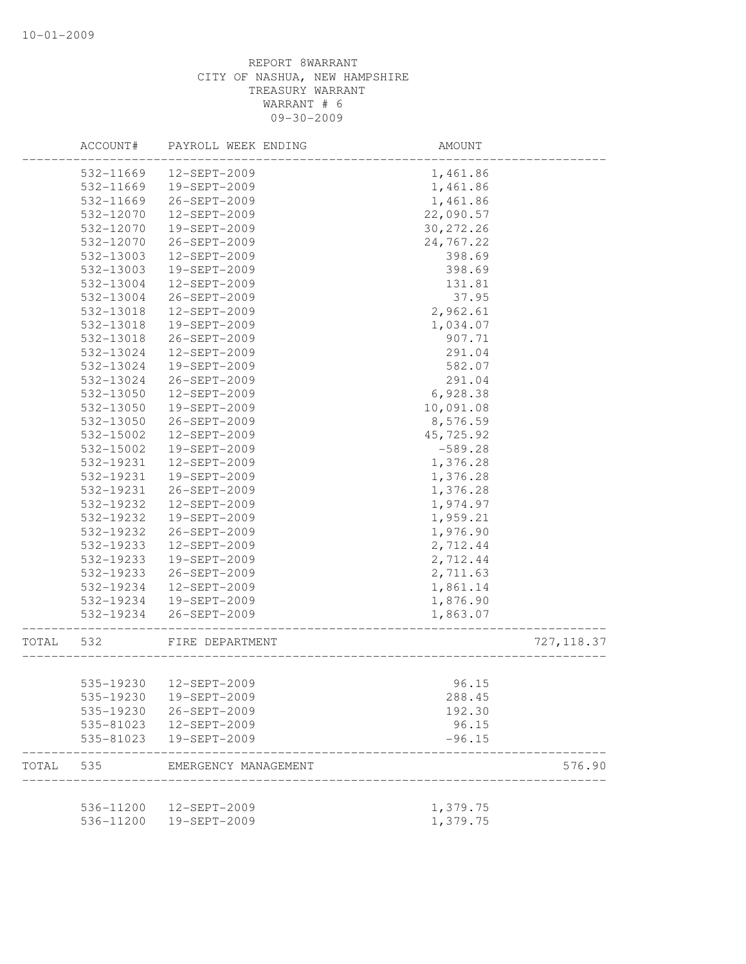|       | ACCOUNT#  | PAYROLL WEEK ENDING     | AMOUNT     |             |
|-------|-----------|-------------------------|------------|-------------|
|       | 532-11669 | 12-SEPT-2009            | 1,461.86   |             |
|       | 532-11669 | 19-SEPT-2009            | 1,461.86   |             |
|       | 532-11669 | 26-SEPT-2009            | 1,461.86   |             |
|       | 532-12070 | 12-SEPT-2009            | 22,090.57  |             |
|       | 532-12070 | 19-SEPT-2009            | 30, 272.26 |             |
|       | 532-12070 | 26-SEPT-2009            | 24,767.22  |             |
|       | 532-13003 | 12-SEPT-2009            | 398.69     |             |
|       | 532-13003 | 19-SEPT-2009            | 398.69     |             |
|       | 532-13004 | 12-SEPT-2009            | 131.81     |             |
|       | 532-13004 | 26-SEPT-2009            | 37.95      |             |
|       | 532-13018 | 12-SEPT-2009            | 2,962.61   |             |
|       | 532-13018 | 19-SEPT-2009            | 1,034.07   |             |
|       | 532-13018 | 26-SEPT-2009            | 907.71     |             |
|       | 532-13024 | 12-SEPT-2009            | 291.04     |             |
|       | 532-13024 | 19-SEPT-2009            | 582.07     |             |
|       | 532-13024 | 26-SEPT-2009            | 291.04     |             |
|       | 532-13050 | 12-SEPT-2009            | 6,928.38   |             |
|       | 532-13050 | 19-SEPT-2009            | 10,091.08  |             |
|       | 532-13050 | 26-SEPT-2009            | 8,576.59   |             |
|       | 532-15002 | 12-SEPT-2009            | 45,725.92  |             |
|       | 532-15002 | 19-SEPT-2009            | $-589.28$  |             |
|       | 532-19231 | 12-SEPT-2009            | 1,376.28   |             |
|       | 532-19231 | 19-SEPT-2009            | 1,376.28   |             |
|       | 532-19231 | 26-SEPT-2009            | 1,376.28   |             |
|       | 532-19232 | 12-SEPT-2009            | 1,974.97   |             |
|       | 532-19232 | 19-SEPT-2009            | 1,959.21   |             |
|       | 532-19232 | 26-SEPT-2009            | 1,976.90   |             |
|       | 532-19233 | 12-SEPT-2009            | 2,712.44   |             |
|       | 532-19233 | 19-SEPT-2009            | 2,712.44   |             |
|       | 532-19233 | 26-SEPT-2009            | 2,711.63   |             |
|       | 532-19234 | 12-SEPT-2009            | 1,861.14   |             |
|       | 532-19234 | 19-SEPT-2009            | 1,876.90   |             |
|       |           |                         |            |             |
|       | 532-19234 | 26-SEPT-2009            | 1,863.07   |             |
| TOTAL | 532       | FIRE DEPARTMENT         |            | 727, 118.37 |
|       |           | 535-19230  12-SEPT-2009 | 96.15      |             |
|       | 535-19230 | 19-SEPT-2009            | 288.45     |             |
|       | 535-19230 | 26-SEPT-2009            | 192.30     |             |
|       | 535-81023 | 12-SEPT-2009            | 96.15      |             |
|       | 535-81023 | 19-SEPT-2009            | $-96.15$   |             |
| TOTAL | 535       | EMERGENCY MANAGEMENT    |            | 576.90      |
|       |           |                         |            |             |
|       |           | 536-11200  12-SEPT-2009 | 1,379.75   |             |
|       |           | 536-11200  19-SEPT-2009 | 1,379.75   |             |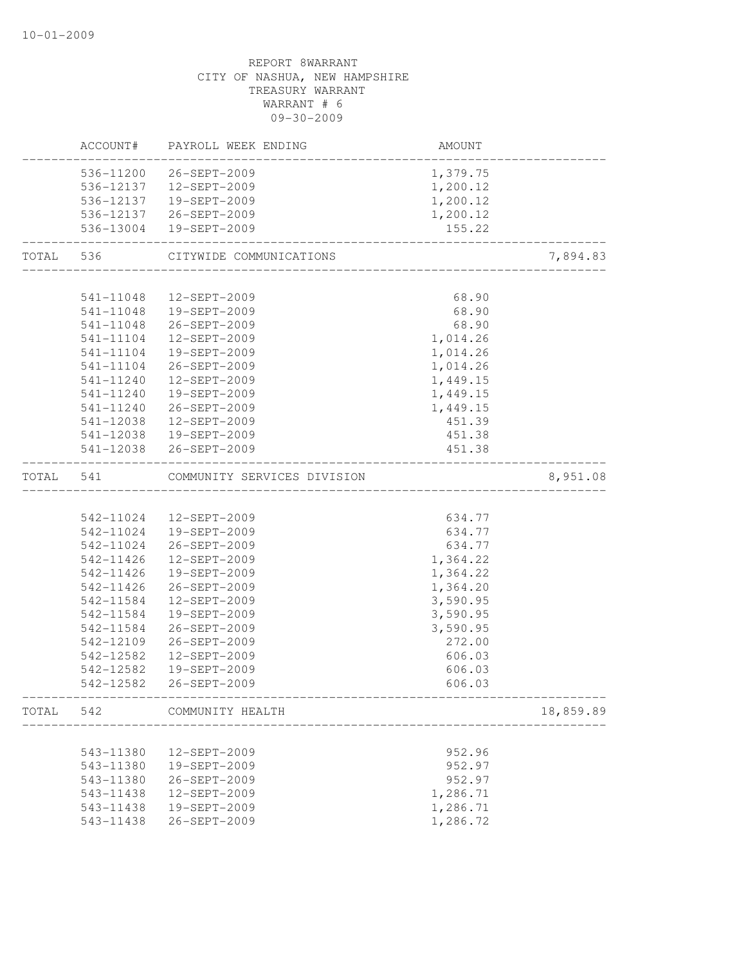|           | ACCOUNT#  | PAYROLL WEEK ENDING         | AMOUNT   |           |
|-----------|-----------|-----------------------------|----------|-----------|
|           |           | 536-11200 26-SEPT-2009      | 1,379.75 |           |
|           |           | 536-12137  12-SEPT-2009     | 1,200.12 |           |
|           |           | 536-12137  19-SEPT-2009     | 1,200.12 |           |
|           |           | 536-12137 26-SEPT-2009      | 1,200.12 |           |
|           |           | 536-13004 19-SEPT-2009      | 155.22   |           |
| TOTAL 536 |           | CITYWIDE COMMUNICATIONS     |          | 7,894.83  |
|           |           |                             |          |           |
|           | 541-11048 | 12-SEPT-2009                | 68.90    |           |
|           |           | 541-11048  19-SEPT-2009     | 68.90    |           |
|           | 541-11048 | 26-SEPT-2009                | 68.90    |           |
|           | 541-11104 | 12-SEPT-2009                | 1,014.26 |           |
|           | 541-11104 | 19-SEPT-2009                | 1,014.26 |           |
|           | 541-11104 | 26-SEPT-2009                | 1,014.26 |           |
|           | 541-11240 | 12-SEPT-2009                | 1,449.15 |           |
|           | 541-11240 | 19-SEPT-2009                | 1,449.15 |           |
|           | 541-11240 | 26-SEPT-2009                | 1,449.15 |           |
|           | 541-12038 | 12-SEPT-2009                | 451.39   |           |
|           | 541-12038 | 19-SEPT-2009                | 451.38   |           |
|           |           | 541-12038 26-SEPT-2009      | 451.38   |           |
| TOTAL     | 541       | COMMUNITY SERVICES DIVISION |          | 8,951.08  |
|           |           |                             |          |           |
|           | 542-11024 | 12-SEPT-2009                | 634.77   |           |
|           | 542-11024 | 19-SEPT-2009                | 634.77   |           |
|           | 542-11024 | 26-SEPT-2009                | 634.77   |           |
|           | 542-11426 | 12-SEPT-2009                | 1,364.22 |           |
|           | 542-11426 | 19-SEPT-2009                | 1,364.22 |           |
|           | 542-11426 | 26-SEPT-2009                | 1,364.20 |           |
|           | 542-11584 | 12-SEPT-2009                | 3,590.95 |           |
|           | 542-11584 | 19-SEPT-2009                | 3,590.95 |           |
|           | 542-11584 | 26-SEPT-2009                | 3,590.95 |           |
|           | 542-12109 | 26-SEPT-2009                | 272.00   |           |
|           | 542-12582 | 12-SEPT-2009                | 606.03   |           |
|           | 542-12582 | 19-SEPT-2009                | 606.03   |           |
|           | 542-12582 | 26-SEPT-2009                | 606.03   |           |
|           |           | TOTAL 542 COMMUNITY HEALTH  |          | 18,859.89 |
|           |           |                             |          |           |
|           | 543-11380 | 12-SEPT-2009                | 952.96   |           |
|           | 543-11380 | 19-SEPT-2009                | 952.97   |           |
|           | 543-11380 | 26-SEPT-2009                | 952.97   |           |
|           | 543-11438 | 12-SEPT-2009                | 1,286.71 |           |
|           | 543-11438 | 19-SEPT-2009                | 1,286.71 |           |
|           | 543-11438 | 26-SEPT-2009                | 1,286.72 |           |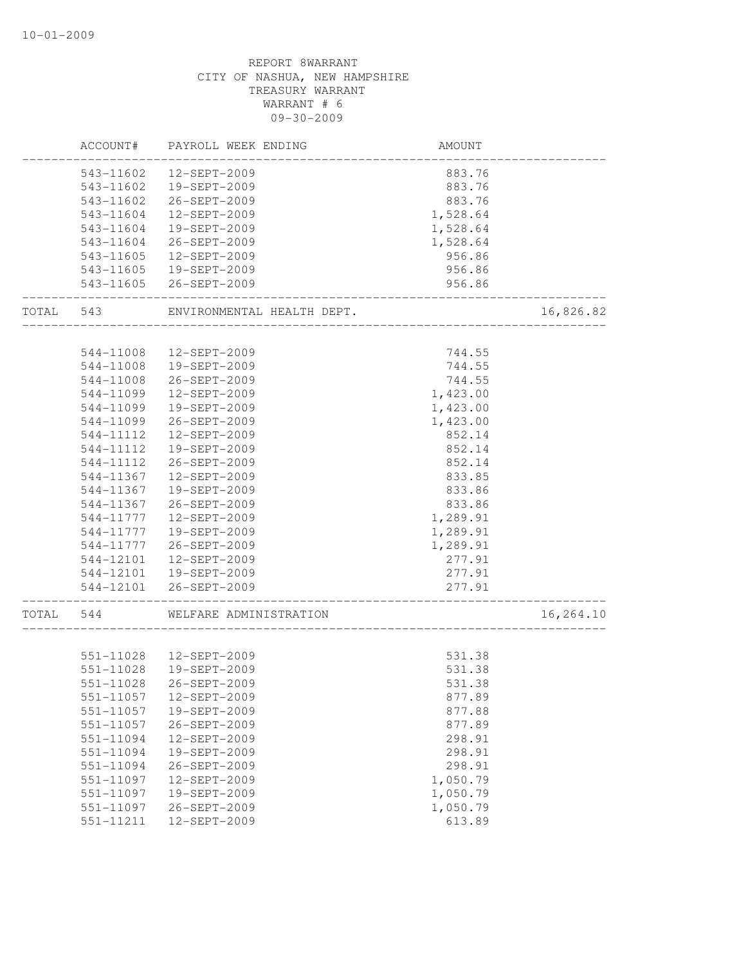|       | ACCOUNT#  | PAYROLL WEEK ENDING        | AMOUNT   |           |
|-------|-----------|----------------------------|----------|-----------|
|       | 543-11602 | 12-SEPT-2009               | 883.76   |           |
|       | 543-11602 | 19-SEPT-2009               | 883.76   |           |
|       | 543-11602 | 26-SEPT-2009               | 883.76   |           |
|       | 543-11604 | 12-SEPT-2009               | 1,528.64 |           |
|       | 543-11604 | 19-SEPT-2009               | 1,528.64 |           |
|       | 543-11604 | 26-SEPT-2009               | 1,528.64 |           |
|       | 543-11605 | 12-SEPT-2009               | 956.86   |           |
|       | 543-11605 | 19-SEPT-2009               | 956.86   |           |
|       | 543-11605 | 26-SEPT-2009               | 956.86   |           |
| TOTAL | 543       | ENVIRONMENTAL HEALTH DEPT. |          | 16,826.82 |
|       |           |                            |          |           |
|       | 544-11008 | 12-SEPT-2009               | 744.55   |           |
|       | 544-11008 | 19-SEPT-2009               | 744.55   |           |
|       | 544-11008 | 26-SEPT-2009               | 744.55   |           |
|       | 544-11099 | 12-SEPT-2009               | 1,423.00 |           |
|       | 544-11099 | 19-SEPT-2009               | 1,423.00 |           |
|       | 544-11099 | 26-SEPT-2009               | 1,423.00 |           |
|       | 544-11112 | 12-SEPT-2009               | 852.14   |           |
|       | 544-11112 | 19-SEPT-2009               | 852.14   |           |
|       | 544-11112 | 26-SEPT-2009               | 852.14   |           |
|       | 544-11367 | 12-SEPT-2009               | 833.85   |           |
|       | 544-11367 | 19-SEPT-2009               | 833.86   |           |
|       | 544-11367 | 26-SEPT-2009               | 833.86   |           |
|       | 544-11777 | 12-SEPT-2009               | 1,289.91 |           |
|       | 544-11777 | 19-SEPT-2009               | 1,289.91 |           |
|       | 544-11777 | 26-SEPT-2009               | 1,289.91 |           |
|       | 544-12101 | 12-SEPT-2009               | 277.91   |           |
|       | 544-12101 | 19-SEPT-2009               | 277.91   |           |
|       | 544-12101 | 26-SEPT-2009               | 277.91   |           |
| TOTAL | 544       | WELFARE ADMINISTRATION     |          | 16,264.10 |
|       |           |                            |          |           |
|       |           | 551-11028  12-SEPT-2009    | 531.38   |           |
|       | 551-11028 | 19-SEPT-2009               | 531.38   |           |
|       | 551-11028 | 26-SEPT-2009               | 531.38   |           |
|       | 551-11057 | 12-SEPT-2009               | 877.89   |           |
|       | 551-11057 | 19-SEPT-2009               | 877.88   |           |
|       | 551-11057 | 26-SEPT-2009               | 877.89   |           |
|       | 551-11094 | 12-SEPT-2009               | 298.91   |           |
|       | 551-11094 | 19-SEPT-2009               | 298.91   |           |
|       | 551-11094 | 26-SEPT-2009               | 298.91   |           |
|       | 551-11097 | 12-SEPT-2009               | 1,050.79 |           |
|       | 551-11097 | 19-SEPT-2009               | 1,050.79 |           |
|       | 551-11097 | 26-SEPT-2009               | 1,050.79 |           |
|       | 551-11211 | 12-SEPT-2009               | 613.89   |           |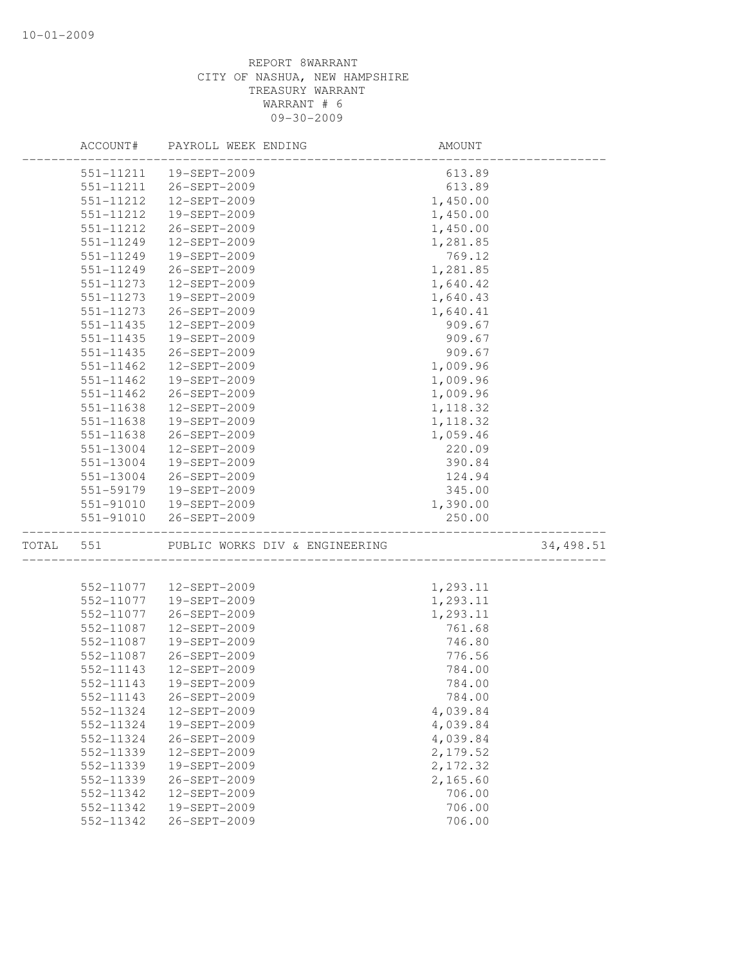|           | ACCOUNT#  | PAYROLL WEEK ENDING            | AMOUNT   |           |
|-----------|-----------|--------------------------------|----------|-----------|
|           | 551-11211 | 19-SEPT-2009                   | 613.89   |           |
|           | 551-11211 | 26-SEPT-2009                   | 613.89   |           |
|           | 551-11212 | 12-SEPT-2009                   | 1,450.00 |           |
|           | 551-11212 | 19-SEPT-2009                   | 1,450.00 |           |
|           | 551-11212 | 26-SEPT-2009                   | 1,450.00 |           |
|           | 551-11249 | 12-SEPT-2009                   | 1,281.85 |           |
|           | 551-11249 | 19-SEPT-2009                   | 769.12   |           |
|           | 551-11249 | 26-SEPT-2009                   | 1,281.85 |           |
|           | 551-11273 | 12-SEPT-2009                   | 1,640.42 |           |
|           | 551-11273 | 19-SEPT-2009                   | 1,640.43 |           |
|           | 551-11273 | 26-SEPT-2009                   | 1,640.41 |           |
|           | 551-11435 | 12-SEPT-2009                   | 909.67   |           |
|           | 551-11435 | 19-SEPT-2009                   | 909.67   |           |
|           | 551-11435 | 26-SEPT-2009                   | 909.67   |           |
|           | 551-11462 | 12-SEPT-2009                   | 1,009.96 |           |
|           | 551-11462 | 19-SEPT-2009                   | 1,009.96 |           |
|           | 551-11462 | 26-SEPT-2009                   | 1,009.96 |           |
|           | 551-11638 | 12-SEPT-2009                   | 1,118.32 |           |
|           | 551-11638 | 19-SEPT-2009                   | 1,118.32 |           |
|           | 551-11638 | 26-SEPT-2009                   | 1,059.46 |           |
|           | 551-13004 | 12-SEPT-2009                   | 220.09   |           |
|           | 551-13004 | 19-SEPT-2009                   | 390.84   |           |
|           | 551-13004 | 26-SEPT-2009                   | 124.94   |           |
|           | 551-59179 | 19-SEPT-2009                   | 345.00   |           |
|           | 551-91010 | 19-SEPT-2009                   | 1,390.00 |           |
|           | 551-91010 | 26-SEPT-2009                   | 250.00   |           |
| TOTAL 551 |           | PUBLIC WORKS DIV & ENGINEERING |          | 34,498.51 |
|           |           |                                |          |           |
|           | 552-11077 | 12-SEPT-2009                   | 1,293.11 |           |
|           | 552-11077 | 19-SEPT-2009                   | 1,293.11 |           |
|           | 552-11077 | 26-SEPT-2009                   | 1,293.11 |           |
|           | 552-11087 | 12-SEPT-2009                   | 761.68   |           |
|           | 552-11087 | 19-SEPT-2009                   | 746.80   |           |
|           | 552-11087 | 26-SEPT-2009                   | 776.56   |           |
|           | 552-11143 | 12-SEPT-2009                   | 784.00   |           |
|           | 552-11143 | 19-SEPT-2009                   | 784.00   |           |
|           | 552-11143 | 26-SEPT-2009                   | 784.00   |           |
|           | 552-11324 | 12-SEPT-2009                   | 4,039.84 |           |
|           | 552-11324 | 19-SEPT-2009                   | 4,039.84 |           |
|           | 552-11324 | 26-SEPT-2009                   | 4,039.84 |           |
|           | 552-11339 | 12-SEPT-2009                   | 2,179.52 |           |
|           | 552-11339 | 19-SEPT-2009                   | 2,172.32 |           |
|           | 552-11339 | 26-SEPT-2009                   | 2,165.60 |           |
|           | 552-11342 | 12-SEPT-2009                   | 706.00   |           |
|           | 552-11342 | 19-SEPT-2009                   | 706.00   |           |
|           | 552-11342 | 26-SEPT-2009                   | 706.00   |           |
|           |           |                                |          |           |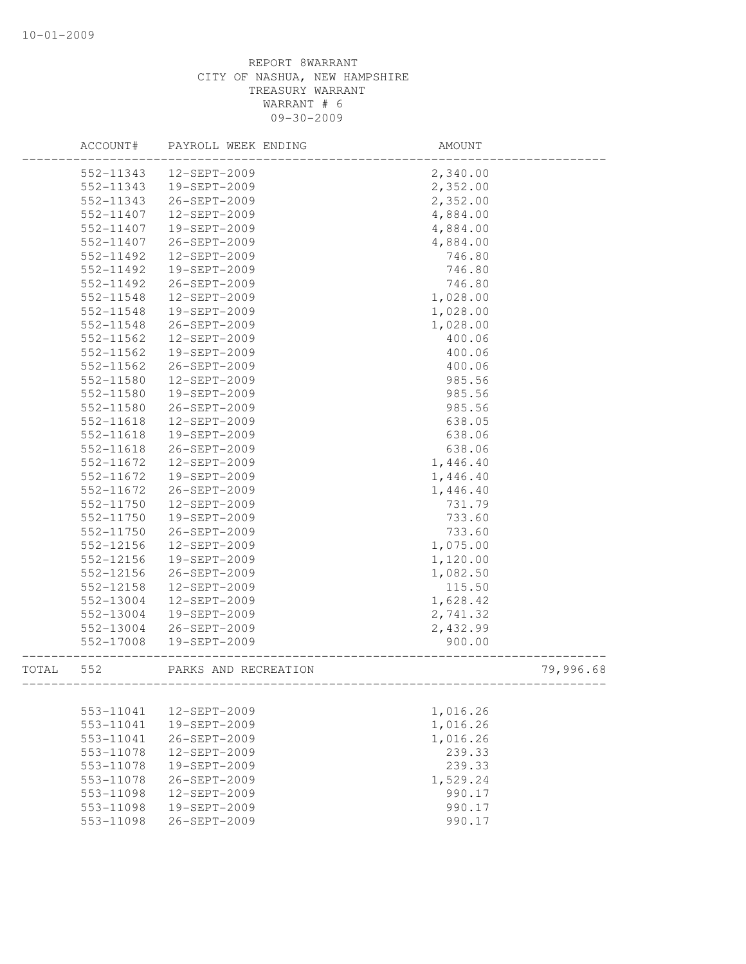|       | ACCOUNT#               | PAYROLL WEEK ENDING          | AMOUNT           |           |
|-------|------------------------|------------------------------|------------------|-----------|
|       | 552-11343              | 12-SEPT-2009                 | 2,340.00         |           |
|       | 552-11343              | 19-SEPT-2009                 | 2,352.00         |           |
|       | 552-11343              | 26-SEPT-2009                 | 2,352.00         |           |
|       | 552-11407              | 12-SEPT-2009                 | 4,884.00         |           |
|       | 552-11407              | 19-SEPT-2009                 | 4,884.00         |           |
|       | 552-11407              | 26-SEPT-2009                 | 4,884.00         |           |
|       | 552-11492              | 12-SEPT-2009                 | 746.80           |           |
|       | 552-11492              | 19-SEPT-2009                 | 746.80           |           |
|       | 552-11492              | 26-SEPT-2009                 | 746.80           |           |
|       | 552-11548              | 12-SEPT-2009                 | 1,028.00         |           |
|       | 552-11548              | 19-SEPT-2009                 | 1,028.00         |           |
|       | 552-11548              | 26-SEPT-2009                 | 1,028.00         |           |
|       | 552-11562              | 12-SEPT-2009                 | 400.06           |           |
|       | 552-11562              | 19-SEPT-2009                 | 400.06           |           |
|       | 552-11562              | 26-SEPT-2009                 | 400.06           |           |
|       | 552-11580              | 12-SEPT-2009                 | 985.56           |           |
|       | 552-11580              | 19-SEPT-2009                 | 985.56           |           |
|       | 552-11580              | 26-SEPT-2009                 | 985.56           |           |
|       | 552-11618              | 12-SEPT-2009                 | 638.05           |           |
|       | 552-11618              | 19-SEPT-2009                 | 638.06           |           |
|       | 552-11618              | 26-SEPT-2009                 | 638.06           |           |
|       | 552-11672              | 12-SEPT-2009                 | 1,446.40         |           |
|       | 552-11672              | 19-SEPT-2009                 | 1,446.40         |           |
|       | 552-11672              | 26-SEPT-2009                 | 1,446.40         |           |
|       | 552-11750              | 12-SEPT-2009                 | 731.79           |           |
|       | 552-11750              | 19-SEPT-2009                 | 733.60           |           |
|       | 552-11750              | 26-SEPT-2009                 | 733.60           |           |
|       | 552-12156              | 12-SEPT-2009                 | 1,075.00         |           |
|       | 552-12156              | 19-SEPT-2009                 | 1,120.00         |           |
|       | 552-12156              | 26-SEPT-2009                 | 1,082.50         |           |
|       | 552-12158              | 12-SEPT-2009                 | 115.50           |           |
|       | 552-13004              | 12-SEPT-2009                 | 1,628.42         |           |
|       | 552-13004              | 19-SEPT-2009                 | 2,741.32         |           |
|       | 552-13004              | 26-SEPT-2009                 | 2,432.99         |           |
|       | 552-17008              | 19-SEPT-2009                 | 900.00           |           |
| TOTAL | 552                    | PARKS AND RECREATION         | ________________ | 79,996.68 |
|       |                        |                              |                  |           |
|       | 553-11041<br>553-11041 | 12-SEPT-2009<br>19-SEPT-2009 | 1,016.26         |           |
|       |                        |                              | 1,016.26         |           |
|       | 553-11041              | 26-SEPT-2009                 | 1,016.26         |           |
|       | 553-11078<br>553-11078 | 12-SEPT-2009<br>19-SEPT-2009 | 239.33           |           |
|       |                        | 26-SEPT-2009                 | 239.33           |           |
|       | 553-11078              |                              | 1,529.24         |           |
|       | 553-11098              | 12-SEPT-2009                 | 990.17           |           |
|       | 553-11098              | 19-SEPT-2009                 | 990.17           |           |
|       | 553-11098              | 26-SEPT-2009                 | 990.17           |           |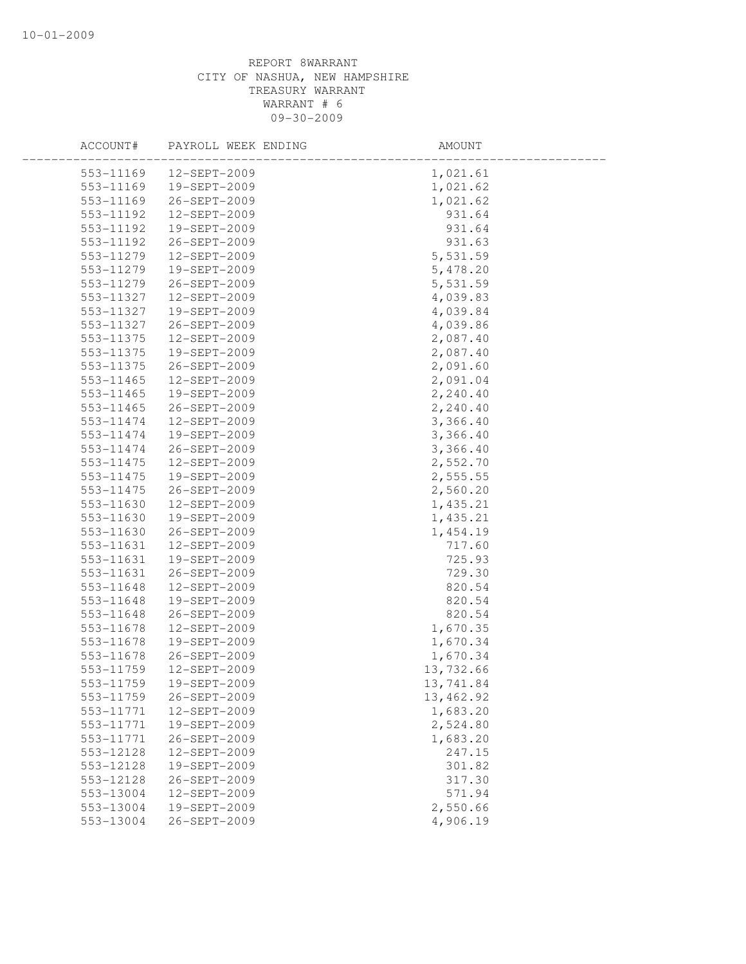| ACCOUNT#      | PAYROLL WEEK ENDING | AMOUNT    |  |
|---------------|---------------------|-----------|--|
| 553-11169     | 12-SEPT-2009        | 1,021.61  |  |
| 553-11169     | 19-SEPT-2009        | 1,021.62  |  |
| 553-11169     | 26-SEPT-2009        | 1,021.62  |  |
| 553-11192     | 12-SEPT-2009        | 931.64    |  |
| 553-11192     | 19-SEPT-2009        | 931.64    |  |
| 553-11192     | 26-SEPT-2009        | 931.63    |  |
| 553-11279     | 12-SEPT-2009        | 5,531.59  |  |
| 553-11279     | 19-SEPT-2009        | 5,478.20  |  |
| 553-11279     | 26-SEPT-2009        | 5,531.59  |  |
| 553-11327     | 12-SEPT-2009        | 4,039.83  |  |
| 553-11327     | 19-SEPT-2009        | 4,039.84  |  |
| 553-11327     | 26-SEPT-2009        | 4,039.86  |  |
| 553-11375     | 12-SEPT-2009        | 2,087.40  |  |
| 553-11375     | 19-SEPT-2009        | 2,087.40  |  |
| 553-11375     | 26-SEPT-2009        | 2,091.60  |  |
| 553-11465     | 12-SEPT-2009        | 2,091.04  |  |
| 553-11465     | 19-SEPT-2009        | 2,240.40  |  |
| $553 - 11465$ | 26-SEPT-2009        | 2,240.40  |  |
| 553-11474     | 12-SEPT-2009        | 3,366.40  |  |
| 553-11474     | 19-SEPT-2009        | 3,366.40  |  |
| 553-11474     | 26-SEPT-2009        | 3,366.40  |  |
| 553-11475     | 12-SEPT-2009        | 2,552.70  |  |
| 553-11475     | 19-SEPT-2009        | 2,555.55  |  |
| 553-11475     | 26-SEPT-2009        | 2,560.20  |  |
| 553-11630     | 12-SEPT-2009        | 1,435.21  |  |
| 553-11630     | 19-SEPT-2009        | 1,435.21  |  |
| 553-11630     | 26-SEPT-2009        | 1,454.19  |  |
| 553-11631     | 12-SEPT-2009        | 717.60    |  |
| 553-11631     | 19-SEPT-2009        | 725.93    |  |
| 553-11631     | 26-SEPT-2009        | 729.30    |  |
| 553-11648     | 12-SEPT-2009        | 820.54    |  |
| 553-11648     | 19-SEPT-2009        | 820.54    |  |
| 553-11648     | 26-SEPT-2009        | 820.54    |  |
| 553-11678     | 12-SEPT-2009        | 1,670.35  |  |
| 553-11678     | 19-SEPT-2009        | 1,670.34  |  |
| 553-11678     | 26-SEPT-2009        | 1,670.34  |  |
| 553-11759     | 12-SEPT-2009        | 13,732.66 |  |
| 553-11759     | 19-SEPT-2009        | 13,741.84 |  |
| 553-11759     | 26-SEPT-2009        | 13,462.92 |  |
| 553-11771     | 12-SEPT-2009        | 1,683.20  |  |
| 553-11771     | 19-SEPT-2009        | 2,524.80  |  |
| 553-11771     | 26-SEPT-2009        | 1,683.20  |  |
| 553-12128     | 12-SEPT-2009        | 247.15    |  |
| 553-12128     | 19-SEPT-2009        | 301.82    |  |
| 553-12128     | 26-SEPT-2009        | 317.30    |  |
| 553-13004     | 12-SEPT-2009        | 571.94    |  |
| 553-13004     | 19-SEPT-2009        | 2,550.66  |  |
| 553-13004     | 26-SEPT-2009        | 4,906.19  |  |
|               |                     |           |  |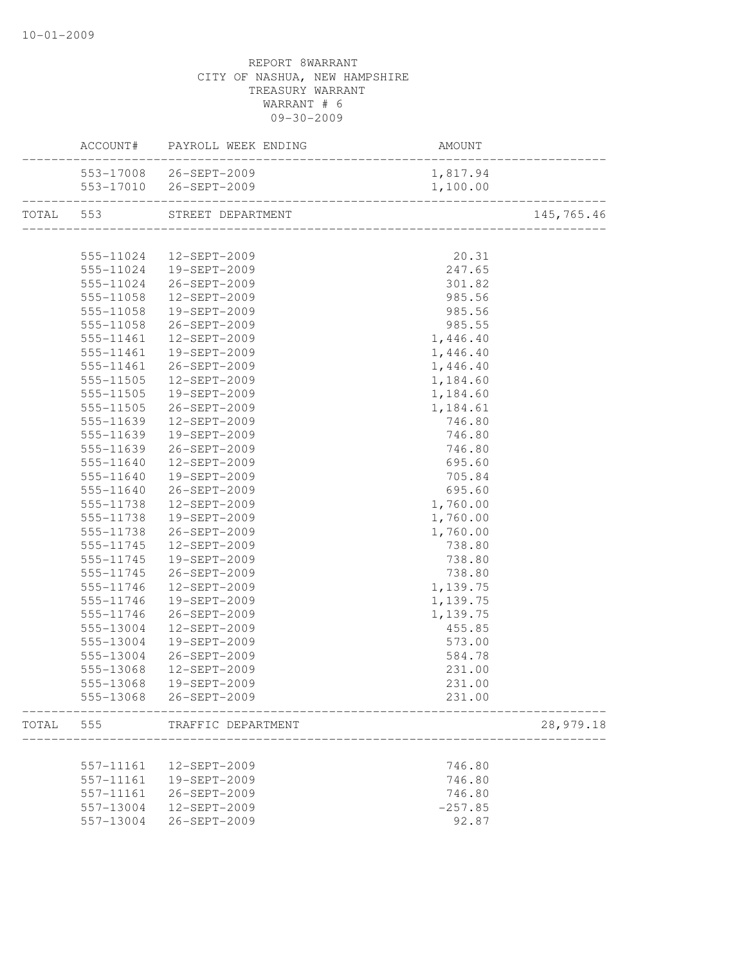|           |           | ACCOUNT# PAYROLL WEEK ENDING | AMOUNT                              |            |
|-----------|-----------|------------------------------|-------------------------------------|------------|
|           |           | 553-17008 26-SEPT-2009       | 1,817.94                            |            |
|           |           | 553-17010 26-SEPT-2009       | 1,100.00                            |            |
| TOTAL 553 |           | STREET DEPARTMENT            | ----------------------------------- | 145,765.46 |
|           |           |                              |                                     |            |
|           | 555-11024 | 12-SEPT-2009                 | 20.31                               |            |
|           | 555-11024 | 19-SEPT-2009                 | 247.65                              |            |
|           | 555-11024 | 26-SEPT-2009                 | 301.82                              |            |
|           | 555-11058 | 12-SEPT-2009                 | 985.56                              |            |
|           | 555-11058 | 19-SEPT-2009                 | 985.56                              |            |
|           | 555-11058 | 26-SEPT-2009                 | 985.55                              |            |
|           | 555-11461 | 12-SEPT-2009                 | 1,446.40                            |            |
|           | 555-11461 | 19-SEPT-2009                 | 1,446.40                            |            |
|           | 555-11461 | 26-SEPT-2009                 | 1,446.40                            |            |
|           | 555-11505 | 12-SEPT-2009                 | 1,184.60                            |            |
|           | 555-11505 | 19-SEPT-2009                 | 1,184.60                            |            |
|           | 555-11505 | 26-SEPT-2009                 | 1,184.61                            |            |
|           | 555-11639 | 12-SEPT-2009                 | 746.80                              |            |
|           | 555-11639 | 19-SEPT-2009                 | 746.80                              |            |
|           | 555-11639 | 26-SEPT-2009                 | 746.80                              |            |
|           | 555-11640 | 12-SEPT-2009                 | 695.60                              |            |
|           | 555-11640 | 19-SEPT-2009                 | 705.84                              |            |
|           | 555-11640 | 26-SEPT-2009                 | 695.60                              |            |
|           | 555-11738 | 12-SEPT-2009                 | 1,760.00                            |            |
|           | 555-11738 | 19-SEPT-2009                 | 1,760.00                            |            |
|           | 555-11738 | 26-SEPT-2009                 | 1,760.00                            |            |
|           | 555-11745 | 12-SEPT-2009                 | 738.80                              |            |
|           | 555-11745 | 19-SEPT-2009                 | 738.80                              |            |
|           | 555-11745 | 26-SEPT-2009                 | 738.80                              |            |
|           | 555-11746 | 12-SEPT-2009                 | 1,139.75                            |            |
|           | 555-11746 | 19-SEPT-2009                 | 1,139.75                            |            |
|           | 555-11746 | 26-SEPT-2009                 | 1,139.75                            |            |
|           | 555-13004 | 12-SEPT-2009                 | 455.85                              |            |
|           | 555-13004 | 19-SEPT-2009                 | 573.00                              |            |
|           | 555-13004 | 26-SEPT-2009                 | 584.78                              |            |
|           | 555-13068 | 12-SEPT-2009                 | 231.00                              |            |
|           |           | 555-13068 19-SEPT-2009       | 231.00                              |            |
|           |           | 555-13068 26-SEPT-2009       | 231.00                              |            |
| TOTAL     | 555       | TRAFFIC DEPARTMENT           |                                     | 28,979.18  |
|           |           |                              |                                     |            |
|           | 557-11161 | 12-SEPT-2009                 | 746.80                              |            |
|           | 557-11161 | 19-SEPT-2009                 | 746.80                              |            |
|           | 557-11161 | 26-SEPT-2009                 | 746.80                              |            |
|           | 557-13004 | 12-SEPT-2009                 | $-257.85$                           |            |
|           | 557-13004 | 26-SEPT-2009                 | 92.87                               |            |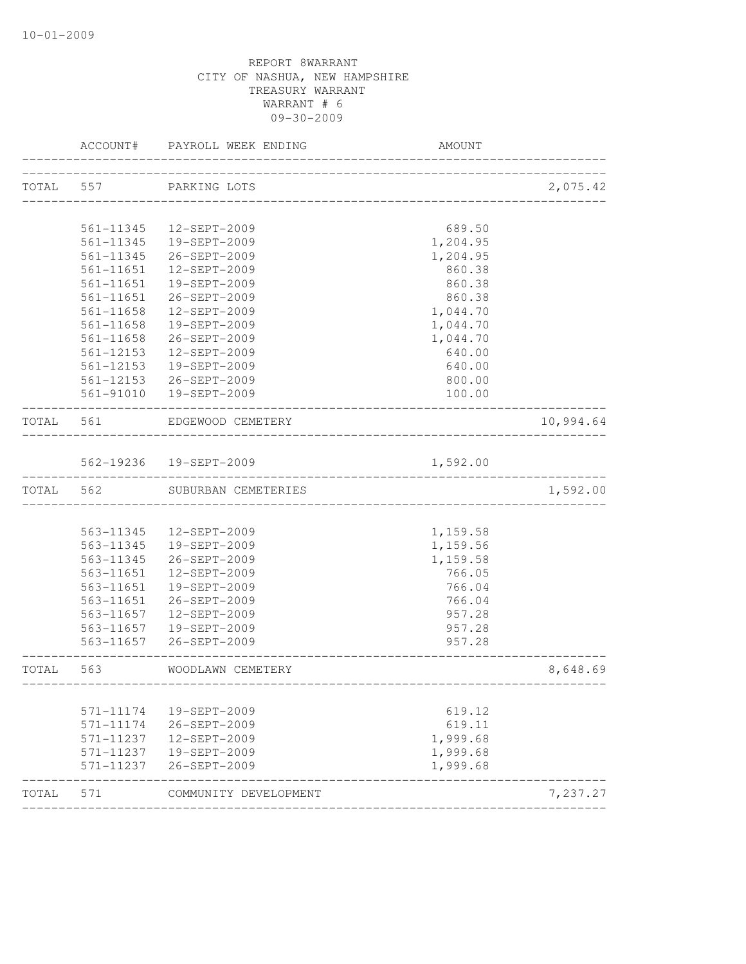|              | ACCOUNT#      | PAYROLL WEEK ENDING     | <b>AMOUNT</b>                    |           |
|--------------|---------------|-------------------------|----------------------------------|-----------|
| TOTAL 557    |               | PARKING LOTS            |                                  | 2,075.42  |
|              |               |                         | ________________________________ |           |
|              | 561-11345     | 12-SEPT-2009            | 689.50                           |           |
|              | 561-11345     | 19-SEPT-2009            | 1,204.95                         |           |
|              | 561-11345     | 26-SEPT-2009            | 1,204.95                         |           |
|              | 561-11651     | 12-SEPT-2009            | 860.38                           |           |
|              | 561-11651     | 19-SEPT-2009            | 860.38                           |           |
|              | 561-11651     | 26-SEPT-2009            | 860.38                           |           |
|              | $561 - 11658$ | 12-SEPT-2009            | 1,044.70                         |           |
|              | 561-11658     | 19-SEPT-2009            | 1,044.70                         |           |
|              | 561-11658     | 26-SEPT-2009            | 1,044.70                         |           |
|              | 561-12153     | 12-SEPT-2009            | 640.00                           |           |
|              | 561-12153     | 19-SEPT-2009            | 640.00                           |           |
|              | 561-12153     | 26-SEPT-2009            | 800.00                           |           |
|              | 561-91010     | 19-SEPT-2009            | 100.00                           |           |
| TOTAL 561    |               | EDGEWOOD CEMETERY       |                                  | 10,994.64 |
|              |               | 562-19236  19-SEPT-2009 | 1,592.00                         |           |
| TOTAL        | 562           | SUBURBAN CEMETERIES     |                                  | 1,592.00  |
|              |               |                         |                                  |           |
|              | 563-11345     | 12-SEPT-2009            | 1,159.58                         |           |
|              | 563-11345     | 19-SEPT-2009            | 1,159.56                         |           |
|              | 563-11345     | 26-SEPT-2009            | 1,159.58                         |           |
|              | 563-11651     | 12-SEPT-2009            | 766.05                           |           |
|              | 563-11651     | 19-SEPT-2009            | 766.04                           |           |
|              | 563-11651     | 26-SEPT-2009            | 766.04                           |           |
|              | 563-11657     | 12-SEPT-2009            | 957.28                           |           |
|              | 563-11657     | 19-SEPT-2009            | 957.28                           |           |
|              | 563-11657     | 26-SEPT-2009            | 957.28                           |           |
| <b>TOTAL</b> | 563           | WOODLAWN CEMETERY       |                                  | 8,648.69  |
|              |               |                         | -----------------------------    |           |
|              | 571-11174     | 19-SEPT-2009            | 619.12                           |           |
|              | 571-11174     | 26-SEPT-2009            | 619.11                           |           |
|              | 571-11237     | 12-SEPT-2009            | 1,999.68                         |           |
|              |               |                         |                                  |           |
|              | 571-11237     | 19-SEPT-2009            | 1,999.68                         |           |
|              | 571-11237     | 26-SEPT-2009            | 1,999.68                         |           |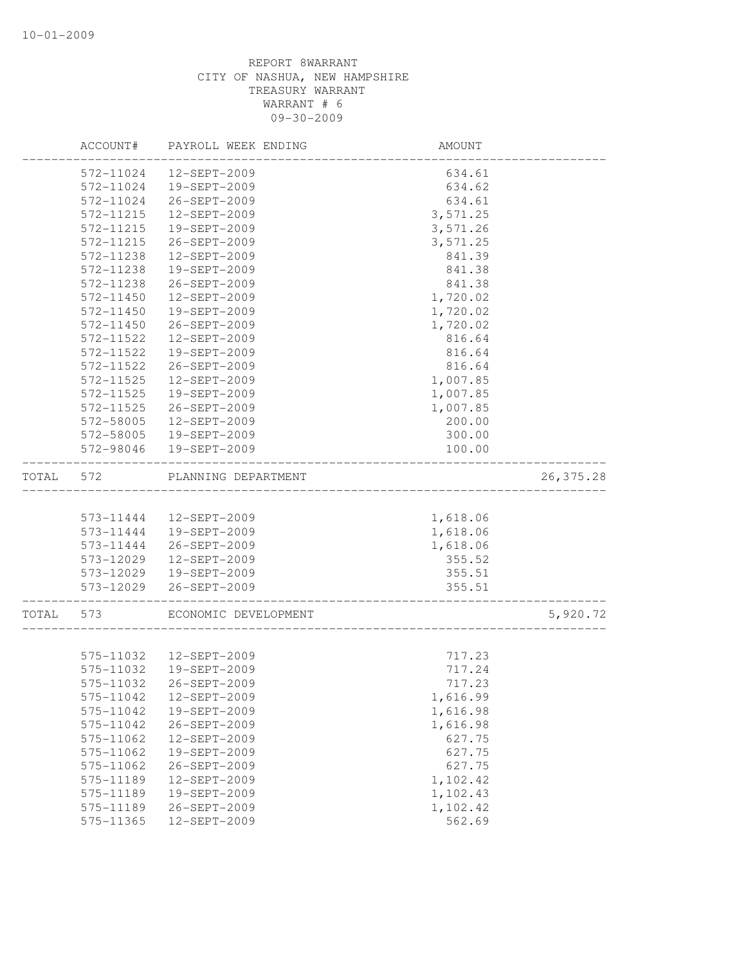|       | ACCOUNT#  | PAYROLL WEEK ENDING  | AMOUNT   |            |
|-------|-----------|----------------------|----------|------------|
|       | 572-11024 | 12-SEPT-2009         | 634.61   |            |
|       | 572-11024 | 19-SEPT-2009         | 634.62   |            |
|       | 572-11024 | 26-SEPT-2009         | 634.61   |            |
|       | 572-11215 | 12-SEPT-2009         | 3,571.25 |            |
|       | 572-11215 | 19-SEPT-2009         | 3,571.26 |            |
|       | 572-11215 | 26-SEPT-2009         | 3,571.25 |            |
|       | 572-11238 | 12-SEPT-2009         | 841.39   |            |
|       | 572-11238 | 19-SEPT-2009         | 841.38   |            |
|       | 572-11238 | 26-SEPT-2009         | 841.38   |            |
|       | 572-11450 | 12-SEPT-2009         | 1,720.02 |            |
|       | 572-11450 | 19-SEPT-2009         | 1,720.02 |            |
|       | 572-11450 | 26-SEPT-2009         | 1,720.02 |            |
|       | 572-11522 | 12-SEPT-2009         | 816.64   |            |
|       | 572-11522 | 19-SEPT-2009         | 816.64   |            |
|       | 572-11522 | 26-SEPT-2009         | 816.64   |            |
|       | 572-11525 | 12-SEPT-2009         | 1,007.85 |            |
|       | 572-11525 | 19-SEPT-2009         | 1,007.85 |            |
|       | 572-11525 | 26-SEPT-2009         | 1,007.85 |            |
|       | 572-58005 | 12-SEPT-2009         | 200.00   |            |
|       | 572-58005 | 19-SEPT-2009         | 300.00   |            |
|       | 572-98046 | 19-SEPT-2009         | 100.00   |            |
| TOTAL | 572       | PLANNING DEPARTMENT  |          | 26, 375.28 |
|       |           |                      |          |            |
|       | 573-11444 | 12-SEPT-2009         | 1,618.06 |            |
|       | 573-11444 | 19-SEPT-2009         | 1,618.06 |            |
|       | 573-11444 | 26-SEPT-2009         | 1,618.06 |            |
|       | 573-12029 | 12-SEPT-2009         | 355.52   |            |
|       | 573-12029 | 19-SEPT-2009         | 355.51   |            |
|       | 573-12029 | 26-SEPT-2009         | 355.51   |            |
| TOTAL | 573       | ECONOMIC DEVELOPMENT |          | 5,920.72   |
|       |           |                      |          |            |
|       | 575-11032 | 12-SEPT-2009         | 717.23   |            |
|       | 575-11032 | 19-SEPT-2009         | 717.24   |            |
|       | 575-11032 | 26-SEPT-2009         | 717.23   |            |
|       | 575-11042 | 12-SEPT-2009         | 1,616.99 |            |
|       | 575-11042 | 19-SEPT-2009         | 1,616.98 |            |
|       | 575-11042 | 26-SEPT-2009         | 1,616.98 |            |
|       | 575-11062 | 12-SEPT-2009         | 627.75   |            |
|       | 575-11062 | 19-SEPT-2009         | 627.75   |            |
|       | 575-11062 | 26-SEPT-2009         | 627.75   |            |
|       | 575-11189 | 12-SEPT-2009         | 1,102.42 |            |
|       | 575-11189 | 19-SEPT-2009         | 1,102.43 |            |
|       | 575-11189 | 26-SEPT-2009         | 1,102.42 |            |
|       | 575-11365 | 12-SEPT-2009         | 562.69   |            |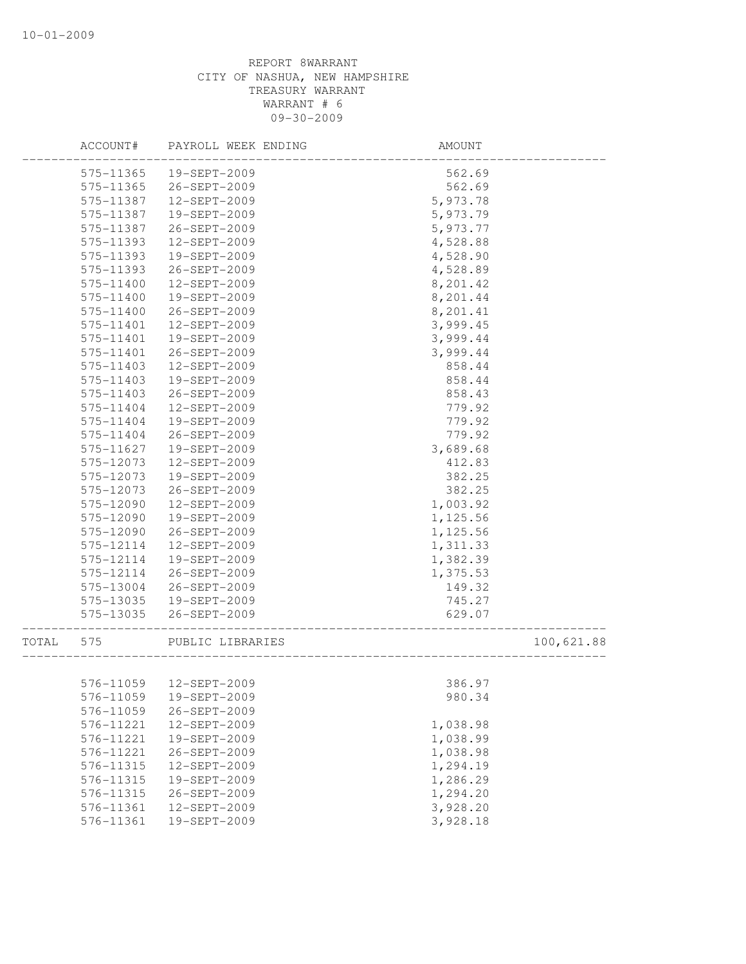|       | ACCOUNT#  | PAYROLL WEEK ENDING | AMOUNT                              |            |
|-------|-----------|---------------------|-------------------------------------|------------|
|       | 575-11365 | 19-SEPT-2009        | 562.69                              |            |
|       | 575-11365 | 26-SEPT-2009        | 562.69                              |            |
|       | 575-11387 | 12-SEPT-2009        | 5,973.78                            |            |
|       | 575-11387 | 19-SEPT-2009        | 5,973.79                            |            |
|       | 575-11387 | 26-SEPT-2009        | 5,973.77                            |            |
|       | 575-11393 | 12-SEPT-2009        | 4,528.88                            |            |
|       | 575-11393 | 19-SEPT-2009        | 4,528.90                            |            |
|       | 575-11393 | 26-SEPT-2009        | 4,528.89                            |            |
|       | 575-11400 | 12-SEPT-2009        | 8,201.42                            |            |
|       | 575-11400 | 19-SEPT-2009        | 8,201.44                            |            |
|       | 575-11400 | 26-SEPT-2009        | 8,201.41                            |            |
|       | 575-11401 | 12-SEPT-2009        | 3,999.45                            |            |
|       | 575-11401 | 19-SEPT-2009        | 3,999.44                            |            |
|       | 575-11401 | 26-SEPT-2009        | 3,999.44                            |            |
|       | 575-11403 | 12-SEPT-2009        | 858.44                              |            |
|       | 575-11403 | 19-SEPT-2009        | 858.44                              |            |
|       | 575-11403 | 26-SEPT-2009        | 858.43                              |            |
|       | 575-11404 | 12-SEPT-2009        | 779.92                              |            |
|       | 575-11404 | 19-SEPT-2009        | 779.92                              |            |
|       | 575-11404 | 26-SEPT-2009        | 779.92                              |            |
|       | 575-11627 | 19-SEPT-2009        | 3,689.68                            |            |
|       | 575-12073 | 12-SEPT-2009        | 412.83                              |            |
|       | 575-12073 | 19-SEPT-2009        | 382.25                              |            |
|       | 575-12073 | 26-SEPT-2009        | 382.25                              |            |
|       | 575-12090 | 12-SEPT-2009        | 1,003.92                            |            |
|       | 575-12090 | 19-SEPT-2009        | 1,125.56                            |            |
|       | 575-12090 | 26-SEPT-2009        | 1,125.56                            |            |
|       | 575-12114 | 12-SEPT-2009        | 1,311.33                            |            |
|       | 575-12114 | 19-SEPT-2009        | 1,382.39                            |            |
|       | 575-12114 | 26-SEPT-2009        | 1,375.53                            |            |
|       | 575-13004 | 26-SEPT-2009        | 149.32                              |            |
|       | 575-13035 | 19-SEPT-2009        | 745.27                              |            |
|       | 575-13035 | 26-SEPT-2009        | 629.07<br>------------------------- |            |
| TOTAL | 575       | PUBLIC LIBRARIES    |                                     | 100,621.88 |
|       |           |                     |                                     |            |
|       |           |                     | 386.97                              |            |
|       | 576-11059 | 19-SEPT-2009        | 980.34                              |            |
|       | 576-11059 | 26-SEPT-2009        |                                     |            |
|       | 576-11221 | 12-SEPT-2009        | 1,038.98                            |            |
|       | 576-11221 | 19-SEPT-2009        | 1,038.99                            |            |
|       | 576-11221 | 26-SEPT-2009        | 1,038.98                            |            |
|       | 576-11315 | 12-SEPT-2009        | 1,294.19                            |            |
|       | 576-11315 | 19-SEPT-2009        | 1,286.29                            |            |
|       | 576-11315 | 26-SEPT-2009        | 1,294.20                            |            |
|       | 576-11361 | 12-SEPT-2009        | 3,928.20                            |            |
|       | 576-11361 | 19-SEPT-2009        | 3,928.18                            |            |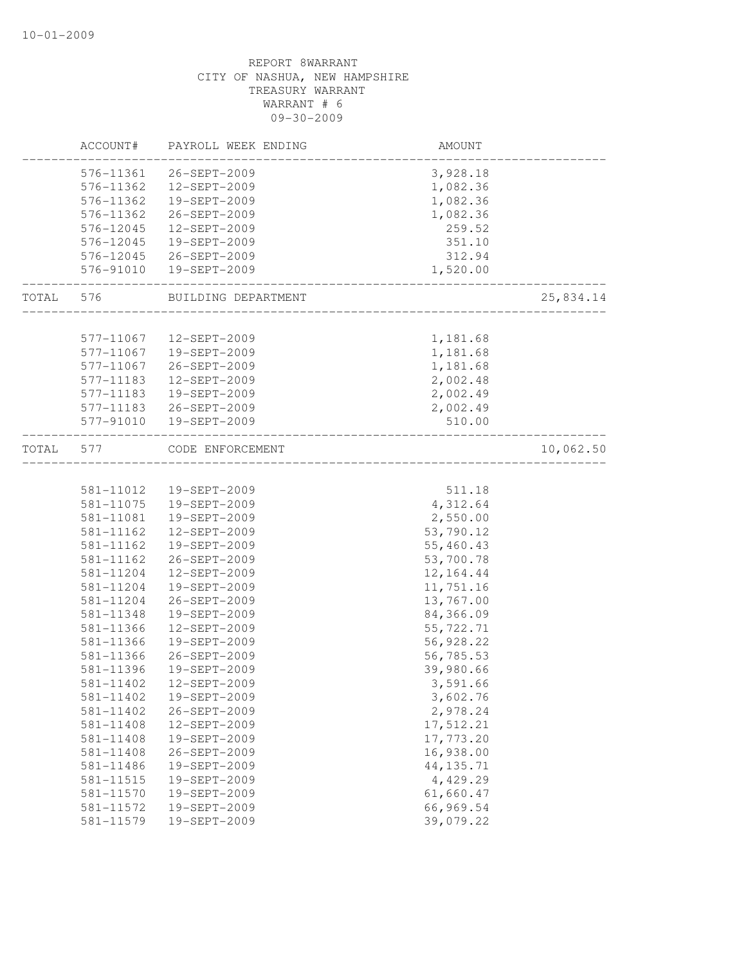|       | ACCOUNT#  | PAYROLL WEEK ENDING | AMOUNT             |           |
|-------|-----------|---------------------|--------------------|-----------|
|       | 576-11361 | 26-SEPT-2009        | 3,928.18           |           |
|       | 576-11362 | 12-SEPT-2009        | 1,082.36           |           |
|       | 576-11362 | 19-SEPT-2009        | 1,082.36           |           |
|       | 576-11362 | 26-SEPT-2009        | 1,082.36           |           |
|       | 576-12045 | 12-SEPT-2009        | 259.52             |           |
|       | 576-12045 | 19-SEPT-2009        | 351.10             |           |
|       | 576-12045 | 26-SEPT-2009        | 312.94             |           |
|       | 576-91010 | 19-SEPT-2009        | 1,520.00           |           |
| TOTAL | 576       | BUILDING DEPARTMENT | __________________ | 25,834.14 |
|       |           |                     |                    |           |
|       | 577-11067 | 12-SEPT-2009        | 1,181.68           |           |
|       | 577-11067 | 19-SEPT-2009        | 1,181.68           |           |
|       | 577-11067 | 26-SEPT-2009        | 1,181.68           |           |
|       | 577-11183 | 12-SEPT-2009        | 2,002.48           |           |
|       | 577-11183 | 19-SEPT-2009        | 2,002.49           |           |
|       | 577-11183 | 26-SEPT-2009        | 2,002.49           |           |
|       | 577-91010 | 19-SEPT-2009        | 510.00             |           |
| TOTAL | 577       | CODE ENFORCEMENT    |                    | 10,062.50 |
|       |           |                     |                    |           |
|       | 581-11012 | 19-SEPT-2009        | 511.18             |           |
|       | 581-11075 | 19-SEPT-2009        | 4,312.64           |           |
|       | 581-11081 | 19-SEPT-2009        | 2,550.00           |           |
|       | 581-11162 | 12-SEPT-2009        | 53,790.12          |           |
|       | 581-11162 | 19-SEPT-2009        | 55,460.43          |           |
|       | 581-11162 | 26-SEPT-2009        | 53,700.78          |           |
|       | 581-11204 | 12-SEPT-2009        | 12, 164.44         |           |
|       | 581-11204 | 19-SEPT-2009        | 11,751.16          |           |
|       | 581-11204 | 26-SEPT-2009        | 13,767.00          |           |
|       | 581-11348 | 19-SEPT-2009        | 84,366.09          |           |
|       | 581-11366 | 12-SEPT-2009        | 55,722.71          |           |
|       | 581-11366 | 19-SEPT-2009        | 56,928.22          |           |
|       | 581-11366 | 26-SEPT-2009        | 56,785.53          |           |
|       | 581-11396 | 19-SEPT-2009        | 39,980.66          |           |
|       | 581-11402 | 12-SEPT-2009        | 3,591.66           |           |
|       | 581-11402 | 19-SEPT-2009        | 3,602.76           |           |
|       | 581-11402 | 26-SEPT-2009        | 2,978.24           |           |
|       | 581-11408 | 12-SEPT-2009        | 17,512.21          |           |
|       | 581-11408 | 19-SEPT-2009        | 17,773.20          |           |
|       | 581-11408 | 26-SEPT-2009        | 16,938.00          |           |
|       | 581-11486 | 19-SEPT-2009        | 44, 135.71         |           |
|       | 581-11515 | 19-SEPT-2009        | 4,429.29           |           |
|       | 581-11570 | 19-SEPT-2009        | 61,660.47          |           |
|       | 581-11572 | 19-SEPT-2009        | 66,969.54          |           |
|       | 581-11579 | 19-SEPT-2009        | 39,079.22          |           |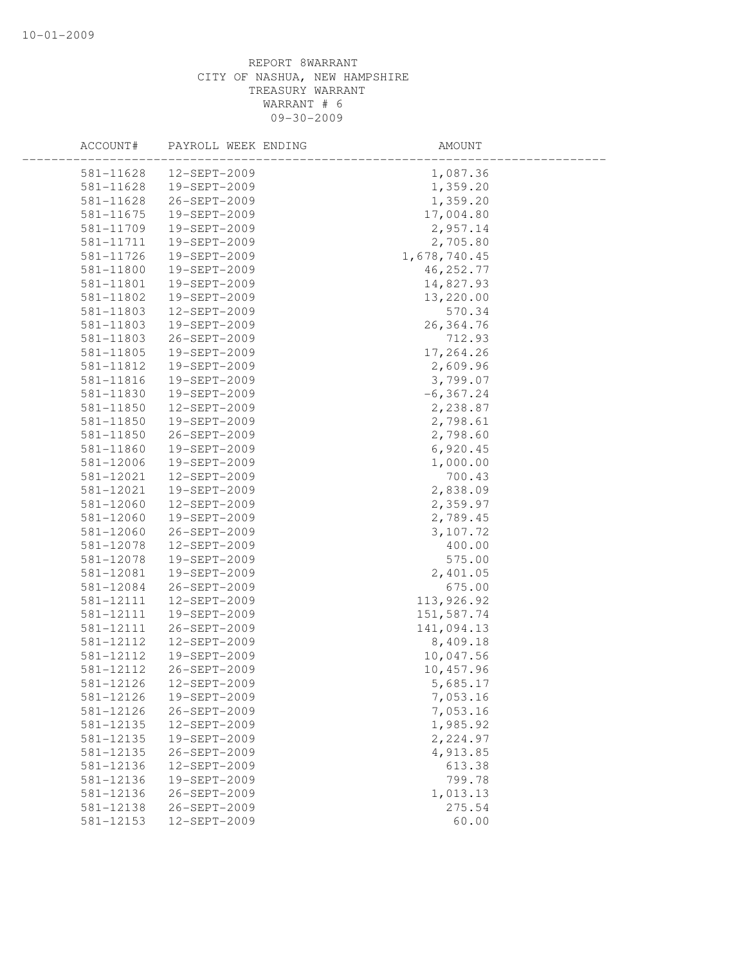| ACCOUNT#  | PAYROLL WEEK ENDING | AMOUNT       |  |
|-----------|---------------------|--------------|--|
| 581-11628 | $12 - SEPT - 2009$  | 1,087.36     |  |
| 581-11628 | 19-SEPT-2009        | 1,359.20     |  |
| 581-11628 | 26-SEPT-2009        | 1,359.20     |  |
| 581-11675 | 19-SEPT-2009        | 17,004.80    |  |
| 581-11709 | 19-SEPT-2009        | 2,957.14     |  |
| 581-11711 | 19-SEPT-2009        | 2,705.80     |  |
| 581-11726 | 19-SEPT-2009        | 1,678,740.45 |  |
| 581-11800 | 19-SEPT-2009        | 46, 252.77   |  |
| 581-11801 | 19-SEPT-2009        | 14,827.93    |  |
| 581-11802 | 19-SEPT-2009        | 13,220.00    |  |
| 581-11803 | 12-SEPT-2009        | 570.34       |  |
| 581-11803 | 19-SEPT-2009        | 26,364.76    |  |
| 581-11803 | 26-SEPT-2009        | 712.93       |  |
| 581-11805 | 19-SEPT-2009        | 17,264.26    |  |
| 581-11812 | 19-SEPT-2009        | 2,609.96     |  |
| 581-11816 | 19-SEPT-2009        | 3,799.07     |  |
| 581-11830 | 19-SEPT-2009        | $-6, 367.24$ |  |
| 581-11850 | 12-SEPT-2009        | 2,238.87     |  |
| 581-11850 | 19-SEPT-2009        | 2,798.61     |  |
| 581-11850 | 26-SEPT-2009        | 2,798.60     |  |
| 581-11860 | 19-SEPT-2009        | 6,920.45     |  |
| 581-12006 | 19-SEPT-2009        | 1,000.00     |  |
| 581-12021 | 12-SEPT-2009        | 700.43       |  |
| 581-12021 | 19-SEPT-2009        | 2,838.09     |  |
| 581-12060 | 12-SEPT-2009        | 2,359.97     |  |
| 581-12060 | 19-SEPT-2009        | 2,789.45     |  |
| 581-12060 | 26-SEPT-2009        | 3,107.72     |  |
| 581-12078 | 12-SEPT-2009        | 400.00       |  |
| 581-12078 | 19-SEPT-2009        | 575.00       |  |
| 581-12081 | 19-SEPT-2009        | 2,401.05     |  |
| 581-12084 | 26-SEPT-2009        | 675.00       |  |
| 581-12111 | 12-SEPT-2009        | 113,926.92   |  |
| 581-12111 | 19-SEPT-2009        | 151,587.74   |  |
| 581-12111 | 26-SEPT-2009        | 141,094.13   |  |
| 581-12112 | 12-SEPT-2009        | 8,409.18     |  |
| 581-12112 | 19-SEPT-2009        | 10,047.56    |  |
| 581-12112 | 26-SEPT-2009        | 10,457.96    |  |
| 581-12126 | 12-SEPT-2009        | 5,685.17     |  |
| 581-12126 | 19-SEPT-2009        | 7,053.16     |  |
| 581-12126 | 26-SEPT-2009        | 7,053.16     |  |
| 581-12135 | 12-SEPT-2009        | 1,985.92     |  |
| 581-12135 | 19-SEPT-2009        | 2,224.97     |  |
| 581-12135 | 26-SEPT-2009        | 4,913.85     |  |
| 581-12136 | 12-SEPT-2009        | 613.38       |  |
| 581-12136 | 19-SEPT-2009        | 799.78       |  |
| 581-12136 | 26-SEPT-2009        | 1,013.13     |  |
| 581-12138 | 26-SEPT-2009        | 275.54       |  |
| 581-12153 | 12-SEPT-2009        | 60.00        |  |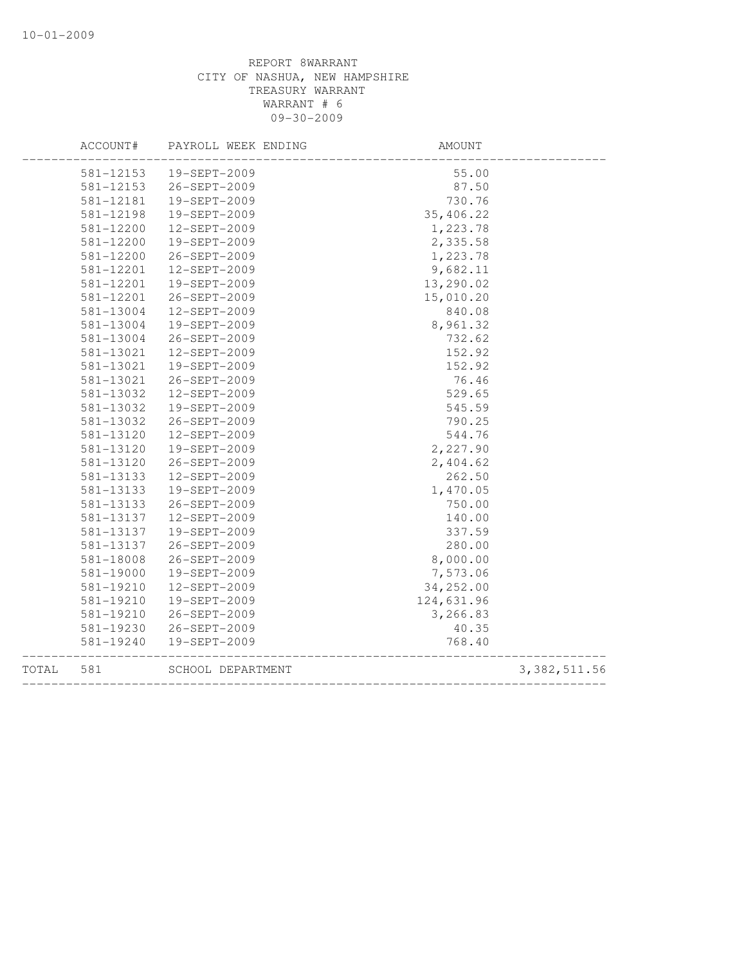|       | ACCOUNT#  | PAYROLL WEEK ENDING | <b>AMOUNT</b> |                |
|-------|-----------|---------------------|---------------|----------------|
|       | 581-12153 | 19-SEPT-2009        | 55.00         |                |
|       | 581-12153 | 26-SEPT-2009        | 87.50         |                |
|       | 581-12181 | 19-SEPT-2009        | 730.76        |                |
|       | 581-12198 | 19-SEPT-2009        | 35,406.22     |                |
|       | 581-12200 | 12-SEPT-2009        | 1,223.78      |                |
|       | 581-12200 | 19-SEPT-2009        | 2,335.58      |                |
|       | 581-12200 | 26-SEPT-2009        | 1,223.78      |                |
|       | 581-12201 | 12-SEPT-2009        | 9,682.11      |                |
|       | 581-12201 | 19-SEPT-2009        | 13,290.02     |                |
|       | 581-12201 | 26-SEPT-2009        | 15,010.20     |                |
|       | 581-13004 | 12-SEPT-2009        | 840.08        |                |
|       | 581-13004 | 19-SEPT-2009        | 8,961.32      |                |
|       | 581-13004 | 26-SEPT-2009        | 732.62        |                |
|       | 581-13021 | 12-SEPT-2009        | 152.92        |                |
|       | 581-13021 | 19-SEPT-2009        | 152.92        |                |
|       | 581-13021 | 26-SEPT-2009        | 76.46         |                |
|       | 581-13032 | 12-SEPT-2009        | 529.65        |                |
|       | 581-13032 | 19-SEPT-2009        | 545.59        |                |
|       | 581-13032 | 26-SEPT-2009        | 790.25        |                |
|       | 581-13120 | 12-SEPT-2009        | 544.76        |                |
|       | 581-13120 | 19-SEPT-2009        | 2,227.90      |                |
|       | 581-13120 | 26-SEPT-2009        | 2,404.62      |                |
|       | 581-13133 | 12-SEPT-2009        | 262.50        |                |
|       | 581-13133 | 19-SEPT-2009        | 1,470.05      |                |
|       | 581-13133 | 26-SEPT-2009        | 750.00        |                |
|       | 581-13137 | 12-SEPT-2009        | 140.00        |                |
|       | 581-13137 | 19-SEPT-2009        | 337.59        |                |
|       | 581-13137 | 26-SEPT-2009        | 280.00        |                |
|       | 581-18008 | 26-SEPT-2009        | 8,000.00      |                |
|       | 581-19000 | 19-SEPT-2009        | 7,573.06      |                |
|       | 581-19210 | 12-SEPT-2009        | 34,252.00     |                |
|       | 581-19210 | 19-SEPT-2009        | 124,631.96    |                |
|       | 581-19210 | 26-SEPT-2009        | 3,266.83      |                |
|       | 581-19230 | 26-SEPT-2009        | 40.35         |                |
|       | 581-19240 | 19-SEPT-2009        | 768.40        |                |
| TOTAL | 581       | SCHOOL DEPARTMENT   |               | 3, 382, 511.56 |
|       |           |                     |               |                |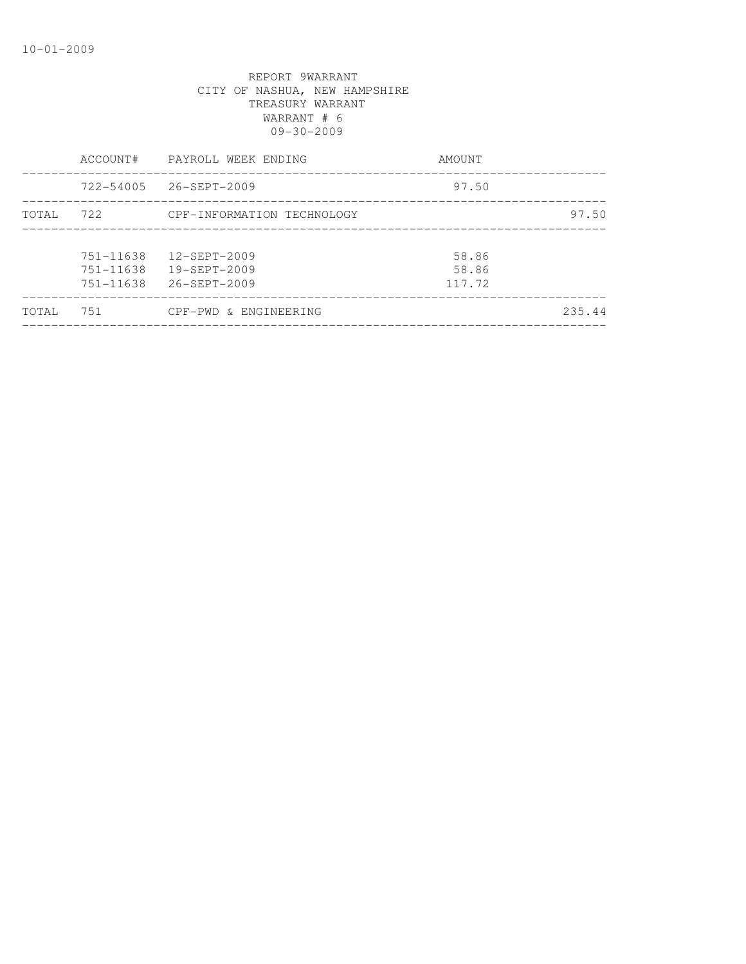| TOTAL | 751                                 | CPF-PWD & ENGINEERING                              |                          | 235.44 |
|-------|-------------------------------------|----------------------------------------------------|--------------------------|--------|
|       | 751-11638<br>751-11638<br>751-11638 | 12-SEPT-2009<br>19-SEPT-2009<br>$26 - SEPT - 2009$ | 58.86<br>58.86<br>117.72 |        |
| TOTAL | 722                                 | CPF-INFORMATION TECHNOLOGY                         |                          | 97.50  |
|       | $722 - 54005$                       | 26-SEPT-2009                                       | 97.50                    |        |
|       | ACCOUNT#                            | PAYROLL WEEK ENDING                                | AMOUNT                   |        |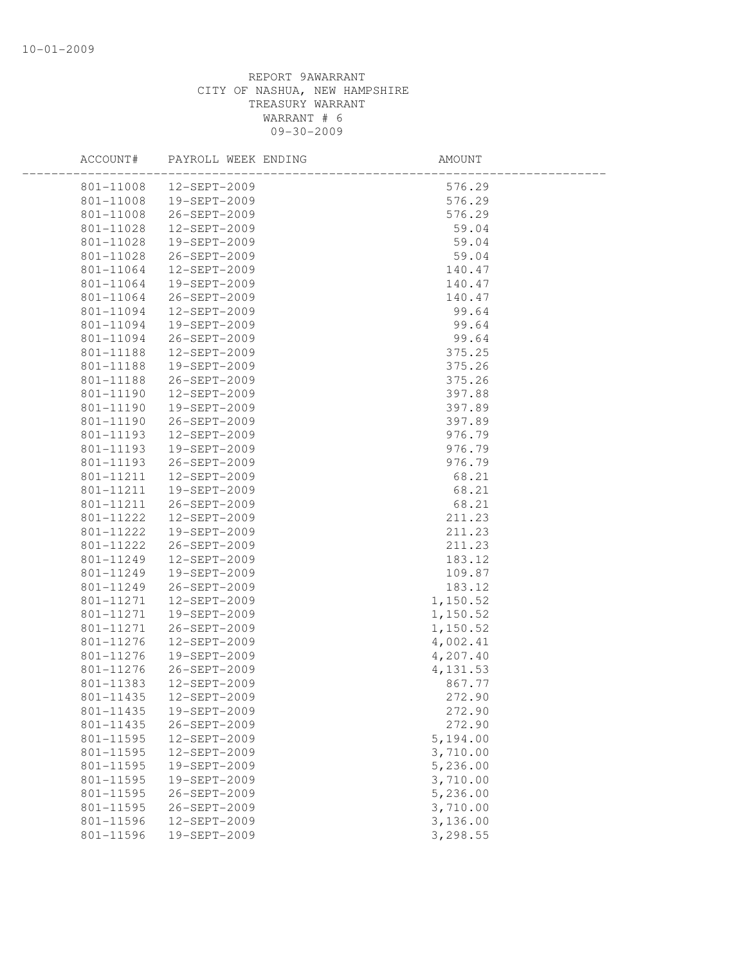| ACCOUNT#  | PAYROLL WEEK ENDING | AMOUNT    |  |
|-----------|---------------------|-----------|--|
| 801-11008 | 12-SEPT-2009        | 576.29    |  |
| 801-11008 | 19-SEPT-2009        | 576.29    |  |
| 801-11008 | 26-SEPT-2009        | 576.29    |  |
| 801-11028 | 12-SEPT-2009        | 59.04     |  |
| 801-11028 | 19-SEPT-2009        | 59.04     |  |
| 801-11028 | 26-SEPT-2009        | 59.04     |  |
| 801-11064 | 12-SEPT-2009        | 140.47    |  |
| 801-11064 | 19-SEPT-2009        | 140.47    |  |
| 801-11064 | 26-SEPT-2009        | 140.47    |  |
| 801-11094 | 12-SEPT-2009        | 99.64     |  |
| 801-11094 | 19-SEPT-2009        | 99.64     |  |
| 801-11094 | 26-SEPT-2009        | 99.64     |  |
| 801-11188 | 12-SEPT-2009        | 375.25    |  |
| 801-11188 | 19-SEPT-2009        | 375.26    |  |
| 801-11188 | 26-SEPT-2009        | 375.26    |  |
| 801-11190 | 12-SEPT-2009        | 397.88    |  |
| 801-11190 | 19-SEPT-2009        | 397.89    |  |
| 801-11190 | 26-SEPT-2009        | 397.89    |  |
| 801-11193 | 12-SEPT-2009        | 976.79    |  |
| 801-11193 | 19-SEPT-2009        | 976.79    |  |
| 801-11193 | 26-SEPT-2009        | 976.79    |  |
| 801-11211 | 12-SEPT-2009        | 68.21     |  |
| 801-11211 | 19-SEPT-2009        | 68.21     |  |
| 801-11211 | 26-SEPT-2009        | 68.21     |  |
| 801-11222 | 12-SEPT-2009        | 211.23    |  |
| 801-11222 | 19-SEPT-2009        | 211.23    |  |
| 801-11222 | 26-SEPT-2009        | 211.23    |  |
| 801-11249 | 12-SEPT-2009        | 183.12    |  |
| 801-11249 | 19-SEPT-2009        | 109.87    |  |
| 801-11249 | 26-SEPT-2009        | 183.12    |  |
| 801-11271 | 12-SEPT-2009        | 1,150.52  |  |
| 801-11271 | 19-SEPT-2009        | 1,150.52  |  |
| 801-11271 | 26-SEPT-2009        | 1,150.52  |  |
| 801-11276 | 12-SEPT-2009        | 4,002.41  |  |
| 801-11276 | 19-SEPT-2009        | 4,207.40  |  |
| 801-11276 | 26-SEPT-2009        | 4, 131.53 |  |
| 801-11383 | 12-SEPT-2009        | 867.77    |  |
| 801-11435 | 12-SEPT-2009        | 272.90    |  |
| 801-11435 | 19-SEPT-2009        | 272.90    |  |
| 801-11435 | 26-SEPT-2009        | 272.90    |  |
| 801-11595 | 12-SEPT-2009        | 5,194.00  |  |
| 801-11595 | 12-SEPT-2009        | 3,710.00  |  |
| 801-11595 | 19-SEPT-2009        | 5,236.00  |  |
| 801-11595 | 19-SEPT-2009        | 3,710.00  |  |
| 801-11595 | 26-SEPT-2009        | 5,236.00  |  |
| 801-11595 | 26-SEPT-2009        | 3,710.00  |  |
| 801-11596 | 12-SEPT-2009        | 3,136.00  |  |
| 801-11596 | 19-SEPT-2009        | 3,298.55  |  |
|           |                     |           |  |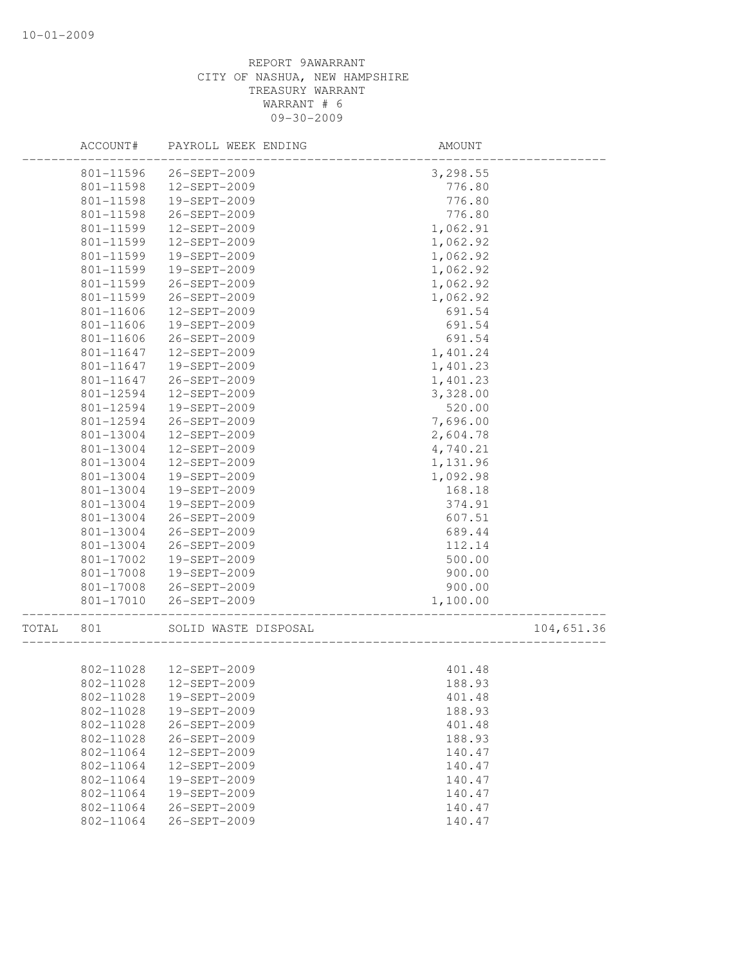|       | ACCOUNT#  | PAYROLL WEEK ENDING  | AMOUNT   |            |
|-------|-----------|----------------------|----------|------------|
|       | 801-11596 | 26-SEPT-2009         | 3,298.55 |            |
|       | 801-11598 | 12-SEPT-2009         | 776.80   |            |
|       | 801-11598 | 19-SEPT-2009         | 776.80   |            |
|       | 801-11598 | 26-SEPT-2009         | 776.80   |            |
|       | 801-11599 | 12-SEPT-2009         | 1,062.91 |            |
|       | 801-11599 | 12-SEPT-2009         | 1,062.92 |            |
|       | 801-11599 | 19-SEPT-2009         | 1,062.92 |            |
|       | 801-11599 | 19-SEPT-2009         | 1,062.92 |            |
|       | 801-11599 | 26-SEPT-2009         | 1,062.92 |            |
|       | 801-11599 | 26-SEPT-2009         | 1,062.92 |            |
|       | 801-11606 | 12-SEPT-2009         | 691.54   |            |
|       | 801-11606 | 19-SEPT-2009         | 691.54   |            |
|       | 801-11606 | 26-SEPT-2009         | 691.54   |            |
|       | 801-11647 | 12-SEPT-2009         | 1,401.24 |            |
|       | 801-11647 | 19-SEPT-2009         | 1,401.23 |            |
|       | 801-11647 | 26-SEPT-2009         | 1,401.23 |            |
|       | 801-12594 | 12-SEPT-2009         | 3,328.00 |            |
|       | 801-12594 | 19-SEPT-2009         | 520.00   |            |
|       | 801-12594 | 26-SEPT-2009         | 7,696.00 |            |
|       | 801-13004 | 12-SEPT-2009         | 2,604.78 |            |
|       | 801-13004 | 12-SEPT-2009         | 4,740.21 |            |
|       | 801-13004 | 12-SEPT-2009         | 1,131.96 |            |
|       | 801-13004 | 19-SEPT-2009         | 1,092.98 |            |
|       | 801-13004 | 19-SEPT-2009         | 168.18   |            |
|       | 801-13004 | 19-SEPT-2009         | 374.91   |            |
|       | 801-13004 | 26-SEPT-2009         | 607.51   |            |
|       | 801-13004 | 26-SEPT-2009         | 689.44   |            |
|       | 801-13004 | 26-SEPT-2009         | 112.14   |            |
|       | 801-17002 | 19-SEPT-2009         | 500.00   |            |
|       | 801-17008 | 19-SEPT-2009         | 900.00   |            |
|       | 801-17008 | 26-SEPT-2009         | 900.00   |            |
|       | 801-17010 | 26-SEPT-2009         | 1,100.00 |            |
|       |           |                      |          |            |
| TOTAL | 801       | SOLID WASTE DISPOSAL |          | 104,651.36 |
|       |           |                      |          |            |
|       | 802-11028 | 12-SEPT-2009         | 401.48   |            |
|       | 802-11028 | 12-SEPT-2009         | 188.93   |            |
|       | 802-11028 | 19-SEPT-2009         | 401.48   |            |
|       | 802-11028 | 19-SEPT-2009         | 188.93   |            |
|       | 802-11028 | 26-SEPT-2009         | 401.48   |            |
|       | 802-11028 | 26-SEPT-2009         | 188.93   |            |
|       | 802-11064 | 12-SEPT-2009         | 140.47   |            |
|       | 802-11064 | 12-SEPT-2009         | 140.47   |            |
|       | 802-11064 | 19-SEPT-2009         | 140.47   |            |
|       | 802-11064 | 19-SEPT-2009         | 140.47   |            |
|       | 802-11064 | 26-SEPT-2009         | 140.47   |            |
|       | 802-11064 | 26-SEPT-2009         | 140.47   |            |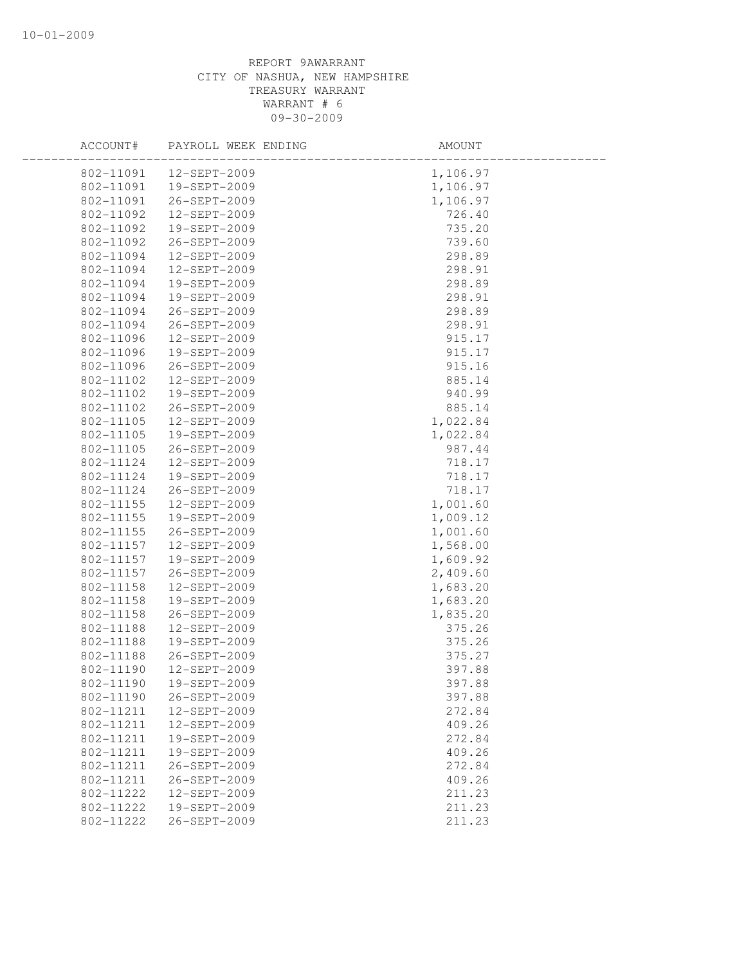| ACCOUNT#  | PAYROLL WEEK ENDING | AMOUNT   |
|-----------|---------------------|----------|
| 802-11091 | 12-SEPT-2009        | 1,106.97 |
| 802-11091 | 19-SEPT-2009        | 1,106.97 |
| 802-11091 | 26-SEPT-2009        | 1,106.97 |
| 802-11092 | 12-SEPT-2009        | 726.40   |
| 802-11092 | 19-SEPT-2009        | 735.20   |
| 802-11092 | 26-SEPT-2009        | 739.60   |
| 802-11094 | 12-SEPT-2009        | 298.89   |
| 802-11094 | 12-SEPT-2009        | 298.91   |
| 802-11094 | 19-SEPT-2009        | 298.89   |
| 802-11094 | 19-SEPT-2009        | 298.91   |
| 802-11094 | 26-SEPT-2009        | 298.89   |
| 802-11094 | 26-SEPT-2009        | 298.91   |
| 802-11096 | 12-SEPT-2009        | 915.17   |
| 802-11096 | 19-SEPT-2009        | 915.17   |
| 802-11096 | 26-SEPT-2009        | 915.16   |
| 802-11102 | 12-SEPT-2009        | 885.14   |
| 802-11102 | 19-SEPT-2009        | 940.99   |
| 802-11102 | 26-SEPT-2009        | 885.14   |
| 802-11105 | 12-SEPT-2009        | 1,022.84 |
| 802-11105 | 19-SEPT-2009        | 1,022.84 |
| 802-11105 | 26-SEPT-2009        | 987.44   |
| 802-11124 | 12-SEPT-2009        | 718.17   |
| 802-11124 | 19-SEPT-2009        | 718.17   |
| 802-11124 | 26-SEPT-2009        | 718.17   |
| 802-11155 | 12-SEPT-2009        | 1,001.60 |
| 802-11155 | 19-SEPT-2009        | 1,009.12 |
| 802-11155 | 26-SEPT-2009        | 1,001.60 |
| 802-11157 | 12-SEPT-2009        | 1,568.00 |
| 802-11157 | 19-SEPT-2009        | 1,609.92 |
| 802-11157 | 26-SEPT-2009        | 2,409.60 |
| 802-11158 | 12-SEPT-2009        | 1,683.20 |
| 802-11158 | 19-SEPT-2009        | 1,683.20 |
| 802-11158 | 26-SEPT-2009        | 1,835.20 |
| 802-11188 | 12-SEPT-2009        | 375.26   |
| 802-11188 | 19-SEPT-2009        | 375.26   |
| 802-11188 | 26-SEPT-2009        | 375.27   |
| 802-11190 | 12-SEPT-2009        | 397.88   |
| 802-11190 | 19-SEPT-2009        | 397.88   |
| 802-11190 | 26-SEPT-2009        | 397.88   |
| 802-11211 | 12-SEPT-2009        | 272.84   |
| 802-11211 | 12-SEPT-2009        | 409.26   |
| 802-11211 | 19-SEPT-2009        | 272.84   |
| 802-11211 | 19-SEPT-2009        | 409.26   |
| 802-11211 | $26 - SEPT - 2009$  | 272.84   |
| 802-11211 | 26-SEPT-2009        | 409.26   |
| 802-11222 | 12-SEPT-2009        | 211.23   |
| 802-11222 | 19-SEPT-2009        | 211.23   |
| 802-11222 | 26-SEPT-2009        | 211.23   |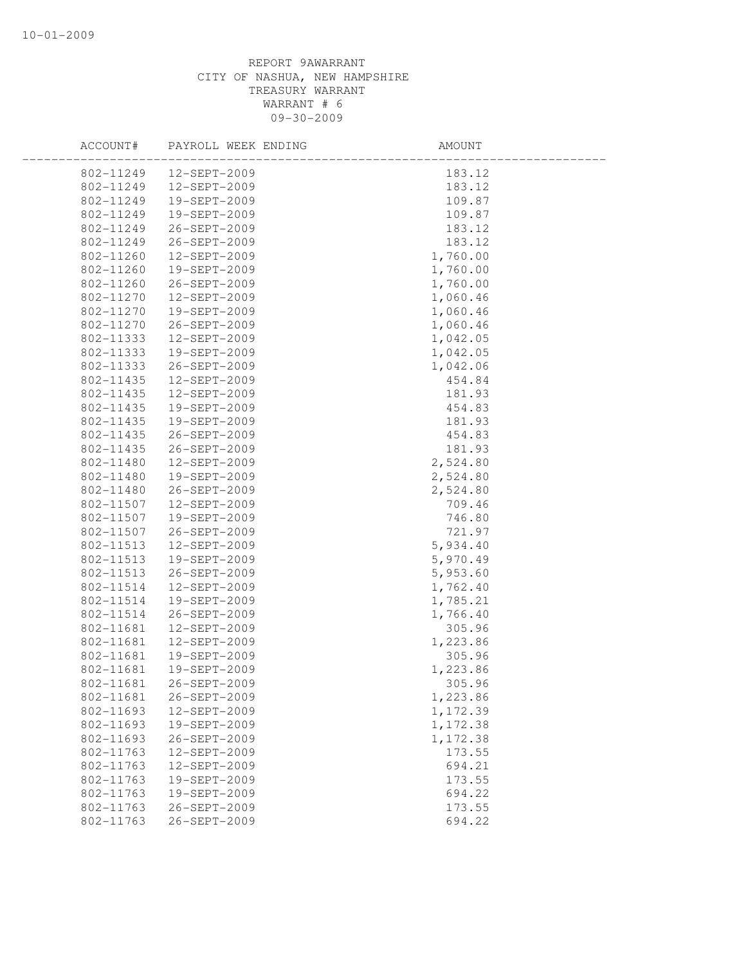| ACCOUNT#               | PAYROLL WEEK ENDING          | AMOUNT             |  |
|------------------------|------------------------------|--------------------|--|
| 802-11249              | 12-SEPT-2009                 | 183.12             |  |
| 802-11249              | 12-SEPT-2009                 | 183.12             |  |
| 802-11249              | 19-SEPT-2009                 | 109.87             |  |
| 802-11249              | 19-SEPT-2009                 | 109.87             |  |
| 802-11249              | 26-SEPT-2009                 | 183.12             |  |
| 802-11249              | 26-SEPT-2009                 | 183.12             |  |
| 802-11260              | 12-SEPT-2009                 | 1,760.00           |  |
| 802-11260              | 19-SEPT-2009                 | 1,760.00           |  |
| 802-11260              | 26-SEPT-2009                 | 1,760.00           |  |
| 802-11270              | 12-SEPT-2009                 | 1,060.46           |  |
| 802-11270              | 19-SEPT-2009                 | 1,060.46           |  |
| 802-11270              | 26-SEPT-2009                 | 1,060.46           |  |
| 802-11333              | 12-SEPT-2009                 | 1,042.05           |  |
| 802-11333              | 19-SEPT-2009                 | 1,042.05           |  |
| 802-11333              | 26-SEPT-2009                 | 1,042.06           |  |
| 802-11435              | 12-SEPT-2009                 | 454.84             |  |
| 802-11435              | 12-SEPT-2009                 | 181.93             |  |
| 802-11435              | 19-SEPT-2009                 | 454.83             |  |
| 802-11435              | 19-SEPT-2009                 | 181.93             |  |
| 802-11435              | 26-SEPT-2009                 | 454.83             |  |
| 802-11435              | 26-SEPT-2009                 | 181.93             |  |
| 802-11480              | 12-SEPT-2009                 | 2,524.80           |  |
| 802-11480              | 19-SEPT-2009                 | 2,524.80           |  |
| 802-11480              | 26-SEPT-2009                 | 2,524.80           |  |
| 802-11507              | 12-SEPT-2009                 | 709.46             |  |
| 802-11507              | 19-SEPT-2009                 | 746.80             |  |
| 802-11507              | 26-SEPT-2009                 | 721.97             |  |
| 802-11513              | 12-SEPT-2009                 | 5,934.40           |  |
| 802-11513              | 19-SEPT-2009                 | 5,970.49           |  |
| 802-11513              | 26-SEPT-2009                 | 5,953.60           |  |
| 802-11514              | 12-SEPT-2009                 | 1,762.40           |  |
| 802-11514              | 19-SEPT-2009                 | 1,785.21           |  |
| 802-11514              | 26-SEPT-2009                 | 1,766.40           |  |
| 802-11681<br>802-11681 | 12-SEPT-2009                 | 305.96             |  |
| 802-11681              | 12-SEPT-2009<br>19-SEPT-2009 | 1,223.86<br>305.96 |  |
| 802-11681              | 19-SEPT-2009                 | 1,223.86           |  |
| 802-11681              | 26-SEPT-2009                 | 305.96             |  |
| 802-11681              | 26-SEPT-2009                 | 1,223.86           |  |
| 802-11693              | 12-SEPT-2009                 | 1,172.39           |  |
| 802-11693              | 19-SEPT-2009                 | 1,172.38           |  |
| 802-11693              | 26-SEPT-2009                 | 1,172.38           |  |
| 802-11763              | 12-SEPT-2009                 | 173.55             |  |
| 802-11763              | 12-SEPT-2009                 | 694.21             |  |
| 802-11763              | 19-SEPT-2009                 | 173.55             |  |
| 802-11763              | 19-SEPT-2009                 | 694.22             |  |
| 802-11763              | 26-SEPT-2009                 | 173.55             |  |
| 802-11763              | 26-SEPT-2009                 | 694.22             |  |
|                        |                              |                    |  |